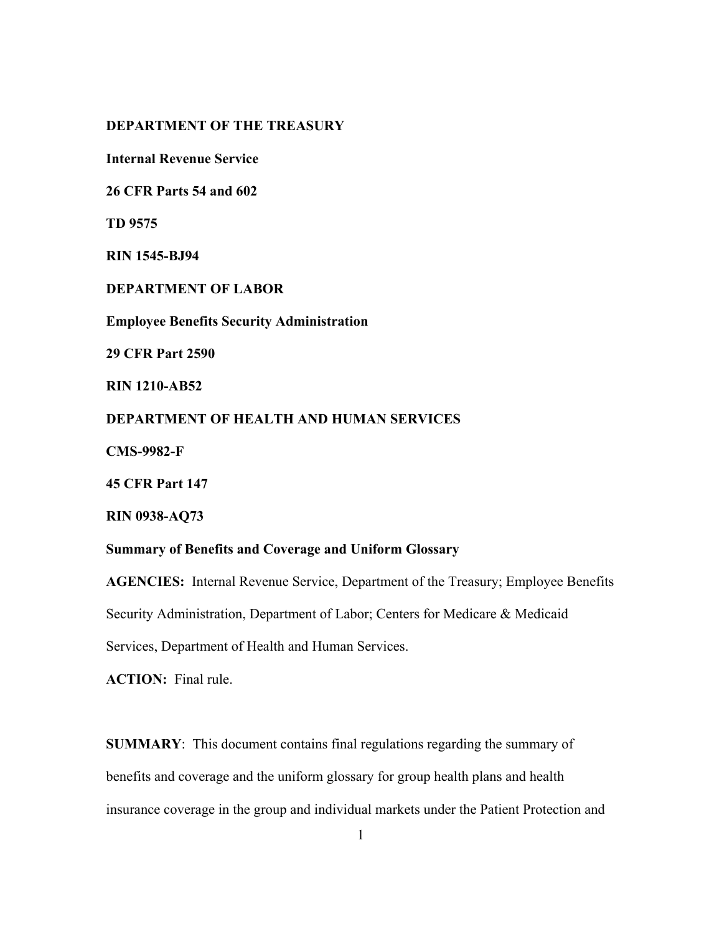# **DEPARTMENT OF THE TREASURY**

**Internal Revenue Service** 

**26 CFR Parts 54 and 602** 

**TD 9575** 

**RIN 1545-BJ94** 

**DEPARTMENT OF LABOR**

**Employee Benefits Security Administration**

**29 CFR Part 2590** 

**RIN 1210-AB52** 

**DEPARTMENT OF HEALTH AND HUMAN SERVICES** 

**CMS-9982-F** 

**45 CFR Part 147** 

**RIN 0938-AQ73** 

## **Summary of Benefits and Coverage and Uniform Glossary**

**AGENCIES:** Internal Revenue Service, Department of the Treasury; Employee Benefits Security Administration, Department of Labor; Centers for Medicare & Medicaid Services, Department of Health and Human Services.

**ACTION:** Final rule.

**SUMMARY**: This document contains final regulations regarding the summary of benefits and coverage and the uniform glossary for group health plans and health insurance coverage in the group and individual markets under the Patient Protection and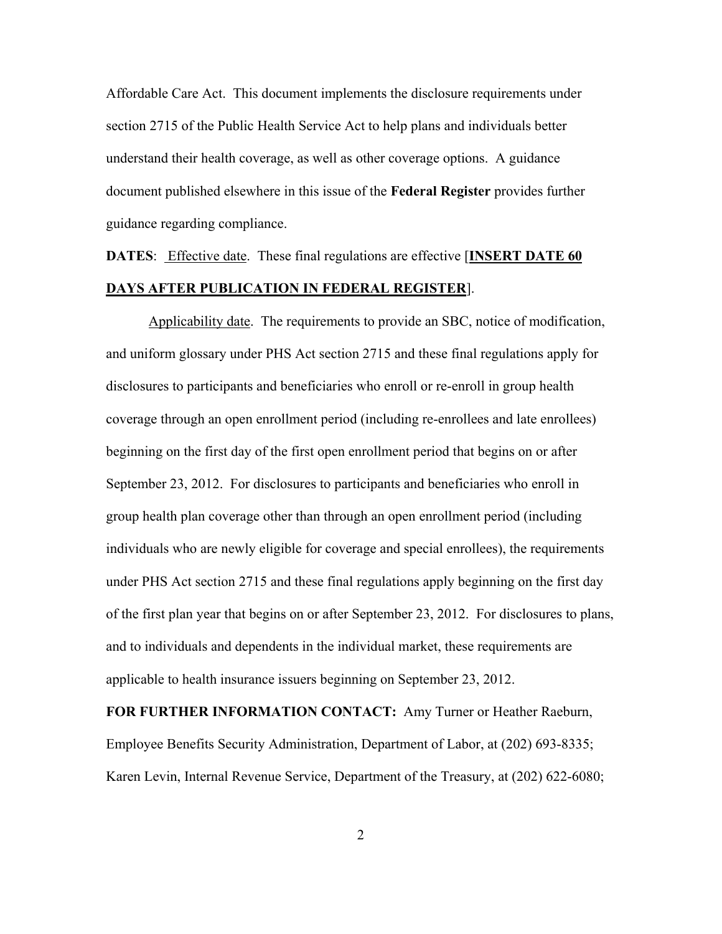Affordable Care Act. This document implements the disclosure requirements under section 2715 of the Public Health Service Act to help plans and individuals better understand their health coverage, as well as other coverage options. A guidance document published elsewhere in this issue of the **Federal Register** provides further guidance regarding compliance.

**DATES**: Effective date. These final regulations are effective [**INSERT DATE 60 DAYS AFTER PUBLICATION IN FEDERAL REGISTER**].

Applicability date. The requirements to provide an SBC, notice of modification, and uniform glossary under PHS Act section 2715 and these final regulations apply for disclosures to participants and beneficiaries who enroll or re-enroll in group health coverage through an open enrollment period (including re-enrollees and late enrollees) beginning on the first day of the first open enrollment period that begins on or after September 23, 2012. For disclosures to participants and beneficiaries who enroll in group health plan coverage other than through an open enrollment period (including individuals who are newly eligible for coverage and special enrollees), the requirements under PHS Act section 2715 and these final regulations apply beginning on the first day of the first plan year that begins on or after September 23, 2012. For disclosures to plans, and to individuals and dependents in the individual market, these requirements are applicable to health insurance issuers beginning on September 23, 2012.

**FOR FURTHER INFORMATION CONTACT:** Amy Turner or Heather Raeburn, Employee Benefits Security Administration, Department of Labor, at (202) 693-8335; Karen Levin, Internal Revenue Service, Department of the Treasury, at (202) 622-6080;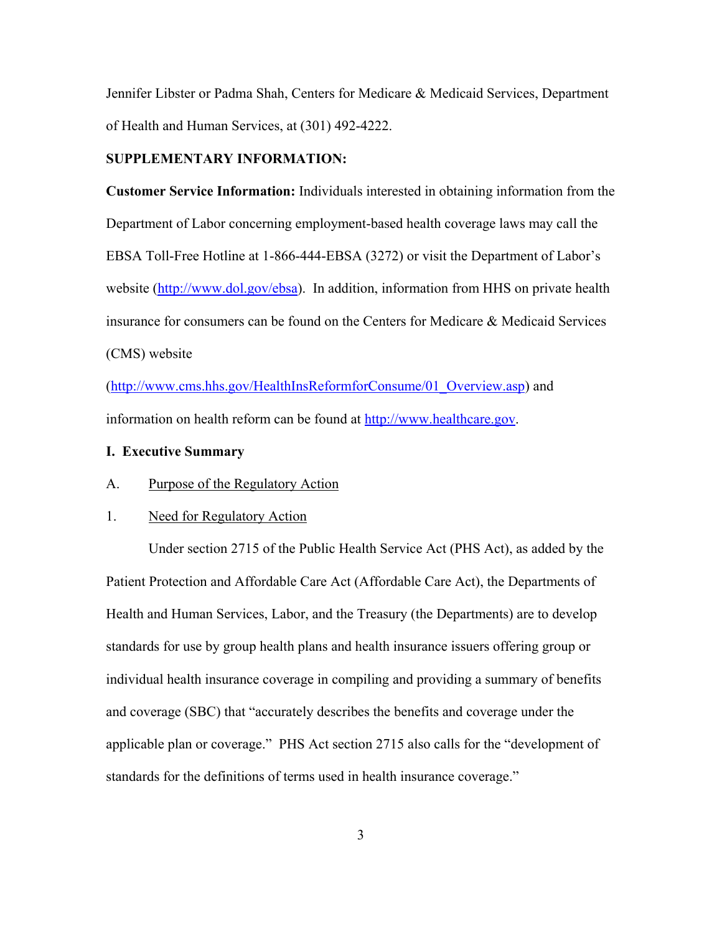Jennifer Libster or Padma Shah, Centers for Medicare & Medicaid Services, Department of Health and Human Services, at (301) 492-4222.

## **SUPPLEMENTARY INFORMATION:**

**Customer Service Information:** Individuals interested in obtaining information from the Department of Labor concerning employment-based health coverage laws may call the EBSA Toll-Free Hotline at 1-866-444-EBSA (3272) or visit the Department of Labor's website (http://www.dol.gov/ebsa). In addition, information from HHS on private health insurance for consumers can be found on the Centers for Medicare & Medicaid Services (CMS) website

(http://www.cms.hhs.gov/HealthInsReformforConsume/01\_Overview.asp) and information on health reform can be found at http://www.healthcare.gov.

## **I. Executive Summary**

A. Purpose of the Regulatory Action

### 1. Need for Regulatory Action

Under section 2715 of the Public Health Service Act (PHS Act), as added by the Patient Protection and Affordable Care Act (Affordable Care Act), the Departments of Health and Human Services, Labor, and the Treasury (the Departments) are to develop standards for use by group health plans and health insurance issuers offering group or individual health insurance coverage in compiling and providing a summary of benefits and coverage (SBC) that "accurately describes the benefits and coverage under the applicable plan or coverage." PHS Act section 2715 also calls for the "development of standards for the definitions of terms used in health insurance coverage."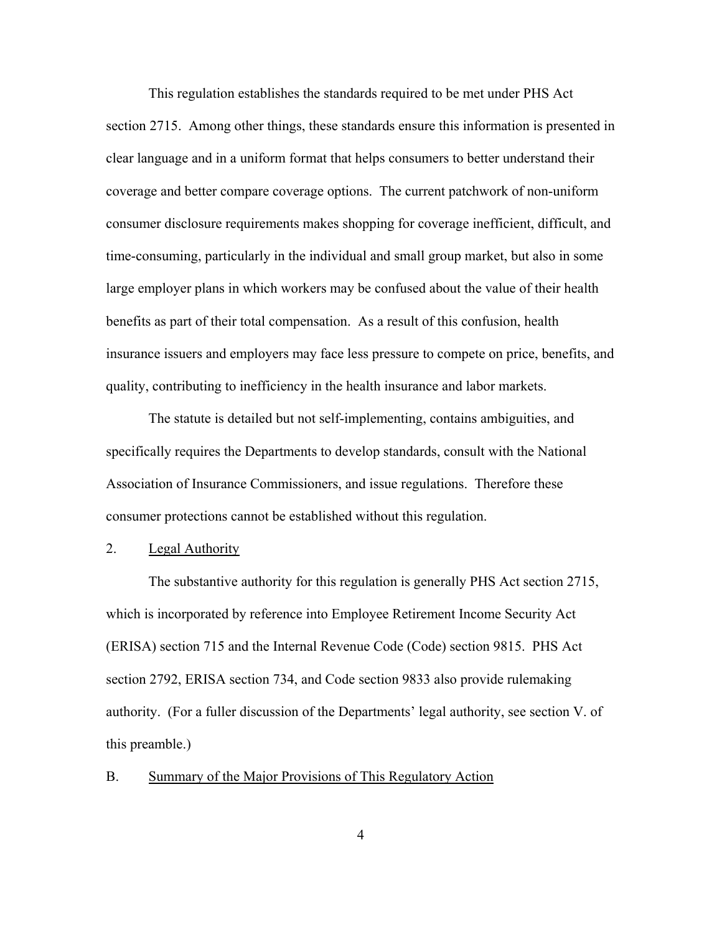This regulation establishes the standards required to be met under PHS Act section 2715. Among other things, these standards ensure this information is presented in clear language and in a uniform format that helps consumers to better understand their coverage and better compare coverage options. The current patchwork of non-uniform consumer disclosure requirements makes shopping for coverage inefficient, difficult, and time-consuming, particularly in the individual and small group market, but also in some large employer plans in which workers may be confused about the value of their health benefits as part of their total compensation. As a result of this confusion, health insurance issuers and employers may face less pressure to compete on price, benefits, and quality, contributing to inefficiency in the health insurance and labor markets.

The statute is detailed but not self-implementing, contains ambiguities, and specifically requires the Departments to develop standards, consult with the National Association of Insurance Commissioners, and issue regulations. Therefore these consumer protections cannot be established without this regulation.

## 2. Legal Authority

The substantive authority for this regulation is generally PHS Act section 2715, which is incorporated by reference into Employee Retirement Income Security Act (ERISA) section 715 and the Internal Revenue Code (Code) section 9815. PHS Act section 2792, ERISA section 734, and Code section 9833 also provide rulemaking authority. (For a fuller discussion of the Departments' legal authority, see section V. of this preamble.)

# B. Summary of the Major Provisions of This Regulatory Action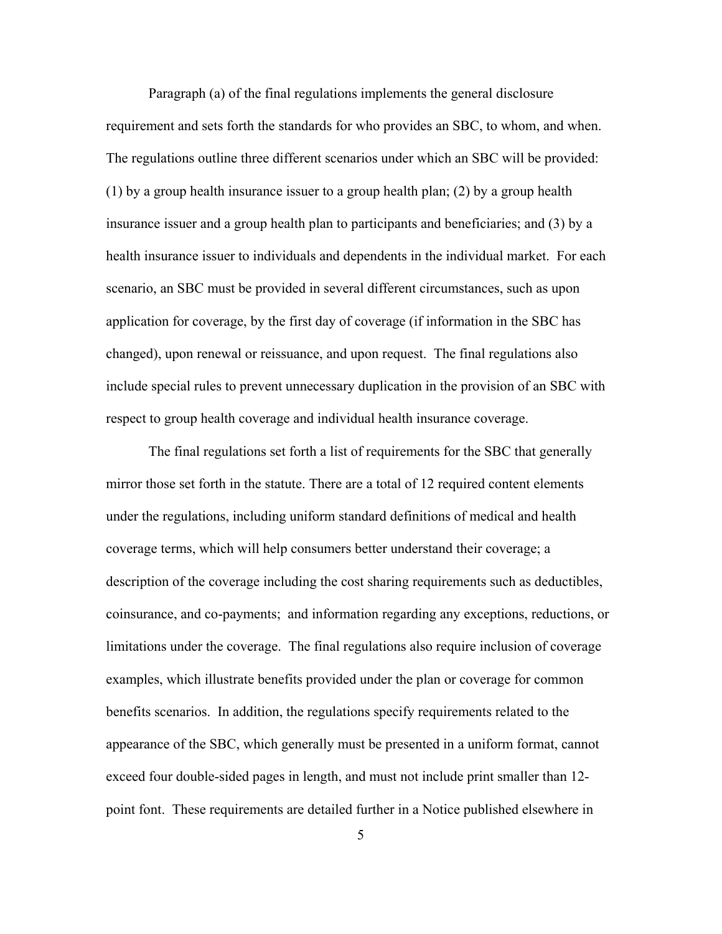Paragraph (a) of the final regulations implements the general disclosure requirement and sets forth the standards for who provides an SBC, to whom, and when. The regulations outline three different scenarios under which an SBC will be provided: (1) by a group health insurance issuer to a group health plan; (2) by a group health insurance issuer and a group health plan to participants and beneficiaries; and (3) by a health insurance issuer to individuals and dependents in the individual market. For each scenario, an SBC must be provided in several different circumstances, such as upon application for coverage, by the first day of coverage (if information in the SBC has changed), upon renewal or reissuance, and upon request. The final regulations also include special rules to prevent unnecessary duplication in the provision of an SBC with respect to group health coverage and individual health insurance coverage.

The final regulations set forth a list of requirements for the SBC that generally mirror those set forth in the statute. There are a total of 12 required content elements under the regulations, including uniform standard definitions of medical and health coverage terms, which will help consumers better understand their coverage; a description of the coverage including the cost sharing requirements such as deductibles, coinsurance, and co-payments; and information regarding any exceptions, reductions, or limitations under the coverage. The final regulations also require inclusion of coverage examples, which illustrate benefits provided under the plan or coverage for common benefits scenarios. In addition, the regulations specify requirements related to the appearance of the SBC, which generally must be presented in a uniform format, cannot exceed four double-sided pages in length, and must not include print smaller than 12 point font. These requirements are detailed further in a Notice published elsewhere in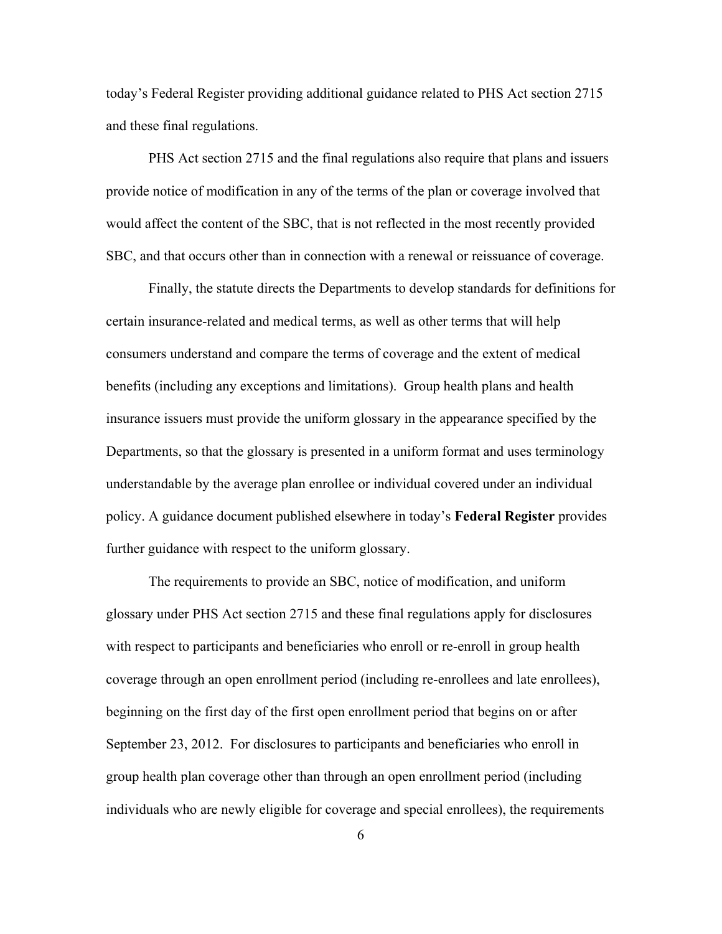today's Federal Register providing additional guidance related to PHS Act section 2715 and these final regulations.

PHS Act section 2715 and the final regulations also require that plans and issuers provide notice of modification in any of the terms of the plan or coverage involved that would affect the content of the SBC, that is not reflected in the most recently provided SBC, and that occurs other than in connection with a renewal or reissuance of coverage.

Finally, the statute directs the Departments to develop standards for definitions for certain insurance-related and medical terms, as well as other terms that will help consumers understand and compare the terms of coverage and the extent of medical benefits (including any exceptions and limitations). Group health plans and health insurance issuers must provide the uniform glossary in the appearance specified by the Departments, so that the glossary is presented in a uniform format and uses terminology understandable by the average plan enrollee or individual covered under an individual policy. A guidance document published elsewhere in today's **Federal Register** provides further guidance with respect to the uniform glossary.

The requirements to provide an SBC, notice of modification, and uniform glossary under PHS Act section 2715 and these final regulations apply for disclosures with respect to participants and beneficiaries who enroll or re-enroll in group health coverage through an open enrollment period (including re-enrollees and late enrollees), beginning on the first day of the first open enrollment period that begins on or after September 23, 2012. For disclosures to participants and beneficiaries who enroll in group health plan coverage other than through an open enrollment period (including individuals who are newly eligible for coverage and special enrollees), the requirements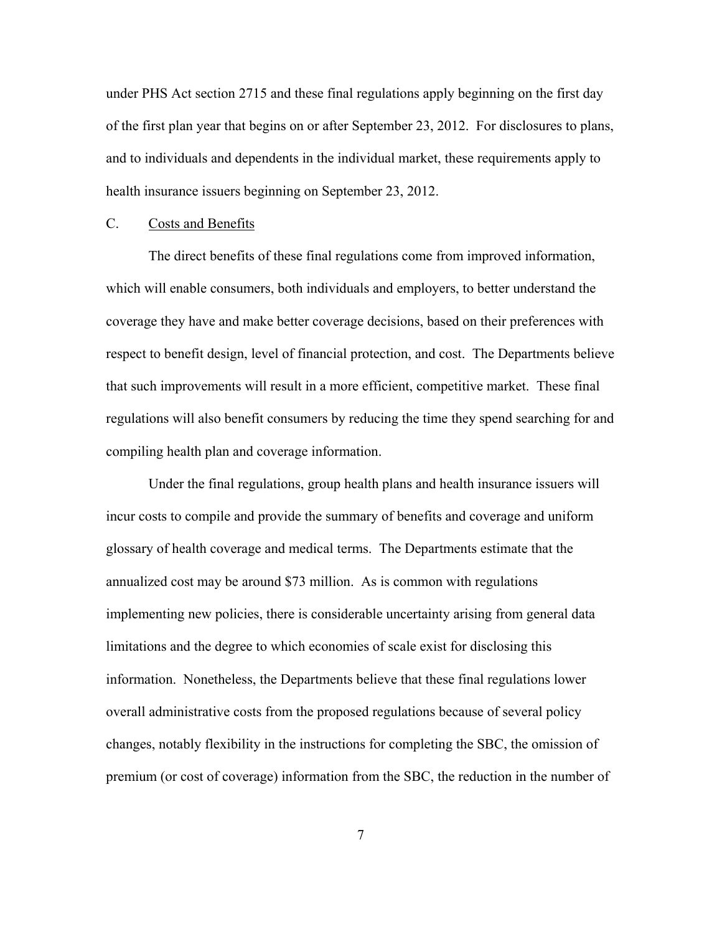under PHS Act section 2715 and these final regulations apply beginning on the first day of the first plan year that begins on or after September 23, 2012. For disclosures to plans, and to individuals and dependents in the individual market, these requirements apply to health insurance issuers beginning on September 23, 2012.

# C. Costs and Benefits

The direct benefits of these final regulations come from improved information, which will enable consumers, both individuals and employers, to better understand the coverage they have and make better coverage decisions, based on their preferences with respect to benefit design, level of financial protection, and cost. The Departments believe that such improvements will result in a more efficient, competitive market. These final regulations will also benefit consumers by reducing the time they spend searching for and compiling health plan and coverage information.

Under the final regulations, group health plans and health insurance issuers will incur costs to compile and provide the summary of benefits and coverage and uniform glossary of health coverage and medical terms. The Departments estimate that the annualized cost may be around \$73 million. As is common with regulations implementing new policies, there is considerable uncertainty arising from general data limitations and the degree to which economies of scale exist for disclosing this information. Nonetheless, the Departments believe that these final regulations lower overall administrative costs from the proposed regulations because of several policy changes, notably flexibility in the instructions for completing the SBC, the omission of premium (or cost of coverage) information from the SBC, the reduction in the number of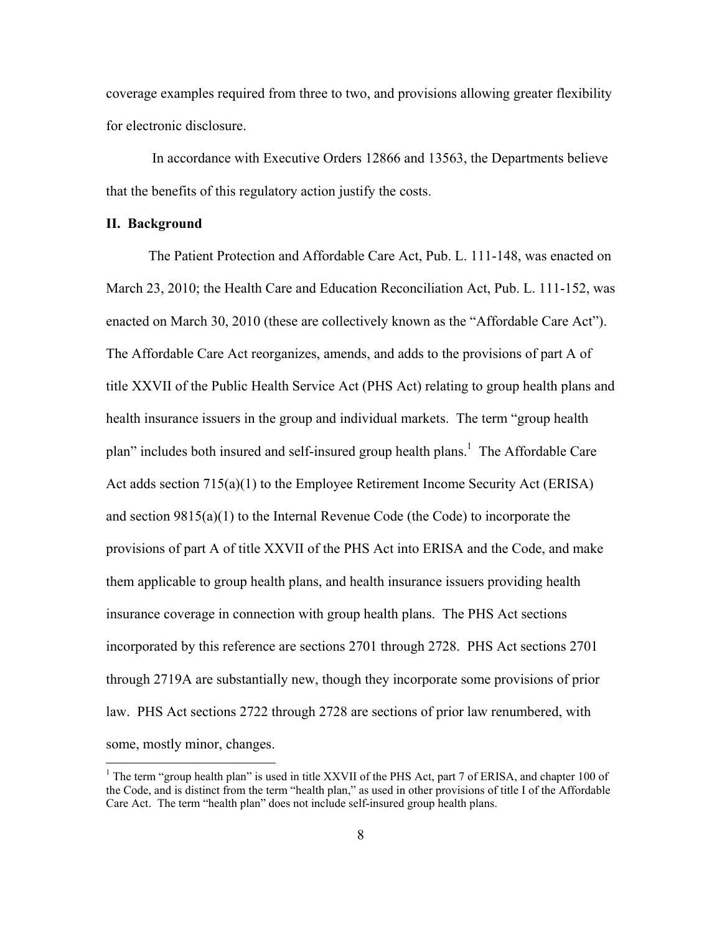coverage examples required from three to two, and provisions allowing greater flexibility for electronic disclosure.

 In accordance with Executive Orders 12866 and 13563, the Departments believe that the benefits of this regulatory action justify the costs.

#### **II. Background**

 $\overline{a}$ 

The Patient Protection and Affordable Care Act, Pub. L. 111-148, was enacted on March 23, 2010; the Health Care and Education Reconciliation Act, Pub. L. 111-152, was enacted on March 30, 2010 (these are collectively known as the "Affordable Care Act"). The Affordable Care Act reorganizes, amends, and adds to the provisions of part A of title XXVII of the Public Health Service Act (PHS Act) relating to group health plans and health insurance issuers in the group and individual markets. The term "group health plan" includes both insured and self-insured group health plans.<sup>1</sup> The Affordable Care Act adds section 715(a)(1) to the Employee Retirement Income Security Act (ERISA) and section  $9815(a)(1)$  to the Internal Revenue Code (the Code) to incorporate the provisions of part A of title XXVII of the PHS Act into ERISA and the Code, and make them applicable to group health plans, and health insurance issuers providing health insurance coverage in connection with group health plans. The PHS Act sections incorporated by this reference are sections 2701 through 2728. PHS Act sections 2701 through 2719A are substantially new, though they incorporate some provisions of prior law. PHS Act sections 2722 through 2728 are sections of prior law renumbered, with some, mostly minor, changes.

<sup>&</sup>lt;sup>1</sup> The term "group health plan" is used in title XXVII of the PHS Act, part 7 of ERISA, and chapter 100 of the Code, and is distinct from the term "health plan," as used in other provisions of title I of the Affordable Care Act. The term "health plan" does not include self-insured group health plans.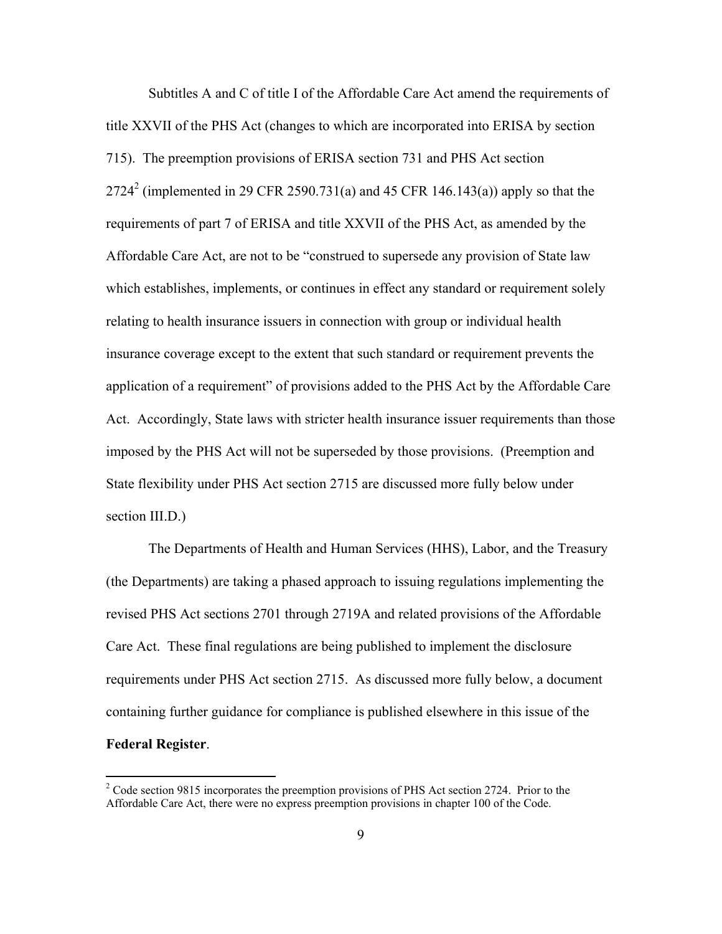Subtitles A and C of title I of the Affordable Care Act amend the requirements of title XXVII of the PHS Act (changes to which are incorporated into ERISA by section 715). The preemption provisions of ERISA section 731 and PHS Act section 2724<sup>2</sup> (implemented in 29 CFR 2590.731(a) and 45 CFR 146.143(a)) apply so that the requirements of part 7 of ERISA and title XXVII of the PHS Act, as amended by the Affordable Care Act, are not to be "construed to supersede any provision of State law which establishes, implements, or continues in effect any standard or requirement solely relating to health insurance issuers in connection with group or individual health insurance coverage except to the extent that such standard or requirement prevents the application of a requirement" of provisions added to the PHS Act by the Affordable Care Act. Accordingly, State laws with stricter health insurance issuer requirements than those imposed by the PHS Act will not be superseded by those provisions. (Preemption and State flexibility under PHS Act section 2715 are discussed more fully below under section III.D.)

The Departments of Health and Human Services (HHS), Labor, and the Treasury (the Departments) are taking a phased approach to issuing regulations implementing the revised PHS Act sections 2701 through 2719A and related provisions of the Affordable Care Act. These final regulations are being published to implement the disclosure requirements under PHS Act section 2715. As discussed more fully below, a document containing further guidance for compliance is published elsewhere in this issue of the **Federal Register**.

 $2^2$  Code section 9815 incorporates the preemption provisions of PHS Act section 2724. Prior to the Affordable Care Act, there were no express preemption provisions in chapter 100 of the Code.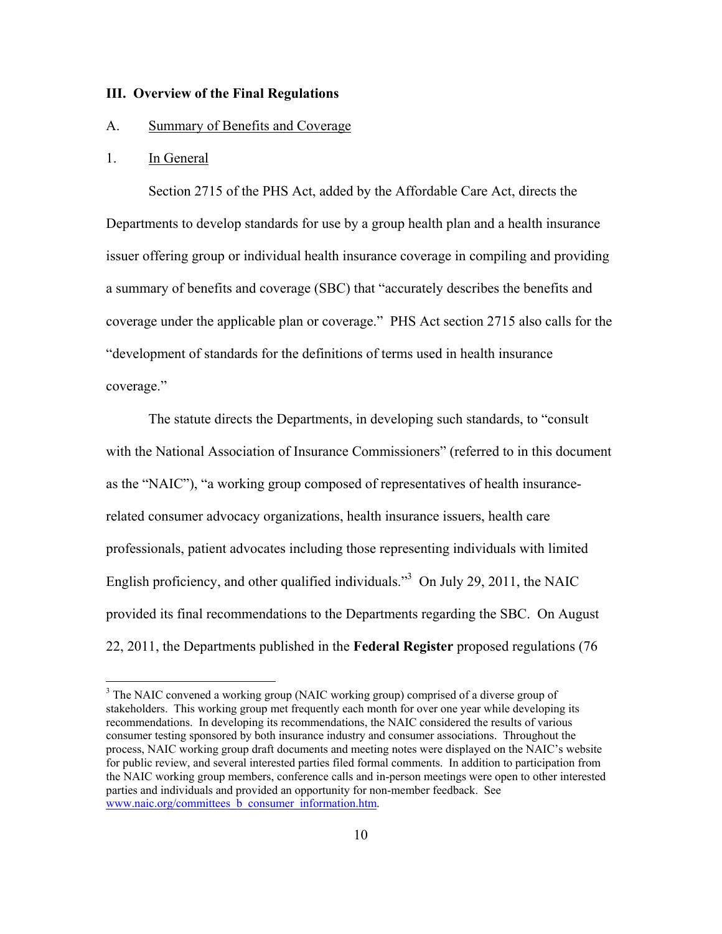### **III. Overview of the Final Regulations**

### A. Summary of Benefits and Coverage

### 1. In General

 $\overline{a}$ 

Section 2715 of the PHS Act, added by the Affordable Care Act, directs the Departments to develop standards for use by a group health plan and a health insurance issuer offering group or individual health insurance coverage in compiling and providing a summary of benefits and coverage (SBC) that "accurately describes the benefits and coverage under the applicable plan or coverage." PHS Act section 2715 also calls for the "development of standards for the definitions of terms used in health insurance coverage."

The statute directs the Departments, in developing such standards, to "consult with the National Association of Insurance Commissioners" (referred to in this document as the "NAIC"), "a working group composed of representatives of health insurancerelated consumer advocacy organizations, health insurance issuers, health care professionals, patient advocates including those representing individuals with limited English proficiency, and other qualified individuals."<sup>3</sup> On July 29, 2011, the NAIC provided its final recommendations to the Departments regarding the SBC. On August 22, 2011, the Departments published in the **Federal Register** proposed regulations (76

<sup>&</sup>lt;sup>3</sup> The NAIC convened a working group (NAIC working group) comprised of a diverse group of stakeholders. This working group met frequently each month for over one year while developing its recommendations. In developing its recommendations, the NAIC considered the results of various consumer testing sponsored by both insurance industry and consumer associations. Throughout the process, NAIC working group draft documents and meeting notes were displayed on the NAIC's website for public review, and several interested parties filed formal comments. In addition to participation from the NAIC working group members, conference calls and in-person meetings were open to other interested parties and individuals and provided an opportunity for non-member feedback. See www.naic.org/committees\_b\_consumer\_information.htm.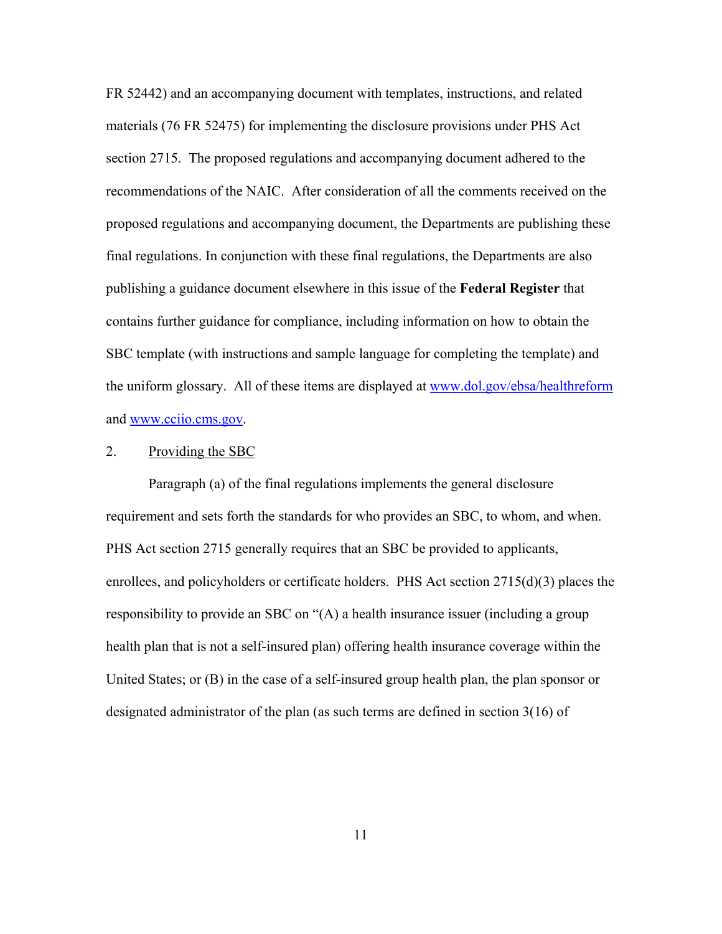FR 52442) and an accompanying document with templates, instructions, and related materials (76 FR 52475) for implementing the disclosure provisions under PHS Act section 2715. The proposed regulations and accompanying document adhered to the recommendations of the NAIC. After consideration of all the comments received on the proposed regulations and accompanying document, the Departments are publishing these final regulations. In conjunction with these final regulations, the Departments are also publishing a guidance document elsewhere in this issue of the **Federal Register** that contains further guidance for compliance, including information on how to obtain the SBC template (with instructions and sample language for completing the template) and the uniform glossary. All of these items are displayed at www.dol.gov/ebsa/healthreform and www.cciio.cms.gov.

### 2. Providing the SBC

Paragraph (a) of the final regulations implements the general disclosure requirement and sets forth the standards for who provides an SBC, to whom, and when. PHS Act section 2715 generally requires that an SBC be provided to applicants, enrollees, and policyholders or certificate holders. PHS Act section 2715(d)(3) places the responsibility to provide an SBC on "(A) a health insurance issuer (including a group health plan that is not a self-insured plan) offering health insurance coverage within the United States; or (B) in the case of a self-insured group health plan, the plan sponsor or designated administrator of the plan (as such terms are defined in section 3(16) of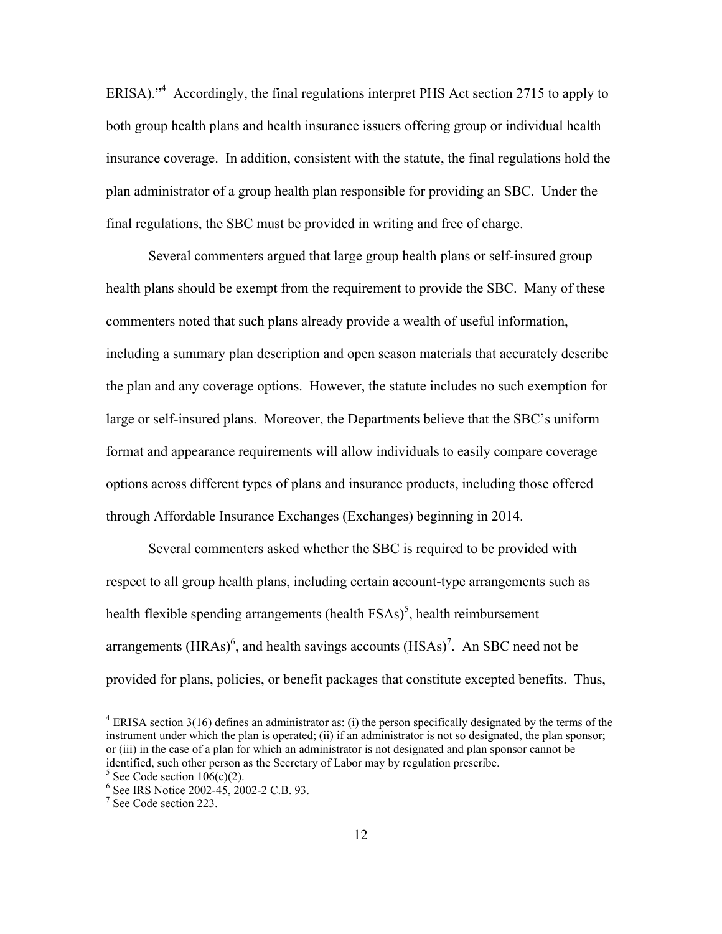ERISA).<sup>4</sup> Accordingly, the final regulations interpret PHS Act section 2715 to apply to both group health plans and health insurance issuers offering group or individual health insurance coverage. In addition, consistent with the statute, the final regulations hold the plan administrator of a group health plan responsible for providing an SBC. Under the final regulations, the SBC must be provided in writing and free of charge.

Several commenters argued that large group health plans or self-insured group health plans should be exempt from the requirement to provide the SBC. Many of these commenters noted that such plans already provide a wealth of useful information, including a summary plan description and open season materials that accurately describe the plan and any coverage options. However, the statute includes no such exemption for large or self-insured plans. Moreover, the Departments believe that the SBC's uniform format and appearance requirements will allow individuals to easily compare coverage options across different types of plans and insurance products, including those offered through Affordable Insurance Exchanges (Exchanges) beginning in 2014.

Several commenters asked whether the SBC is required to be provided with respect to all group health plans, including certain account-type arrangements such as health flexible spending arrangements (health  $FSAs$ )<sup>5</sup>, health reimbursement arrangements (HRAs)<sup>6</sup>, and health savings accounts (HSAs)<sup>7</sup>. An SBC need not be provided for plans, policies, or benefit packages that constitute excepted benefits. Thus,

 $4$  ERISA section 3(16) defines an administrator as: (i) the person specifically designated by the terms of the instrument under which the plan is operated; (ii) if an administrator is not so designated, the plan sponsor; or (iii) in the case of a plan for which an administrator is not designated and plan sponsor cannot be identified, such other person as the Secretary of Labor may by regulation prescribe.

 $5$  See Code section 106(c)(2).

<sup>6</sup> See IRS Notice 2002-45, 2002-2 C.B. 93.

<sup>&</sup>lt;sup>7</sup> See Code section 223.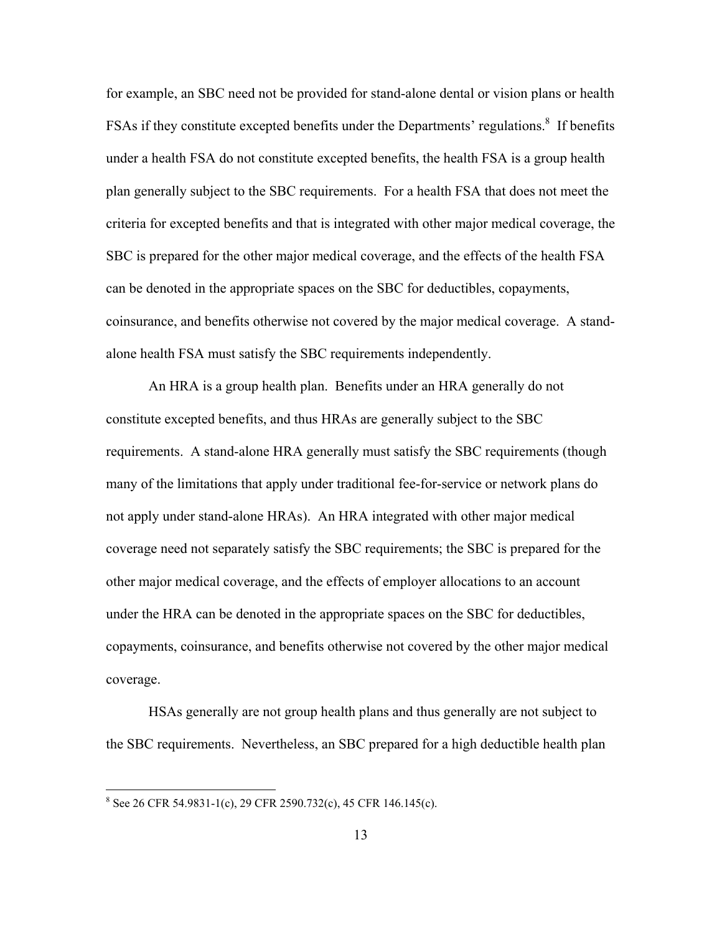for example, an SBC need not be provided for stand-alone dental or vision plans or health FSAs if they constitute excepted benefits under the Departments' regulations.<sup>8</sup> If benefits under a health FSA do not constitute excepted benefits, the health FSA is a group health plan generally subject to the SBC requirements. For a health FSA that does not meet the criteria for excepted benefits and that is integrated with other major medical coverage, the SBC is prepared for the other major medical coverage, and the effects of the health FSA can be denoted in the appropriate spaces on the SBC for deductibles, copayments, coinsurance, and benefits otherwise not covered by the major medical coverage. A standalone health FSA must satisfy the SBC requirements independently.

An HRA is a group health plan. Benefits under an HRA generally do not constitute excepted benefits, and thus HRAs are generally subject to the SBC requirements. A stand-alone HRA generally must satisfy the SBC requirements (though many of the limitations that apply under traditional fee-for-service or network plans do not apply under stand-alone HRAs). An HRA integrated with other major medical coverage need not separately satisfy the SBC requirements; the SBC is prepared for the other major medical coverage, and the effects of employer allocations to an account under the HRA can be denoted in the appropriate spaces on the SBC for deductibles, copayments, coinsurance, and benefits otherwise not covered by the other major medical coverage.

HSAs generally are not group health plans and thus generally are not subject to the SBC requirements. Nevertheless, an SBC prepared for a high deductible health plan

 8 See 26 CFR 54.9831-1(c), 29 CFR 2590.732(c), 45 CFR 146.145(c).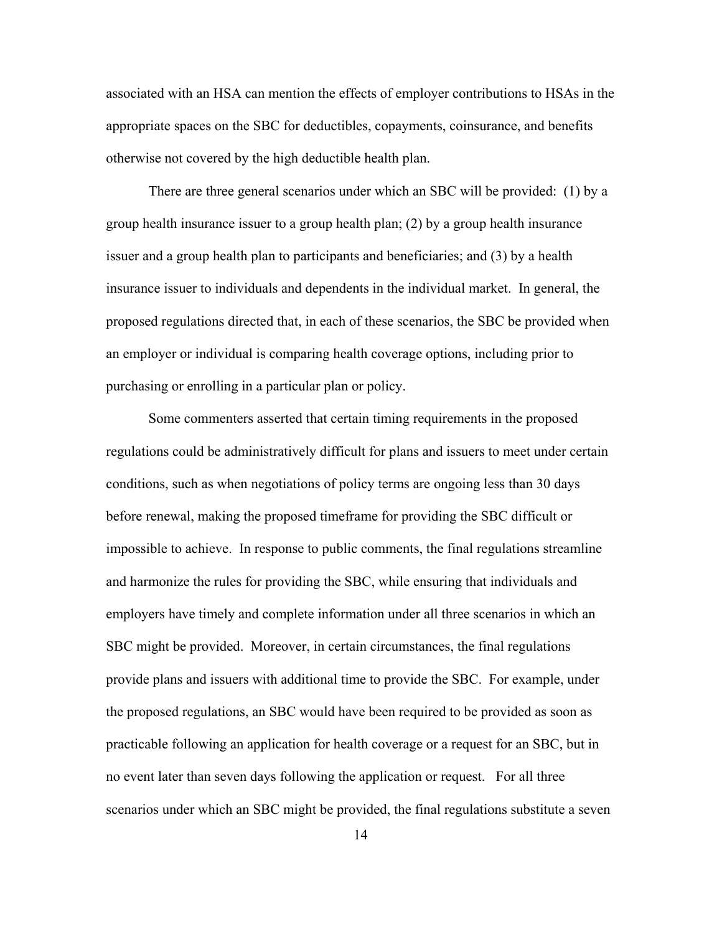associated with an HSA can mention the effects of employer contributions to HSAs in the appropriate spaces on the SBC for deductibles, copayments, coinsurance, and benefits otherwise not covered by the high deductible health plan.

There are three general scenarios under which an SBC will be provided: (1) by a group health insurance issuer to a group health plan; (2) by a group health insurance issuer and a group health plan to participants and beneficiaries; and (3) by a health insurance issuer to individuals and dependents in the individual market. In general, the proposed regulations directed that, in each of these scenarios, the SBC be provided when an employer or individual is comparing health coverage options, including prior to purchasing or enrolling in a particular plan or policy.

Some commenters asserted that certain timing requirements in the proposed regulations could be administratively difficult for plans and issuers to meet under certain conditions, such as when negotiations of policy terms are ongoing less than 30 days before renewal, making the proposed timeframe for providing the SBC difficult or impossible to achieve. In response to public comments, the final regulations streamline and harmonize the rules for providing the SBC, while ensuring that individuals and employers have timely and complete information under all three scenarios in which an SBC might be provided. Moreover, in certain circumstances, the final regulations provide plans and issuers with additional time to provide the SBC. For example, under the proposed regulations, an SBC would have been required to be provided as soon as practicable following an application for health coverage or a request for an SBC, but in no event later than seven days following the application or request. For all three scenarios under which an SBC might be provided, the final regulations substitute a seven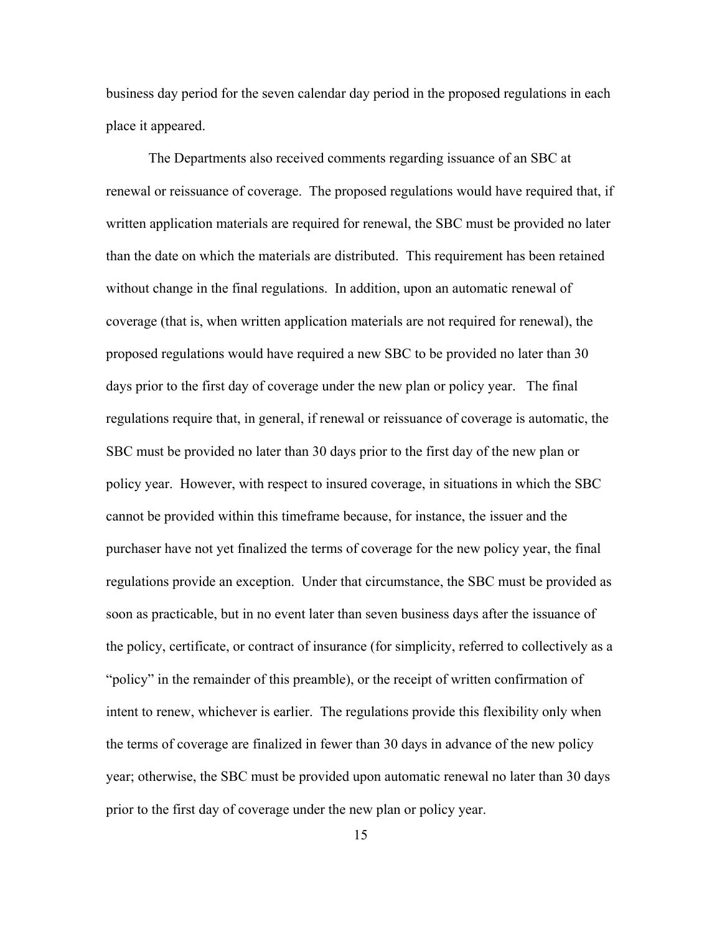business day period for the seven calendar day period in the proposed regulations in each place it appeared.

The Departments also received comments regarding issuance of an SBC at renewal or reissuance of coverage. The proposed regulations would have required that, if written application materials are required for renewal, the SBC must be provided no later than the date on which the materials are distributed. This requirement has been retained without change in the final regulations. In addition, upon an automatic renewal of coverage (that is, when written application materials are not required for renewal), the proposed regulations would have required a new SBC to be provided no later than 30 days prior to the first day of coverage under the new plan or policy year. The final regulations require that, in general, if renewal or reissuance of coverage is automatic, the SBC must be provided no later than 30 days prior to the first day of the new plan or policy year. However, with respect to insured coverage, in situations in which the SBC cannot be provided within this timeframe because, for instance, the issuer and the purchaser have not yet finalized the terms of coverage for the new policy year, the final regulations provide an exception. Under that circumstance, the SBC must be provided as soon as practicable, but in no event later than seven business days after the issuance of the policy, certificate, or contract of insurance (for simplicity, referred to collectively as a "policy" in the remainder of this preamble), or the receipt of written confirmation of intent to renew, whichever is earlier. The regulations provide this flexibility only when the terms of coverage are finalized in fewer than 30 days in advance of the new policy year; otherwise, the SBC must be provided upon automatic renewal no later than 30 days prior to the first day of coverage under the new plan or policy year.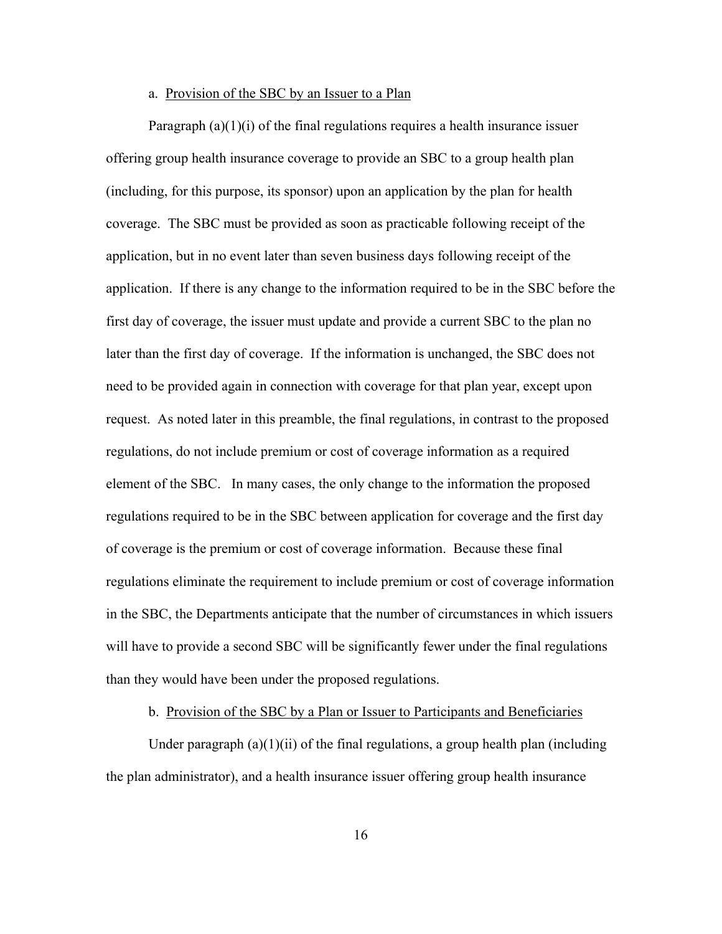### a. Provision of the SBC by an Issuer to a Plan

Paragraph  $(a)(1)(i)$  of the final regulations requires a health insurance issuer offering group health insurance coverage to provide an SBC to a group health plan (including, for this purpose, its sponsor) upon an application by the plan for health coverage. The SBC must be provided as soon as practicable following receipt of the application, but in no event later than seven business days following receipt of the application. If there is any change to the information required to be in the SBC before the first day of coverage, the issuer must update and provide a current SBC to the plan no later than the first day of coverage. If the information is unchanged, the SBC does not need to be provided again in connection with coverage for that plan year, except upon request. As noted later in this preamble, the final regulations, in contrast to the proposed regulations, do not include premium or cost of coverage information as a required element of the SBC. In many cases, the only change to the information the proposed regulations required to be in the SBC between application for coverage and the first day of coverage is the premium or cost of coverage information. Because these final regulations eliminate the requirement to include premium or cost of coverage information in the SBC, the Departments anticipate that the number of circumstances in which issuers will have to provide a second SBC will be significantly fewer under the final regulations than they would have been under the proposed regulations.

## b. Provision of the SBC by a Plan or Issuer to Participants and Beneficiaries

Under paragraph  $(a)(1)(ii)$  of the final regulations, a group health plan (including the plan administrator), and a health insurance issuer offering group health insurance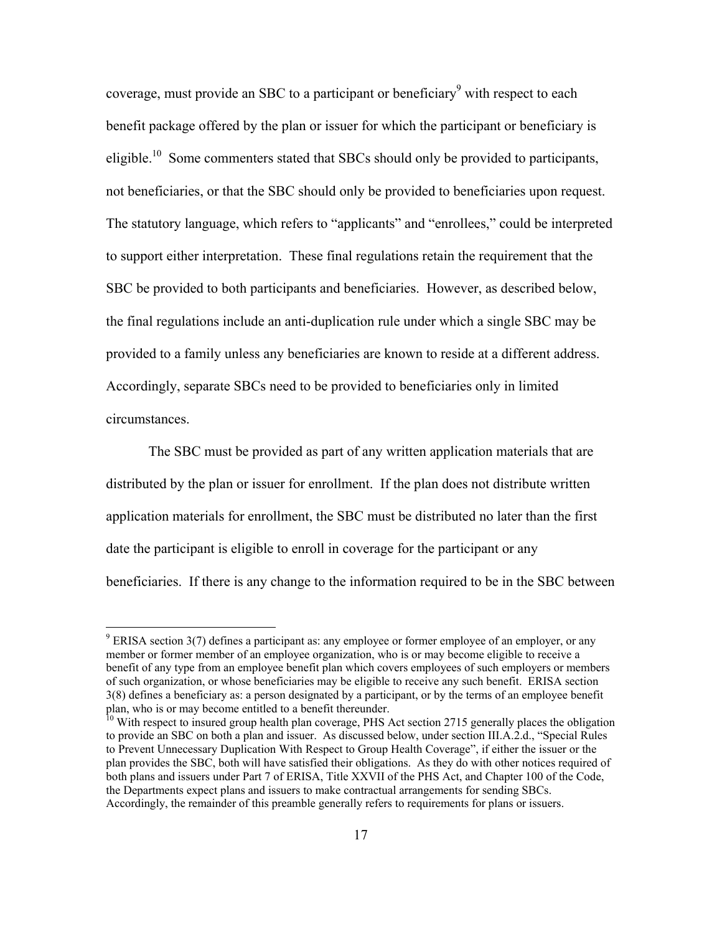coverage, must provide an SBC to a participant or beneficiary $\sigma$  with respect to each benefit package offered by the plan or issuer for which the participant or beneficiary is eligible.<sup>10</sup> Some commenters stated that SBCs should only be provided to participants, not beneficiaries, or that the SBC should only be provided to beneficiaries upon request. The statutory language, which refers to "applicants" and "enrollees," could be interpreted to support either interpretation. These final regulations retain the requirement that the SBC be provided to both participants and beneficiaries. However, as described below, the final regulations include an anti-duplication rule under which a single SBC may be provided to a family unless any beneficiaries are known to reside at a different address. Accordingly, separate SBCs need to be provided to beneficiaries only in limited circumstances.

The SBC must be provided as part of any written application materials that are distributed by the plan or issuer for enrollment. If the plan does not distribute written application materials for enrollment, the SBC must be distributed no later than the first date the participant is eligible to enroll in coverage for the participant or any beneficiaries. If there is any change to the information required to be in the SBC between

 $9$  ERISA section 3(7) defines a participant as: any employee or former employee of an employer, or any member or former member of an employee organization, who is or may become eligible to receive a benefit of any type from an employee benefit plan which covers employees of such employers or members of such organization, or whose beneficiaries may be eligible to receive any such benefit. ERISA section 3(8) defines a beneficiary as: a person designated by a participant, or by the terms of an employee benefit plan, who is or may become entitled to a benefit thereunder.

 $10$  With respect to insured group health plan coverage, PHS Act section 2715 generally places the obligation to provide an SBC on both a plan and issuer. As discussed below, under section III.A.2.d., "Special Rules to Prevent Unnecessary Duplication With Respect to Group Health Coverage", if either the issuer or the plan provides the SBC, both will have satisfied their obligations. As they do with other notices required of both plans and issuers under Part 7 of ERISA, Title XXVII of the PHS Act, and Chapter 100 of the Code, the Departments expect plans and issuers to make contractual arrangements for sending SBCs. Accordingly, the remainder of this preamble generally refers to requirements for plans or issuers.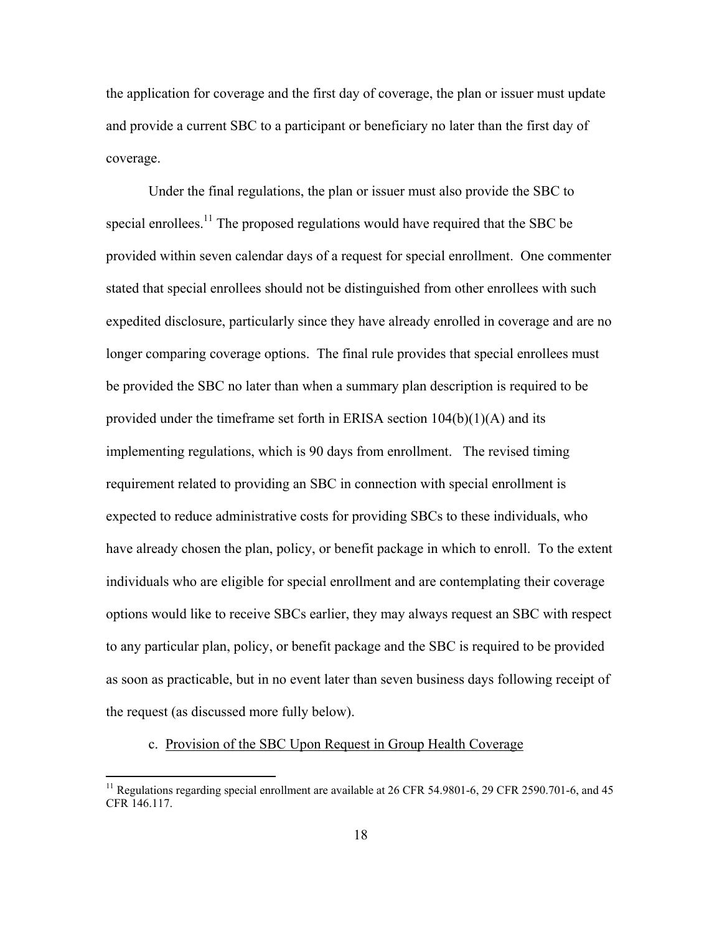the application for coverage and the first day of coverage, the plan or issuer must update and provide a current SBC to a participant or beneficiary no later than the first day of coverage.

 Under the final regulations, the plan or issuer must also provide the SBC to special enrollees.<sup>11</sup> The proposed regulations would have required that the SBC be provided within seven calendar days of a request for special enrollment. One commenter stated that special enrollees should not be distinguished from other enrollees with such expedited disclosure, particularly since they have already enrolled in coverage and are no longer comparing coverage options. The final rule provides that special enrollees must be provided the SBC no later than when a summary plan description is required to be provided under the timeframe set forth in ERISA section  $104(b)(1)(A)$  and its implementing regulations, which is 90 days from enrollment. The revised timing requirement related to providing an SBC in connection with special enrollment is expected to reduce administrative costs for providing SBCs to these individuals, who have already chosen the plan, policy, or benefit package in which to enroll. To the extent individuals who are eligible for special enrollment and are contemplating their coverage options would like to receive SBCs earlier, they may always request an SBC with respect to any particular plan, policy, or benefit package and the SBC is required to be provided as soon as practicable, but in no event later than seven business days following receipt of the request (as discussed more fully below).

# c. Provision of the SBC Upon Request in Group Health Coverage

<sup>&</sup>lt;sup>11</sup> Regulations regarding special enrollment are available at 26 CFR 54.9801-6, 29 CFR 2590.701-6, and 45 CFR 146.117.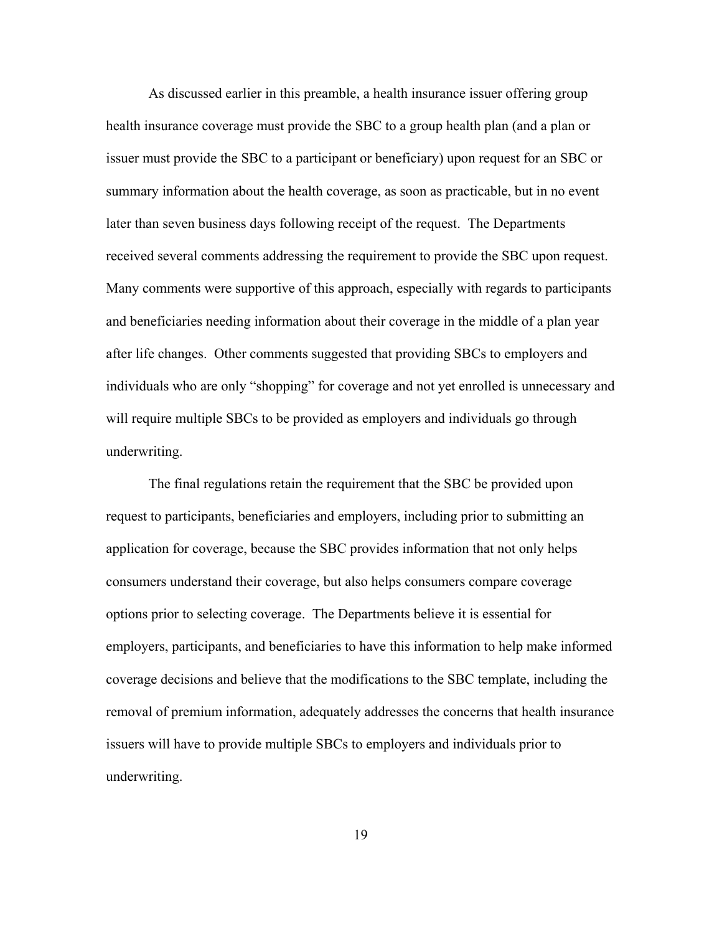As discussed earlier in this preamble, a health insurance issuer offering group health insurance coverage must provide the SBC to a group health plan (and a plan or issuer must provide the SBC to a participant or beneficiary) upon request for an SBC or summary information about the health coverage, as soon as practicable, but in no event later than seven business days following receipt of the request. The Departments received several comments addressing the requirement to provide the SBC upon request. Many comments were supportive of this approach, especially with regards to participants and beneficiaries needing information about their coverage in the middle of a plan year after life changes. Other comments suggested that providing SBCs to employers and individuals who are only "shopping" for coverage and not yet enrolled is unnecessary and will require multiple SBCs to be provided as employers and individuals go through underwriting.

The final regulations retain the requirement that the SBC be provided upon request to participants, beneficiaries and employers, including prior to submitting an application for coverage, because the SBC provides information that not only helps consumers understand their coverage, but also helps consumers compare coverage options prior to selecting coverage. The Departments believe it is essential for employers, participants, and beneficiaries to have this information to help make informed coverage decisions and believe that the modifications to the SBC template, including the removal of premium information, adequately addresses the concerns that health insurance issuers will have to provide multiple SBCs to employers and individuals prior to underwriting.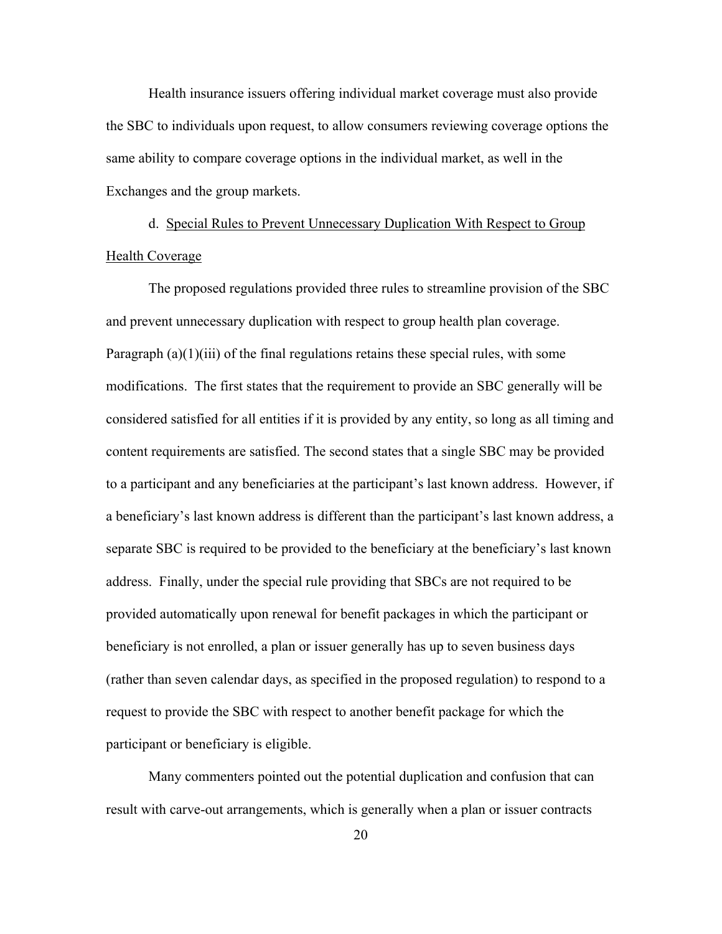Health insurance issuers offering individual market coverage must also provide the SBC to individuals upon request, to allow consumers reviewing coverage options the same ability to compare coverage options in the individual market, as well in the Exchanges and the group markets.

 d. Special Rules to Prevent Unnecessary Duplication With Respect to Group Health Coverage

 The proposed regulations provided three rules to streamline provision of the SBC and prevent unnecessary duplication with respect to group health plan coverage. Paragraph  $(a)(1)(iii)$  of the final regulations retains these special rules, with some modifications. The first states that the requirement to provide an SBC generally will be considered satisfied for all entities if it is provided by any entity, so long as all timing and content requirements are satisfied. The second states that a single SBC may be provided to a participant and any beneficiaries at the participant's last known address. However, if a beneficiary's last known address is different than the participant's last known address, a separate SBC is required to be provided to the beneficiary at the beneficiary's last known address. Finally, under the special rule providing that SBCs are not required to be provided automatically upon renewal for benefit packages in which the participant or beneficiary is not enrolled, a plan or issuer generally has up to seven business days (rather than seven calendar days, as specified in the proposed regulation) to respond to a request to provide the SBC with respect to another benefit package for which the participant or beneficiary is eligible.

 Many commenters pointed out the potential duplication and confusion that can result with carve-out arrangements, which is generally when a plan or issuer contracts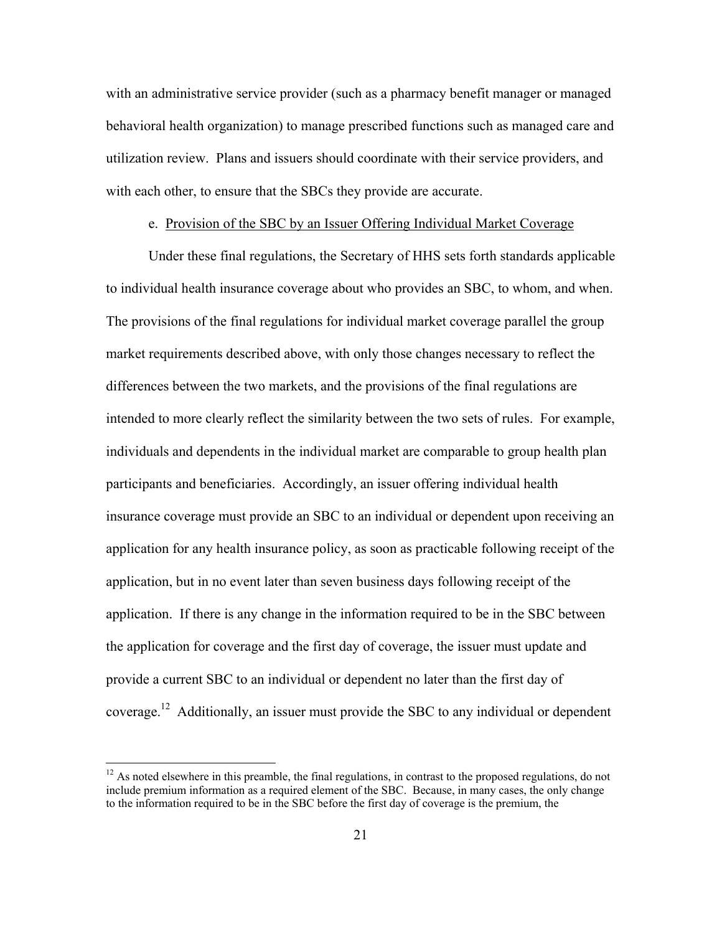with an administrative service provider (such as a pharmacy benefit manager or managed behavioral health organization) to manage prescribed functions such as managed care and utilization review. Plans and issuers should coordinate with their service providers, and with each other, to ensure that the SBCs they provide are accurate.

## e. Provision of the SBC by an Issuer Offering Individual Market Coverage

Under these final regulations, the Secretary of HHS sets forth standards applicable to individual health insurance coverage about who provides an SBC, to whom, and when. The provisions of the final regulations for individual market coverage parallel the group market requirements described above, with only those changes necessary to reflect the differences between the two markets, and the provisions of the final regulations are intended to more clearly reflect the similarity between the two sets of rules. For example, individuals and dependents in the individual market are comparable to group health plan participants and beneficiaries. Accordingly, an issuer offering individual health insurance coverage must provide an SBC to an individual or dependent upon receiving an application for any health insurance policy, as soon as practicable following receipt of the application, but in no event later than seven business days following receipt of the application. If there is any change in the information required to be in the SBC between the application for coverage and the first day of coverage, the issuer must update and provide a current SBC to an individual or dependent no later than the first day of coverage.12 Additionally, an issuer must provide the SBC to any individual or dependent

 $12$  As noted elsewhere in this preamble, the final regulations, in contrast to the proposed regulations, do not include premium information as a required element of the SBC. Because, in many cases, the only change to the information required to be in the SBC before the first day of coverage is the premium, the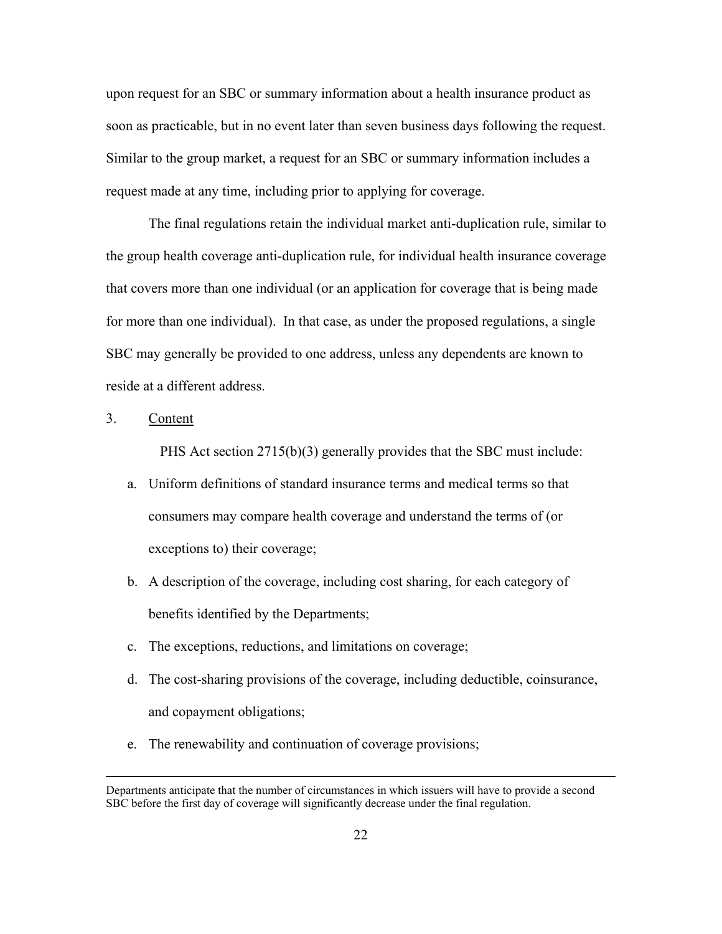upon request for an SBC or summary information about a health insurance product as soon as practicable, but in no event later than seven business days following the request. Similar to the group market, a request for an SBC or summary information includes a request made at any time, including prior to applying for coverage.

 The final regulations retain the individual market anti-duplication rule, similar to the group health coverage anti-duplication rule, for individual health insurance coverage that covers more than one individual (or an application for coverage that is being made for more than one individual). In that case, as under the proposed regulations, a single SBC may generally be provided to one address, unless any dependents are known to reside at a different address.

## 3. Content

PHS Act section 2715(b)(3) generally provides that the SBC must include:

- a. Uniform definitions of standard insurance terms and medical terms so that consumers may compare health coverage and understand the terms of (or exceptions to) their coverage;
- b. A description of the coverage, including cost sharing, for each category of benefits identified by the Departments;
- c. The exceptions, reductions, and limitations on coverage;
- d. The cost-sharing provisions of the coverage, including deductible, coinsurance, and copayment obligations;
- e. The renewability and continuation of coverage provisions;

Departments anticipate that the number of circumstances in which issuers will have to provide a second SBC before the first day of coverage will significantly decrease under the final regulation.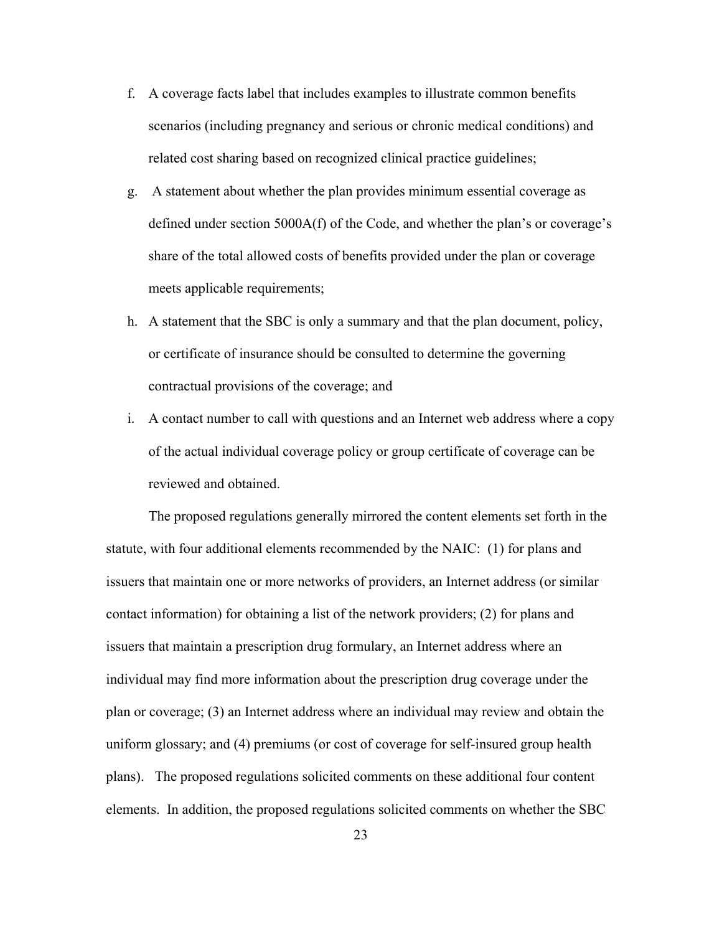- f. A coverage facts label that includes examples to illustrate common benefits scenarios (including pregnancy and serious or chronic medical conditions) and related cost sharing based on recognized clinical practice guidelines;
- g. A statement about whether the plan provides minimum essential coverage as defined under section 5000A(f) of the Code, and whether the plan's or coverage's share of the total allowed costs of benefits provided under the plan or coverage meets applicable requirements;
- h. A statement that the SBC is only a summary and that the plan document, policy, or certificate of insurance should be consulted to determine the governing contractual provisions of the coverage; and
- i. A contact number to call with questions and an Internet web address where a copy of the actual individual coverage policy or group certificate of coverage can be reviewed and obtained.

 The proposed regulations generally mirrored the content elements set forth in the statute, with four additional elements recommended by the NAIC: (1) for plans and issuers that maintain one or more networks of providers, an Internet address (or similar contact information) for obtaining a list of the network providers; (2) for plans and issuers that maintain a prescription drug formulary, an Internet address where an individual may find more information about the prescription drug coverage under the plan or coverage; (3) an Internet address where an individual may review and obtain the uniform glossary; and (4) premiums (or cost of coverage for self-insured group health plans). The proposed regulations solicited comments on these additional four content elements. In addition, the proposed regulations solicited comments on whether the SBC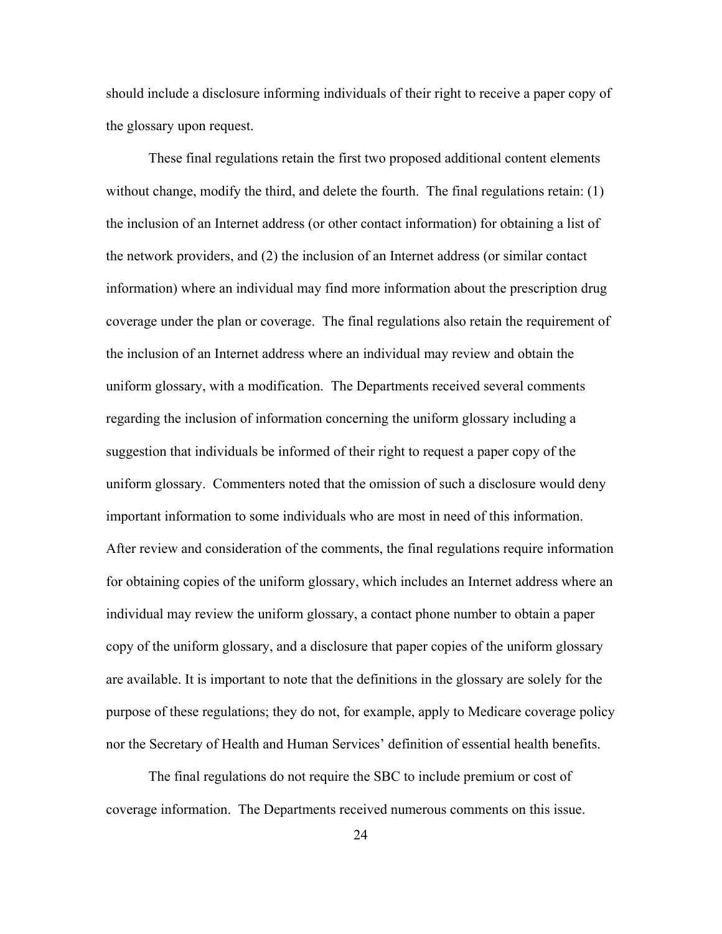should include a disclosure informing individuals of their right to receive a paper copy of the glossary upon request.

 These final regulations retain the first two proposed additional content elements without change, modify the third, and delete the fourth. The final regulations retain: (1) the inclusion of an Internet address (or other contact information) for obtaining a list of the network providers, and (2) the inclusion of an Internet address (or similar contact information) where an individual may find more information about the prescription drug coverage under the plan or coverage. The final regulations also retain the requirement of the inclusion of an Internet address where an individual may review and obtain the uniform glossary, with a modification. The Departments received several comments regarding the inclusion of information concerning the uniform glossary including a suggestion that individuals be informed of their right to request a paper copy of the uniform glossary. Commenters noted that the omission of such a disclosure would deny important information to some individuals who are most in need of this information. After review and consideration of the comments, the final regulations require information for obtaining copies of the uniform glossary, which includes an Internet address where an individual may review the uniform glossary, a contact phone number to obtain a paper copy of the uniform glossary, and a disclosure that paper copies of the uniform glossary are available. It is important to note that the definitions in the glossary are solely for the purpose of these regulations; they do not, for example, apply to Medicare coverage policy nor the Secretary of Health and Human Services' definition of essential health benefits.

 The final regulations do not require the SBC to include premium or cost of coverage information. The Departments received numerous comments on this issue.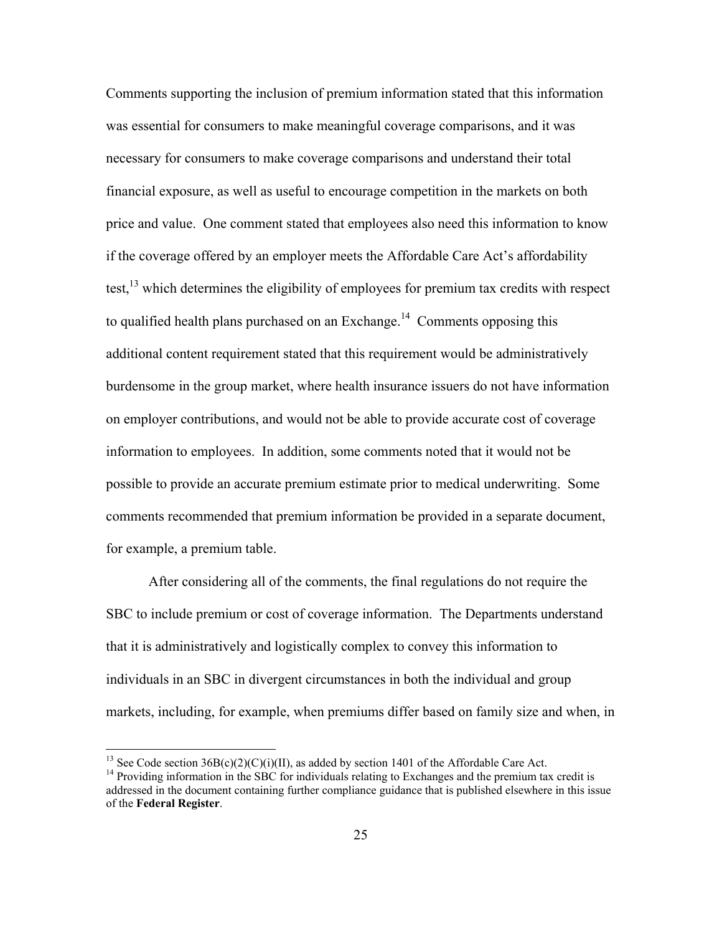Comments supporting the inclusion of premium information stated that this information was essential for consumers to make meaningful coverage comparisons, and it was necessary for consumers to make coverage comparisons and understand their total financial exposure, as well as useful to encourage competition in the markets on both price and value. One comment stated that employees also need this information to know if the coverage offered by an employer meets the Affordable Care Act's affordability test, $^{13}$  which determines the eligibility of employees for premium tax credits with respect to qualified health plans purchased on an Exchange.<sup>14</sup> Comments opposing this additional content requirement stated that this requirement would be administratively burdensome in the group market, where health insurance issuers do not have information on employer contributions, and would not be able to provide accurate cost of coverage information to employees. In addition, some comments noted that it would not be possible to provide an accurate premium estimate prior to medical underwriting. Some comments recommended that premium information be provided in a separate document, for example, a premium table.

 After considering all of the comments, the final regulations do not require the SBC to include premium or cost of coverage information. The Departments understand that it is administratively and logistically complex to convey this information to individuals in an SBC in divergent circumstances in both the individual and group markets, including, for example, when premiums differ based on family size and when, in

<sup>&</sup>lt;sup>13</sup> See Code section  $36B(c)(2)(C)(i)(II)$ , as added by section 1401 of the Affordable Care Act.

<sup>&</sup>lt;sup>14</sup> Providing information in the SBC for individuals relating to Exchanges and the premium tax credit is addressed in the document containing further compliance guidance that is published elsewhere in this issue of the **Federal Register**.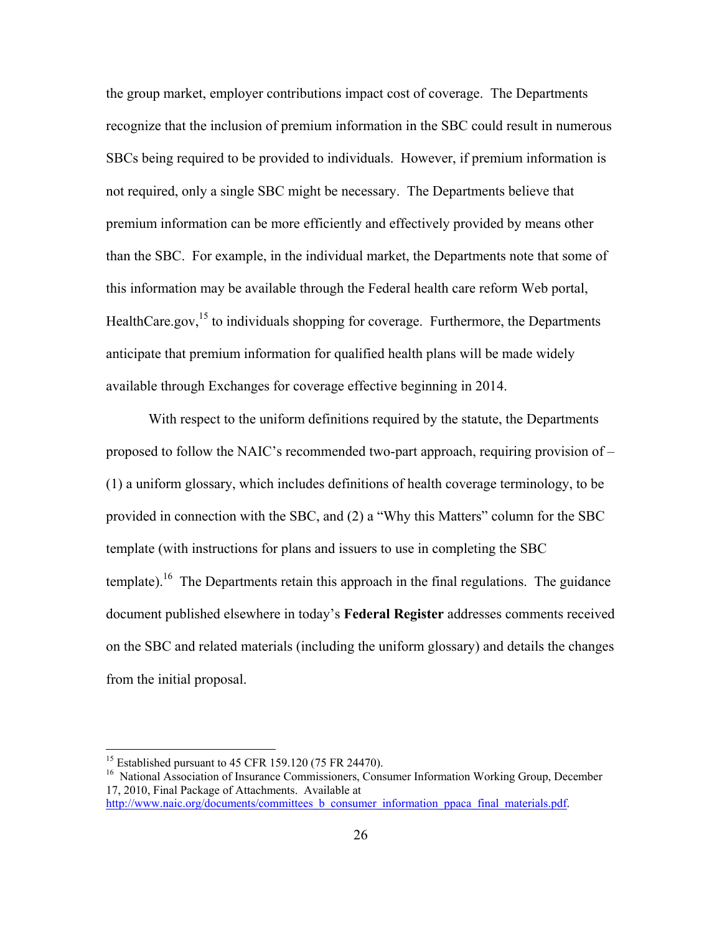the group market, employer contributions impact cost of coverage. The Departments recognize that the inclusion of premium information in the SBC could result in numerous SBCs being required to be provided to individuals. However, if premium information is not required, only a single SBC might be necessary. The Departments believe that premium information can be more efficiently and effectively provided by means other than the SBC. For example, in the individual market, the Departments note that some of this information may be available through the Federal health care reform Web portal, HealthCare.gov,  $^{15}$  to individuals shopping for coverage. Furthermore, the Departments anticipate that premium information for qualified health plans will be made widely available through Exchanges for coverage effective beginning in 2014.

With respect to the uniform definitions required by the statute, the Departments proposed to follow the NAIC's recommended two-part approach, requiring provision of – (1) a uniform glossary, which includes definitions of health coverage terminology, to be provided in connection with the SBC, and (2) a "Why this Matters" column for the SBC template (with instructions for plans and issuers to use in completing the SBC template).<sup>16</sup> The Departments retain this approach in the final regulations. The guidance document published elsewhere in today's **Federal Register** addresses comments received on the SBC and related materials (including the uniform glossary) and details the changes from the initial proposal.

<sup>&</sup>lt;sup>15</sup> Established pursuant to 45 CFR 159.120 (75 FR 24470).

<sup>&</sup>lt;sup>16</sup> National Association of Insurance Commissioners, Consumer Information Working Group, December 17, 2010, Final Package of Attachments. Available at

http://www.naic.org/documents/committees b\_consumer\_information\_ppaca\_final\_materials.pdf.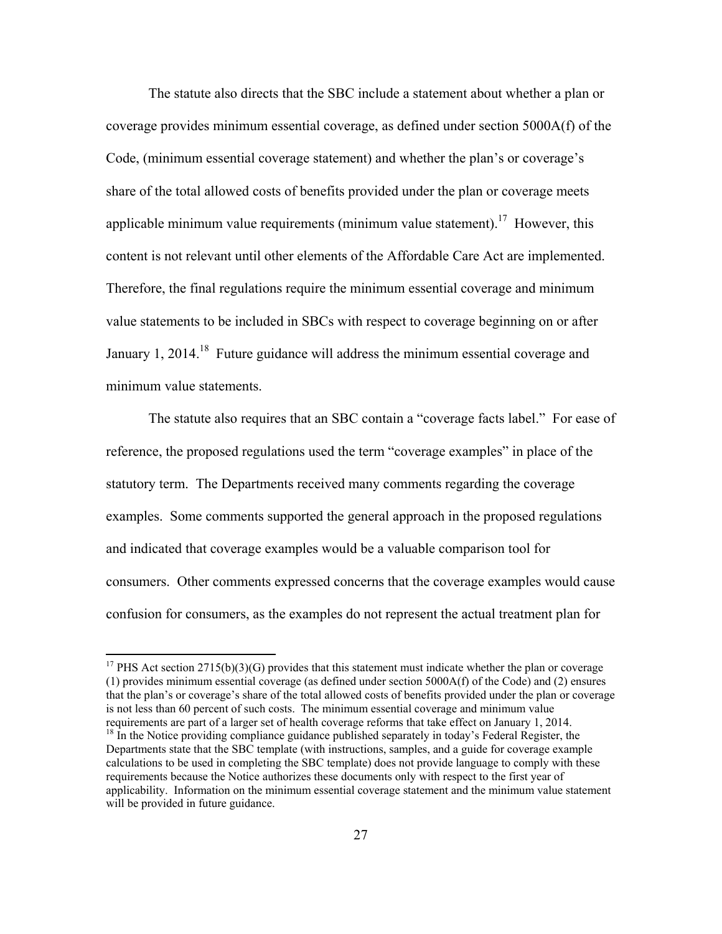The statute also directs that the SBC include a statement about whether a plan or coverage provides minimum essential coverage, as defined under section 5000A(f) of the Code, (minimum essential coverage statement) and whether the plan's or coverage's share of the total allowed costs of benefits provided under the plan or coverage meets applicable minimum value requirements (minimum value statement).<sup>17</sup> However, this content is not relevant until other elements of the Affordable Care Act are implemented. Therefore, the final regulations require the minimum essential coverage and minimum value statements to be included in SBCs with respect to coverage beginning on or after January 1, 2014.<sup>18</sup> Future guidance will address the minimum essential coverage and minimum value statements.

 The statute also requires that an SBC contain a "coverage facts label." For ease of reference, the proposed regulations used the term "coverage examples" in place of the statutory term. The Departments received many comments regarding the coverage examples. Some comments supported the general approach in the proposed regulations and indicated that coverage examples would be a valuable comparison tool for consumers. Other comments expressed concerns that the coverage examples would cause confusion for consumers, as the examples do not represent the actual treatment plan for

<sup>&</sup>lt;sup>17</sup> PHS Act section  $2715(b)(3)(G)$  provides that this statement must indicate whether the plan or coverage (1) provides minimum essential coverage (as defined under section 5000A(f) of the Code) and (2) ensures that the plan's or coverage's share of the total allowed costs of benefits provided under the plan or coverage is not less than 60 percent of such costs. The minimum essential coverage and minimum value

requirements are part of a larger set of health coverage reforms that take effect on January 1, 2014.<br><sup>18</sup> In the Notice providing compliance guidance published separately in today's Federal Register, the Departments state that the SBC template (with instructions, samples, and a guide for coverage example calculations to be used in completing the SBC template) does not provide language to comply with these requirements because the Notice authorizes these documents only with respect to the first year of applicability. Information on the minimum essential coverage statement and the minimum value statement will be provided in future guidance.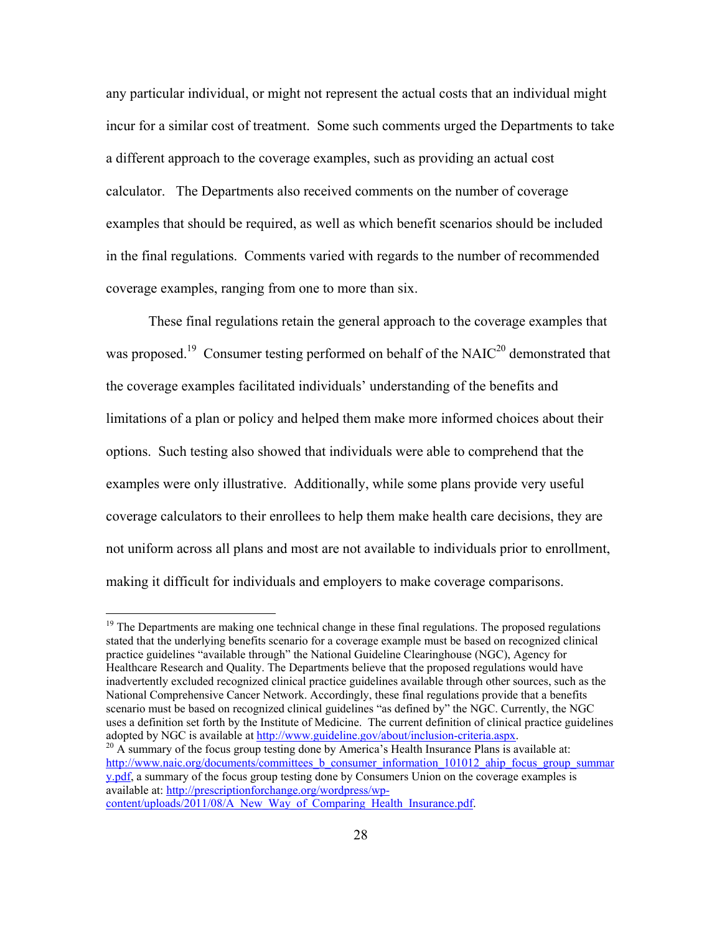any particular individual, or might not represent the actual costs that an individual might incur for a similar cost of treatment. Some such comments urged the Departments to take a different approach to the coverage examples, such as providing an actual cost calculator. The Departments also received comments on the number of coverage examples that should be required, as well as which benefit scenarios should be included in the final regulations. Comments varied with regards to the number of recommended coverage examples, ranging from one to more than six.

 These final regulations retain the general approach to the coverage examples that was proposed.<sup>19</sup> Consumer testing performed on behalf of the NAIC<sup>20</sup> demonstrated that the coverage examples facilitated individuals' understanding of the benefits and limitations of a plan or policy and helped them make more informed choices about their options. Such testing also showed that individuals were able to comprehend that the examples were only illustrative. Additionally, while some plans provide very useful coverage calculators to their enrollees to help them make health care decisions, they are not uniform across all plans and most are not available to individuals prior to enrollment, making it difficult for individuals and employers to make coverage comparisons.

 $<sup>19</sup>$  The Departments are making one technical change in these final regulations. The proposed regulations</sup> stated that the underlying benefits scenario for a coverage example must be based on recognized clinical practice guidelines "available through" the National Guideline Clearinghouse (NGC), Agency for Healthcare Research and Quality. The Departments believe that the proposed regulations would have inadvertently excluded recognized clinical practice guidelines available through other sources, such as the National Comprehensive Cancer Network. Accordingly, these final regulations provide that a benefits scenario must be based on recognized clinical guidelines "as defined by" the NGC. Currently, the NGC uses a definition set forth by the Institute of Medicine. The current definition of clinical practice guidelines adopted by NGC is available at http://www.guideline.gov/about/inclusion-criteria.aspx.<br><sup>20</sup> A summary of the focus group testing done by America's Health Insurance Plans is available at:

http://www.naic.org/documents/committees b\_consumer\_information\_101012\_ahip\_focus\_group\_summar y.pdf, a summary of the focus group testing done by Consumers Union on the coverage examples is available at: http://prescriptionforchange.org/wordpress/wpcontent/uploads/2011/08/A\_New\_Way\_of\_Comparing\_Health\_Insurance.pdf.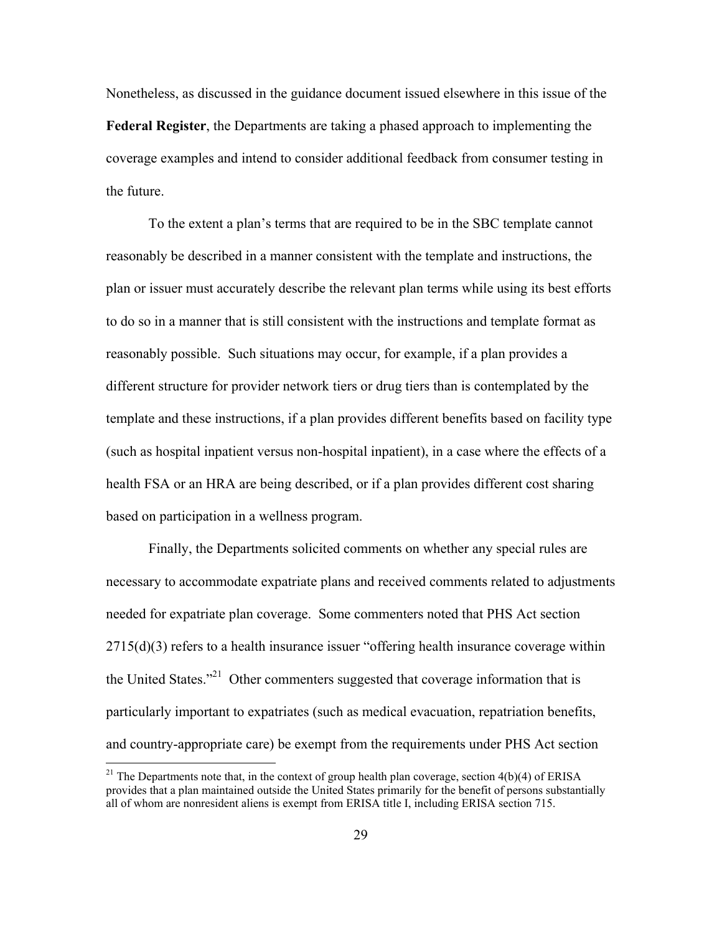Nonetheless, as discussed in the guidance document issued elsewhere in this issue of the **Federal Register**, the Departments are taking a phased approach to implementing the coverage examples and intend to consider additional feedback from consumer testing in the future.

 To the extent a plan's terms that are required to be in the SBC template cannot reasonably be described in a manner consistent with the template and instructions, the plan or issuer must accurately describe the relevant plan terms while using its best efforts to do so in a manner that is still consistent with the instructions and template format as reasonably possible. Such situations may occur, for example, if a plan provides a different structure for provider network tiers or drug tiers than is contemplated by the template and these instructions, if a plan provides different benefits based on facility type (such as hospital inpatient versus non-hospital inpatient), in a case where the effects of a health FSA or an HRA are being described, or if a plan provides different cost sharing based on participation in a wellness program.

 Finally, the Departments solicited comments on whether any special rules are necessary to accommodate expatriate plans and received comments related to adjustments needed for expatriate plan coverage. Some commenters noted that PHS Act section 2715(d)(3) refers to a health insurance issuer "offering health insurance coverage within the United States."21 Other commenters suggested that coverage information that is particularly important to expatriates (such as medical evacuation, repatriation benefits, and country-appropriate care) be exempt from the requirements under PHS Act section

<sup>&</sup>lt;sup>21</sup> The Departments note that, in the context of group health plan coverage, section  $4(b)(4)$  of ERISA provides that a plan maintained outside the United States primarily for the benefit of persons substantially all of whom are nonresident aliens is exempt from ERISA title I, including ERISA section 715.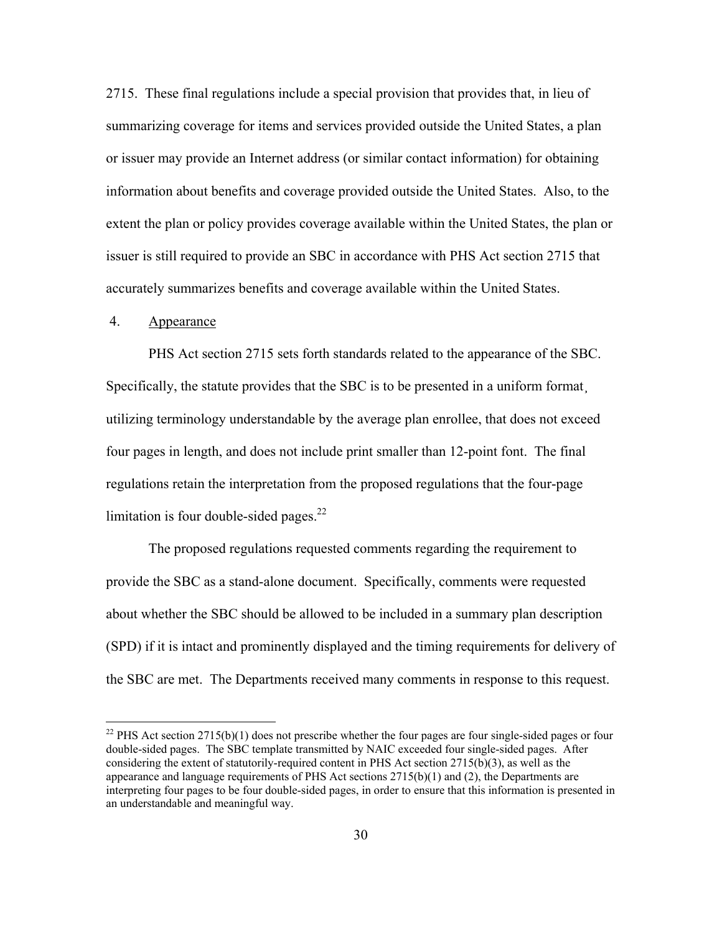2715. These final regulations include a special provision that provides that, in lieu of summarizing coverage for items and services provided outside the United States, a plan or issuer may provide an Internet address (or similar contact information) for obtaining information about benefits and coverage provided outside the United States. Also, to the extent the plan or policy provides coverage available within the United States, the plan or issuer is still required to provide an SBC in accordance with PHS Act section 2715 that accurately summarizes benefits and coverage available within the United States.

#### 4. Appearance

1

 PHS Act section 2715 sets forth standards related to the appearance of the SBC. Specifically, the statute provides that the SBC is to be presented in a uniform format utilizing terminology understandable by the average plan enrollee, that does not exceed four pages in length, and does not include print smaller than 12-point font. The final regulations retain the interpretation from the proposed regulations that the four-page limitation is four double-sided pages. $^{22}$ 

The proposed regulations requested comments regarding the requirement to provide the SBC as a stand-alone document. Specifically, comments were requested about whether the SBC should be allowed to be included in a summary plan description (SPD) if it is intact and prominently displayed and the timing requirements for delivery of the SBC are met. The Departments received many comments in response to this request.

 $^{22}$  PHS Act section 2715(b)(1) does not prescribe whether the four pages are four single-sided pages or four double-sided pages. The SBC template transmitted by NAIC exceeded four single-sided pages. After considering the extent of statutorily-required content in PHS Act section 2715(b)(3), as well as the appearance and language requirements of PHS Act sections 2715(b)(1) and (2), the Departments are interpreting four pages to be four double-sided pages, in order to ensure that this information is presented in an understandable and meaningful way.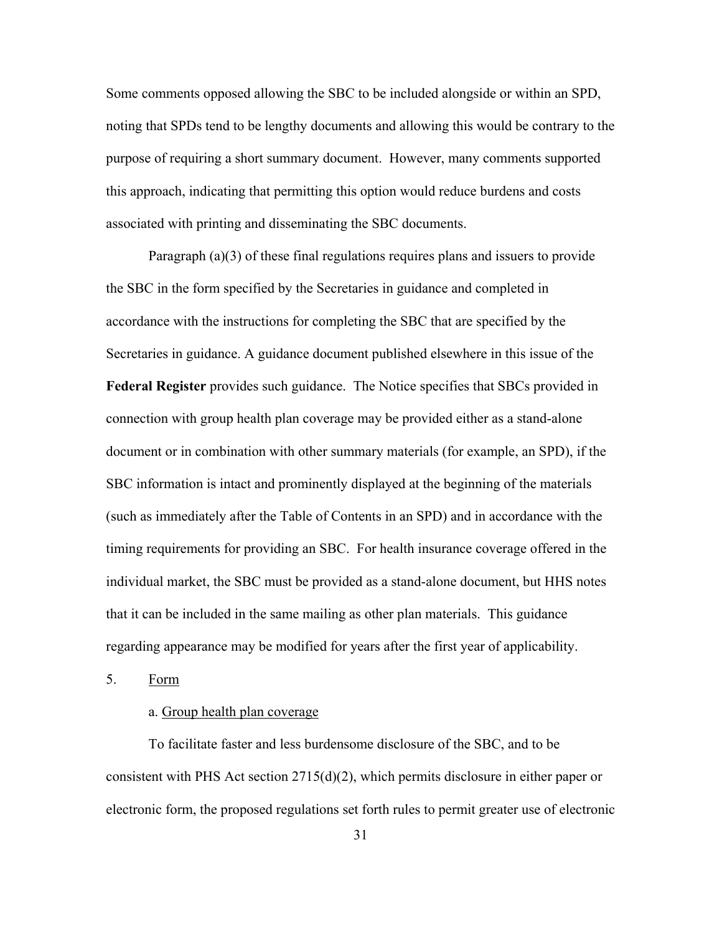Some comments opposed allowing the SBC to be included alongside or within an SPD, noting that SPDs tend to be lengthy documents and allowing this would be contrary to the purpose of requiring a short summary document. However, many comments supported this approach, indicating that permitting this option would reduce burdens and costs associated with printing and disseminating the SBC documents.

Paragraph (a)(3) of these final regulations requires plans and issuers to provide the SBC in the form specified by the Secretaries in guidance and completed in accordance with the instructions for completing the SBC that are specified by the Secretaries in guidance. A guidance document published elsewhere in this issue of the **Federal Register** provides such guidance. The Notice specifies that SBCs provided in connection with group health plan coverage may be provided either as a stand-alone document or in combination with other summary materials (for example, an SPD), if the SBC information is intact and prominently displayed at the beginning of the materials (such as immediately after the Table of Contents in an SPD) and in accordance with the timing requirements for providing an SBC. For health insurance coverage offered in the individual market, the SBC must be provided as a stand-alone document, but HHS notes that it can be included in the same mailing as other plan materials. This guidance regarding appearance may be modified for years after the first year of applicability.

5. Form

## a. Group health plan coverage

To facilitate faster and less burdensome disclosure of the SBC, and to be consistent with PHS Act section 2715(d)(2), which permits disclosure in either paper or electronic form, the proposed regulations set forth rules to permit greater use of electronic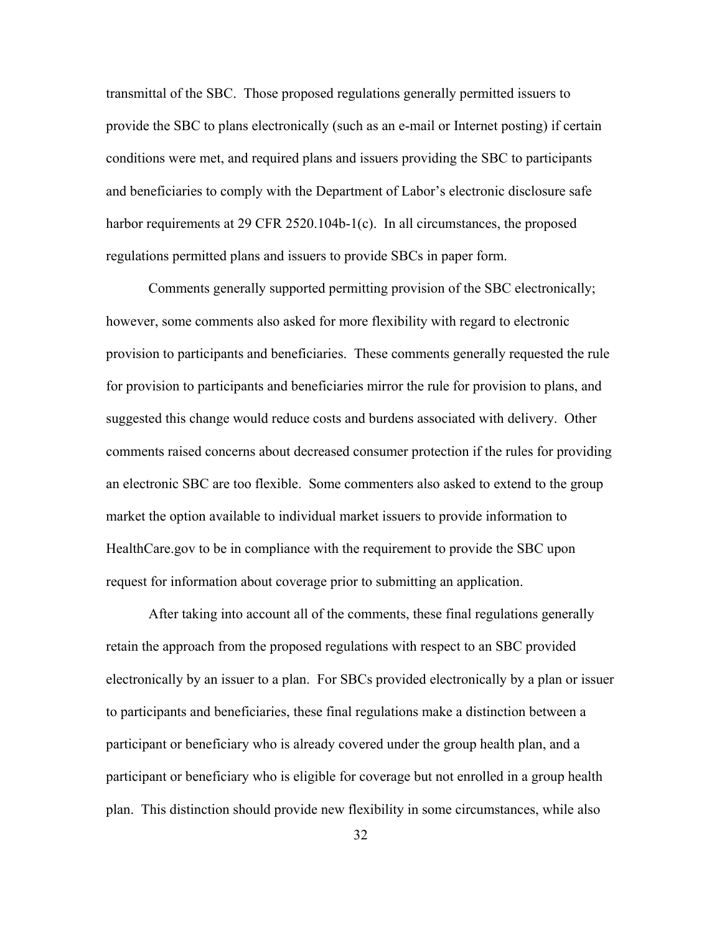transmittal of the SBC. Those proposed regulations generally permitted issuers to provide the SBC to plans electronically (such as an e-mail or Internet posting) if certain conditions were met, and required plans and issuers providing the SBC to participants and beneficiaries to comply with the Department of Labor's electronic disclosure safe harbor requirements at 29 CFR 2520.104b-1(c). In all circumstances, the proposed regulations permitted plans and issuers to provide SBCs in paper form.

Comments generally supported permitting provision of the SBC electronically; however, some comments also asked for more flexibility with regard to electronic provision to participants and beneficiaries. These comments generally requested the rule for provision to participants and beneficiaries mirror the rule for provision to plans, and suggested this change would reduce costs and burdens associated with delivery. Other comments raised concerns about decreased consumer protection if the rules for providing an electronic SBC are too flexible. Some commenters also asked to extend to the group market the option available to individual market issuers to provide information to HealthCare.gov to be in compliance with the requirement to provide the SBC upon request for information about coverage prior to submitting an application.

After taking into account all of the comments, these final regulations generally retain the approach from the proposed regulations with respect to an SBC provided electronically by an issuer to a plan. For SBCs provided electronically by a plan or issuer to participants and beneficiaries, these final regulations make a distinction between a participant or beneficiary who is already covered under the group health plan, and a participant or beneficiary who is eligible for coverage but not enrolled in a group health plan. This distinction should provide new flexibility in some circumstances, while also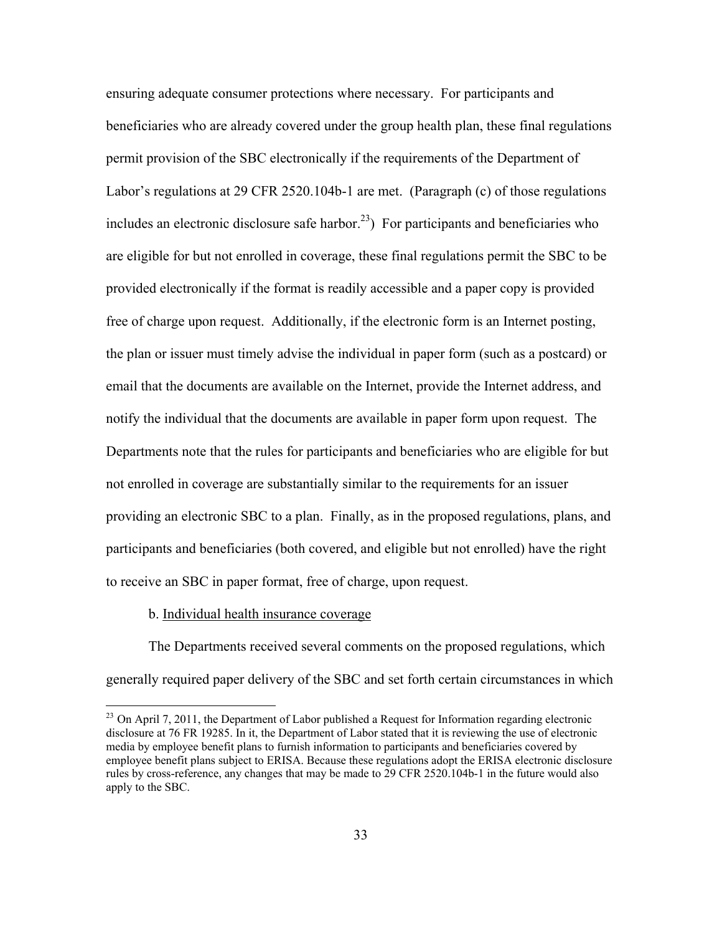ensuring adequate consumer protections where necessary. For participants and beneficiaries who are already covered under the group health plan, these final regulations permit provision of the SBC electronically if the requirements of the Department of Labor's regulations at 29 CFR 2520.104b-1 are met. (Paragraph (c) of those regulations includes an electronic disclosure safe harbor.<sup>23</sup>) For participants and beneficiaries who are eligible for but not enrolled in coverage, these final regulations permit the SBC to be provided electronically if the format is readily accessible and a paper copy is provided free of charge upon request. Additionally, if the electronic form is an Internet posting, the plan or issuer must timely advise the individual in paper form (such as a postcard) or email that the documents are available on the Internet, provide the Internet address, and notify the individual that the documents are available in paper form upon request. The Departments note that the rules for participants and beneficiaries who are eligible for but not enrolled in coverage are substantially similar to the requirements for an issuer providing an electronic SBC to a plan. Finally, as in the proposed regulations, plans, and participants and beneficiaries (both covered, and eligible but not enrolled) have the right to receive an SBC in paper format, free of charge, upon request.

#### b. Individual health insurance coverage

 $\overline{a}$ 

The Departments received several comments on the proposed regulations, which generally required paper delivery of the SBC and set forth certain circumstances in which

 $^{23}$  On April 7, 2011, the Department of Labor published a Request for Information regarding electronic disclosure at 76 FR 19285. In it, the Department of Labor stated that it is reviewing the use of electronic media by employee benefit plans to furnish information to participants and beneficiaries covered by employee benefit plans subject to ERISA. Because these regulations adopt the ERISA electronic disclosure rules by cross-reference, any changes that may be made to 29 CFR 2520.104b-1 in the future would also apply to the SBC.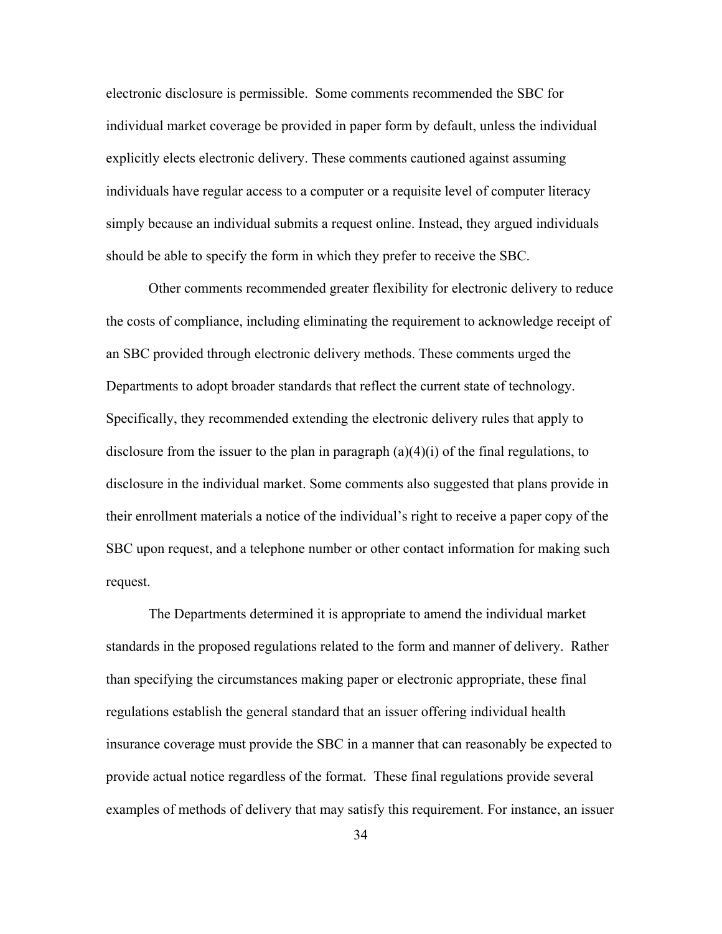electronic disclosure is permissible. Some comments recommended the SBC for individual market coverage be provided in paper form by default, unless the individual explicitly elects electronic delivery. These comments cautioned against assuming individuals have regular access to a computer or a requisite level of computer literacy simply because an individual submits a request online. Instead, they argued individuals should be able to specify the form in which they prefer to receive the SBC.

Other comments recommended greater flexibility for electronic delivery to reduce the costs of compliance, including eliminating the requirement to acknowledge receipt of an SBC provided through electronic delivery methods. These comments urged the Departments to adopt broader standards that reflect the current state of technology. Specifically, they recommended extending the electronic delivery rules that apply to disclosure from the issuer to the plan in paragraph  $(a)(4)(i)$  of the final regulations, to disclosure in the individual market. Some comments also suggested that plans provide in their enrollment materials a notice of the individual's right to receive a paper copy of the SBC upon request, and a telephone number or other contact information for making such request.

The Departments determined it is appropriate to amend the individual market standards in the proposed regulations related to the form and manner of delivery. Rather than specifying the circumstances making paper or electronic appropriate, these final regulations establish the general standard that an issuer offering individual health insurance coverage must provide the SBC in a manner that can reasonably be expected to provide actual notice regardless of the format. These final regulations provide several examples of methods of delivery that may satisfy this requirement. For instance, an issuer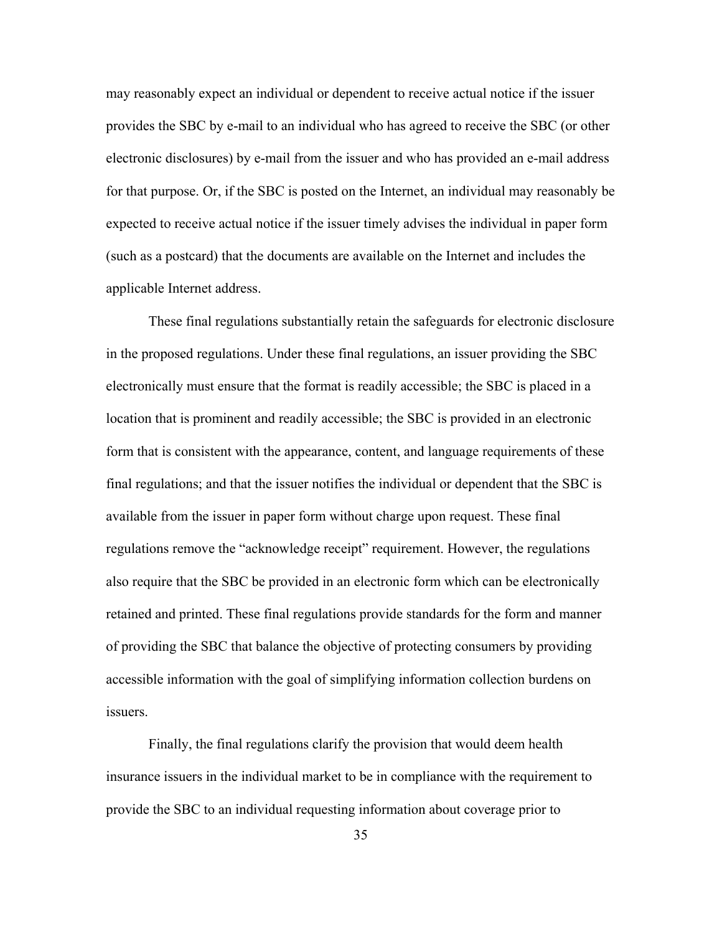may reasonably expect an individual or dependent to receive actual notice if the issuer provides the SBC by e-mail to an individual who has agreed to receive the SBC (or other electronic disclosures) by e-mail from the issuer and who has provided an e-mail address for that purpose. Or, if the SBC is posted on the Internet, an individual may reasonably be expected to receive actual notice if the issuer timely advises the individual in paper form (such as a postcard) that the documents are available on the Internet and includes the applicable Internet address.

These final regulations substantially retain the safeguards for electronic disclosure in the proposed regulations. Under these final regulations, an issuer providing the SBC electronically must ensure that the format is readily accessible; the SBC is placed in a location that is prominent and readily accessible; the SBC is provided in an electronic form that is consistent with the appearance, content, and language requirements of these final regulations; and that the issuer notifies the individual or dependent that the SBC is available from the issuer in paper form without charge upon request. These final regulations remove the "acknowledge receipt" requirement. However, the regulations also require that the SBC be provided in an electronic form which can be electronically retained and printed. These final regulations provide standards for the form and manner of providing the SBC that balance the objective of protecting consumers by providing accessible information with the goal of simplifying information collection burdens on issuers.

Finally, the final regulations clarify the provision that would deem health insurance issuers in the individual market to be in compliance with the requirement to provide the SBC to an individual requesting information about coverage prior to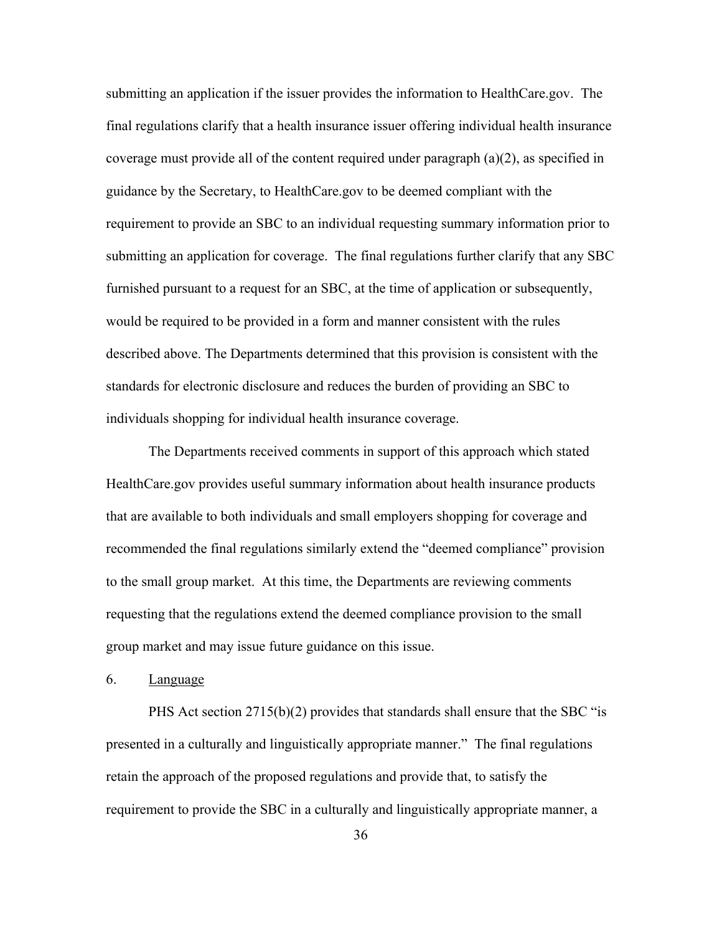submitting an application if the issuer provides the information to HealthCare.gov. The final regulations clarify that a health insurance issuer offering individual health insurance coverage must provide all of the content required under paragraph (a)(2), as specified in guidance by the Secretary, to HealthCare.gov to be deemed compliant with the requirement to provide an SBC to an individual requesting summary information prior to submitting an application for coverage. The final regulations further clarify that any SBC furnished pursuant to a request for an SBC, at the time of application or subsequently, would be required to be provided in a form and manner consistent with the rules described above. The Departments determined that this provision is consistent with the standards for electronic disclosure and reduces the burden of providing an SBC to individuals shopping for individual health insurance coverage.

The Departments received comments in support of this approach which stated HealthCare.gov provides useful summary information about health insurance products that are available to both individuals and small employers shopping for coverage and recommended the final regulations similarly extend the "deemed compliance" provision to the small group market. At this time, the Departments are reviewing comments requesting that the regulations extend the deemed compliance provision to the small group market and may issue future guidance on this issue.

## 6. Language

PHS Act section 2715(b)(2) provides that standards shall ensure that the SBC "is presented in a culturally and linguistically appropriate manner." The final regulations retain the approach of the proposed regulations and provide that, to satisfy the requirement to provide the SBC in a culturally and linguistically appropriate manner, a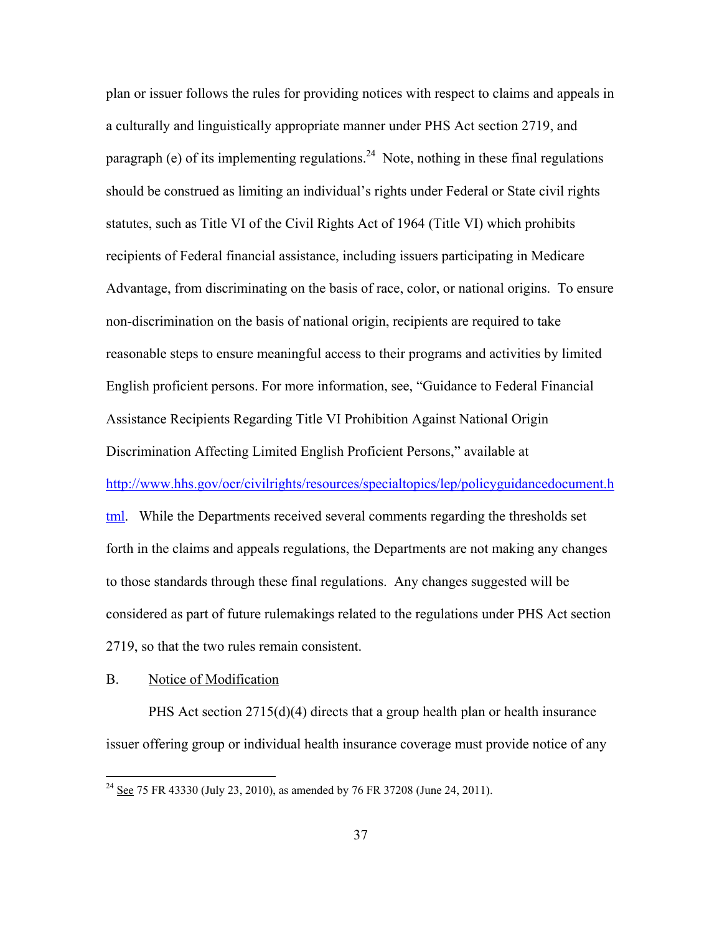plan or issuer follows the rules for providing notices with respect to claims and appeals in a culturally and linguistically appropriate manner under PHS Act section 2719, and paragraph (e) of its implementing regulations.<sup>24</sup> Note, nothing in these final regulations should be construed as limiting an individual's rights under Federal or State civil rights statutes, such as Title VI of the Civil Rights Act of 1964 (Title VI) which prohibits recipients of Federal financial assistance, including issuers participating in Medicare Advantage, from discriminating on the basis of race, color, or national origins. To ensure non-discrimination on the basis of national origin, recipients are required to take reasonable steps to ensure meaningful access to their programs and activities by limited English proficient persons. For more information, see, "Guidance to Federal Financial Assistance Recipients Regarding Title VI Prohibition Against National Origin Discrimination Affecting Limited English Proficient Persons," available at http://www.hhs.gov/ocr/civilrights/resources/specialtopics/lep/policyguidancedocument.h tml. While the Departments received several comments regarding the thresholds set forth in the claims and appeals regulations, the Departments are not making any changes to those standards through these final regulations. Any changes suggested will be considered as part of future rulemakings related to the regulations under PHS Act section 2719, so that the two rules remain consistent.

## B. Notice of Modification

 $\overline{a}$ 

PHS Act section 2715(d)(4) directs that a group health plan or health insurance issuer offering group or individual health insurance coverage must provide notice of any

 $^{24}$  See 75 FR 43330 (July 23, 2010), as amended by 76 FR 37208 (June 24, 2011).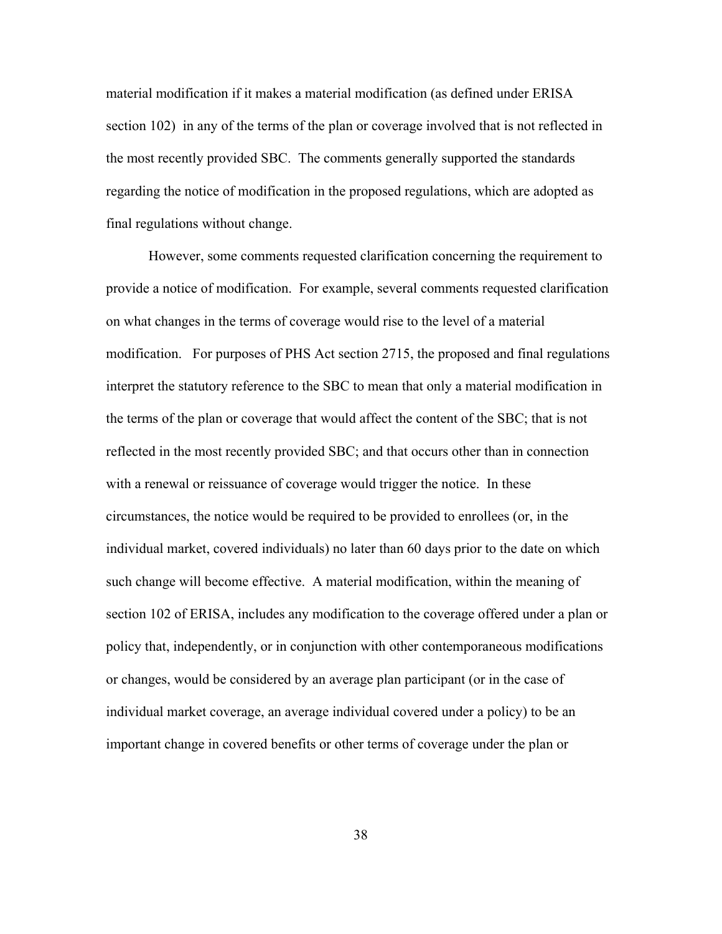material modification if it makes a material modification (as defined under ERISA section 102) in any of the terms of the plan or coverage involved that is not reflected in the most recently provided SBC. The comments generally supported the standards regarding the notice of modification in the proposed regulations, which are adopted as final regulations without change.

However, some comments requested clarification concerning the requirement to provide a notice of modification. For example, several comments requested clarification on what changes in the terms of coverage would rise to the level of a material modification. For purposes of PHS Act section 2715, the proposed and final regulations interpret the statutory reference to the SBC to mean that only a material modification in the terms of the plan or coverage that would affect the content of the SBC; that is not reflected in the most recently provided SBC; and that occurs other than in connection with a renewal or reissuance of coverage would trigger the notice. In these circumstances, the notice would be required to be provided to enrollees (or, in the individual market, covered individuals) no later than 60 days prior to the date on which such change will become effective. A material modification, within the meaning of section 102 of ERISA, includes any modification to the coverage offered under a plan or policy that, independently, or in conjunction with other contemporaneous modifications or changes, would be considered by an average plan participant (or in the case of individual market coverage, an average individual covered under a policy) to be an important change in covered benefits or other terms of coverage under the plan or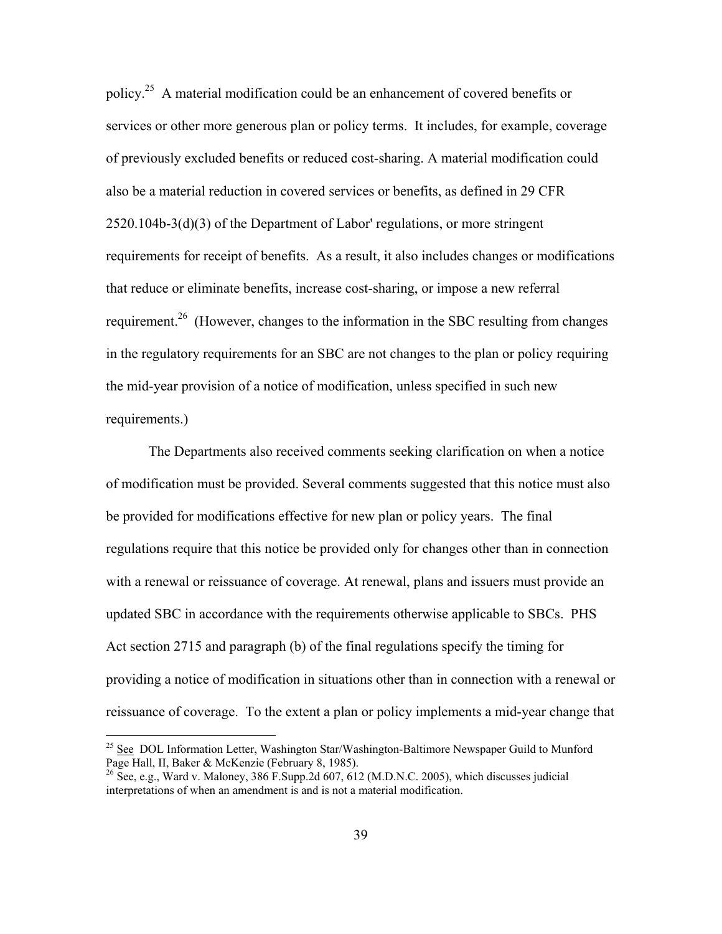policy.25 A material modification could be an enhancement of covered benefits or services or other more generous plan or policy terms. It includes, for example, coverage of previously excluded benefits or reduced cost-sharing. A material modification could also be a material reduction in covered services or benefits, as defined in 29 CFR 2520.104b-3(d)(3) of the Department of Labor' regulations, or more stringent requirements for receipt of benefits. As a result, it also includes changes or modifications that reduce or eliminate benefits, increase cost-sharing, or impose a new referral requirement.<sup>26</sup> (However, changes to the information in the SBC resulting from changes in the regulatory requirements for an SBC are not changes to the plan or policy requiring the mid-year provision of a notice of modification, unless specified in such new requirements.)

The Departments also received comments seeking clarification on when a notice of modification must be provided. Several comments suggested that this notice must also be provided for modifications effective for new plan or policy years. The final regulations require that this notice be provided only for changes other than in connection with a renewal or reissuance of coverage. At renewal, plans and issuers must provide an updated SBC in accordance with the requirements otherwise applicable to SBCs. PHS Act section 2715 and paragraph (b) of the final regulations specify the timing for providing a notice of modification in situations other than in connection with a renewal or reissuance of coverage. To the extent a plan or policy implements a mid-year change that

<sup>&</sup>lt;sup>25</sup> See DOL Information Letter, Washington Star/Washington-Baltimore Newspaper Guild to Munford Page Hall, II, Baker & McKenzie (February 8, 1985).

<sup>&</sup>lt;sup>26</sup> See, e.g., Ward v. Maloney, 386 F.Supp.2d 607, 612 (M.D.N.C. 2005), which discusses judicial interpretations of when an amendment is and is not a material modification.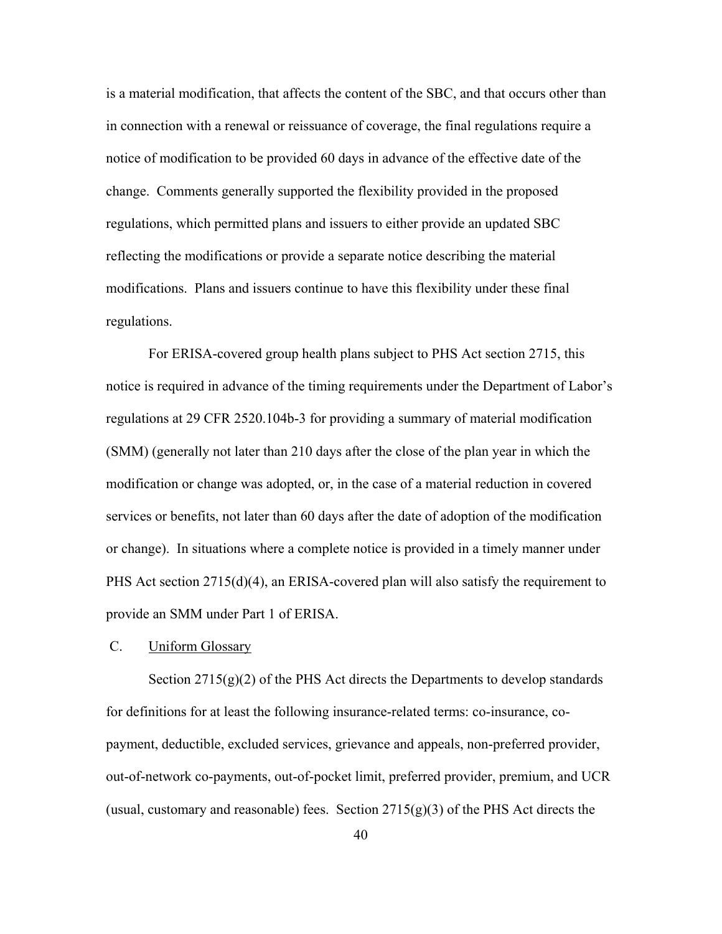is a material modification, that affects the content of the SBC, and that occurs other than in connection with a renewal or reissuance of coverage, the final regulations require a notice of modification to be provided 60 days in advance of the effective date of the change. Comments generally supported the flexibility provided in the proposed regulations, which permitted plans and issuers to either provide an updated SBC reflecting the modifications or provide a separate notice describing the material modifications. Plans and issuers continue to have this flexibility under these final regulations.

For ERISA-covered group health plans subject to PHS Act section 2715, this notice is required in advance of the timing requirements under the Department of Labor's regulations at 29 CFR 2520.104b-3 for providing a summary of material modification (SMM) (generally not later than 210 days after the close of the plan year in which the modification or change was adopted, or, in the case of a material reduction in covered services or benefits, not later than 60 days after the date of adoption of the modification or change). In situations where a complete notice is provided in a timely manner under PHS Act section 2715(d)(4), an ERISA-covered plan will also satisfy the requirement to provide an SMM under Part 1 of ERISA.

#### C. Uniform Glossary

Section  $2715(g)(2)$  of the PHS Act directs the Departments to develop standards for definitions for at least the following insurance-related terms: co-insurance, copayment, deductible, excluded services, grievance and appeals, non-preferred provider, out-of-network co-payments, out-of-pocket limit, preferred provider, premium, and UCR (usual, customary and reasonable) fees. Section  $2715(g)(3)$  of the PHS Act directs the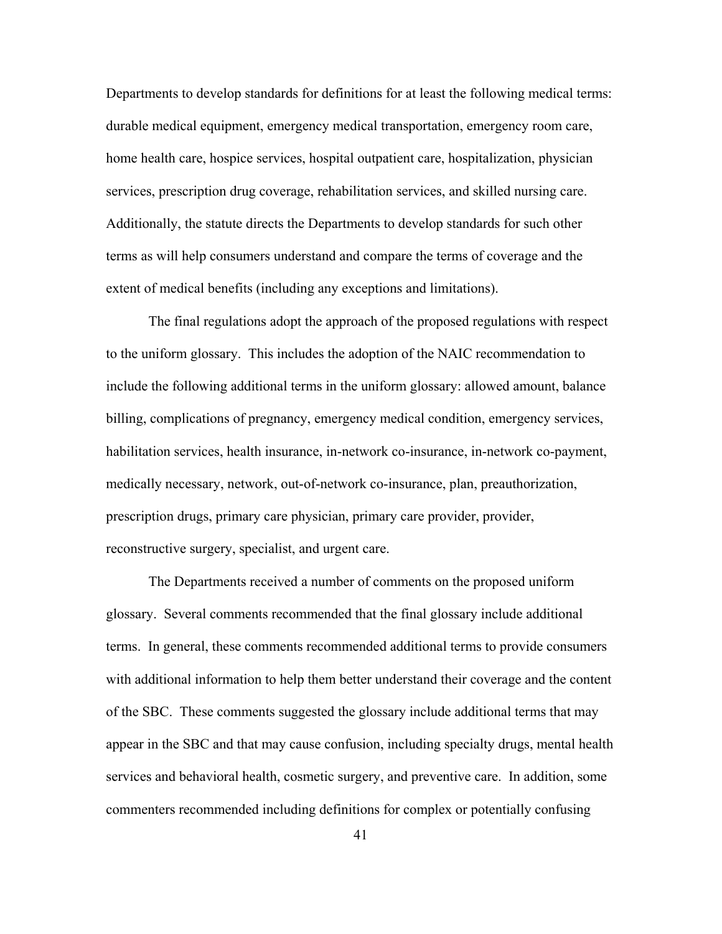Departments to develop standards for definitions for at least the following medical terms: durable medical equipment, emergency medical transportation, emergency room care, home health care, hospice services, hospital outpatient care, hospitalization, physician services, prescription drug coverage, rehabilitation services, and skilled nursing care. Additionally, the statute directs the Departments to develop standards for such other terms as will help consumers understand and compare the terms of coverage and the extent of medical benefits (including any exceptions and limitations).

 The final regulations adopt the approach of the proposed regulations with respect to the uniform glossary. This includes the adoption of the NAIC recommendation to include the following additional terms in the uniform glossary: allowed amount, balance billing, complications of pregnancy, emergency medical condition, emergency services, habilitation services, health insurance, in-network co-insurance, in-network co-payment, medically necessary, network, out-of-network co-insurance, plan, preauthorization, prescription drugs, primary care physician, primary care provider, provider, reconstructive surgery, specialist, and urgent care.

 The Departments received a number of comments on the proposed uniform glossary. Several comments recommended that the final glossary include additional terms. In general, these comments recommended additional terms to provide consumers with additional information to help them better understand their coverage and the content of the SBC. These comments suggested the glossary include additional terms that may appear in the SBC and that may cause confusion, including specialty drugs, mental health services and behavioral health, cosmetic surgery, and preventive care. In addition, some commenters recommended including definitions for complex or potentially confusing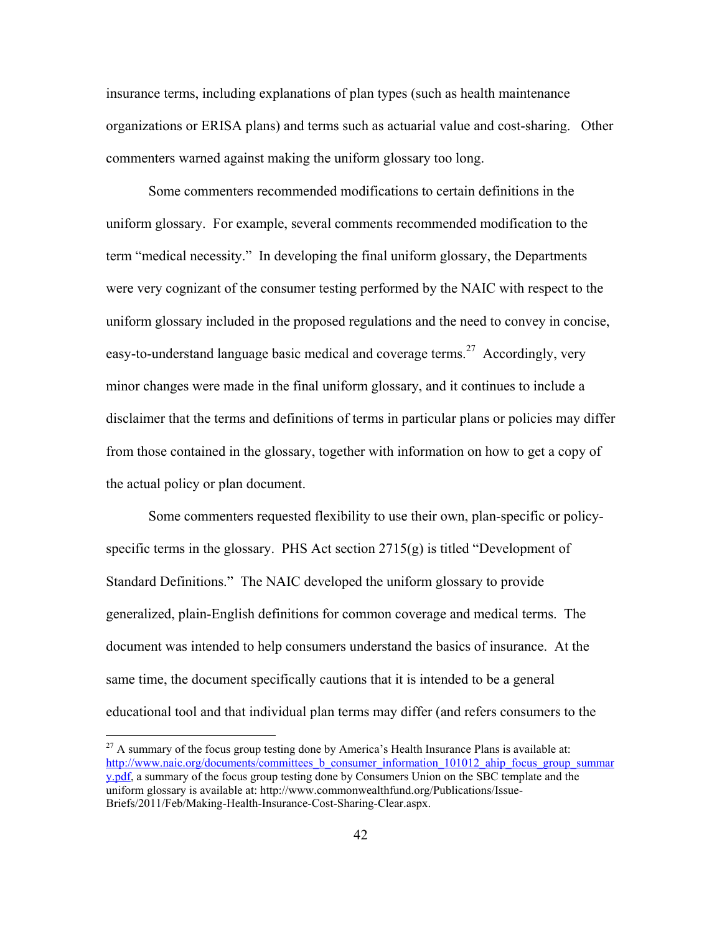insurance terms, including explanations of plan types (such as health maintenance organizations or ERISA plans) and terms such as actuarial value and cost-sharing. Other commenters warned against making the uniform glossary too long.

 Some commenters recommended modifications to certain definitions in the uniform glossary. For example, several comments recommended modification to the term "medical necessity." In developing the final uniform glossary, the Departments were very cognizant of the consumer testing performed by the NAIC with respect to the uniform glossary included in the proposed regulations and the need to convey in concise, easy-to-understand language basic medical and coverage terms.<sup>27</sup> Accordingly, very minor changes were made in the final uniform glossary, and it continues to include a disclaimer that the terms and definitions of terms in particular plans or policies may differ from those contained in the glossary, together with information on how to get a copy of the actual policy or plan document.

 Some commenters requested flexibility to use their own, plan-specific or policyspecific terms in the glossary. PHS Act section 2715(g) is titled "Development of Standard Definitions." The NAIC developed the uniform glossary to provide generalized, plain-English definitions for common coverage and medical terms. The document was intended to help consumers understand the basics of insurance. At the same time, the document specifically cautions that it is intended to be a general educational tool and that individual plan terms may differ (and refers consumers to the

 $^{27}$  A summary of the focus group testing done by America's Health Insurance Plans is available at: http://www.naic.org/documents/committees\_b\_consumer\_information\_101012\_ahip\_focus\_group\_summar y.pdf, a summary of the focus group testing done by Consumers Union on the SBC template and the uniform glossary is available at: http://www.commonwealthfund.org/Publications/Issue-Briefs/2011/Feb/Making-Health-Insurance-Cost-Sharing-Clear.aspx.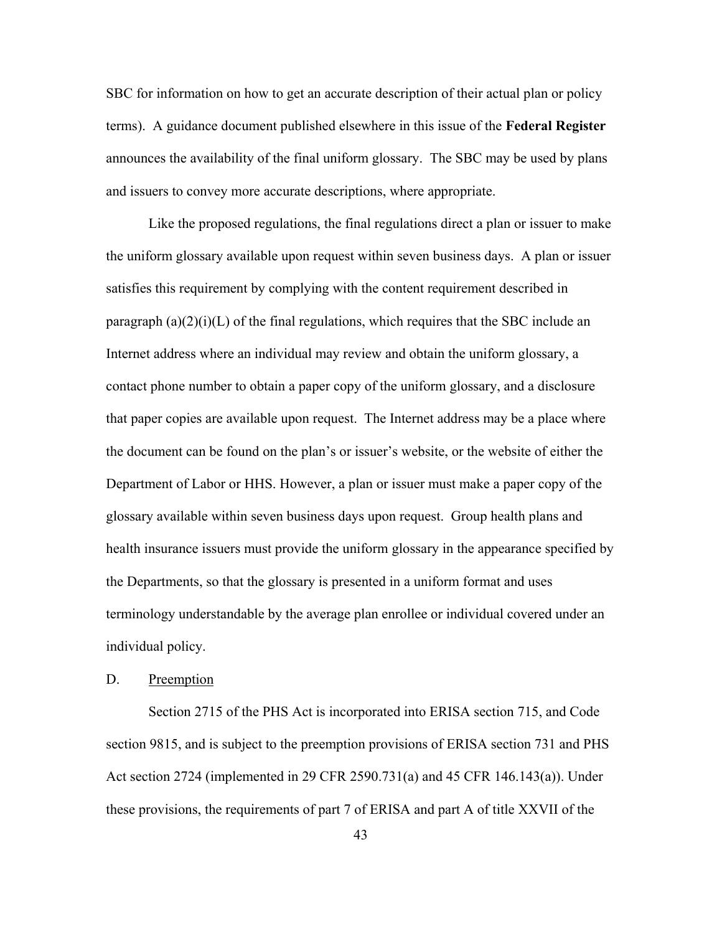SBC for information on how to get an accurate description of their actual plan or policy terms). A guidance document published elsewhere in this issue of the **Federal Register** announces the availability of the final uniform glossary. The SBC may be used by plans and issuers to convey more accurate descriptions, where appropriate.

 Like the proposed regulations, the final regulations direct a plan or issuer to make the uniform glossary available upon request within seven business days. A plan or issuer satisfies this requirement by complying with the content requirement described in paragraph  $(a)(2)(i)(L)$  of the final regulations, which requires that the SBC include an Internet address where an individual may review and obtain the uniform glossary, a contact phone number to obtain a paper copy of the uniform glossary, and a disclosure that paper copies are available upon request. The Internet address may be a place where the document can be found on the plan's or issuer's website, or the website of either the Department of Labor or HHS. However, a plan or issuer must make a paper copy of the glossary available within seven business days upon request. Group health plans and health insurance issuers must provide the uniform glossary in the appearance specified by the Departments, so that the glossary is presented in a uniform format and uses terminology understandable by the average plan enrollee or individual covered under an individual policy.

## D. Preemption

Section 2715 of the PHS Act is incorporated into ERISA section 715, and Code section 9815, and is subject to the preemption provisions of ERISA section 731 and PHS Act section 2724 (implemented in 29 CFR 2590.731(a) and 45 CFR 146.143(a)). Under these provisions, the requirements of part 7 of ERISA and part A of title XXVII of the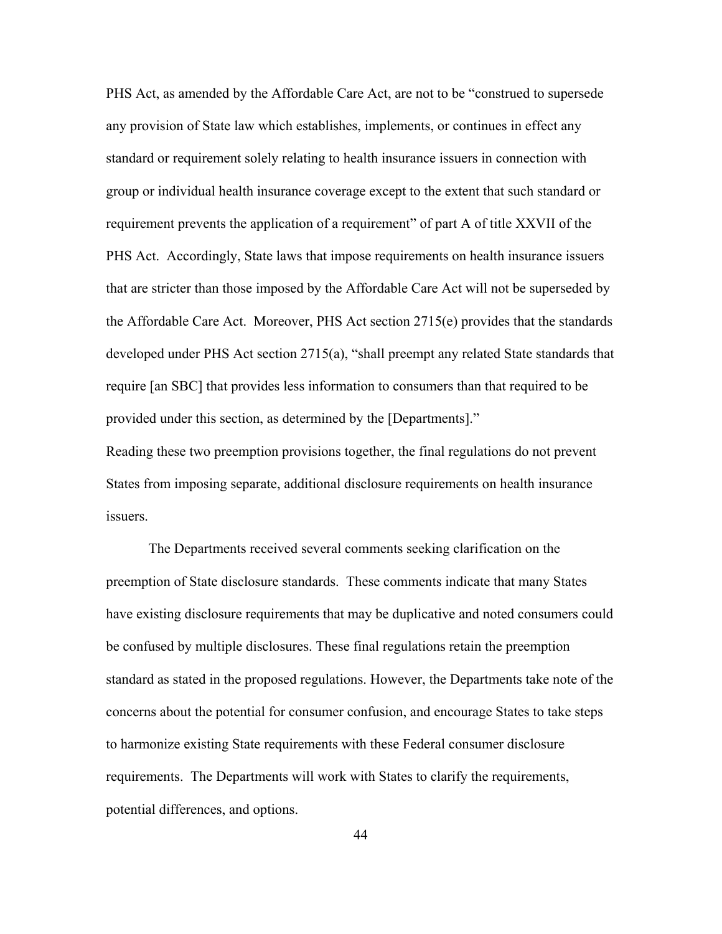PHS Act, as amended by the Affordable Care Act, are not to be "construed to supersede any provision of State law which establishes, implements, or continues in effect any standard or requirement solely relating to health insurance issuers in connection with group or individual health insurance coverage except to the extent that such standard or requirement prevents the application of a requirement" of part A of title XXVII of the PHS Act. Accordingly, State laws that impose requirements on health insurance issuers that are stricter than those imposed by the Affordable Care Act will not be superseded by the Affordable Care Act. Moreover, PHS Act section 2715(e) provides that the standards developed under PHS Act section 2715(a), "shall preempt any related State standards that require [an SBC] that provides less information to consumers than that required to be provided under this section, as determined by the [Departments]."

Reading these two preemption provisions together, the final regulations do not prevent States from imposing separate, additional disclosure requirements on health insurance issuers.

The Departments received several comments seeking clarification on the preemption of State disclosure standards. These comments indicate that many States have existing disclosure requirements that may be duplicative and noted consumers could be confused by multiple disclosures. These final regulations retain the preemption standard as stated in the proposed regulations. However, the Departments take note of the concerns about the potential for consumer confusion, and encourage States to take steps to harmonize existing State requirements with these Federal consumer disclosure requirements. The Departments will work with States to clarify the requirements, potential differences, and options.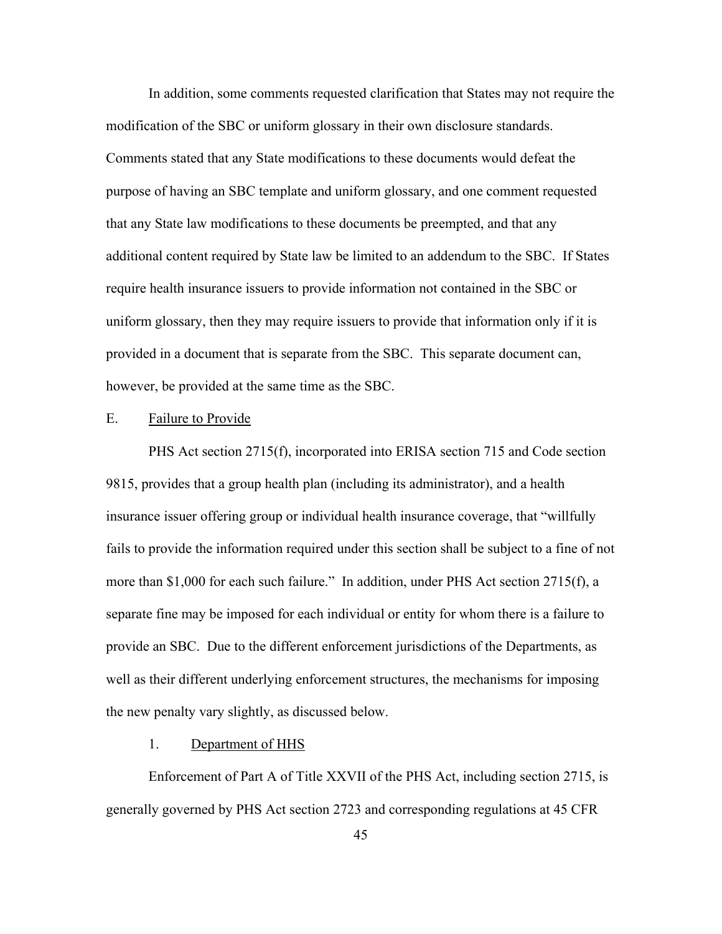In addition, some comments requested clarification that States may not require the modification of the SBC or uniform glossary in their own disclosure standards. Comments stated that any State modifications to these documents would defeat the purpose of having an SBC template and uniform glossary, and one comment requested that any State law modifications to these documents be preempted, and that any additional content required by State law be limited to an addendum to the SBC. If States require health insurance issuers to provide information not contained in the SBC or uniform glossary, then they may require issuers to provide that information only if it is provided in a document that is separate from the SBC. This separate document can, however, be provided at the same time as the SBC.

#### E. Failure to Provide

PHS Act section 2715(f), incorporated into ERISA section 715 and Code section 9815, provides that a group health plan (including its administrator), and a health insurance issuer offering group or individual health insurance coverage, that "willfully fails to provide the information required under this section shall be subject to a fine of not more than \$1,000 for each such failure." In addition, under PHS Act section 2715(f), a separate fine may be imposed for each individual or entity for whom there is a failure to provide an SBC. Due to the different enforcement jurisdictions of the Departments, as well as their different underlying enforcement structures, the mechanisms for imposing the new penalty vary slightly, as discussed below.

# 1. Department of HHS

Enforcement of Part A of Title XXVII of the PHS Act, including section 2715, is generally governed by PHS Act section 2723 and corresponding regulations at 45 CFR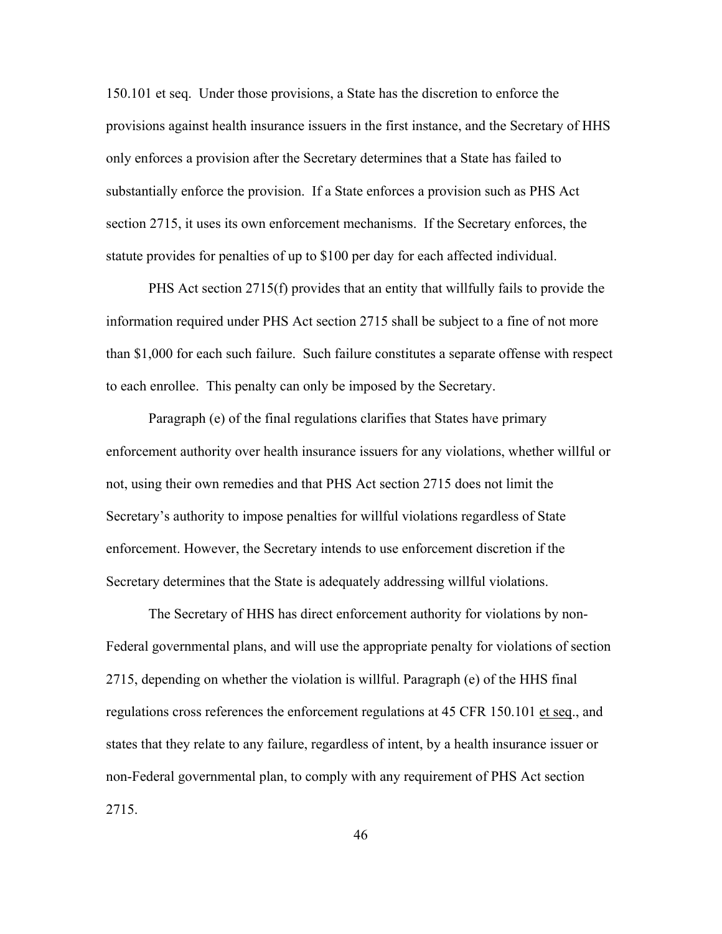150.101 et seq. Under those provisions, a State has the discretion to enforce the provisions against health insurance issuers in the first instance, and the Secretary of HHS only enforces a provision after the Secretary determines that a State has failed to substantially enforce the provision. If a State enforces a provision such as PHS Act section 2715, it uses its own enforcement mechanisms. If the Secretary enforces, the statute provides for penalties of up to \$100 per day for each affected individual.

PHS Act section 2715(f) provides that an entity that willfully fails to provide the information required under PHS Act section 2715 shall be subject to a fine of not more than \$1,000 for each such failure. Such failure constitutes a separate offense with respect to each enrollee. This penalty can only be imposed by the Secretary.

Paragraph (e) of the final regulations clarifies that States have primary enforcement authority over health insurance issuers for any violations, whether willful or not, using their own remedies and that PHS Act section 2715 does not limit the Secretary's authority to impose penalties for willful violations regardless of State enforcement. However, the Secretary intends to use enforcement discretion if the Secretary determines that the State is adequately addressing willful violations.

The Secretary of HHS has direct enforcement authority for violations by non-Federal governmental plans, and will use the appropriate penalty for violations of section 2715, depending on whether the violation is willful. Paragraph (e) of the HHS final regulations cross references the enforcement regulations at 45 CFR 150.101 et seq., and states that they relate to any failure, regardless of intent, by a health insurance issuer or non-Federal governmental plan, to comply with any requirement of PHS Act section 2715.

46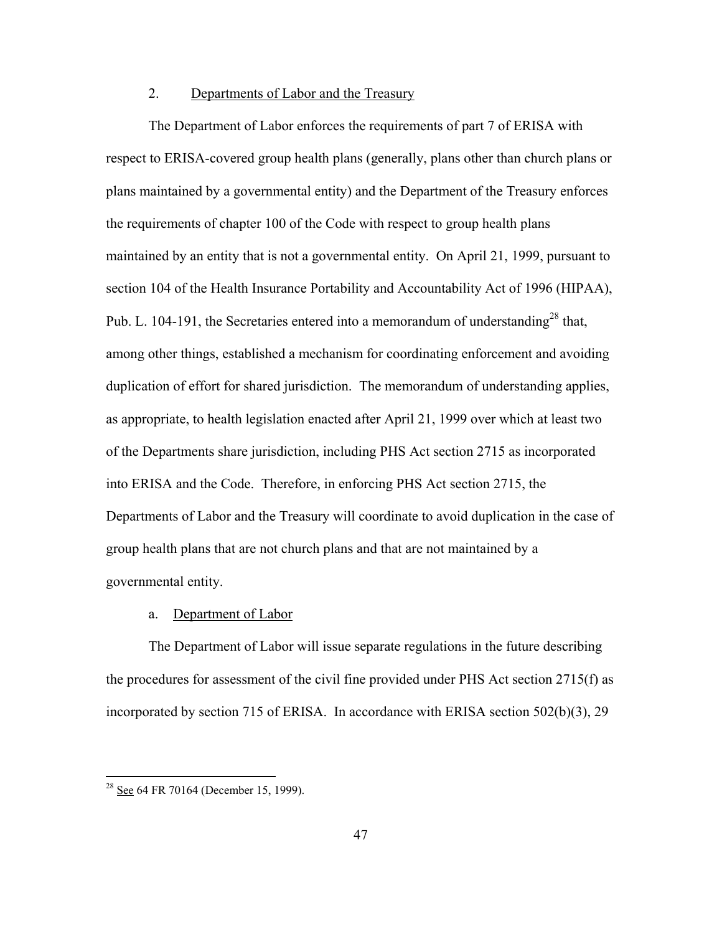# 2. Departments of Labor and the Treasury

 The Department of Labor enforces the requirements of part 7 of ERISA with respect to ERISA-covered group health plans (generally, plans other than church plans or plans maintained by a governmental entity) and the Department of the Treasury enforces the requirements of chapter 100 of the Code with respect to group health plans maintained by an entity that is not a governmental entity. On April 21, 1999, pursuant to section 104 of the Health Insurance Portability and Accountability Act of 1996 (HIPAA), Pub. L. 104-191, the Secretaries entered into a memorandum of understanding<sup>28</sup> that, among other things, established a mechanism for coordinating enforcement and avoiding duplication of effort for shared jurisdiction. The memorandum of understanding applies, as appropriate, to health legislation enacted after April 21, 1999 over which at least two of the Departments share jurisdiction, including PHS Act section 2715 as incorporated into ERISA and the Code. Therefore, in enforcing PHS Act section 2715, the Departments of Labor and the Treasury will coordinate to avoid duplication in the case of group health plans that are not church plans and that are not maintained by a governmental entity.

#### a. Department of Labor

The Department of Labor will issue separate regulations in the future describing the procedures for assessment of the civil fine provided under PHS Act section 2715(f) as incorporated by section 715 of ERISA. In accordance with ERISA section 502(b)(3), 29

 $28$  See 64 FR 70164 (December 15, 1999).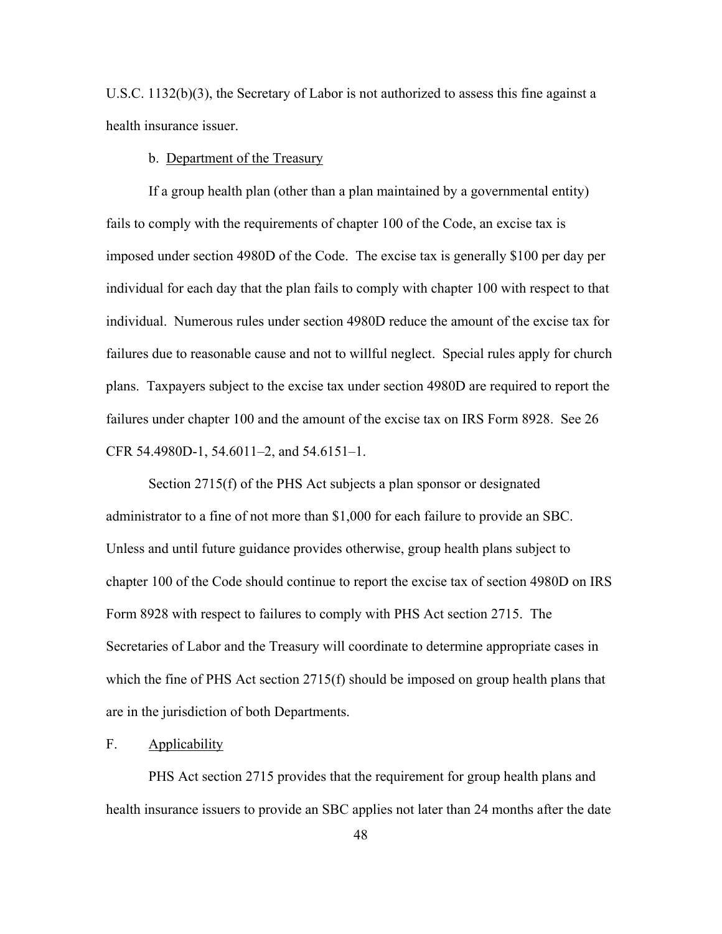U.S.C. 1132(b)(3), the Secretary of Labor is not authorized to assess this fine against a health insurance issuer.

b. Department of the Treasury

If a group health plan (other than a plan maintained by a governmental entity) fails to comply with the requirements of chapter 100 of the Code, an excise tax is imposed under section 4980D of the Code. The excise tax is generally \$100 per day per individual for each day that the plan fails to comply with chapter 100 with respect to that individual. Numerous rules under section 4980D reduce the amount of the excise tax for failures due to reasonable cause and not to willful neglect. Special rules apply for church plans. Taxpayers subject to the excise tax under section 4980D are required to report the failures under chapter 100 and the amount of the excise tax on IRS Form 8928. See 26 CFR 54.4980D-1, 54.6011–2, and 54.6151–1.

 Section 2715(f) of the PHS Act subjects a plan sponsor or designated administrator to a fine of not more than \$1,000 for each failure to provide an SBC. Unless and until future guidance provides otherwise, group health plans subject to chapter 100 of the Code should continue to report the excise tax of section 4980D on IRS Form 8928 with respect to failures to comply with PHS Act section 2715. The Secretaries of Labor and the Treasury will coordinate to determine appropriate cases in which the fine of PHS Act section 2715(f) should be imposed on group health plans that are in the jurisdiction of both Departments.

# F. Applicability

 PHS Act section 2715 provides that the requirement for group health plans and health insurance issuers to provide an SBC applies not later than 24 months after the date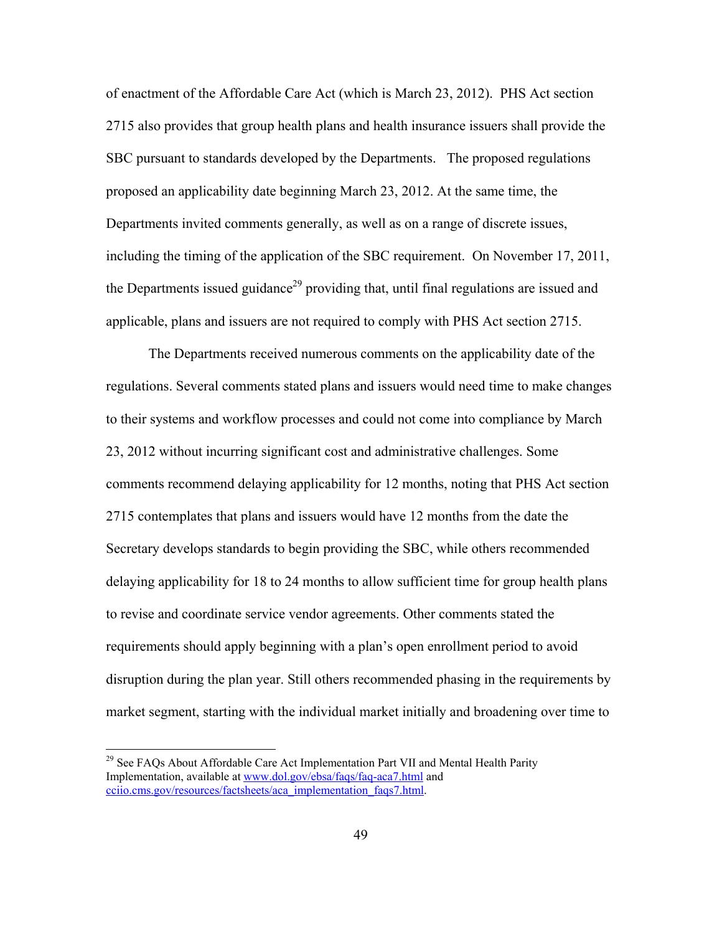of enactment of the Affordable Care Act (which is March 23, 2012). PHS Act section 2715 also provides that group health plans and health insurance issuers shall provide the SBC pursuant to standards developed by the Departments. The proposed regulations proposed an applicability date beginning March 23, 2012. At the same time, the Departments invited comments generally, as well as on a range of discrete issues, including the timing of the application of the SBC requirement. On November 17, 2011, the Departments issued guidance<sup>29</sup> providing that, until final regulations are issued and applicable, plans and issuers are not required to comply with PHS Act section 2715.

 The Departments received numerous comments on the applicability date of the regulations. Several comments stated plans and issuers would need time to make changes to their systems and workflow processes and could not come into compliance by March 23, 2012 without incurring significant cost and administrative challenges. Some comments recommend delaying applicability for 12 months, noting that PHS Act section 2715 contemplates that plans and issuers would have 12 months from the date the Secretary develops standards to begin providing the SBC, while others recommended delaying applicability for 18 to 24 months to allow sufficient time for group health plans to revise and coordinate service vendor agreements. Other comments stated the requirements should apply beginning with a plan's open enrollment period to avoid disruption during the plan year. Still others recommended phasing in the requirements by market segment, starting with the individual market initially and broadening over time to

 $29$  See FAQs About Affordable Care Act Implementation Part VII and Mental Health Parity Implementation, available at www.dol.gov/ebsa/faqs/faq-aca7.html and cciio.cms.gov/resources/factsheets/aca\_implementation\_faqs7.html.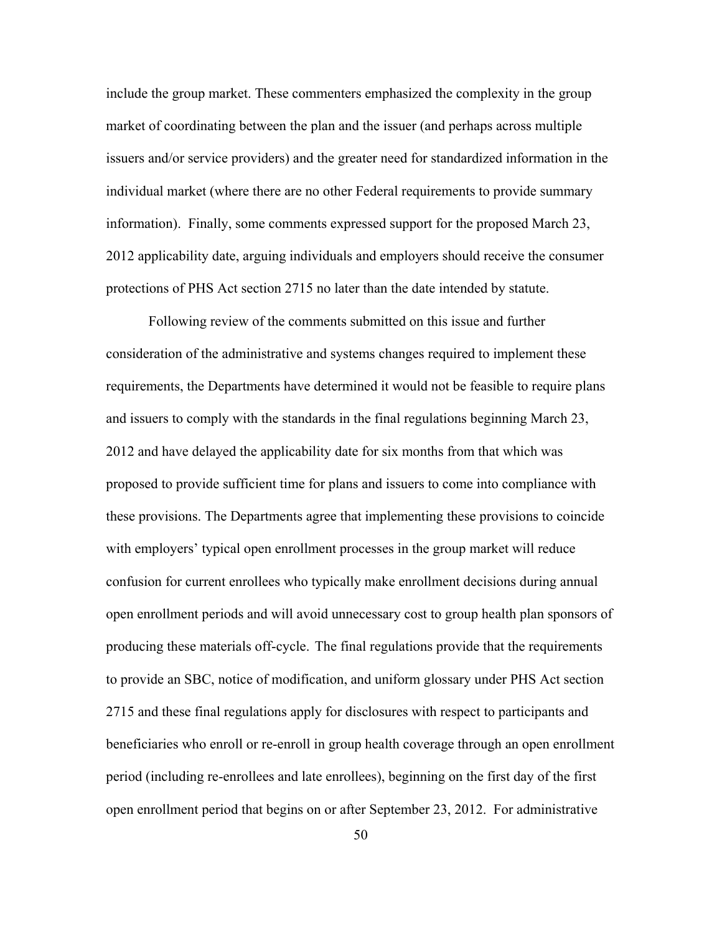include the group market. These commenters emphasized the complexity in the group market of coordinating between the plan and the issuer (and perhaps across multiple issuers and/or service providers) and the greater need for standardized information in the individual market (where there are no other Federal requirements to provide summary information). Finally, some comments expressed support for the proposed March 23, 2012 applicability date, arguing individuals and employers should receive the consumer protections of PHS Act section 2715 no later than the date intended by statute.

Following review of the comments submitted on this issue and further consideration of the administrative and systems changes required to implement these requirements, the Departments have determined it would not be feasible to require plans and issuers to comply with the standards in the final regulations beginning March 23, 2012 and have delayed the applicability date for six months from that which was proposed to provide sufficient time for plans and issuers to come into compliance with these provisions. The Departments agree that implementing these provisions to coincide with employers' typical open enrollment processes in the group market will reduce confusion for current enrollees who typically make enrollment decisions during annual open enrollment periods and will avoid unnecessary cost to group health plan sponsors of producing these materials off-cycle. The final regulations provide that the requirements to provide an SBC, notice of modification, and uniform glossary under PHS Act section 2715 and these final regulations apply for disclosures with respect to participants and beneficiaries who enroll or re-enroll in group health coverage through an open enrollment period (including re-enrollees and late enrollees), beginning on the first day of the first open enrollment period that begins on or after September 23, 2012. For administrative

50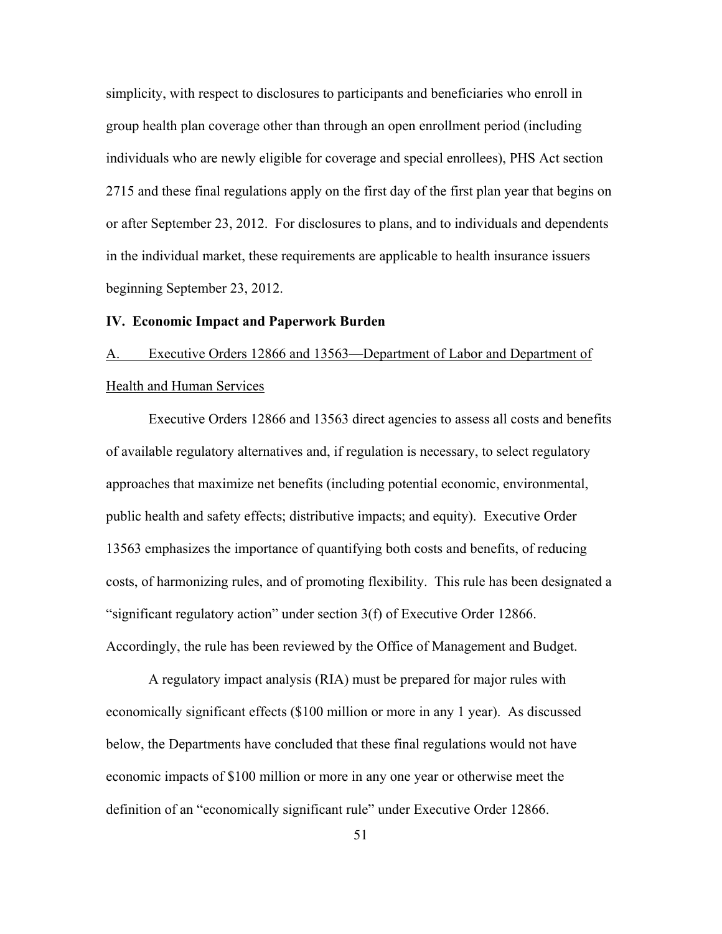simplicity, with respect to disclosures to participants and beneficiaries who enroll in group health plan coverage other than through an open enrollment period (including individuals who are newly eligible for coverage and special enrollees), PHS Act section 2715 and these final regulations apply on the first day of the first plan year that begins on or after September 23, 2012. For disclosures to plans, and to individuals and dependents in the individual market, these requirements are applicable to health insurance issuers beginning September 23, 2012.

#### **IV. Economic Impact and Paperwork Burden**

# A. Executive Orders 12866 and 13563—Department of Labor and Department of Health and Human Services

Executive Orders 12866 and 13563 direct agencies to assess all costs and benefits of available regulatory alternatives and, if regulation is necessary, to select regulatory approaches that maximize net benefits (including potential economic, environmental, public health and safety effects; distributive impacts; and equity). Executive Order 13563 emphasizes the importance of quantifying both costs and benefits, of reducing costs, of harmonizing rules, and of promoting flexibility. This rule has been designated a "significant regulatory action" under section 3(f) of Executive Order 12866. Accordingly, the rule has been reviewed by the Office of Management and Budget.

A regulatory impact analysis (RIA) must be prepared for major rules with economically significant effects (\$100 million or more in any 1 year). As discussed below, the Departments have concluded that these final regulations would not have economic impacts of \$100 million or more in any one year or otherwise meet the definition of an "economically significant rule" under Executive Order 12866.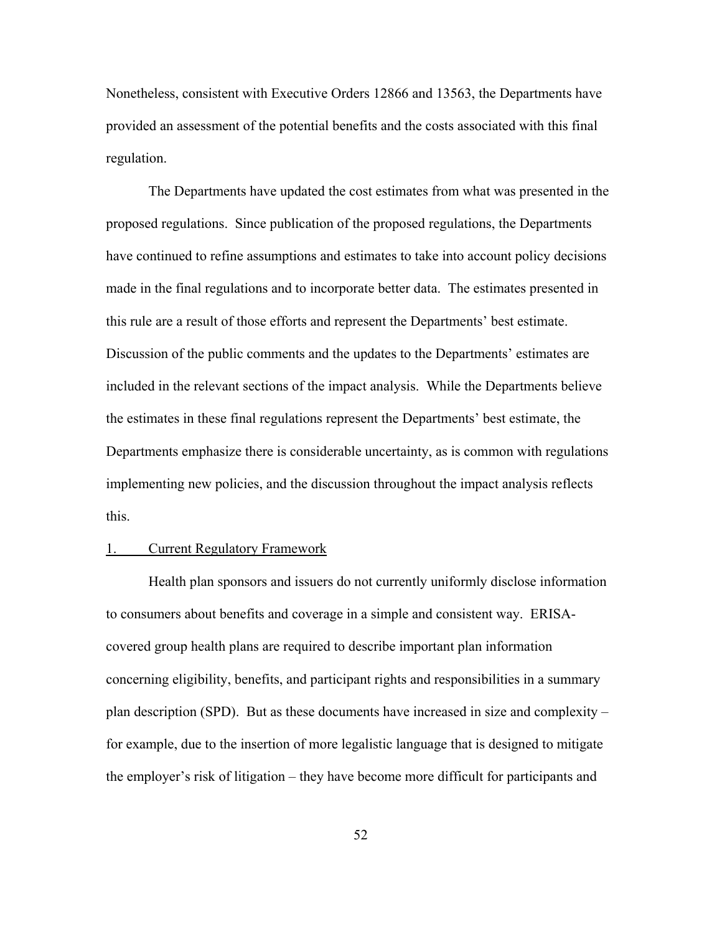Nonetheless, consistent with Executive Orders 12866 and 13563, the Departments have provided an assessment of the potential benefits and the costs associated with this final regulation.

The Departments have updated the cost estimates from what was presented in the proposed regulations. Since publication of the proposed regulations, the Departments have continued to refine assumptions and estimates to take into account policy decisions made in the final regulations and to incorporate better data. The estimates presented in this rule are a result of those efforts and represent the Departments' best estimate. Discussion of the public comments and the updates to the Departments' estimates are included in the relevant sections of the impact analysis. While the Departments believe the estimates in these final regulations represent the Departments' best estimate, the Departments emphasize there is considerable uncertainty, as is common with regulations implementing new policies, and the discussion throughout the impact analysis reflects this.

#### 1. Current Regulatory Framework

Health plan sponsors and issuers do not currently uniformly disclose information to consumers about benefits and coverage in a simple and consistent way. ERISAcovered group health plans are required to describe important plan information concerning eligibility, benefits, and participant rights and responsibilities in a summary plan description (SPD). But as these documents have increased in size and complexity – for example, due to the insertion of more legalistic language that is designed to mitigate the employer's risk of litigation – they have become more difficult for participants and

52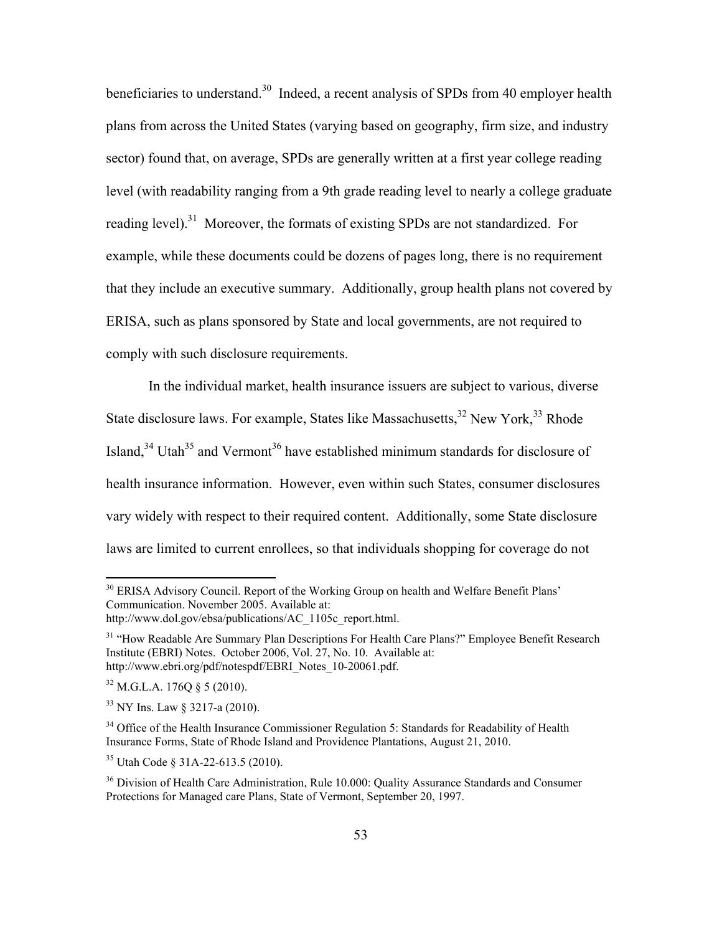beneficiaries to understand.<sup>30</sup> Indeed, a recent analysis of SPDs from 40 employer health plans from across the United States (varying based on geography, firm size, and industry sector) found that, on average, SPDs are generally written at a first year college reading level (with readability ranging from a 9th grade reading level to nearly a college graduate reading level).<sup>31</sup> Moreover, the formats of existing SPDs are not standardized. For example, while these documents could be dozens of pages long, there is no requirement that they include an executive summary. Additionally, group health plans not covered by ERISA, such as plans sponsored by State and local governments, are not required to comply with such disclosure requirements.

In the individual market, health insurance issuers are subject to various, diverse State disclosure laws. For example, States like Massachusetts, $32$  New York,  $33$  Rhode Island, $34$  Utah<sup>35</sup> and Vermont<sup>36</sup> have established minimum standards for disclosure of health insurance information. However, even within such States, consumer disclosures vary widely with respect to their required content. Additionally, some State disclosure laws are limited to current enrollees, so that individuals shopping for coverage do not

<sup>&</sup>lt;sup>30</sup> ERISA Advisory Council. Report of the Working Group on health and Welfare Benefit Plans' Communication. November 2005. Available at:

http://www.dol.gov/ebsa/publications/AC\_1105c\_report.html.

<sup>&</sup>lt;sup>31</sup> "How Readable Are Summary Plan Descriptions For Health Care Plans?" Employee Benefit Research Institute (EBRI) Notes. October 2006, Vol. 27, No. 10. Available at: http://www.ebri.org/pdf/notespdf/EBRI\_Notes\_10-20061.pdf.

 $32$  M.G.L.A. 176Q § 5 (2010).

 $33$  NY Ins. Law § 3217-a (2010).

<sup>&</sup>lt;sup>34</sup> Office of the Health Insurance Commissioner Regulation 5: Standards for Readability of Health Insurance Forms, State of Rhode Island and Providence Plantations, August 21, 2010.

<sup>35</sup> Utah Code § 31A-22-613.5 (2010).

<sup>&</sup>lt;sup>36</sup> Division of Health Care Administration, Rule 10.000: Quality Assurance Standards and Consumer Protections for Managed care Plans, State of Vermont, September 20, 1997.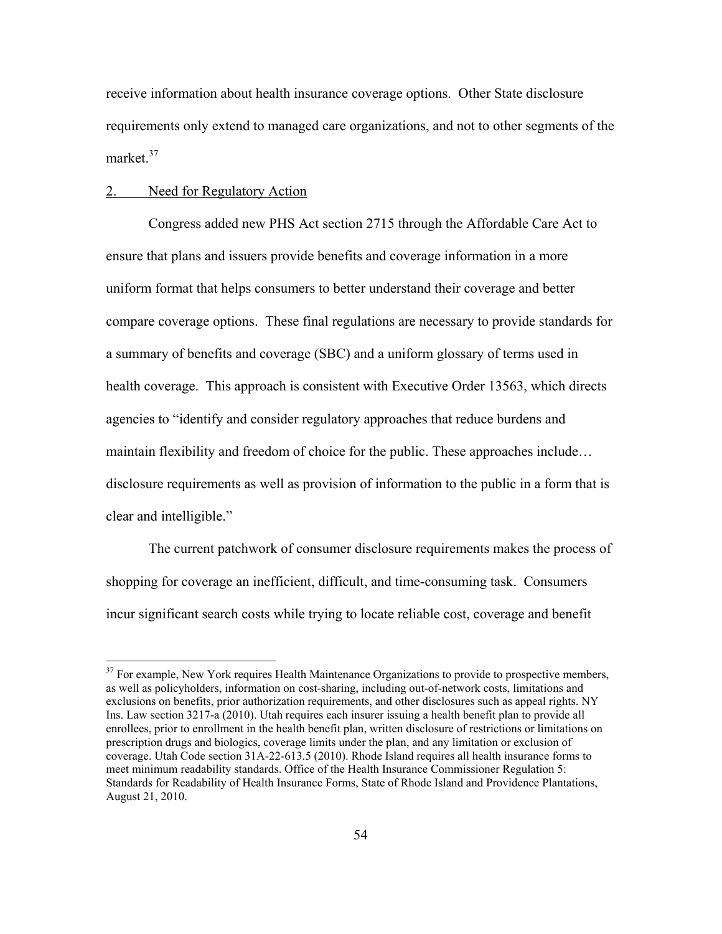receive information about health insurance coverage options. Other State disclosure requirements only extend to managed care organizations, and not to other segments of the market<sup>37</sup>

#### 2. Need for Regulatory Action

 $\overline{a}$ 

Congress added new PHS Act section 2715 through the Affordable Care Act to ensure that plans and issuers provide benefits and coverage information in a more uniform format that helps consumers to better understand their coverage and better compare coverage options. These final regulations are necessary to provide standards for a summary of benefits and coverage (SBC) and a uniform glossary of terms used in health coverage. This approach is consistent with Executive Order 13563, which directs agencies to "identify and consider regulatory approaches that reduce burdens and maintain flexibility and freedom of choice for the public. These approaches include… disclosure requirements as well as provision of information to the public in a form that is clear and intelligible."

The current patchwork of consumer disclosure requirements makes the process of shopping for coverage an inefficient, difficult, and time-consuming task. Consumers incur significant search costs while trying to locate reliable cost, coverage and benefit

<sup>&</sup>lt;sup>37</sup> For example, New York requires Health Maintenance Organizations to provide to prospective members, as well as policyholders, information on cost-sharing, including out-of-network costs, limitations and exclusions on benefits, prior authorization requirements, and other disclosures such as appeal rights. NY Ins. Law section 3217-a (2010). Utah requires each insurer issuing a health benefit plan to provide all enrollees, prior to enrollment in the health benefit plan, written disclosure of restrictions or limitations on prescription drugs and biologics, coverage limits under the plan, and any limitation or exclusion of coverage. Utah Code section 31A-22-613.5 (2010). Rhode Island requires all health insurance forms to meet minimum readability standards. Office of the Health Insurance Commissioner Regulation 5: Standards for Readability of Health Insurance Forms, State of Rhode Island and Providence Plantations, August 21, 2010.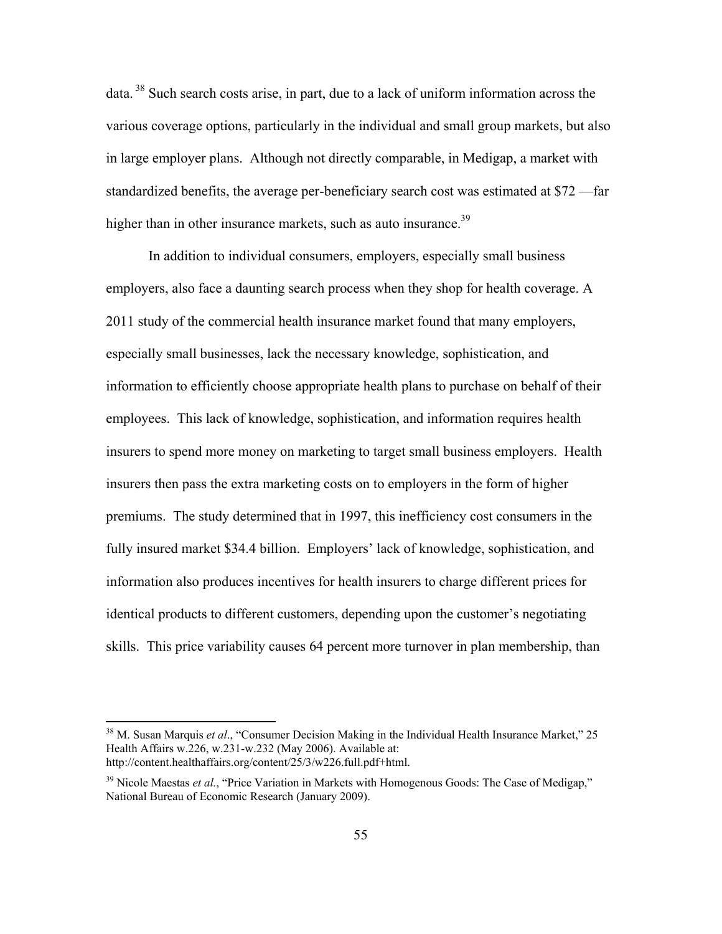data.  $38$  Such search costs arise, in part, due to a lack of uniform information across the various coverage options, particularly in the individual and small group markets, but also in large employer plans. Although not directly comparable, in Medigap, a market with standardized benefits, the average per-beneficiary search cost was estimated at \$72 —far higher than in other insurance markets, such as auto insurance.<sup>39</sup>

In addition to individual consumers, employers, especially small business employers, also face a daunting search process when they shop for health coverage. A 2011 study of the commercial health insurance market found that many employers, especially small businesses, lack the necessary knowledge, sophistication, and information to efficiently choose appropriate health plans to purchase on behalf of their employees. This lack of knowledge, sophistication, and information requires health insurers to spend more money on marketing to target small business employers. Health insurers then pass the extra marketing costs on to employers in the form of higher premiums. The study determined that in 1997, this inefficiency cost consumers in the fully insured market \$34.4 billion. Employers' lack of knowledge, sophistication, and information also produces incentives for health insurers to charge different prices for identical products to different customers, depending upon the customer's negotiating skills. This price variability causes 64 percent more turnover in plan membership, than

<sup>38</sup> M. Susan Marquis *et al*., "Consumer Decision Making in the Individual Health Insurance Market," 25 Health Affairs w.226, w.231-w.232 (May 2006). Available at: http://content.healthaffairs.org/content/25/3/w226.full.pdf+html.

<sup>&</sup>lt;sup>39</sup> Nicole Maestas *et al.*, "Price Variation in Markets with Homogenous Goods: The Case of Medigap," National Bureau of Economic Research (January 2009).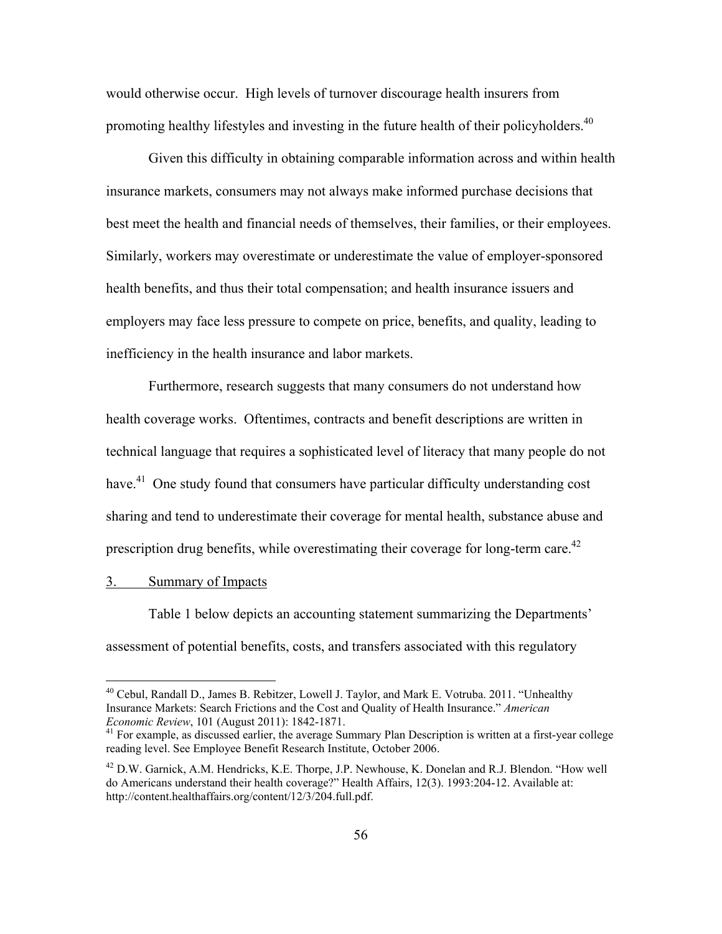would otherwise occur. High levels of turnover discourage health insurers from promoting healthy lifestyles and investing in the future health of their policyholders.<sup>40</sup>

Given this difficulty in obtaining comparable information across and within health insurance markets, consumers may not always make informed purchase decisions that best meet the health and financial needs of themselves, their families, or their employees. Similarly, workers may overestimate or underestimate the value of employer-sponsored health benefits, and thus their total compensation; and health insurance issuers and employers may face less pressure to compete on price, benefits, and quality, leading to inefficiency in the health insurance and labor markets.

Furthermore, research suggests that many consumers do not understand how health coverage works. Oftentimes, contracts and benefit descriptions are written in technical language that requires a sophisticated level of literacy that many people do not have.<sup>41</sup> One study found that consumers have particular difficulty understanding cost sharing and tend to underestimate their coverage for mental health, substance abuse and prescription drug benefits, while overestimating their coverage for long-term care.<sup>42</sup>

#### 3. Summary of Impacts

 $\overline{a}$ 

Table 1 below depicts an accounting statement summarizing the Departments' assessment of potential benefits, costs, and transfers associated with this regulatory

<sup>&</sup>lt;sup>40</sup> Cebul, Randall D., James B. Rebitzer, Lowell J. Taylor, and Mark E. Votruba. 2011. "Unhealthy Insurance Markets: Search Frictions and the Cost and Quality of Health Insurance." *American* 

<sup>&</sup>lt;sup>41</sup> For example, as discussed earlier, the average Summary Plan Description is written at a first-year college reading level. See Employee Benefit Research Institute, October 2006.

 $^{42}$  D.W. Garnick, A.M. Hendricks, K.E. Thorpe, J.P. Newhouse, K. Donelan and R.J. Blendon. "How well do Americans understand their health coverage?" Health Affairs, 12(3). 1993:204-12. Available at: http://content.healthaffairs.org/content/12/3/204.full.pdf.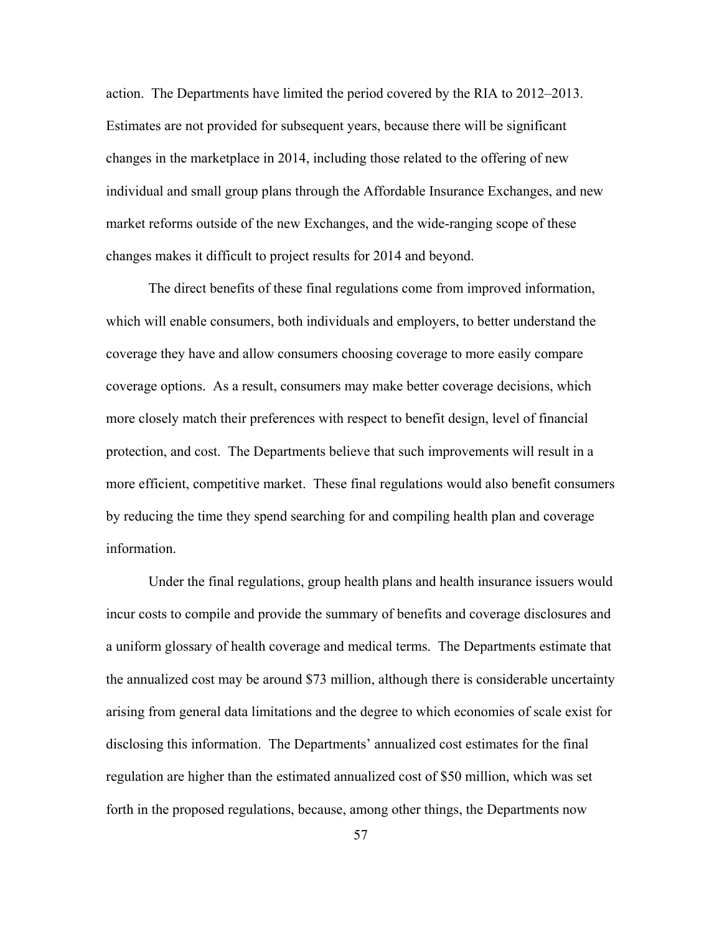action. The Departments have limited the period covered by the RIA to 2012–2013. Estimates are not provided for subsequent years, because there will be significant changes in the marketplace in 2014, including those related to the offering of new individual and small group plans through the Affordable Insurance Exchanges, and new market reforms outside of the new Exchanges, and the wide-ranging scope of these changes makes it difficult to project results for 2014 and beyond.

The direct benefits of these final regulations come from improved information, which will enable consumers, both individuals and employers, to better understand the coverage they have and allow consumers choosing coverage to more easily compare coverage options. As a result, consumers may make better coverage decisions, which more closely match their preferences with respect to benefit design, level of financial protection, and cost. The Departments believe that such improvements will result in a more efficient, competitive market. These final regulations would also benefit consumers by reducing the time they spend searching for and compiling health plan and coverage information.

Under the final regulations, group health plans and health insurance issuers would incur costs to compile and provide the summary of benefits and coverage disclosures and a uniform glossary of health coverage and medical terms. The Departments estimate that the annualized cost may be around \$73 million, although there is considerable uncertainty arising from general data limitations and the degree to which economies of scale exist for disclosing this information. The Departments' annualized cost estimates for the final regulation are higher than the estimated annualized cost of \$50 million, which was set forth in the proposed regulations, because, among other things, the Departments now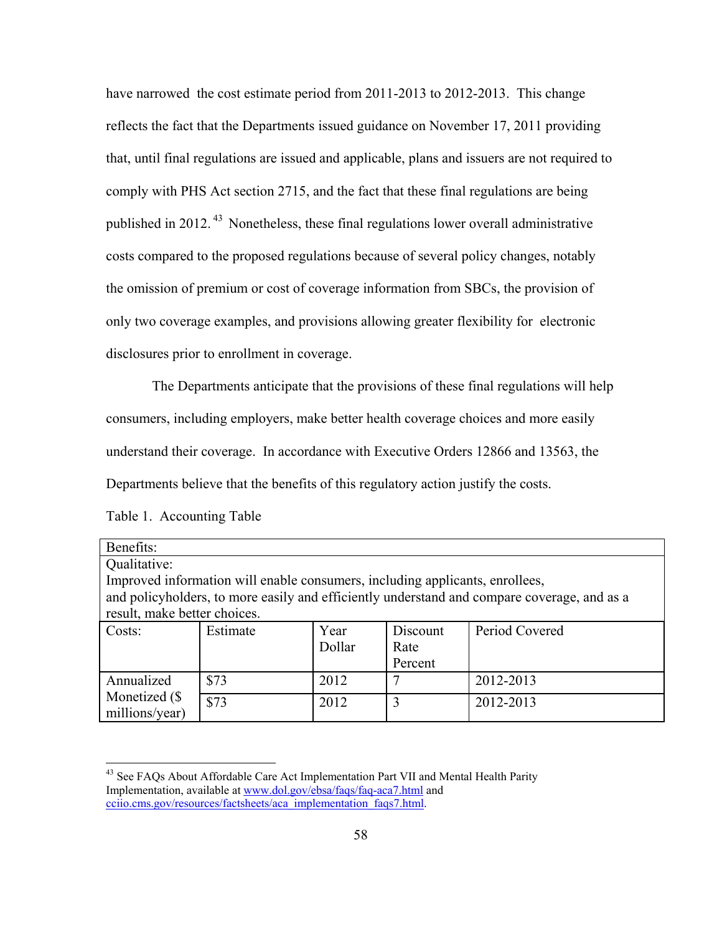have narrowed the cost estimate period from 2011-2013 to 2012-2013. This change reflects the fact that the Departments issued guidance on November 17, 2011 providing that, until final regulations are issued and applicable, plans and issuers are not required to comply with PHS Act section 2715, and the fact that these final regulations are being published in 2012. 43 Nonetheless, these final regulations lower overall administrative costs compared to the proposed regulations because of several policy changes, notably the omission of premium or cost of coverage information from SBCs, the provision of only two coverage examples, and provisions allowing greater flexibility for electronic disclosures prior to enrollment in coverage.

 The Departments anticipate that the provisions of these final regulations will help consumers, including employers, make better health coverage choices and more easily understand their coverage. In accordance with Executive Orders 12866 and 13563, the Departments believe that the benefits of this regulatory action justify the costs.

| Benefits:                                                                                   |          |        |          |                |  |  |  |
|---------------------------------------------------------------------------------------------|----------|--------|----------|----------------|--|--|--|
| Qualitative:                                                                                |          |        |          |                |  |  |  |
| Improved information will enable consumers, including applicants, enrollees,                |          |        |          |                |  |  |  |
| and policyholders, to more easily and efficiently understand and compare coverage, and as a |          |        |          |                |  |  |  |
| result, make better choices.                                                                |          |        |          |                |  |  |  |
| Costs:                                                                                      | Estimate | Year   | Discount | Period Covered |  |  |  |
|                                                                                             |          | Dollar | Rate     |                |  |  |  |
|                                                                                             |          |        | Percent  |                |  |  |  |
| Annualized<br>Monetized (\$<br>millions/year)                                               | \$73     | 2012   |          | 2012-2013      |  |  |  |
|                                                                                             | \$73     | 2012   | 3        | 2012-2013      |  |  |  |

Table 1. Accounting Table

<sup>&</sup>lt;sup>43</sup> See FAQs About Affordable Care Act Implementation Part VII and Mental Health Parity Implementation, available at www.dol.gov/ebsa/faqs/faq-aca7.html and cciio.cms.gov/resources/factsheets/aca\_implementation\_faqs7.html.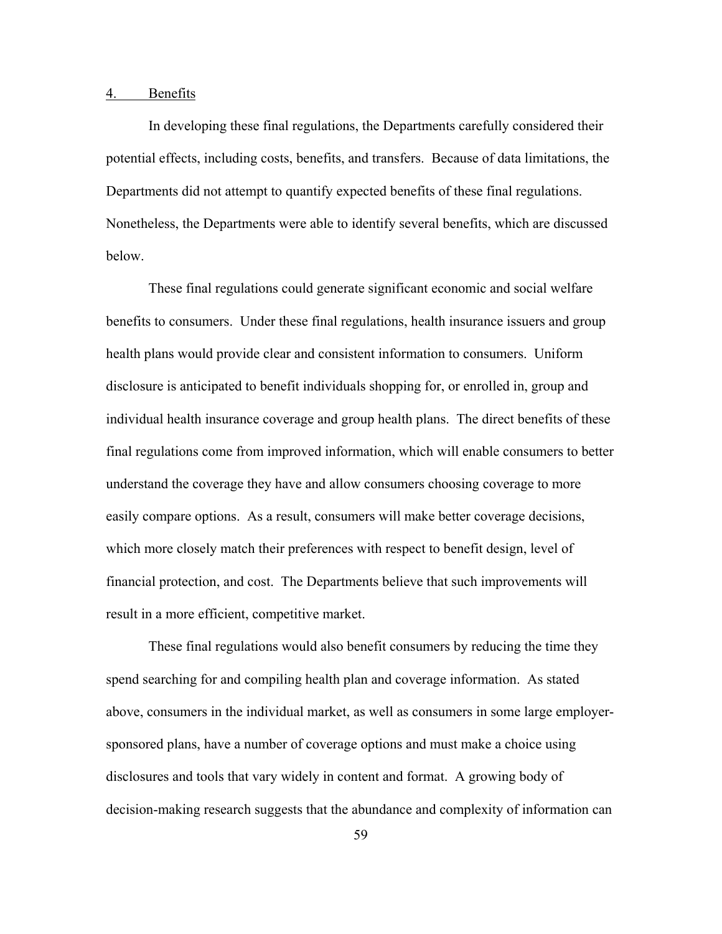#### 4. Benefits

In developing these final regulations, the Departments carefully considered their potential effects, including costs, benefits, and transfers. Because of data limitations, the Departments did not attempt to quantify expected benefits of these final regulations. Nonetheless, the Departments were able to identify several benefits, which are discussed below.

These final regulations could generate significant economic and social welfare benefits to consumers. Under these final regulations, health insurance issuers and group health plans would provide clear and consistent information to consumers. Uniform disclosure is anticipated to benefit individuals shopping for, or enrolled in, group and individual health insurance coverage and group health plans. The direct benefits of these final regulations come from improved information, which will enable consumers to better understand the coverage they have and allow consumers choosing coverage to more easily compare options. As a result, consumers will make better coverage decisions, which more closely match their preferences with respect to benefit design, level of financial protection, and cost. The Departments believe that such improvements will result in a more efficient, competitive market.

These final regulations would also benefit consumers by reducing the time they spend searching for and compiling health plan and coverage information. As stated above, consumers in the individual market, as well as consumers in some large employersponsored plans, have a number of coverage options and must make a choice using disclosures and tools that vary widely in content and format. A growing body of decision-making research suggests that the abundance and complexity of information can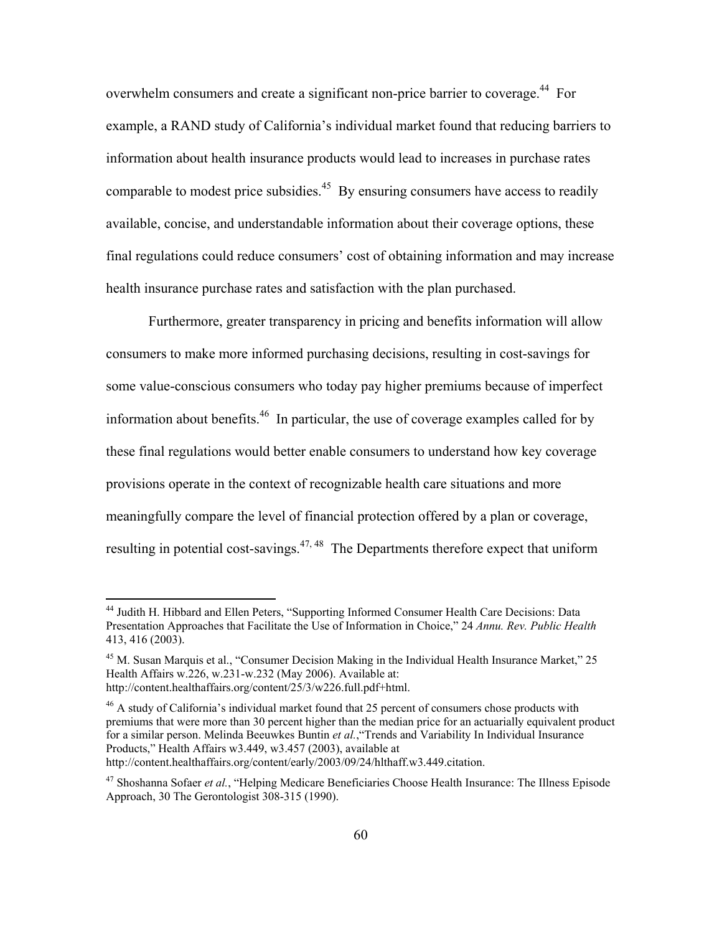overwhelm consumers and create a significant non-price barrier to coverage.<sup>44</sup> For example, a RAND study of California's individual market found that reducing barriers to information about health insurance products would lead to increases in purchase rates comparable to modest price subsidies.<sup>45</sup> By ensuring consumers have access to readily available, concise, and understandable information about their coverage options, these final regulations could reduce consumers' cost of obtaining information and may increase health insurance purchase rates and satisfaction with the plan purchased.

Furthermore, greater transparency in pricing and benefits information will allow consumers to make more informed purchasing decisions, resulting in cost-savings for some value-conscious consumers who today pay higher premiums because of imperfect information about benefits.<sup>46</sup> In particular, the use of coverage examples called for by these final regulations would better enable consumers to understand how key coverage provisions operate in the context of recognizable health care situations and more meaningfully compare the level of financial protection offered by a plan or coverage, resulting in potential cost-savings.<sup>47, 48</sup> The Departments therefore expect that uniform

1

<sup>&</sup>lt;sup>44</sup> Judith H. Hibbard and Ellen Peters, "Supporting Informed Consumer Health Care Decisions: Data Presentation Approaches that Facilitate the Use of Information in Choice," 24 *Annu. Rev. Public Health*  413, 416 (2003).

<sup>&</sup>lt;sup>45</sup> M. Susan Marquis et al., "Consumer Decision Making in the Individual Health Insurance Market," 25 Health Affairs w.226, w.231-w.232 (May 2006). Available at: http://content.healthaffairs.org/content/25/3/w226.full.pdf+html.

 $46$  A study of California's individual market found that 25 percent of consumers chose products with premiums that were more than 30 percent higher than the median price for an actuarially equivalent product for a similar person. Melinda Beeuwkes Buntin *et al.*,"Trends and Variability In Individual Insurance Products," Health Affairs w3.449, w3.457 (2003), available at http://content.healthaffairs.org/content/early/2003/09/24/hlthaff.w3.449.citation.

<sup>47</sup> Shoshanna Sofaer *et al.*, "Helping Medicare Beneficiaries Choose Health Insurance: The Illness Episode Approach, 30 The Gerontologist 308-315 (1990).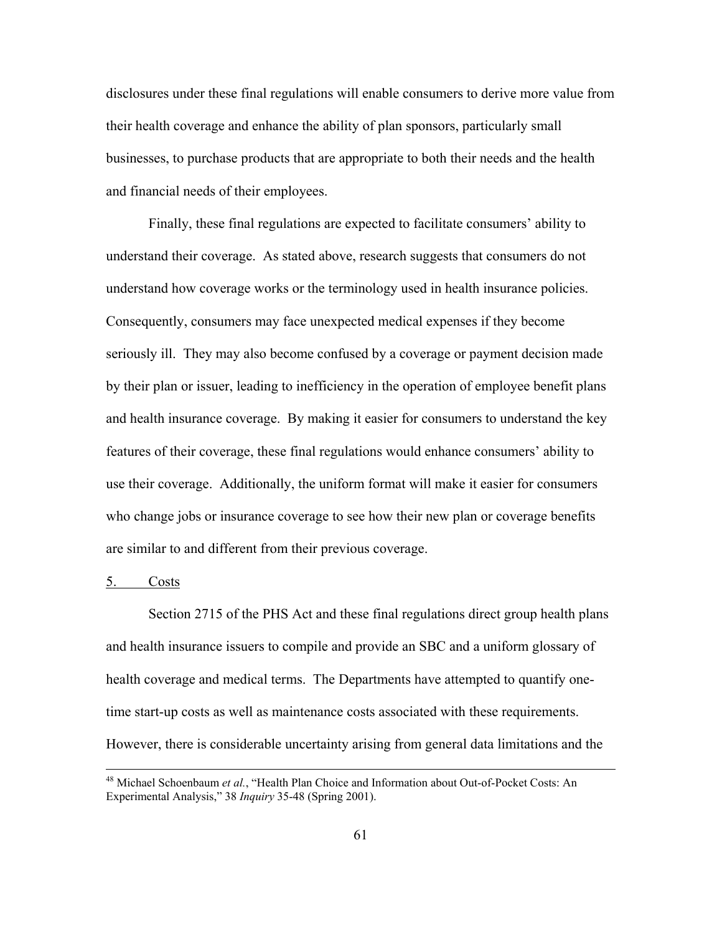disclosures under these final regulations will enable consumers to derive more value from their health coverage and enhance the ability of plan sponsors, particularly small businesses, to purchase products that are appropriate to both their needs and the health and financial needs of their employees.

Finally, these final regulations are expected to facilitate consumers' ability to understand their coverage. As stated above, research suggests that consumers do not understand how coverage works or the terminology used in health insurance policies. Consequently, consumers may face unexpected medical expenses if they become seriously ill. They may also become confused by a coverage or payment decision made by their plan or issuer, leading to inefficiency in the operation of employee benefit plans and health insurance coverage. By making it easier for consumers to understand the key features of their coverage, these final regulations would enhance consumers' ability to use their coverage. Additionally, the uniform format will make it easier for consumers who change jobs or insurance coverage to see how their new plan or coverage benefits are similar to and different from their previous coverage.

#### 5. Costs

Section 2715 of the PHS Act and these final regulations direct group health plans and health insurance issuers to compile and provide an SBC and a uniform glossary of health coverage and medical terms. The Departments have attempted to quantify onetime start-up costs as well as maintenance costs associated with these requirements. However, there is considerable uncertainty arising from general data limitations and the

 <sup>48</sup> Michael Schoenbaum *et al.*, "Health Plan Choice and Information about Out-of-Pocket Costs: An Experimental Analysis," 38 *Inquiry* 35-48 (Spring 2001).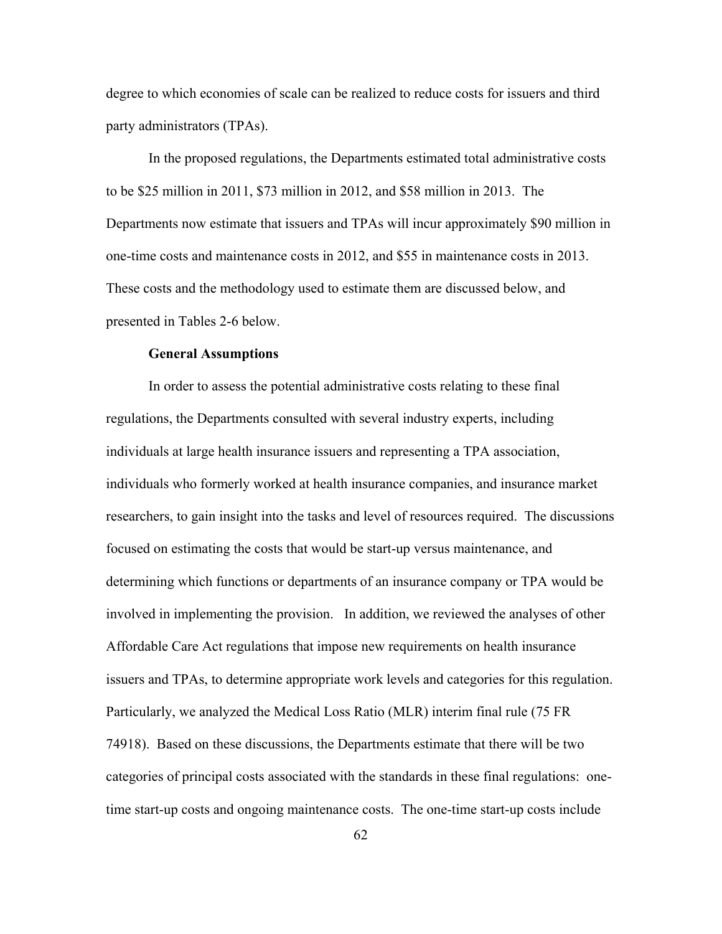degree to which economies of scale can be realized to reduce costs for issuers and third party administrators (TPAs).

In the proposed regulations, the Departments estimated total administrative costs to be \$25 million in 2011, \$73 million in 2012, and \$58 million in 2013. The Departments now estimate that issuers and TPAs will incur approximately \$90 million in one-time costs and maintenance costs in 2012, and \$55 in maintenance costs in 2013. These costs and the methodology used to estimate them are discussed below, and presented in Tables 2-6 below.

#### **General Assumptions**

In order to assess the potential administrative costs relating to these final regulations, the Departments consulted with several industry experts, including individuals at large health insurance issuers and representing a TPA association, individuals who formerly worked at health insurance companies, and insurance market researchers, to gain insight into the tasks and level of resources required. The discussions focused on estimating the costs that would be start-up versus maintenance, and determining which functions or departments of an insurance company or TPA would be involved in implementing the provision. In addition, we reviewed the analyses of other Affordable Care Act regulations that impose new requirements on health insurance issuers and TPAs, to determine appropriate work levels and categories for this regulation. Particularly, we analyzed the Medical Loss Ratio (MLR) interim final rule (75 FR 74918). Based on these discussions, the Departments estimate that there will be two categories of principal costs associated with the standards in these final regulations: onetime start-up costs and ongoing maintenance costs. The one-time start-up costs include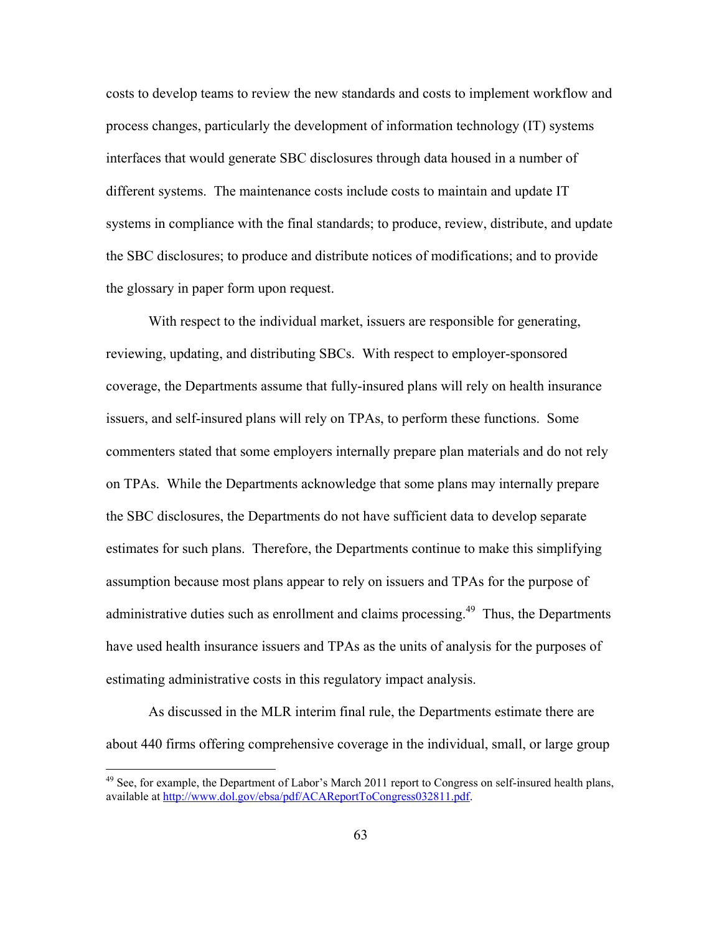costs to develop teams to review the new standards and costs to implement workflow and process changes, particularly the development of information technology (IT) systems interfaces that would generate SBC disclosures through data housed in a number of different systems. The maintenance costs include costs to maintain and update IT systems in compliance with the final standards; to produce, review, distribute, and update the SBC disclosures; to produce and distribute notices of modifications; and to provide the glossary in paper form upon request.

With respect to the individual market, issuers are responsible for generating, reviewing, updating, and distributing SBCs. With respect to employer-sponsored coverage, the Departments assume that fully-insured plans will rely on health insurance issuers, and self-insured plans will rely on TPAs, to perform these functions. Some commenters stated that some employers internally prepare plan materials and do not rely on TPAs. While the Departments acknowledge that some plans may internally prepare the SBC disclosures, the Departments do not have sufficient data to develop separate estimates for such plans. Therefore, the Departments continue to make this simplifying assumption because most plans appear to rely on issuers and TPAs for the purpose of administrative duties such as enrollment and claims processing.<sup>49</sup> Thus, the Departments have used health insurance issuers and TPAs as the units of analysis for the purposes of estimating administrative costs in this regulatory impact analysis.

As discussed in the MLR interim final rule, the Departments estimate there are about 440 firms offering comprehensive coverage in the individual, small, or large group

 $49$  See, for example, the Department of Labor's March 2011 report to Congress on self-insured health plans, available at http://www.dol.gov/ebsa/pdf/ACAReportToCongress032811.pdf.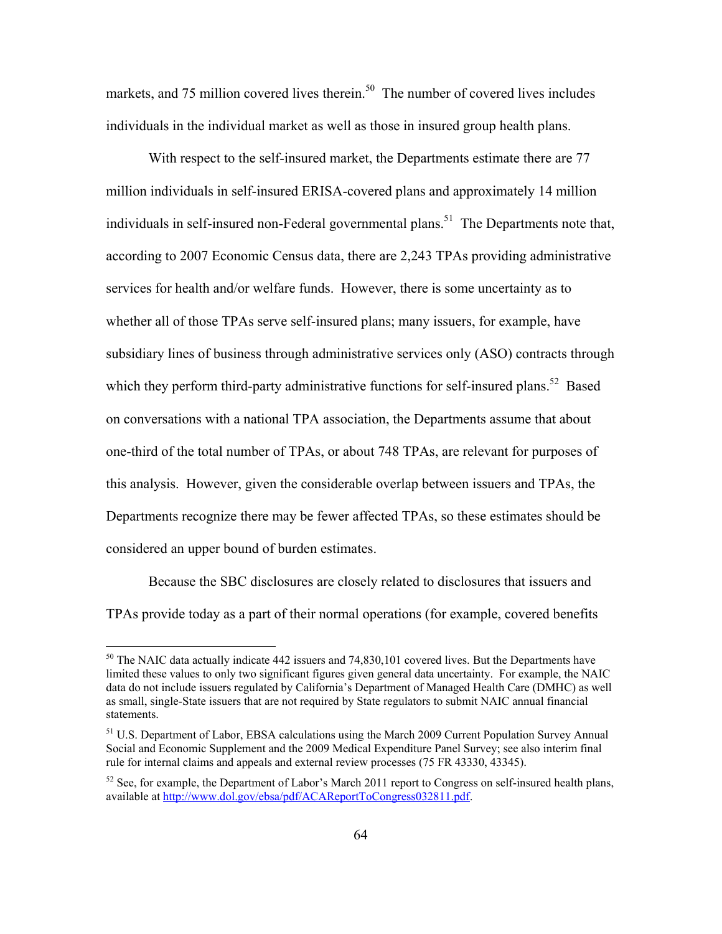markets, and 75 million covered lives therein.<sup>50</sup> The number of covered lives includes individuals in the individual market as well as those in insured group health plans.

With respect to the self-insured market, the Departments estimate there are 77 million individuals in self-insured ERISA-covered plans and approximately 14 million individuals in self-insured non-Federal governmental plans.<sup>51</sup> The Departments note that, according to 2007 Economic Census data, there are 2,243 TPAs providing administrative services for health and/or welfare funds. However, there is some uncertainty as to whether all of those TPAs serve self-insured plans; many issuers, for example, have subsidiary lines of business through administrative services only (ASO) contracts through which they perform third-party administrative functions for self-insured plans.<sup>52</sup> Based on conversations with a national TPA association, the Departments assume that about one-third of the total number of TPAs, or about 748 TPAs, are relevant for purposes of this analysis. However, given the considerable overlap between issuers and TPAs, the Departments recognize there may be fewer affected TPAs, so these estimates should be considered an upper bound of burden estimates.

Because the SBC disclosures are closely related to disclosures that issuers and TPAs provide today as a part of their normal operations (for example, covered benefits

 $50$  The NAIC data actually indicate 442 issuers and 74,830,101 covered lives. But the Departments have limited these values to only two significant figures given general data uncertainty. For example, the NAIC data do not include issuers regulated by California's Department of Managed Health Care (DMHC) as well as small, single-State issuers that are not required by State regulators to submit NAIC annual financial statements.

<sup>&</sup>lt;sup>51</sup> U.S. Department of Labor, EBSA calculations using the March 2009 Current Population Survey Annual Social and Economic Supplement and the 2009 Medical Expenditure Panel Survey; see also interim final rule for internal claims and appeals and external review processes (75 FR 43330, 43345).

 $52$  See, for example, the Department of Labor's March 2011 report to Congress on self-insured health plans, available at http://www.dol.gov/ebsa/pdf/ACAReportToCongress032811.pdf.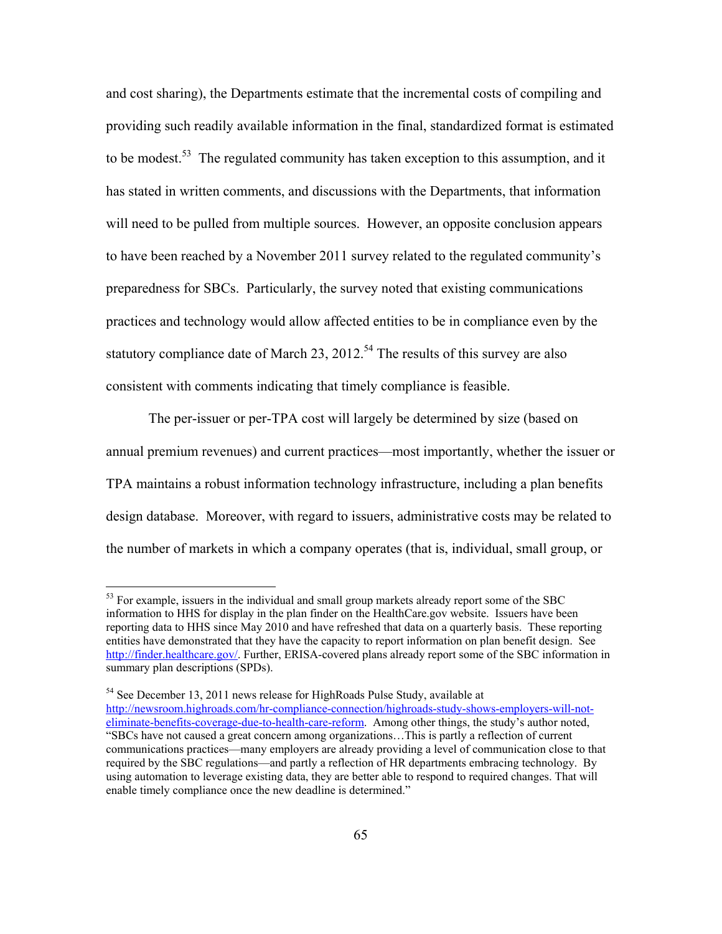and cost sharing), the Departments estimate that the incremental costs of compiling and providing such readily available information in the final, standardized format is estimated to be modest.<sup>53</sup> The regulated community has taken exception to this assumption, and it has stated in written comments, and discussions with the Departments, that information will need to be pulled from multiple sources. However, an opposite conclusion appears to have been reached by a November 2011 survey related to the regulated community's preparedness for SBCs. Particularly, the survey noted that existing communications practices and technology would allow affected entities to be in compliance even by the statutory compliance date of March 23, 2012.<sup>54</sup> The results of this survey are also consistent with comments indicating that timely compliance is feasible.

The per-issuer or per-TPA cost will largely be determined by size (based on annual premium revenues) and current practices—most importantly, whether the issuer or TPA maintains a robust information technology infrastructure, including a plan benefits design database. Moreover, with regard to issuers, administrative costs may be related to the number of markets in which a company operates (that is, individual, small group, or

 $53$  For example, issuers in the individual and small group markets already report some of the SBC information to HHS for display in the plan finder on the HealthCare.gov website. Issuers have been reporting data to HHS since May 2010 and have refreshed that data on a quarterly basis. These reporting entities have demonstrated that they have the capacity to report information on plan benefit design. See http://finder.healthcare.gov/. Further, ERISA-covered plans already report some of the SBC information in summary plan descriptions (SPDs).

 $54$  See December 13, 2011 news release for HighRoads Pulse Study, available at

http://newsroom.highroads.com/hr-compliance-connection/highroads-study-shows-employers-will-noteliminate-benefits-coverage-due-to-health-care-reform. Among other things, the study's author noted, "SBCs have not caused a great concern among organizations…This is partly a reflection of current communications practices—many employers are already providing a level of communication close to that required by the SBC regulations—and partly a reflection of HR departments embracing technology. By using automation to leverage existing data, they are better able to respond to required changes. That will enable timely compliance once the new deadline is determined."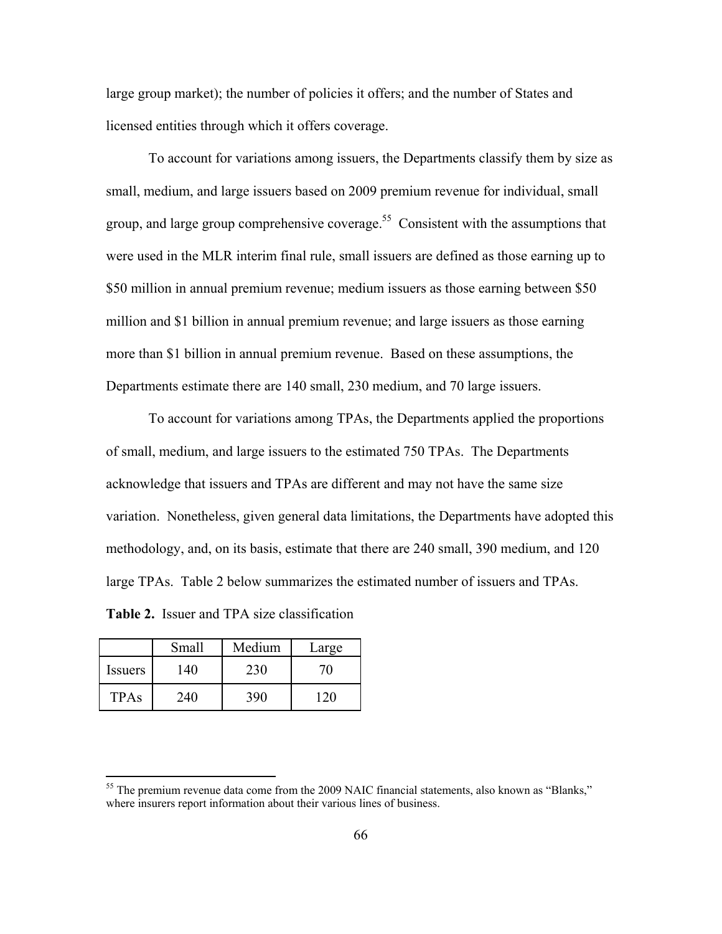large group market); the number of policies it offers; and the number of States and licensed entities through which it offers coverage.

To account for variations among issuers, the Departments classify them by size as small, medium, and large issuers based on 2009 premium revenue for individual, small group, and large group comprehensive coverage.<sup>55</sup> Consistent with the assumptions that were used in the MLR interim final rule, small issuers are defined as those earning up to \$50 million in annual premium revenue; medium issuers as those earning between \$50 million and \$1 billion in annual premium revenue; and large issuers as those earning more than \$1 billion in annual premium revenue. Based on these assumptions, the Departments estimate there are 140 small, 230 medium, and 70 large issuers.

To account for variations among TPAs, the Departments applied the proportions of small, medium, and large issuers to the estimated 750 TPAs. The Departments acknowledge that issuers and TPAs are different and may not have the same size variation. Nonetheless, given general data limitations, the Departments have adopted this methodology, and, on its basis, estimate that there are 240 small, 390 medium, and 120 large TPAs. Table 2 below summarizes the estimated number of issuers and TPAs.

**Table 2.** Issuer and TPA size classification

|             | Small | Medium | Large |
|-------------|-------|--------|-------|
| Issuers     | 140.  | 230    |       |
| <b>TPAs</b> | 240   | 390    | 20    |

<sup>&</sup>lt;sup>55</sup> The premium revenue data come from the 2009 NAIC financial statements, also known as "Blanks," where insurers report information about their various lines of business.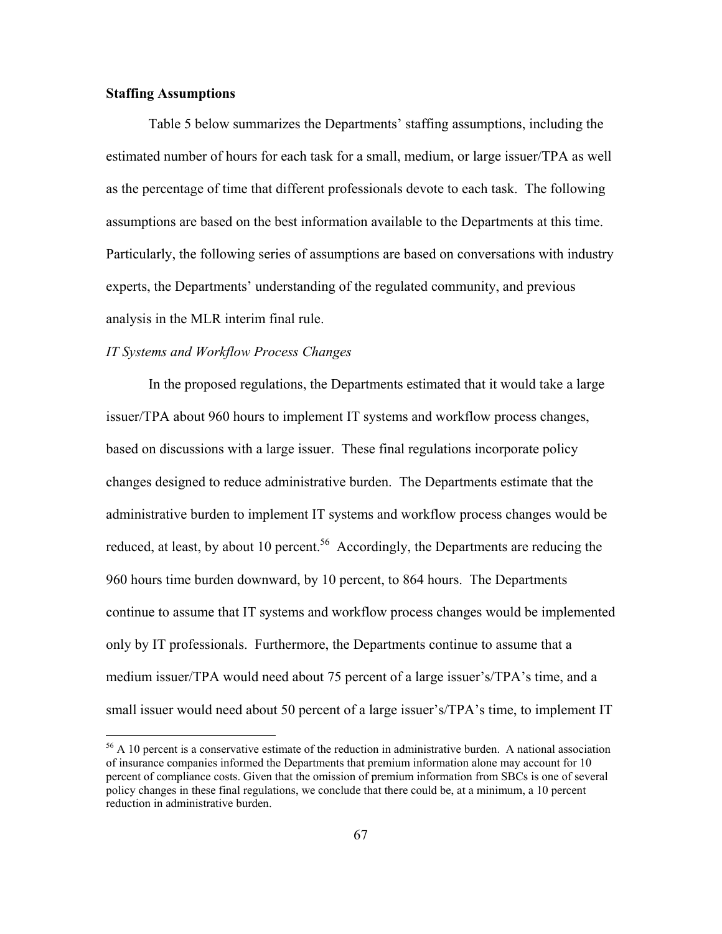## **Staffing Assumptions**

 $\overline{a}$ 

Table 5 below summarizes the Departments' staffing assumptions, including the estimated number of hours for each task for a small, medium, or large issuer/TPA as well as the percentage of time that different professionals devote to each task. The following assumptions are based on the best information available to the Departments at this time. Particularly, the following series of assumptions are based on conversations with industry experts, the Departments' understanding of the regulated community, and previous analysis in the MLR interim final rule.

## *IT Systems and Workflow Process Changes*

In the proposed regulations, the Departments estimated that it would take a large issuer/TPA about 960 hours to implement IT systems and workflow process changes, based on discussions with a large issuer. These final regulations incorporate policy changes designed to reduce administrative burden. The Departments estimate that the administrative burden to implement IT systems and workflow process changes would be reduced, at least, by about 10 percent.<sup>56</sup> Accordingly, the Departments are reducing the 960 hours time burden downward, by 10 percent, to 864 hours. The Departments continue to assume that IT systems and workflow process changes would be implemented only by IT professionals. Furthermore, the Departments continue to assume that a medium issuer/TPA would need about 75 percent of a large issuer's/TPA's time, and a small issuer would need about 50 percent of a large issuer's/TPA's time, to implement IT

<sup>&</sup>lt;sup>56</sup> A 10 percent is a conservative estimate of the reduction in administrative burden. A national association of insurance companies informed the Departments that premium information alone may account for 10 percent of compliance costs. Given that the omission of premium information from SBCs is one of several policy changes in these final regulations, we conclude that there could be, at a minimum, a 10 percent reduction in administrative burden.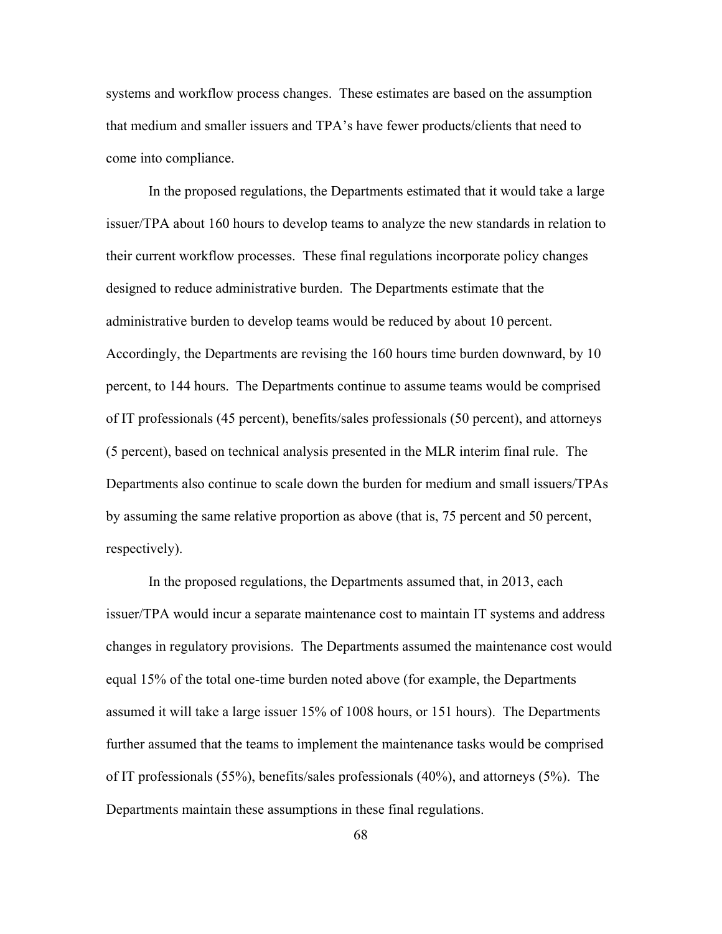systems and workflow process changes. These estimates are based on the assumption that medium and smaller issuers and TPA's have fewer products/clients that need to come into compliance.

In the proposed regulations, the Departments estimated that it would take a large issuer/TPA about 160 hours to develop teams to analyze the new standards in relation to their current workflow processes. These final regulations incorporate policy changes designed to reduce administrative burden. The Departments estimate that the administrative burden to develop teams would be reduced by about 10 percent. Accordingly, the Departments are revising the 160 hours time burden downward, by 10 percent, to 144 hours. The Departments continue to assume teams would be comprised of IT professionals (45 percent), benefits/sales professionals (50 percent), and attorneys (5 percent), based on technical analysis presented in the MLR interim final rule. The Departments also continue to scale down the burden for medium and small issuers/TPAs by assuming the same relative proportion as above (that is, 75 percent and 50 percent, respectively).

In the proposed regulations, the Departments assumed that, in 2013, each issuer/TPA would incur a separate maintenance cost to maintain IT systems and address changes in regulatory provisions. The Departments assumed the maintenance cost would equal 15% of the total one-time burden noted above (for example, the Departments assumed it will take a large issuer 15% of 1008 hours, or 151 hours). The Departments further assumed that the teams to implement the maintenance tasks would be comprised of IT professionals (55%), benefits/sales professionals (40%), and attorneys (5%). The Departments maintain these assumptions in these final regulations.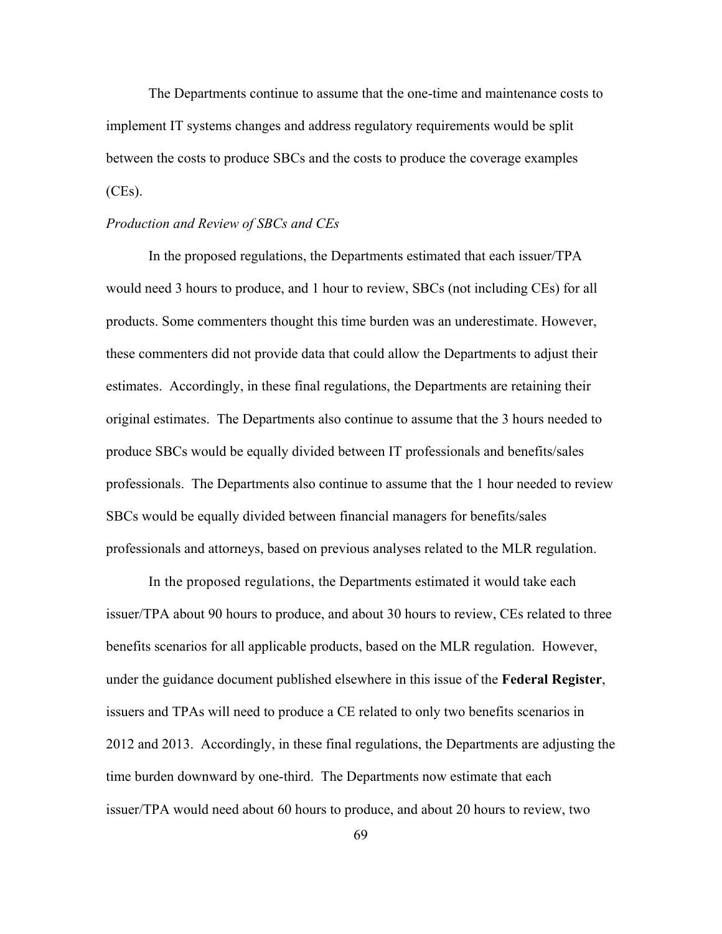The Departments continue to assume that the one-time and maintenance costs to implement IT systems changes and address regulatory requirements would be split between the costs to produce SBCs and the costs to produce the coverage examples  $(CEs)$ .

#### *Production and Review of SBCs and CEs*

In the proposed regulations, the Departments estimated that each issuer/TPA would need 3 hours to produce, and 1 hour to review, SBCs (not including CEs) for all products. Some commenters thought this time burden was an underestimate. However, these commenters did not provide data that could allow the Departments to adjust their estimates. Accordingly, in these final regulations, the Departments are retaining their original estimates. The Departments also continue to assume that the 3 hours needed to produce SBCs would be equally divided between IT professionals and benefits/sales professionals. The Departments also continue to assume that the 1 hour needed to review SBCs would be equally divided between financial managers for benefits/sales professionals and attorneys, based on previous analyses related to the MLR regulation.

In the proposed regulations, the Departments estimated it would take each issuer/TPA about 90 hours to produce, and about 30 hours to review, CEs related to three benefits scenarios for all applicable products, based on the MLR regulation. However, under the guidance document published elsewhere in this issue of the **Federal Register**, issuers and TPAs will need to produce a CE related to only two benefits scenarios in 2012 and 2013. Accordingly, in these final regulations, the Departments are adjusting the time burden downward by one-third. The Departments now estimate that each issuer/TPA would need about 60 hours to produce, and about 20 hours to review, two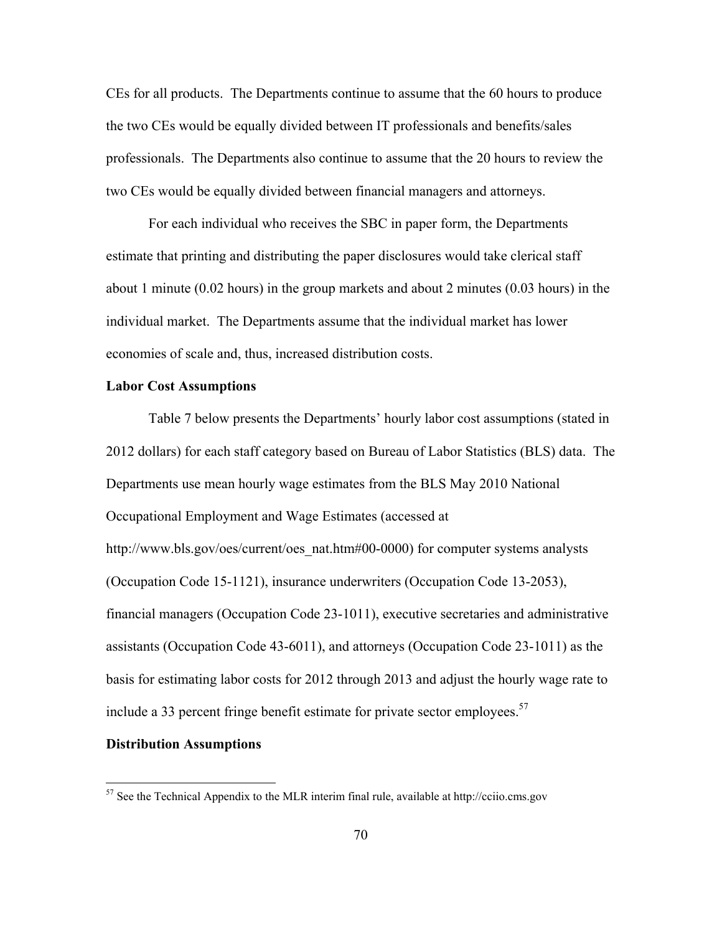CEs for all products. The Departments continue to assume that the 60 hours to produce the two CEs would be equally divided between IT professionals and benefits/sales professionals. The Departments also continue to assume that the 20 hours to review the two CEs would be equally divided between financial managers and attorneys.

For each individual who receives the SBC in paper form, the Departments estimate that printing and distributing the paper disclosures would take clerical staff about 1 minute (0.02 hours) in the group markets and about 2 minutes (0.03 hours) in the individual market. The Departments assume that the individual market has lower economies of scale and, thus, increased distribution costs.

## **Labor Cost Assumptions**

Table 7 below presents the Departments' hourly labor cost assumptions (stated in 2012 dollars) for each staff category based on Bureau of Labor Statistics (BLS) data. The Departments use mean hourly wage estimates from the BLS May 2010 National Occupational Employment and Wage Estimates (accessed at http://www.bls.gov/oes/current/oes\_nat.htm#00-0000) for computer systems analysts (Occupation Code 15-1121), insurance underwriters (Occupation Code 13-2053), financial managers (Occupation Code 23-1011), executive secretaries and administrative assistants (Occupation Code 43-6011), and attorneys (Occupation Code 23-1011) as the basis for estimating labor costs for 2012 through 2013 and adjust the hourly wage rate to include a 33 percent fringe benefit estimate for private sector employees.  $57$ 

#### **Distribution Assumptions**

 $57$  See the Technical Appendix to the MLR interim final rule, available at http://cciio.cms.gov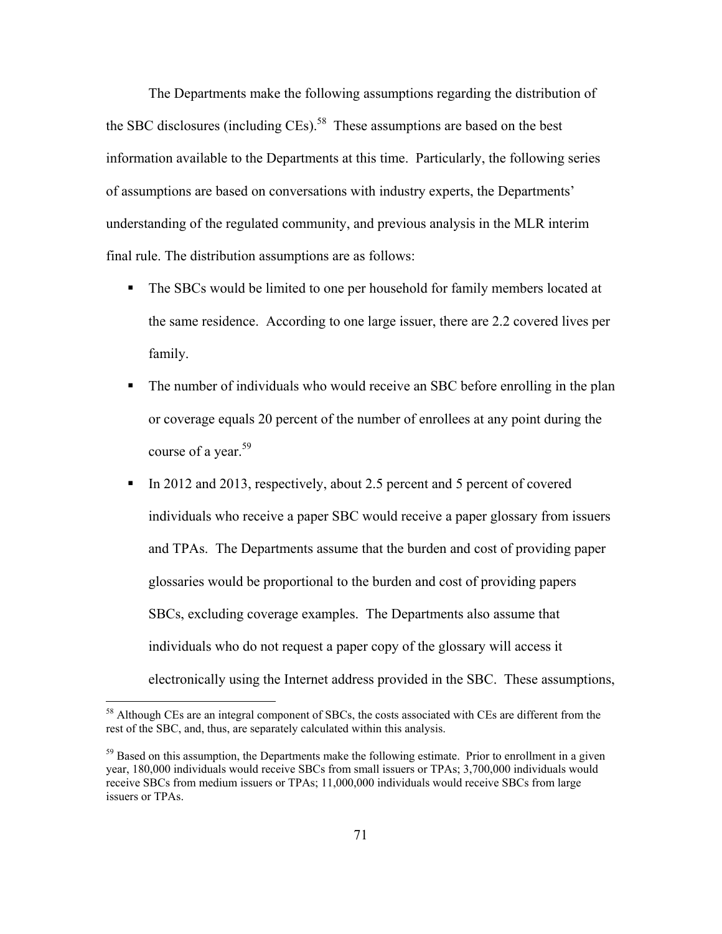The Departments make the following assumptions regarding the distribution of the SBC disclosures (including CEs).<sup>58</sup> These assumptions are based on the best information available to the Departments at this time. Particularly, the following series of assumptions are based on conversations with industry experts, the Departments' understanding of the regulated community, and previous analysis in the MLR interim final rule. The distribution assumptions are as follows:

- The SBCs would be limited to one per household for family members located at the same residence. According to one large issuer, there are 2.2 covered lives per family.
- The number of individuals who would receive an SBC before enrolling in the plan or coverage equals 20 percent of the number of enrollees at any point during the course of a year.<sup>59</sup>
- In 2012 and 2013, respectively, about 2.5 percent and 5 percent of covered individuals who receive a paper SBC would receive a paper glossary from issuers and TPAs. The Departments assume that the burden and cost of providing paper glossaries would be proportional to the burden and cost of providing papers SBCs, excluding coverage examples. The Departments also assume that individuals who do not request a paper copy of the glossary will access it electronically using the Internet address provided in the SBC. These assumptions,

<sup>&</sup>lt;sup>58</sup> Although CEs are an integral component of SBCs, the costs associated with CEs are different from the rest of the SBC, and, thus, are separately calculated within this analysis.

<sup>&</sup>lt;sup>59</sup> Based on this assumption, the Departments make the following estimate. Prior to enrollment in a given year, 180,000 individuals would receive SBCs from small issuers or TPAs; 3,700,000 individuals would receive SBCs from medium issuers or TPAs; 11,000,000 individuals would receive SBCs from large issuers or TPAs.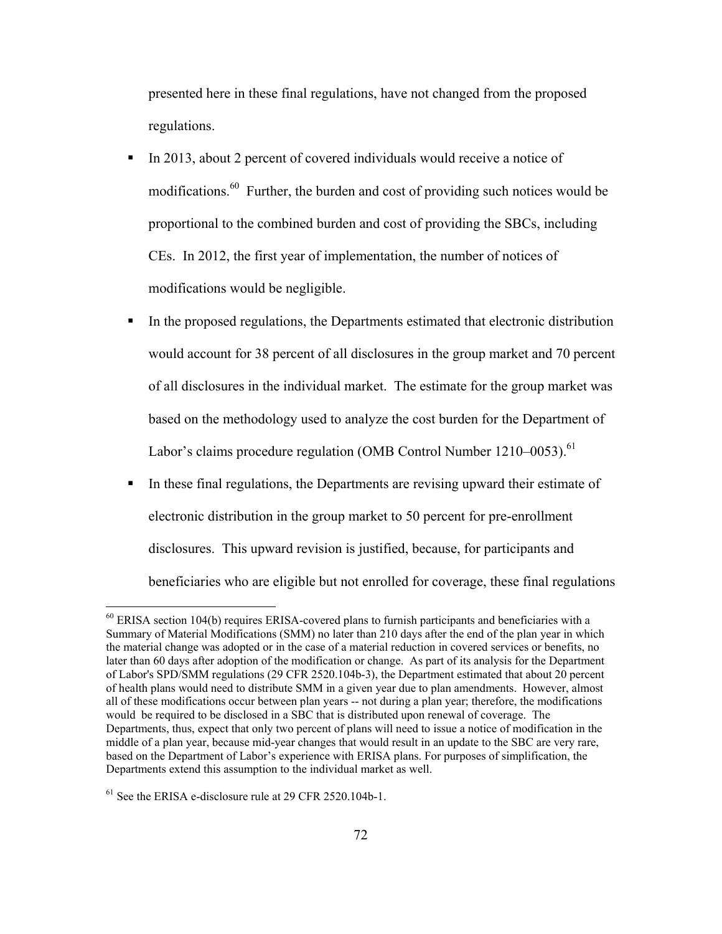presented here in these final regulations, have not changed from the proposed regulations.

- In 2013, about 2 percent of covered individuals would receive a notice of modifications.60 Further, the burden and cost of providing such notices would be proportional to the combined burden and cost of providing the SBCs, including CEs. In 2012, the first year of implementation, the number of notices of modifications would be negligible.
- In the proposed regulations, the Departments estimated that electronic distribution would account for 38 percent of all disclosures in the group market and 70 percent of all disclosures in the individual market. The estimate for the group market was based on the methodology used to analyze the cost burden for the Department of Labor's claims procedure regulation (OMB Control Number 1210–0053).<sup>61</sup>
- In these final regulations, the Departments are revising upward their estimate of electronic distribution in the group market to 50 percent for pre-enrollment disclosures. This upward revision is justified, because, for participants and beneficiaries who are eligible but not enrolled for coverage, these final regulations

1

<sup>&</sup>lt;sup>60</sup> ERISA section 104(b) requires ERISA-covered plans to furnish participants and beneficiaries with a Summary of Material Modifications (SMM) no later than 210 days after the end of the plan year in which the material change was adopted or in the case of a material reduction in covered services or benefits, no later than 60 days after adoption of the modification or change. As part of its analysis for the Department of Labor's SPD/SMM regulations (29 CFR 2520.104b-3), the Department estimated that about 20 percent of health plans would need to distribute SMM in a given year due to plan amendments. However, almost all of these modifications occur between plan years -- not during a plan year; therefore, the modifications would be required to be disclosed in a SBC that is distributed upon renewal of coverage. The Departments, thus, expect that only two percent of plans will need to issue a notice of modification in the middle of a plan year, because mid-year changes that would result in an update to the SBC are very rare, based on the Department of Labor's experience with ERISA plans. For purposes of simplification, the Departments extend this assumption to the individual market as well.

<sup>&</sup>lt;sup>61</sup> See the ERISA e-disclosure rule at 29 CFR 2520.104b-1.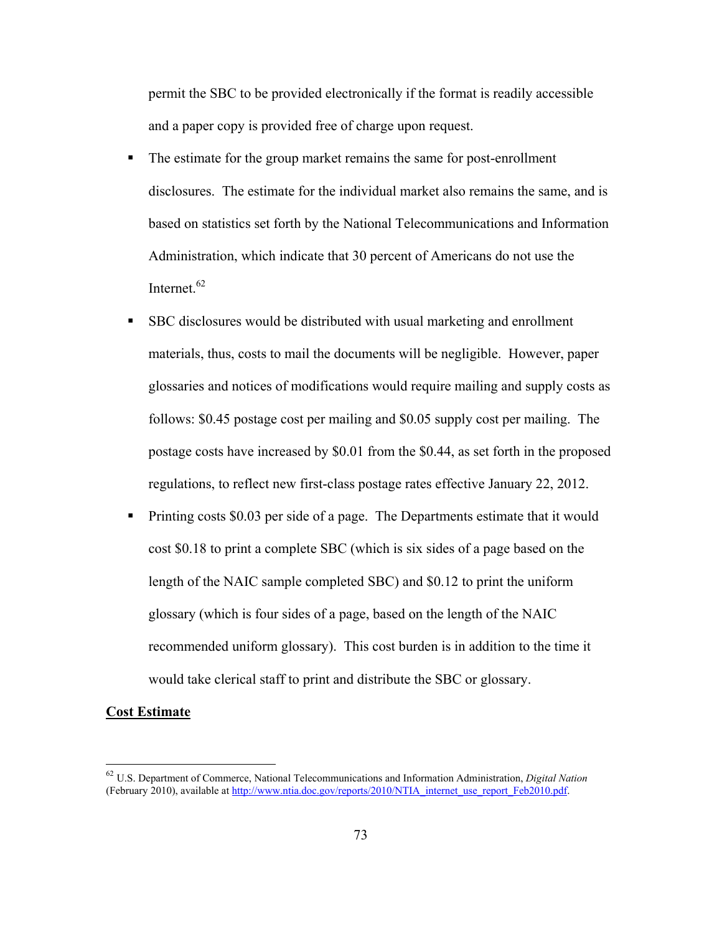permit the SBC to be provided electronically if the format is readily accessible and a paper copy is provided free of charge upon request.

- The estimate for the group market remains the same for post-enrollment disclosures. The estimate for the individual market also remains the same, and is based on statistics set forth by the National Telecommunications and Information Administration, which indicate that 30 percent of Americans do not use the Internet.<sup>62</sup>
- SBC disclosures would be distributed with usual marketing and enrollment materials, thus, costs to mail the documents will be negligible. However, paper glossaries and notices of modifications would require mailing and supply costs as follows: \$0.45 postage cost per mailing and \$0.05 supply cost per mailing. The postage costs have increased by \$0.01 from the \$0.44, as set forth in the proposed regulations, to reflect new first-class postage rates effective January 22, 2012.
- **Printing costs \$0.03 per side of a page. The Departments estimate that it would** cost \$0.18 to print a complete SBC (which is six sides of a page based on the length of the NAIC sample completed SBC) and \$0.12 to print the uniform glossary (which is four sides of a page, based on the length of the NAIC recommended uniform glossary). This cost burden is in addition to the time it would take clerical staff to print and distribute the SBC or glossary.

#### **Cost Estimate**

 $\overline{a}$ 

<sup>62</sup> U.S. Department of Commerce, National Telecommunications and Information Administration, *Digital Nation* (February 2010), available at http://www.ntia.doc.gov/reports/2010/NTIA\_internet\_use\_report\_Feb2010.pdf.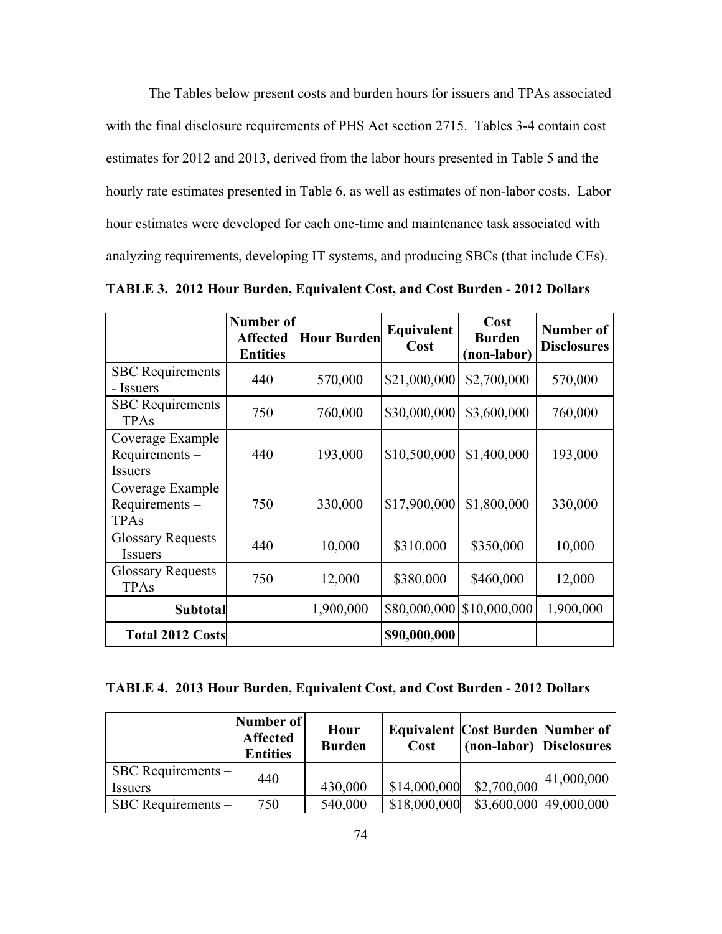The Tables below present costs and burden hours for issuers and TPAs associated with the final disclosure requirements of PHS Act section 2715. Tables 3-4 contain cost estimates for 2012 and 2013, derived from the labor hours presented in Table 5 and the hourly rate estimates presented in Table 6, as well as estimates of non-labor costs. Labor hour estimates were developed for each one-time and maintenance task associated with analyzing requirements, developing IT systems, and producing SBCs (that include CEs).

|                                                     | Number of<br><b>Affected</b><br><b>Entities</b> | <b>Hour Burden</b> | Equivalent<br>Cost | Cost<br><b>Burden</b><br>(non-labor) | Number of<br><b>Disclosures</b> |
|-----------------------------------------------------|-------------------------------------------------|--------------------|--------------------|--------------------------------------|---------------------------------|
| <b>SBC</b> Requirements<br>- Issuers                | 440                                             | 570,000            | \$21,000,000       | \$2,700,000                          | 570,000                         |
| <b>SBC</b> Requirements<br>$-TPAs$                  | 750                                             | 760,000            | \$30,000,000       | \$3,600,000                          | 760,000                         |
| Coverage Example<br>Requirements-<br><b>Issuers</b> | 440                                             | 193,000            | \$10,500,000       | \$1,400,000                          | 193,000                         |
| Coverage Example<br>Requirements-<br><b>TPAs</b>    | 750                                             | 330,000            | \$17,900,000       | \$1,800,000                          | 330,000                         |
| <b>Glossary Requests</b><br>– Issuers               | 440                                             | 10,000             | \$310,000          | \$350,000                            | 10,000                          |
| <b>Glossary Requests</b><br>$-TPAs$                 | 750                                             | 12,000             | \$380,000          | \$460,000                            | 12,000                          |
| <b>Subtotal</b>                                     |                                                 | 1,900,000          | \$80,000,000       | \$10,000,000                         | 1,900,000                       |
| <b>Total 2012 Costs</b>                             |                                                 |                    | \$90,000,000       |                                      |                                 |

**TABLE 3. 2012 Hour Burden, Equivalent Cost, and Cost Burden - 2012 Dollars** 

**TABLE 4. 2013 Hour Burden, Equivalent Cost, and Cost Burden - 2012 Dollars** 

|                                        | Number of<br><b>Affected</b><br><b>Entities</b> | Hour<br><b>Burden</b> | Cost         | <b>Equivalent Cost Burden Number of</b><br>(non-labor) Disclosures |                        |
|----------------------------------------|-------------------------------------------------|-----------------------|--------------|--------------------------------------------------------------------|------------------------|
| SBC Requirements $-$<br><i>Issuers</i> | 440                                             | 430,000               | \$14,000,000 | \$2,700,000                                                        | 41,000,000             |
| SBC Requirements $-$                   | 750                                             | 540,000               | \$18,000,000 |                                                                    | \$3,600,000 49,000,000 |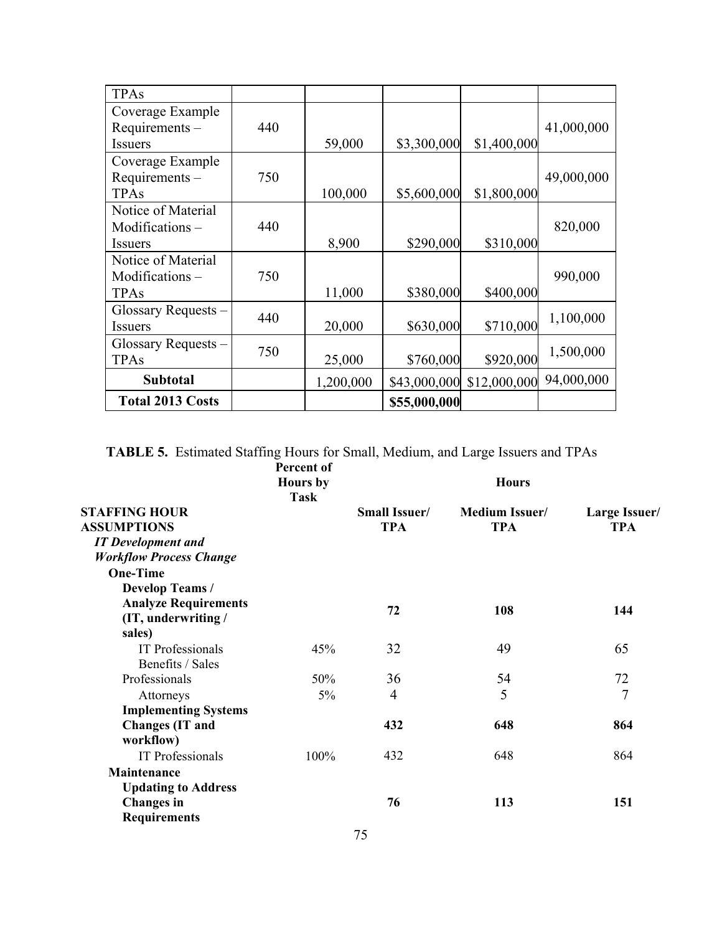| <b>TPAs</b>             |     |           |              |              |            |
|-------------------------|-----|-----------|--------------|--------------|------------|
| Coverage Example        |     |           |              |              |            |
| Requirements-           | 440 |           |              |              | 41,000,000 |
| Issuers                 |     | 59,000    | \$3,300,000  | \$1,400,000  |            |
| Coverage Example        |     |           |              |              |            |
| Requirements-           | 750 |           |              |              | 49,000,000 |
| <b>TPAs</b>             |     | 100,000   | \$5,600,000  | \$1,800,000  |            |
| Notice of Material      |     |           |              |              |            |
| Modifications-          | 440 |           |              |              | 820,000    |
| <i>Issuers</i>          |     | 8,900     | \$290,000    | \$310,000    |            |
| Notice of Material      |     |           |              |              |            |
| Modifications-          | 750 |           |              |              | 990,000    |
| <b>TPAs</b>             |     | 11,000    | \$380,000    | \$400,000    |            |
| Glossary Requests –     | 440 |           |              |              |            |
| <b>Issuers</b>          |     | 20,000    | \$630,000    | \$710,000    | 1,100,000  |
| Glossary Requests -     |     |           |              |              |            |
| <b>TPAs</b>             | 750 | 25,000    | \$760,000    | \$920,000    | 1,500,000  |
| <b>Subtotal</b>         |     | 1,200,000 | \$43,000,000 | \$12,000,000 | 94,000,000 |
| <b>Total 2013 Costs</b> |     |           | \$55,000,000 |              |            |

**TABLE 5.** Estimated Staffing Hours for Small, Medium, and Large Issuers and TPAs

|                                | Percent of<br><b>Hours</b> by<br>Task |                      | <b>Hours</b>          |                      |
|--------------------------------|---------------------------------------|----------------------|-----------------------|----------------------|
| <b>STAFFING HOUR</b>           |                                       | <b>Small Issuer/</b> | <b>Medium Issuer/</b> | <b>Large Issuer/</b> |
| <b>ASSUMPTIONS</b>             |                                       | <b>TPA</b>           | <b>TPA</b>            | <b>TPA</b>           |
| <b>IT</b> Development and      |                                       |                      |                       |                      |
| <b>Workflow Process Change</b> |                                       |                      |                       |                      |
| <b>One-Time</b>                |                                       |                      |                       |                      |
| <b>Develop Teams /</b>         |                                       |                      |                       |                      |
| <b>Analyze Requirements</b>    |                                       | 72                   | 108                   | 144                  |
| (IT, underwriting /            |                                       |                      |                       |                      |
| sales)                         |                                       |                      |                       |                      |
| <b>IT</b> Professionals        | 45%                                   | 32                   | 49                    | 65                   |
| Benefits / Sales               |                                       |                      |                       |                      |
| Professionals                  | 50%                                   | 36                   | 54                    | 72                   |
| Attorneys                      | $5\%$                                 | $\overline{4}$       | 5                     | $\overline{7}$       |
| <b>Implementing Systems</b>    |                                       |                      |                       |                      |
| <b>Changes</b> (IT and         |                                       | 432                  | 648                   | 864                  |
| workflow)                      |                                       |                      |                       |                      |
| <b>IT Professionals</b>        | 100%                                  | 432                  | 648                   | 864                  |
| Maintenance                    |                                       |                      |                       |                      |
| <b>Updating to Address</b>     |                                       |                      |                       |                      |
| <b>Changes</b> in              |                                       | 76                   | 113                   | 151                  |
| <b>Requirements</b>            |                                       |                      |                       |                      |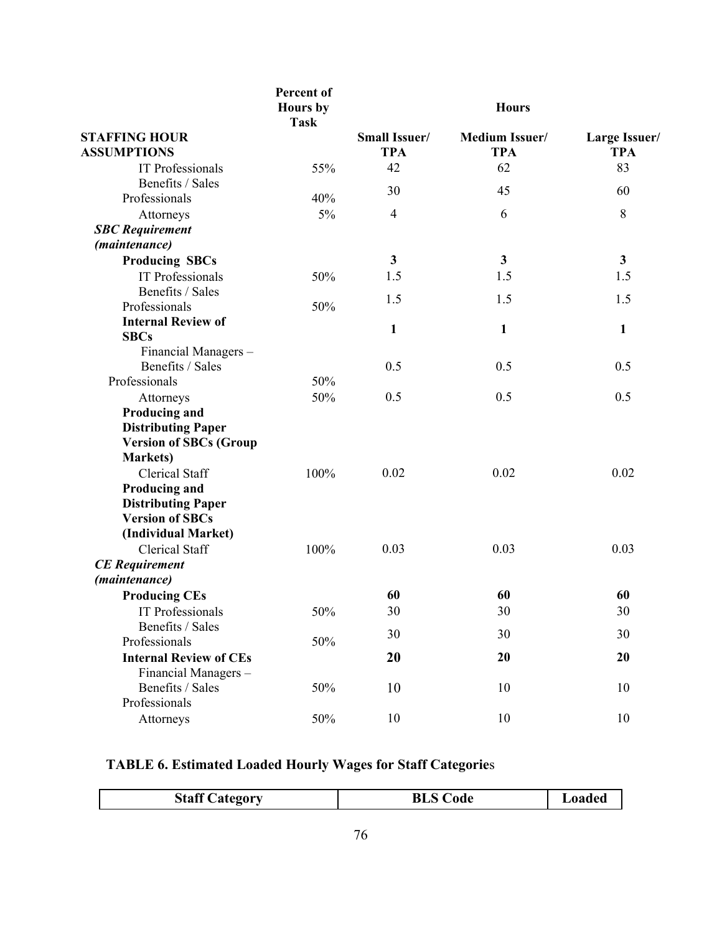|                                            | Percent of<br><b>Hours</b> by<br><b>Task</b> |                             | <b>Hours</b>                        |                                    |
|--------------------------------------------|----------------------------------------------|-----------------------------|-------------------------------------|------------------------------------|
| <b>STAFFING HOUR</b><br><b>ASSUMPTIONS</b> |                                              | Small Issuer/<br><b>TPA</b> | <b>Medium Issuer/</b><br><b>TPA</b> | <b>Large Issuer/</b><br><b>TPA</b> |
| <b>IT Professionals</b>                    | 55%                                          | 42                          | 62                                  | 83                                 |
| Benefits / Sales                           |                                              | 30                          | 45                                  | 60                                 |
| Professionals                              | 40%                                          |                             |                                     |                                    |
| Attorneys                                  | 5%                                           | $\overline{4}$              | 6                                   | 8                                  |
| <b>SBC</b> Requirement                     |                                              |                             |                                     |                                    |
| (maintenance)                              |                                              |                             |                                     |                                    |
| <b>Producing SBCs</b>                      |                                              | $\mathbf{3}$                | $\mathbf{3}$                        | $\mathbf{3}$                       |
| <b>IT Professionals</b>                    | 50%                                          | 1.5                         | 1.5                                 | 1.5                                |
| Benefits / Sales                           |                                              | 1.5                         | 1.5                                 | 1.5                                |
| Professionals                              | 50%                                          |                             |                                     |                                    |
| <b>Internal Review of</b>                  |                                              | $\mathbf{1}$                | $\mathbf{1}$                        | $\mathbf{1}$                       |
| <b>SBCs</b>                                |                                              |                             |                                     |                                    |
| Financial Managers-                        |                                              |                             |                                     |                                    |
| Benefits / Sales                           |                                              | 0.5                         | 0.5                                 | 0.5                                |
| Professionals                              | 50%                                          |                             |                                     |                                    |
| Attorneys                                  | 50%                                          | 0.5                         | 0.5                                 | 0.5                                |
| Producing and                              |                                              |                             |                                     |                                    |
| <b>Distributing Paper</b>                  |                                              |                             |                                     |                                    |
| <b>Version of SBCs (Group</b>              |                                              |                             |                                     |                                    |
| <b>Markets</b> )                           |                                              |                             |                                     |                                    |
| <b>Clerical Staff</b>                      | 100%                                         | 0.02                        | 0.02                                | 0.02                               |
| <b>Producing and</b>                       |                                              |                             |                                     |                                    |
| <b>Distributing Paper</b>                  |                                              |                             |                                     |                                    |
| <b>Version of SBCs</b>                     |                                              |                             |                                     |                                    |
| (Individual Market)                        |                                              |                             |                                     |                                    |
| <b>Clerical Staff</b>                      | 100%                                         | 0.03                        | 0.03                                | 0.03                               |
| <b>CE</b> Requirement                      |                                              |                             |                                     |                                    |
| (maintenance)                              |                                              |                             |                                     |                                    |
| <b>Producing CEs</b>                       |                                              | 60                          | 60                                  | 60                                 |
| IT Professionals                           | 50%                                          | 30                          | 30                                  | 30                                 |
| Benefits / Sales                           |                                              | 30                          | 30                                  | 30                                 |
| Professionals                              | 50%                                          |                             |                                     |                                    |
| <b>Internal Review of CEs</b>              |                                              | 20                          | 20                                  | 20                                 |
| Financial Managers-                        |                                              |                             |                                     |                                    |
| Benefits / Sales                           | 50%                                          | 10                          | 10                                  | 10                                 |
| Professionals                              |                                              |                             |                                     |                                    |
| Attorneys                                  | 50%                                          | 10                          | 10                                  | 10                                 |

## **TABLE 6. Estimated Loaded Hourly Wages for Staff Categorie**s

|  | <b>Staff Category</b> | <b>Code</b><br>BLS C | oaded |
|--|-----------------------|----------------------|-------|
|--|-----------------------|----------------------|-------|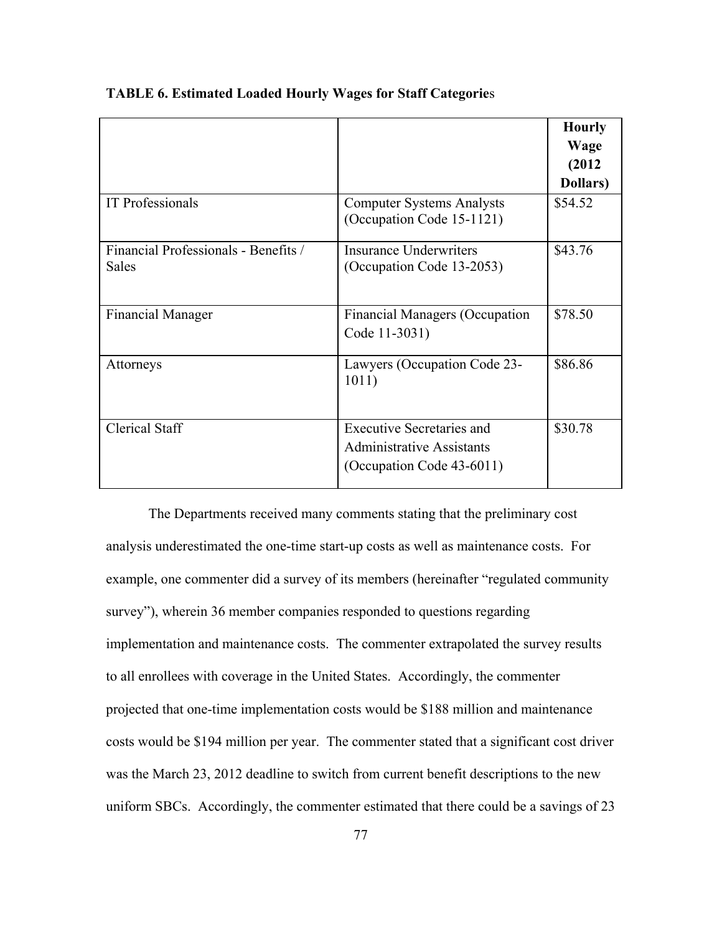|                                               |                                                                                                   | <b>Hourly</b><br>Wage<br>(2012)<br>Dollars) |
|-----------------------------------------------|---------------------------------------------------------------------------------------------------|---------------------------------------------|
| <b>IT Professionals</b>                       | <b>Computer Systems Analysts</b><br>(Occupation Code 15-1121)                                     | \$54.52                                     |
| Financial Professionals - Benefits /<br>Sales | Insurance Underwriters<br>(Occupation Code 13-2053)                                               | \$43.76                                     |
| <b>Financial Manager</b>                      | <b>Financial Managers (Occupation</b><br>Code 11-3031)                                            | \$78.50                                     |
| Attorneys                                     | Lawyers (Occupation Code 23-<br>1011)                                                             | \$86.86                                     |
| <b>Clerical Staff</b>                         | <b>Executive Secretaries and</b><br><b>Administrative Assistants</b><br>(Occupation Code 43-6011) | \$30.78                                     |

**TABLE 6. Estimated Loaded Hourly Wages for Staff Categorie**s

The Departments received many comments stating that the preliminary cost analysis underestimated the one-time start-up costs as well as maintenance costs. For example, one commenter did a survey of its members (hereinafter "regulated community survey"), wherein 36 member companies responded to questions regarding implementation and maintenance costs. The commenter extrapolated the survey results to all enrollees with coverage in the United States. Accordingly, the commenter projected that one-time implementation costs would be \$188 million and maintenance costs would be \$194 million per year. The commenter stated that a significant cost driver was the March 23, 2012 deadline to switch from current benefit descriptions to the new uniform SBCs. Accordingly, the commenter estimated that there could be a savings of 23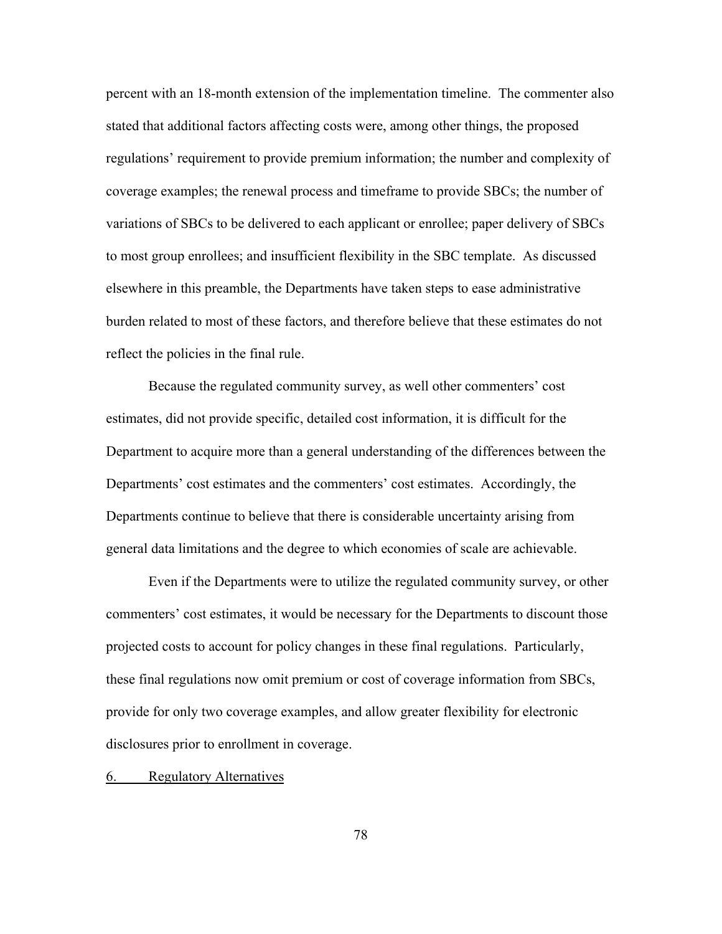percent with an 18-month extension of the implementation timeline. The commenter also stated that additional factors affecting costs were, among other things, the proposed regulations' requirement to provide premium information; the number and complexity of coverage examples; the renewal process and timeframe to provide SBCs; the number of variations of SBCs to be delivered to each applicant or enrollee; paper delivery of SBCs to most group enrollees; and insufficient flexibility in the SBC template. As discussed elsewhere in this preamble, the Departments have taken steps to ease administrative burden related to most of these factors, and therefore believe that these estimates do not reflect the policies in the final rule.

Because the regulated community survey, as well other commenters' cost estimates, did not provide specific, detailed cost information, it is difficult for the Department to acquire more than a general understanding of the differences between the Departments' cost estimates and the commenters' cost estimates. Accordingly, the Departments continue to believe that there is considerable uncertainty arising from general data limitations and the degree to which economies of scale are achievable.

Even if the Departments were to utilize the regulated community survey, or other commenters' cost estimates, it would be necessary for the Departments to discount those projected costs to account for policy changes in these final regulations. Particularly, these final regulations now omit premium or cost of coverage information from SBCs, provide for only two coverage examples, and allow greater flexibility for electronic disclosures prior to enrollment in coverage.

6. Regulatory Alternatives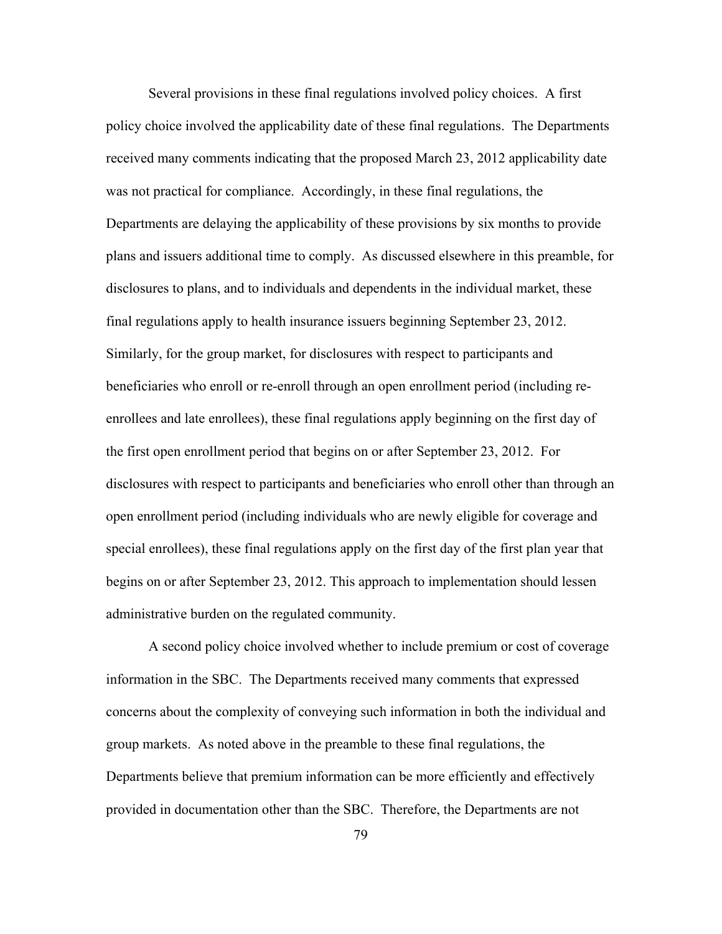Several provisions in these final regulations involved policy choices. A first policy choice involved the applicability date of these final regulations. The Departments received many comments indicating that the proposed March 23, 2012 applicability date was not practical for compliance. Accordingly, in these final regulations, the Departments are delaying the applicability of these provisions by six months to provide plans and issuers additional time to comply. As discussed elsewhere in this preamble, for disclosures to plans, and to individuals and dependents in the individual market, these final regulations apply to health insurance issuers beginning September 23, 2012. Similarly, for the group market, for disclosures with respect to participants and beneficiaries who enroll or re-enroll through an open enrollment period (including reenrollees and late enrollees), these final regulations apply beginning on the first day of the first open enrollment period that begins on or after September 23, 2012. For disclosures with respect to participants and beneficiaries who enroll other than through an open enrollment period (including individuals who are newly eligible for coverage and special enrollees), these final regulations apply on the first day of the first plan year that begins on or after September 23, 2012. This approach to implementation should lessen administrative burden on the regulated community.

A second policy choice involved whether to include premium or cost of coverage information in the SBC. The Departments received many comments that expressed concerns about the complexity of conveying such information in both the individual and group markets. As noted above in the preamble to these final regulations, the Departments believe that premium information can be more efficiently and effectively provided in documentation other than the SBC. Therefore, the Departments are not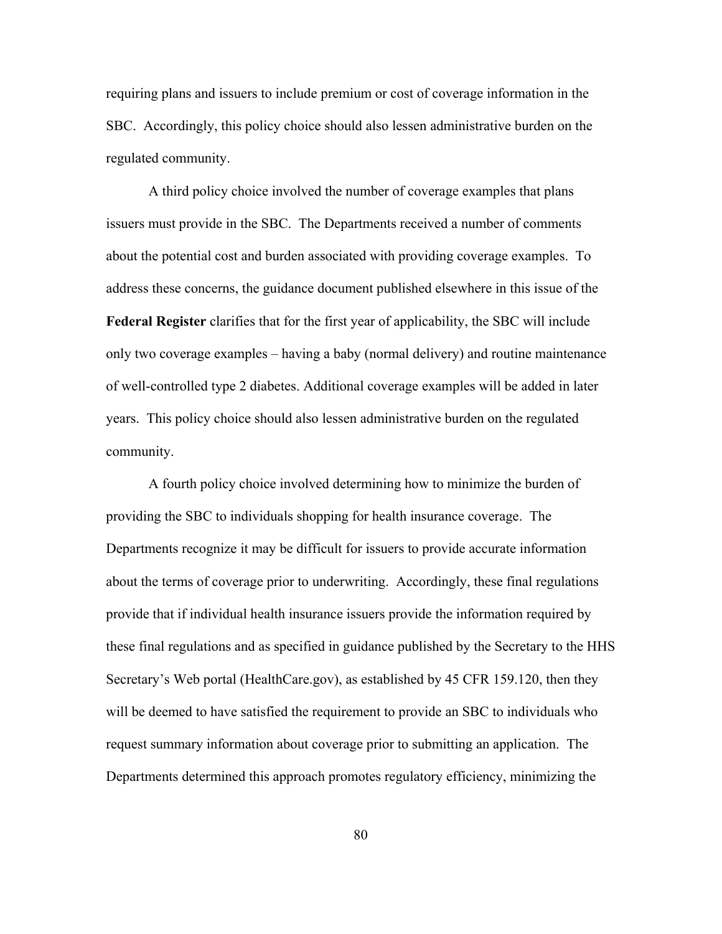requiring plans and issuers to include premium or cost of coverage information in the SBC. Accordingly, this policy choice should also lessen administrative burden on the regulated community.

A third policy choice involved the number of coverage examples that plans issuers must provide in the SBC. The Departments received a number of comments about the potential cost and burden associated with providing coverage examples. To address these concerns, the guidance document published elsewhere in this issue of the **Federal Register** clarifies that for the first year of applicability, the SBC will include only two coverage examples – having a baby (normal delivery) and routine maintenance of well-controlled type 2 diabetes. Additional coverage examples will be added in later years. This policy choice should also lessen administrative burden on the regulated community.

A fourth policy choice involved determining how to minimize the burden of providing the SBC to individuals shopping for health insurance coverage. The Departments recognize it may be difficult for issuers to provide accurate information about the terms of coverage prior to underwriting. Accordingly, these final regulations provide that if individual health insurance issuers provide the information required by these final regulations and as specified in guidance published by the Secretary to the HHS Secretary's Web portal (HealthCare.gov), as established by 45 CFR 159.120, then they will be deemed to have satisfied the requirement to provide an SBC to individuals who request summary information about coverage prior to submitting an application. The Departments determined this approach promotes regulatory efficiency, minimizing the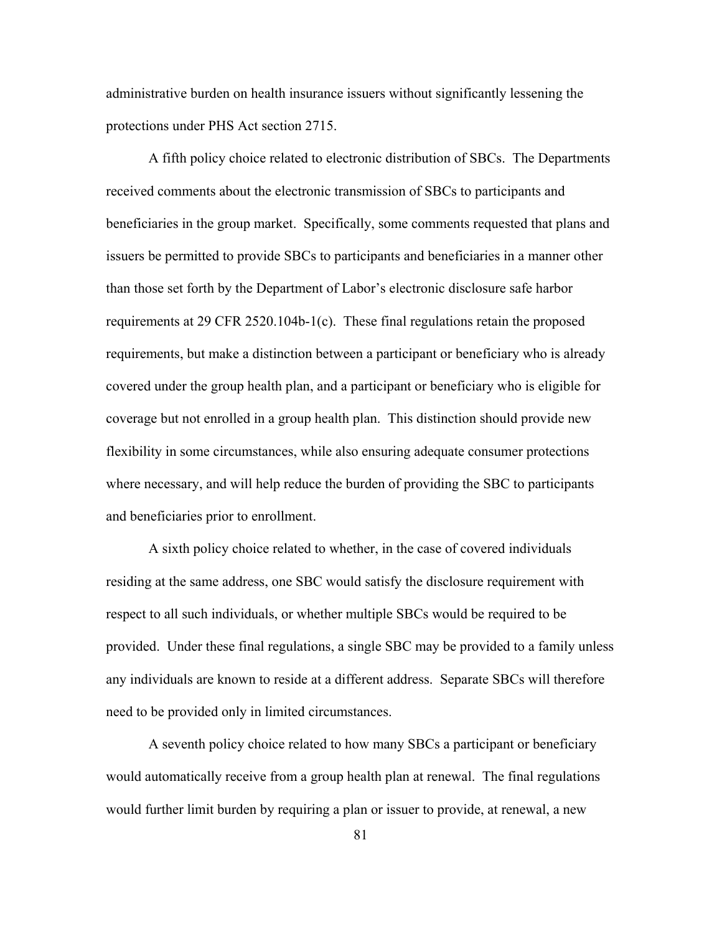administrative burden on health insurance issuers without significantly lessening the protections under PHS Act section 2715.

A fifth policy choice related to electronic distribution of SBCs. The Departments received comments about the electronic transmission of SBCs to participants and beneficiaries in the group market. Specifically, some comments requested that plans and issuers be permitted to provide SBCs to participants and beneficiaries in a manner other than those set forth by the Department of Labor's electronic disclosure safe harbor requirements at 29 CFR 2520.104b-1(c). These final regulations retain the proposed requirements, but make a distinction between a participant or beneficiary who is already covered under the group health plan, and a participant or beneficiary who is eligible for coverage but not enrolled in a group health plan. This distinction should provide new flexibility in some circumstances, while also ensuring adequate consumer protections where necessary, and will help reduce the burden of providing the SBC to participants and beneficiaries prior to enrollment.

A sixth policy choice related to whether, in the case of covered individuals residing at the same address, one SBC would satisfy the disclosure requirement with respect to all such individuals, or whether multiple SBCs would be required to be provided. Under these final regulations, a single SBC may be provided to a family unless any individuals are known to reside at a different address. Separate SBCs will therefore need to be provided only in limited circumstances.

A seventh policy choice related to how many SBCs a participant or beneficiary would automatically receive from a group health plan at renewal. The final regulations would further limit burden by requiring a plan or issuer to provide, at renewal, a new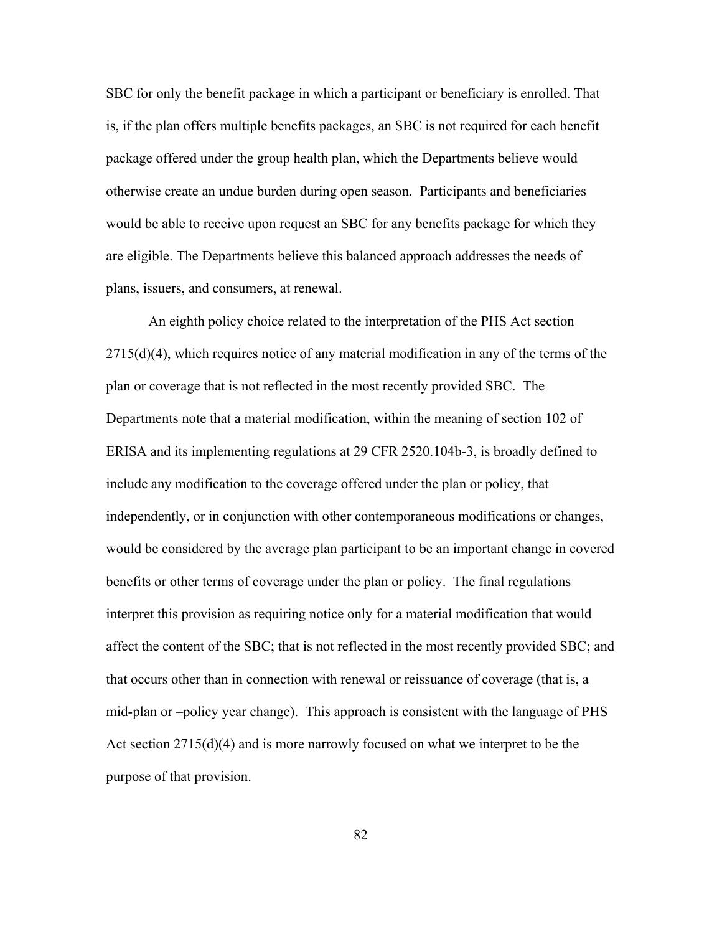SBC for only the benefit package in which a participant or beneficiary is enrolled. That is, if the plan offers multiple benefits packages, an SBC is not required for each benefit package offered under the group health plan, which the Departments believe would otherwise create an undue burden during open season. Participants and beneficiaries would be able to receive upon request an SBC for any benefits package for which they are eligible. The Departments believe this balanced approach addresses the needs of plans, issuers, and consumers, at renewal.

An eighth policy choice related to the interpretation of the PHS Act section 2715(d)(4), which requires notice of any material modification in any of the terms of the plan or coverage that is not reflected in the most recently provided SBC. The Departments note that a material modification, within the meaning of section 102 of ERISA and its implementing regulations at 29 CFR 2520.104b-3, is broadly defined to include any modification to the coverage offered under the plan or policy, that independently, or in conjunction with other contemporaneous modifications or changes, would be considered by the average plan participant to be an important change in covered benefits or other terms of coverage under the plan or policy. The final regulations interpret this provision as requiring notice only for a material modification that would affect the content of the SBC; that is not reflected in the most recently provided SBC; and that occurs other than in connection with renewal or reissuance of coverage (that is, a mid-plan or –policy year change). This approach is consistent with the language of PHS Act section 2715(d)(4) and is more narrowly focused on what we interpret to be the purpose of that provision.

82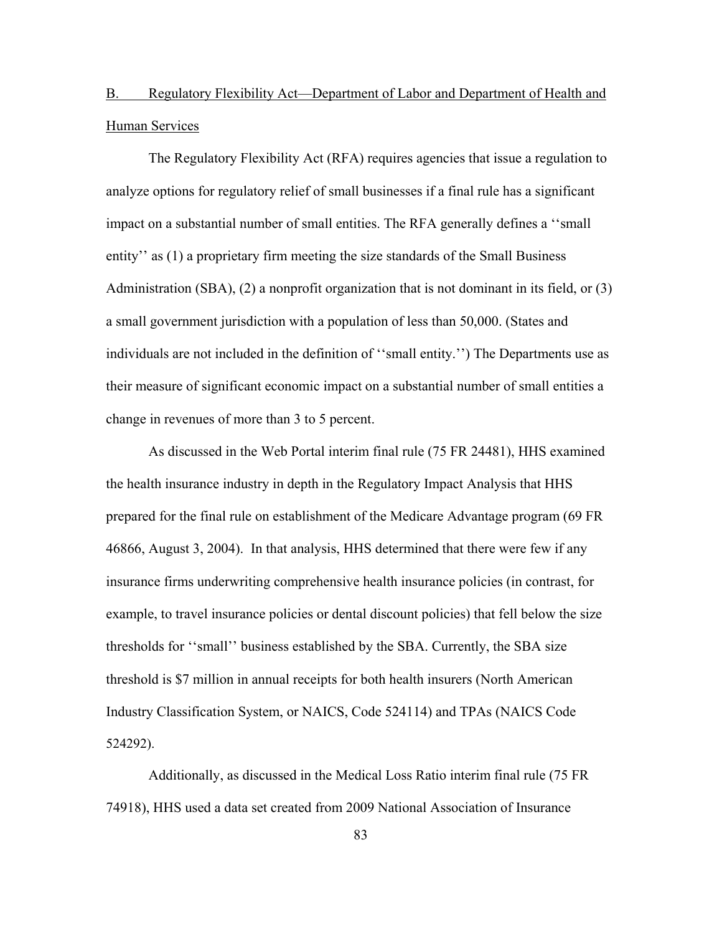## B. Regulatory Flexibility Act—Department of Labor and Department of Health and Human Services

The Regulatory Flexibility Act (RFA) requires agencies that issue a regulation to analyze options for regulatory relief of small businesses if a final rule has a significant impact on a substantial number of small entities. The RFA generally defines a ''small entity'' as (1) a proprietary firm meeting the size standards of the Small Business Administration (SBA), (2) a nonprofit organization that is not dominant in its field, or (3) a small government jurisdiction with a population of less than 50,000. (States and individuals are not included in the definition of ''small entity.'') The Departments use as their measure of significant economic impact on a substantial number of small entities a change in revenues of more than 3 to 5 percent.

As discussed in the Web Portal interim final rule (75 FR 24481), HHS examined the health insurance industry in depth in the Regulatory Impact Analysis that HHS prepared for the final rule on establishment of the Medicare Advantage program (69 FR 46866, August 3, 2004). In that analysis, HHS determined that there were few if any insurance firms underwriting comprehensive health insurance policies (in contrast, for example, to travel insurance policies or dental discount policies) that fell below the size thresholds for ''small'' business established by the SBA. Currently, the SBA size threshold is \$7 million in annual receipts for both health insurers (North American Industry Classification System, or NAICS, Code 524114) and TPAs (NAICS Code 524292).

Additionally, as discussed in the Medical Loss Ratio interim final rule (75 FR 74918), HHS used a data set created from 2009 National Association of Insurance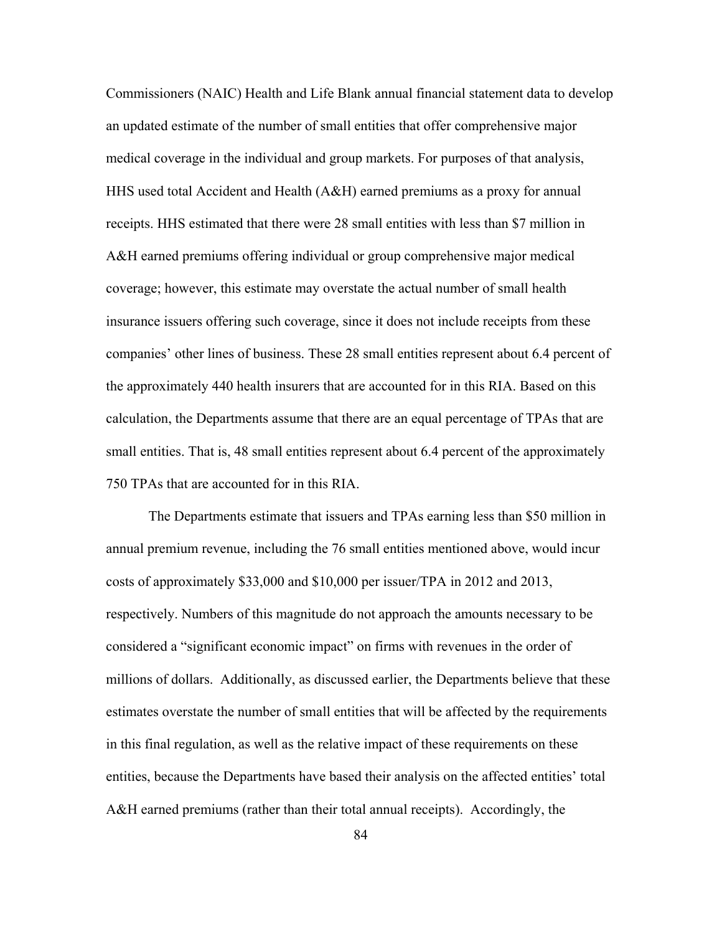Commissioners (NAIC) Health and Life Blank annual financial statement data to develop an updated estimate of the number of small entities that offer comprehensive major medical coverage in the individual and group markets. For purposes of that analysis, HHS used total Accident and Health (A&H) earned premiums as a proxy for annual receipts. HHS estimated that there were 28 small entities with less than \$7 million in A&H earned premiums offering individual or group comprehensive major medical coverage; however, this estimate may overstate the actual number of small health insurance issuers offering such coverage, since it does not include receipts from these companies' other lines of business. These 28 small entities represent about 6.4 percent of the approximately 440 health insurers that are accounted for in this RIA. Based on this calculation, the Departments assume that there are an equal percentage of TPAs that are small entities. That is, 48 small entities represent about 6.4 percent of the approximately 750 TPAs that are accounted for in this RIA.

The Departments estimate that issuers and TPAs earning less than \$50 million in annual premium revenue, including the 76 small entities mentioned above, would incur costs of approximately \$33,000 and \$10,000 per issuer/TPA in 2012 and 2013, respectively. Numbers of this magnitude do not approach the amounts necessary to be considered a "significant economic impact" on firms with revenues in the order of millions of dollars. Additionally, as discussed earlier, the Departments believe that these estimates overstate the number of small entities that will be affected by the requirements in this final regulation, as well as the relative impact of these requirements on these entities, because the Departments have based their analysis on the affected entities' total A&H earned premiums (rather than their total annual receipts). Accordingly, the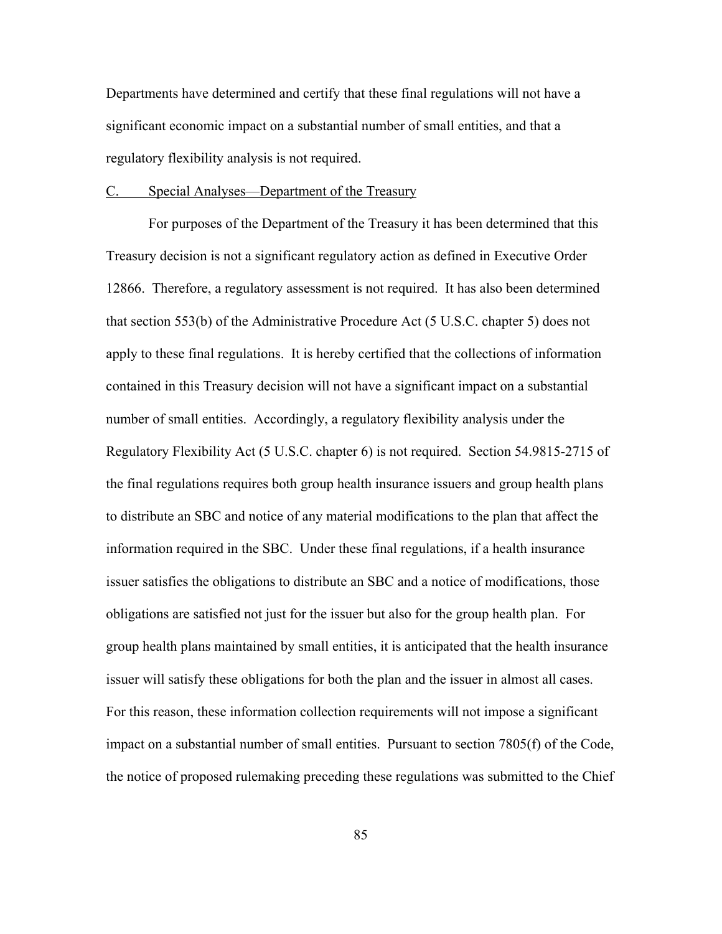Departments have determined and certify that these final regulations will not have a significant economic impact on a substantial number of small entities, and that a regulatory flexibility analysis is not required.

### C. Special Analyses—Department of the Treasury

For purposes of the Department of the Treasury it has been determined that this Treasury decision is not a significant regulatory action as defined in Executive Order 12866. Therefore, a regulatory assessment is not required. It has also been determined that section 553(b) of the Administrative Procedure Act (5 U.S.C. chapter 5) does not apply to these final regulations. It is hereby certified that the collections of information contained in this Treasury decision will not have a significant impact on a substantial number of small entities. Accordingly, a regulatory flexibility analysis under the Regulatory Flexibility Act (5 U.S.C. chapter 6) is not required. Section 54.9815-2715 of the final regulations requires both group health insurance issuers and group health plans to distribute an SBC and notice of any material modifications to the plan that affect the information required in the SBC. Under these final regulations, if a health insurance issuer satisfies the obligations to distribute an SBC and a notice of modifications, those obligations are satisfied not just for the issuer but also for the group health plan. For group health plans maintained by small entities, it is anticipated that the health insurance issuer will satisfy these obligations for both the plan and the issuer in almost all cases. For this reason, these information collection requirements will not impose a significant impact on a substantial number of small entities. Pursuant to section 7805(f) of the Code, the notice of proposed rulemaking preceding these regulations was submitted to the Chief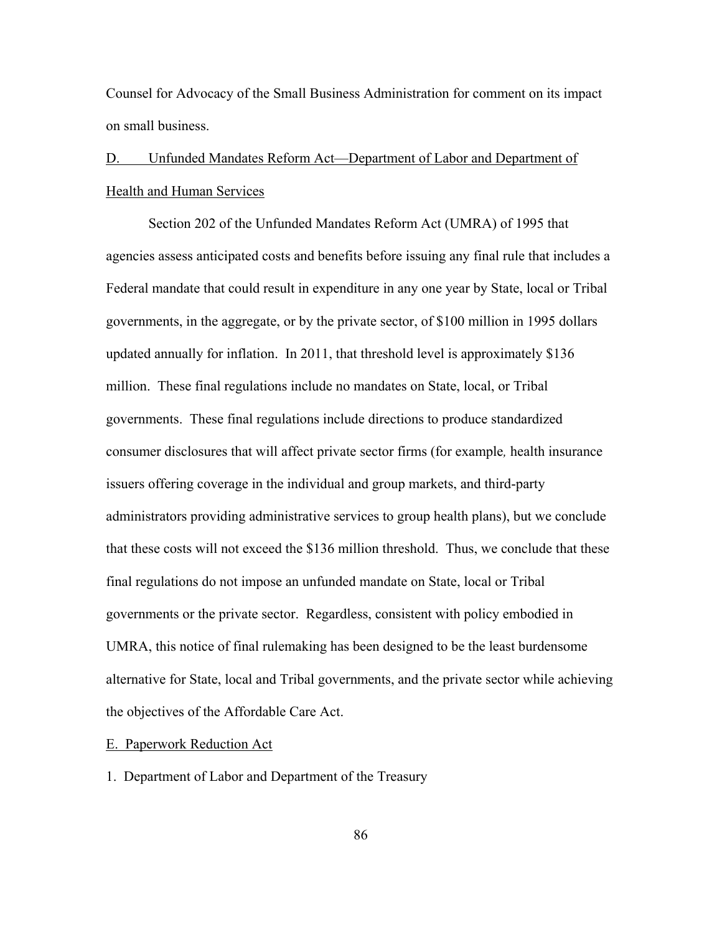Counsel for Advocacy of the Small Business Administration for comment on its impact on small business.

# D. Unfunded Mandates Reform Act—Department of Labor and Department of Health and Human Services

Section 202 of the Unfunded Mandates Reform Act (UMRA) of 1995 that agencies assess anticipated costs and benefits before issuing any final rule that includes a Federal mandate that could result in expenditure in any one year by State, local or Tribal governments, in the aggregate, or by the private sector, of \$100 million in 1995 dollars updated annually for inflation. In 2011, that threshold level is approximately \$136 million. These final regulations include no mandates on State, local, or Tribal governments. These final regulations include directions to produce standardized consumer disclosures that will affect private sector firms (for example*,* health insurance issuers offering coverage in the individual and group markets, and third-party administrators providing administrative services to group health plans), but we conclude that these costs will not exceed the \$136 million threshold. Thus, we conclude that these final regulations do not impose an unfunded mandate on State, local or Tribal governments or the private sector. Regardless, consistent with policy embodied in UMRA, this notice of final rulemaking has been designed to be the least burdensome alternative for State, local and Tribal governments, and the private sector while achieving the objectives of the Affordable Care Act.

## E. Paperwork Reduction Act

1. Department of Labor and Department of the Treasury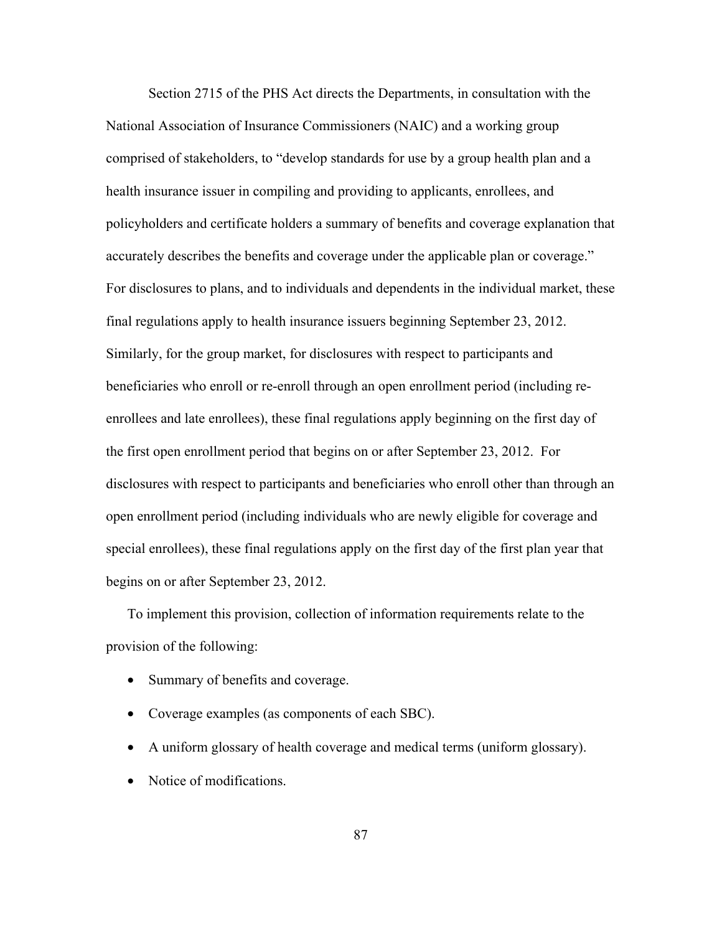Section 2715 of the PHS Act directs the Departments, in consultation with the National Association of Insurance Commissioners (NAIC) and a working group comprised of stakeholders, to "develop standards for use by a group health plan and a health insurance issuer in compiling and providing to applicants, enrollees, and policyholders and certificate holders a summary of benefits and coverage explanation that accurately describes the benefits and coverage under the applicable plan or coverage." For disclosures to plans, and to individuals and dependents in the individual market, these final regulations apply to health insurance issuers beginning September 23, 2012. Similarly, for the group market, for disclosures with respect to participants and beneficiaries who enroll or re-enroll through an open enrollment period (including reenrollees and late enrollees), these final regulations apply beginning on the first day of the first open enrollment period that begins on or after September 23, 2012. For disclosures with respect to participants and beneficiaries who enroll other than through an open enrollment period (including individuals who are newly eligible for coverage and special enrollees), these final regulations apply on the first day of the first plan year that begins on or after September 23, 2012.

To implement this provision, collection of information requirements relate to the provision of the following:

- Summary of benefits and coverage.
- Coverage examples (as components of each SBC).
- A uniform glossary of health coverage and medical terms (uniform glossary).
- Notice of modifications.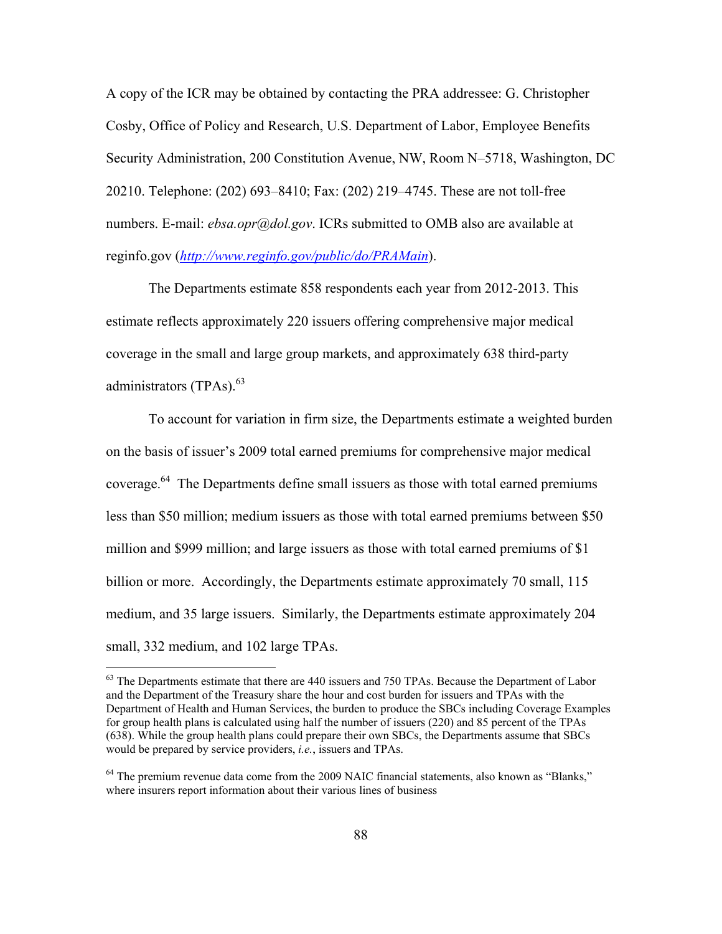A copy of the ICR may be obtained by contacting the PRA addressee: G. Christopher Cosby, Office of Policy and Research, U.S. Department of Labor, Employee Benefits Security Administration, 200 Constitution Avenue, NW, Room N–5718, Washington, DC 20210. Telephone: (202) 693–8410; Fax: (202) 219–4745. These are not toll-free numbers. E-mail: *ebsa.opr@dol.gov.* ICRs submitted to OMB also are available at reginfo.gov (*http://www.reginfo.gov/public/do/PRAMain*).

The Departments estimate 858 respondents each year from 2012-2013. This estimate reflects approximately 220 issuers offering comprehensive major medical coverage in the small and large group markets, and approximately 638 third-party administrators (TPAs).<sup>63</sup>

To account for variation in firm size, the Departments estimate a weighted burden on the basis of issuer's 2009 total earned premiums for comprehensive major medical coverage. $64$  The Departments define small issuers as those with total earned premiums less than \$50 million; medium issuers as those with total earned premiums between \$50 million and \$999 million; and large issuers as those with total earned premiums of \$1 billion or more. Accordingly, the Departments estimate approximately 70 small, 115 medium, and 35 large issuers. Similarly, the Departments estimate approximately 204 small, 332 medium, and 102 large TPAs.

 $\overline{a}$ 

 $63$  The Departments estimate that there are 440 issuers and 750 TPAs. Because the Department of Labor and the Department of the Treasury share the hour and cost burden for issuers and TPAs with the Department of Health and Human Services, the burden to produce the SBCs including Coverage Examples for group health plans is calculated using half the number of issuers (220) and 85 percent of the TPAs (638). While the group health plans could prepare their own SBCs, the Departments assume that SBCs would be prepared by service providers, *i.e.*, issuers and TPAs.

<sup>&</sup>lt;sup>64</sup> The premium revenue data come from the 2009 NAIC financial statements, also known as "Blanks," where insurers report information about their various lines of business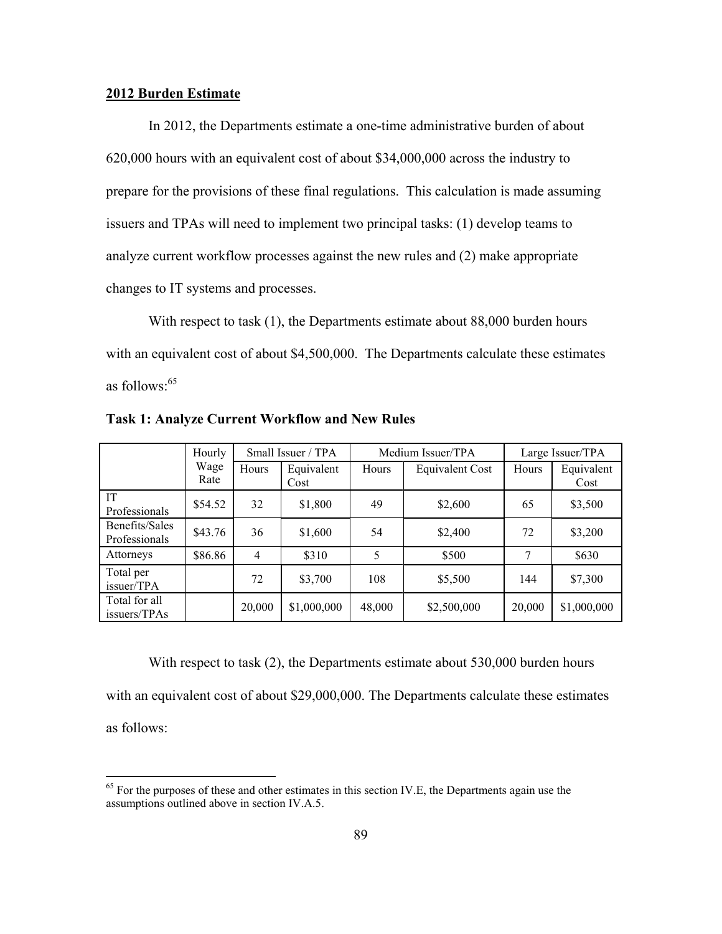#### **2012 Burden Estimate**

 $\overline{a}$ 

In 2012, the Departments estimate a one-time administrative burden of about 620,000 hours with an equivalent cost of about \$34,000,000 across the industry to prepare for the provisions of these final regulations. This calculation is made assuming issuers and TPAs will need to implement two principal tasks: (1) develop teams to analyze current workflow processes against the new rules and (2) make appropriate changes to IT systems and processes.

With respect to task (1), the Departments estimate about 88,000 burden hours with an equivalent cost of about \$4,500,000. The Departments calculate these estimates as follows: $65$ 

|                                 | Hourly       | Small Issuer / TPA |                    |        | Medium Issuer/TPA      | Large Issuer/TPA |                    |
|---------------------------------|--------------|--------------------|--------------------|--------|------------------------|------------------|--------------------|
|                                 | Wage<br>Rate | Hours              | Equivalent<br>Cost | Hours  | <b>Equivalent Cost</b> | Hours            | Equivalent<br>Cost |
| IT<br>Professionals             | \$54.52      | 32                 | \$1,800            | 49     | \$2,600                | 65               | \$3,500            |
| Benefits/Sales<br>Professionals | \$43.76      | 36                 | \$1,600            | 54     | \$2,400                | 72               | \$3,200            |
| Attorneys                       | \$86.86      | 4                  | \$310              | 5      | \$500                  | 7                | \$630              |
| Total per<br>issuer/TPA         |              | 72                 | \$3,700            | 108    | \$5,500                | 144              | \$7,300            |
| Total for all<br>issuers/TPAs   |              | 20,000             | \$1,000,000        | 48,000 | \$2,500,000            | 20,000           | \$1,000,000        |

**Task 1: Analyze Current Workflow and New Rules** 

With respect to task (2), the Departments estimate about 530,000 burden hours with an equivalent cost of about \$29,000,000. The Departments calculate these estimates as follows:

 $<sup>65</sup>$  For the purposes of these and other estimates in this section IV.E, the Departments again use the</sup> assumptions outlined above in section IV.A.5.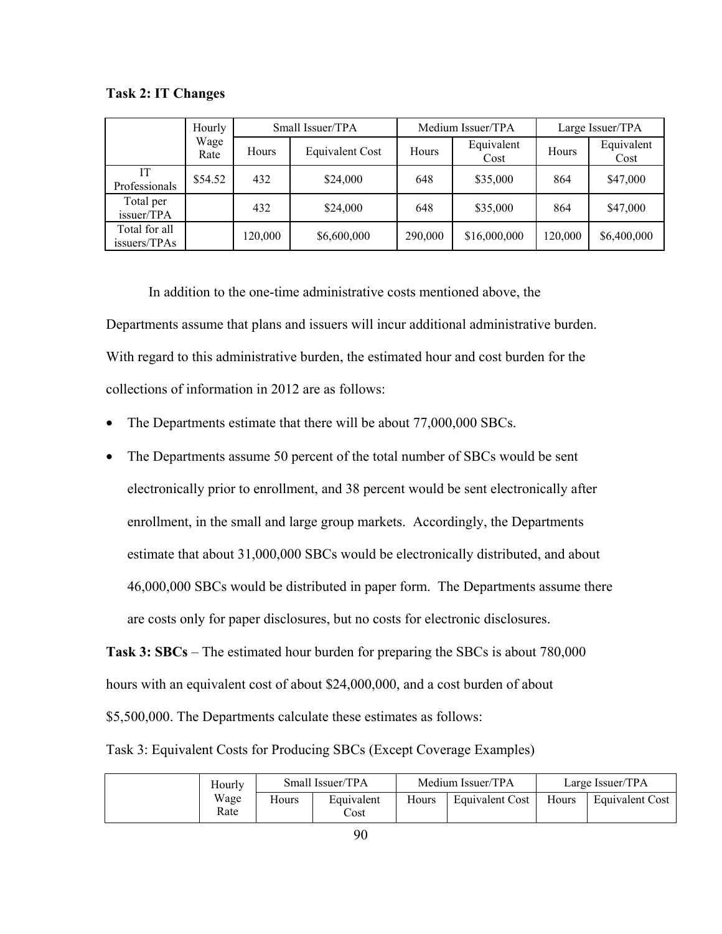|                               | Hourly       | Small Issuer/TPA |                        |         | Medium Issuer/TPA  | Large Issuer/TPA |                    |
|-------------------------------|--------------|------------------|------------------------|---------|--------------------|------------------|--------------------|
|                               | Wage<br>Rate | Hours            | <b>Equivalent Cost</b> | Hours   | Equivalent<br>Cost | Hours            | Equivalent<br>Cost |
| IT<br>Professionals           | \$54.52      | 432              | \$24,000               | 648     | \$35,000           | 864              | \$47,000           |
| Total per<br>issuer/TPA       |              | 432              | \$24,000               | 648     | \$35,000           | 864              | \$47,000           |
| Total for all<br>issuers/TPAs |              | 120,000          | \$6,600,000            | 290,000 | \$16,000,000       | 120,000          | \$6,400,000        |

**Task 2: IT Changes** 

 In addition to the one-time administrative costs mentioned above, the Departments assume that plans and issuers will incur additional administrative burden. With regard to this administrative burden, the estimated hour and cost burden for the collections of information in 2012 are as follows:

- The Departments estimate that there will be about 77,000,000 SBCs.
- The Departments assume 50 percent of the total number of SBCs would be sent electronically prior to enrollment, and 38 percent would be sent electronically after enrollment, in the small and large group markets. Accordingly, the Departments estimate that about 31,000,000 SBCs would be electronically distributed, and about 46,000,000 SBCs would be distributed in paper form. The Departments assume there are costs only for paper disclosures, but no costs for electronic disclosures.

**Task 3: SBCs** – The estimated hour burden for preparing the SBCs is about 780,000 hours with an equivalent cost of about \$24,000,000, and a cost burden of about \$5,500,000. The Departments calculate these estimates as follows:

Task 3: Equivalent Costs for Producing SBCs (Except Coverage Examples)

| Hourly       |       | Small Issuer/TPA   |       | Medium Issuer/TPA |       | Large Issuer/TPA |
|--------------|-------|--------------------|-------|-------------------|-------|------------------|
| Wage<br>Rate | Hours | Equivalent<br>Cost | Hours | Equivalent Cost   | Hours | Equivalent Cost  |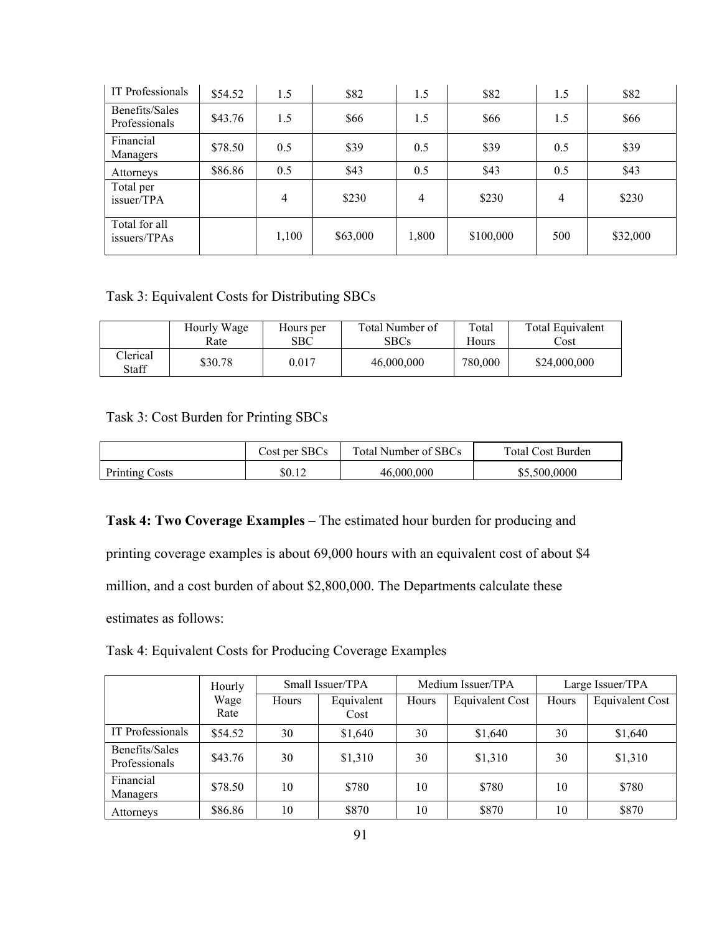| IT Professionals                | \$54.52 | 1.5            | \$82     | 1.5   | \$82      | 1.5            | \$82     |
|---------------------------------|---------|----------------|----------|-------|-----------|----------------|----------|
| Benefits/Sales<br>Professionals | \$43.76 | 1.5            | \$66     | 1.5   | \$66      | 1.5            | \$66     |
| Financial<br>Managers           | \$78.50 | 0.5            | \$39     | 0.5   | \$39      | 0.5            | \$39     |
| Attorneys                       | \$86.86 | 0.5            | \$43     | 0.5   | \$43      | 0.5            | \$43     |
| Total per<br>issuer/TPA         |         | $\overline{4}$ | \$230    | 4     | \$230     | $\overline{4}$ | \$230    |
| Total for all<br>issuers/TPAs   |         | 1,100          | \$63,000 | 1,800 | \$100,000 | 500            | \$32,000 |

## Task 3: Equivalent Costs for Distributing SBCs

|                   | Hourly Wage | Hours per | Total Number of | Total   | Total Equivalent |
|-------------------|-------------|-----------|-----------------|---------|------------------|
|                   | Rate        | SBC       | <b>SBCs</b>     | Hours   | Cost             |
| Clerical<br>Staff | \$30.78     | 0.017     | 46,000,000      | 780,000 | \$24,000,000     |

## Task 3: Cost Burden for Printing SBCs

|                       | Cost per SBCs | Total Number of SBCs | <b>Total Cost Burden</b> |
|-----------------------|---------------|----------------------|--------------------------|
| <b>Printing Costs</b> | \$0.12        | 46,000,000           | \$5,500,0000             |

## **Task 4: Two Coverage Examples** – The estimated hour burden for producing and

printing coverage examples is about 69,000 hours with an equivalent cost of about \$4

million, and a cost burden of about \$2,800,000. The Departments calculate these

estimates as follows:

|  | Task 4: Equivalent Costs for Producing Coverage Examples |  |
|--|----------------------------------------------------------|--|
|  |                                                          |  |

|                                 | Hourly       | Small Issuer/TPA |                    |       | Medium Issuer/TPA | Large Issuer/TPA |                        |
|---------------------------------|--------------|------------------|--------------------|-------|-------------------|------------------|------------------------|
|                                 | Wage<br>Rate | Hours            | Equivalent<br>Cost | Hours | Equivalent Cost   | Hours            | <b>Equivalent Cost</b> |
| IT Professionals                | \$54.52      | 30               | \$1,640            | 30    | \$1,640           | 30               | \$1,640                |
| Benefits/Sales<br>Professionals | \$43.76      | 30               | \$1,310            | 30    | \$1,310           | 30               | \$1,310                |
| Financial<br>Managers           | \$78.50      | 10               | \$780              | 10    | \$780             | 10               | \$780                  |
| Attorneys                       | \$86.86      | 10               | \$870              | 10    | \$870             | 10               | \$870                  |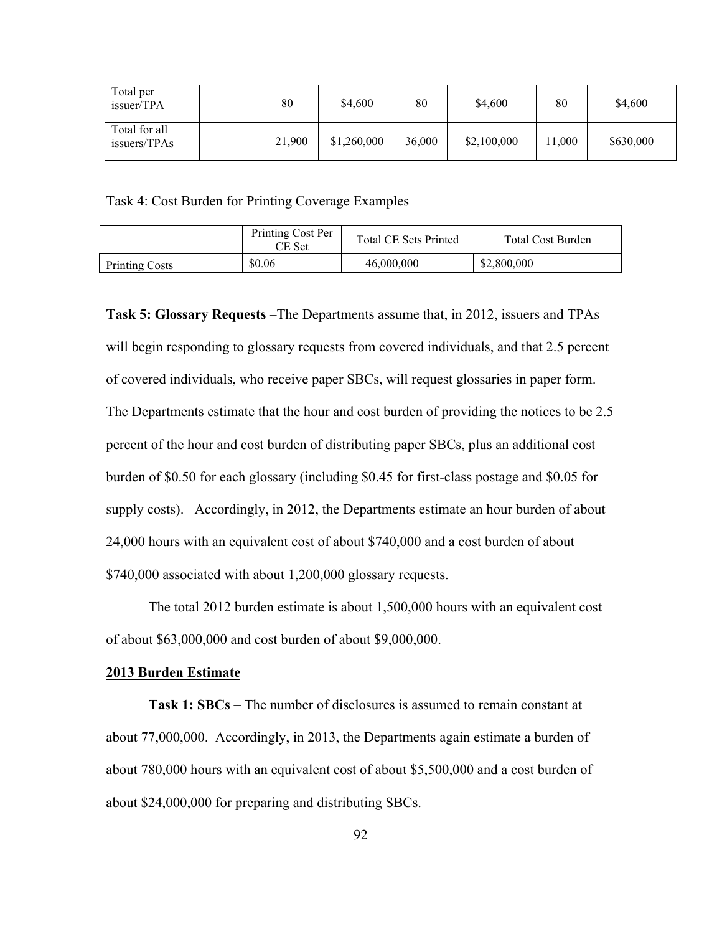| Total per<br>issuer/TPA       | 80     | \$4,600     | 80     | \$4,600     | 80    | \$4,600   |
|-------------------------------|--------|-------------|--------|-------------|-------|-----------|
| Total for all<br>issuers/TPAs | 21,900 | \$1,260,000 | 36,000 | \$2,100,000 | 1,000 | \$630,000 |

Task 4: Cost Burden for Printing Coverage Examples

|                       | Printing Cost Per<br>CE Set | <b>Total CE Sets Printed</b> | <b>Total Cost Burden</b> |  |
|-----------------------|-----------------------------|------------------------------|--------------------------|--|
| <b>Printing Costs</b> | \$0.06                      | 46,000,000                   | \$2,800,000              |  |

**Task 5: Glossary Requests** –The Departments assume that, in 2012, issuers and TPAs will begin responding to glossary requests from covered individuals, and that 2.5 percent of covered individuals, who receive paper SBCs, will request glossaries in paper form. The Departments estimate that the hour and cost burden of providing the notices to be 2.5 percent of the hour and cost burden of distributing paper SBCs, plus an additional cost burden of \$0.50 for each glossary (including \$0.45 for first-class postage and \$0.05 for supply costs). Accordingly, in 2012, the Departments estimate an hour burden of about 24,000 hours with an equivalent cost of about \$740,000 and a cost burden of about \$740,000 associated with about 1,200,000 glossary requests.

The total 2012 burden estimate is about 1,500,000 hours with an equivalent cost of about \$63,000,000 and cost burden of about \$9,000,000.

#### **2013 Burden Estimate**

**Task 1: SBCs** – The number of disclosures is assumed to remain constant at about 77,000,000. Accordingly, in 2013, the Departments again estimate a burden of about 780,000 hours with an equivalent cost of about \$5,500,000 and a cost burden of about \$24,000,000 for preparing and distributing SBCs.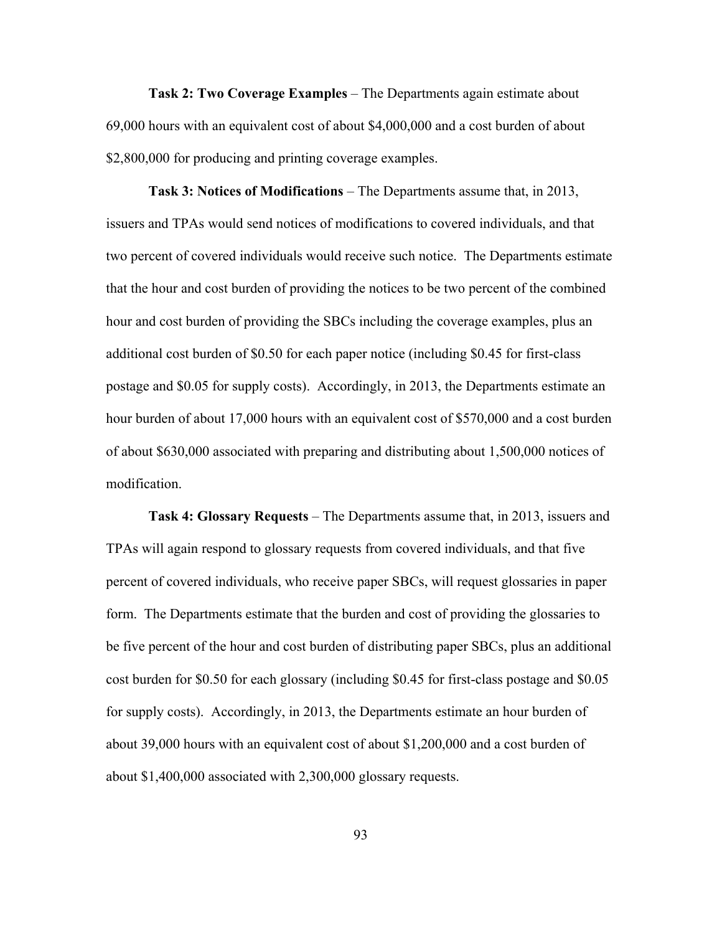**Task 2: Two Coverage Examples** – The Departments again estimate about 69,000 hours with an equivalent cost of about \$4,000,000 and a cost burden of about \$2,800,000 for producing and printing coverage examples.

**Task 3: Notices of Modifications** – The Departments assume that, in 2013, issuers and TPAs would send notices of modifications to covered individuals, and that two percent of covered individuals would receive such notice. The Departments estimate that the hour and cost burden of providing the notices to be two percent of the combined hour and cost burden of providing the SBCs including the coverage examples, plus an additional cost burden of \$0.50 for each paper notice (including \$0.45 for first-class postage and \$0.05 for supply costs). Accordingly, in 2013, the Departments estimate an hour burden of about 17,000 hours with an equivalent cost of \$570,000 and a cost burden of about \$630,000 associated with preparing and distributing about 1,500,000 notices of modification.

**Task 4: Glossary Requests** – The Departments assume that, in 2013, issuers and TPAs will again respond to glossary requests from covered individuals, and that five percent of covered individuals, who receive paper SBCs, will request glossaries in paper form. The Departments estimate that the burden and cost of providing the glossaries to be five percent of the hour and cost burden of distributing paper SBCs, plus an additional cost burden for \$0.50 for each glossary (including \$0.45 for first-class postage and \$0.05 for supply costs). Accordingly, in 2013, the Departments estimate an hour burden of about 39,000 hours with an equivalent cost of about \$1,200,000 and a cost burden of about \$1,400,000 associated with 2,300,000 glossary requests.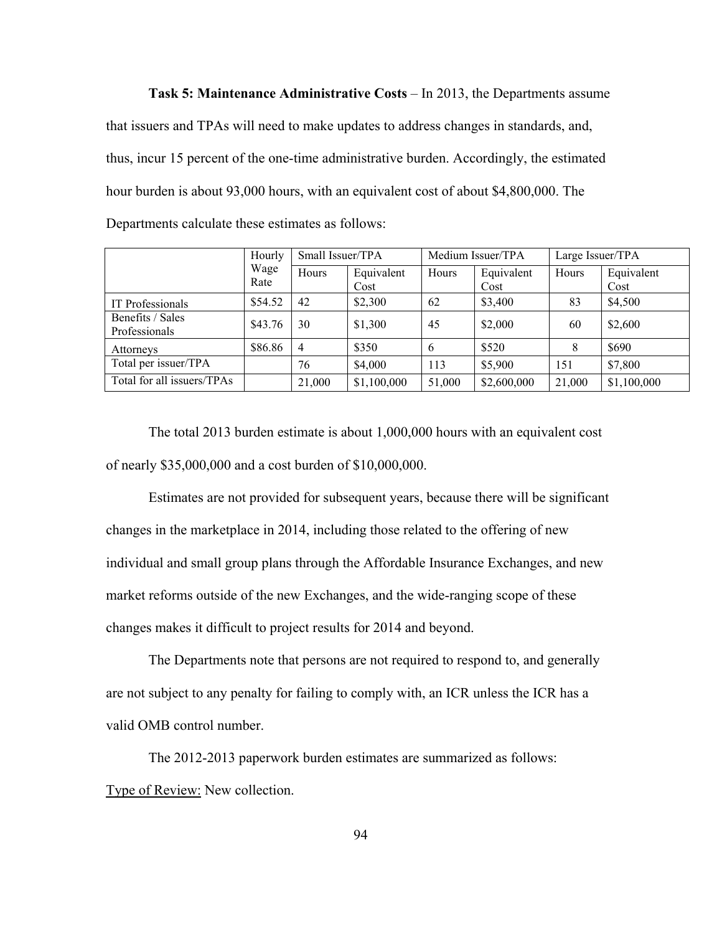**Task 5: Maintenance Administrative Costs** – In 2013, the Departments assume that issuers and TPAs will need to make updates to address changes in standards, and, thus, incur 15 percent of the one-time administrative burden. Accordingly, the estimated hour burden is about 93,000 hours, with an equivalent cost of about \$4,800,000. The Departments calculate these estimates as follows:

|                                   | Hourly       | Small Issuer/TPA |                    | Medium Issuer/TPA |                    | Large Issuer/TPA |                    |
|-----------------------------------|--------------|------------------|--------------------|-------------------|--------------------|------------------|--------------------|
|                                   | Wage<br>Rate | Hours            | Equivalent<br>Cost | Hours             | Equivalent<br>Cost | Hours            | Equivalent<br>Cost |
| IT Professionals                  | \$54.52      | 42               | \$2,300            | 62                | \$3,400            | 83               | \$4,500            |
| Benefits / Sales<br>Professionals | \$43.76      | 30               | \$1,300            | 45                | \$2,000            | 60               | \$2,600            |
| Attorneys                         | \$86.86      | $\overline{4}$   | \$350              | 6                 | \$520              | 8                | \$690              |
| Total per issuer/TPA              |              | 76               | \$4,000            | 113               | \$5,900            | 151              | \$7,800            |
| Total for all issuers/TPAs        |              | 21,000           | \$1,100,000        | 51,000            | \$2,600,000        | 21,000           | \$1,100,000        |

The total 2013 burden estimate is about 1,000,000 hours with an equivalent cost of nearly \$35,000,000 and a cost burden of \$10,000,000.

Estimates are not provided for subsequent years, because there will be significant changes in the marketplace in 2014, including those related to the offering of new individual and small group plans through the Affordable Insurance Exchanges, and new market reforms outside of the new Exchanges, and the wide-ranging scope of these changes makes it difficult to project results for 2014 and beyond.

The Departments note that persons are not required to respond to, and generally are not subject to any penalty for failing to comply with, an ICR unless the ICR has a valid OMB control number.

The 2012-2013 paperwork burden estimates are summarized as follows: Type of Review: New collection.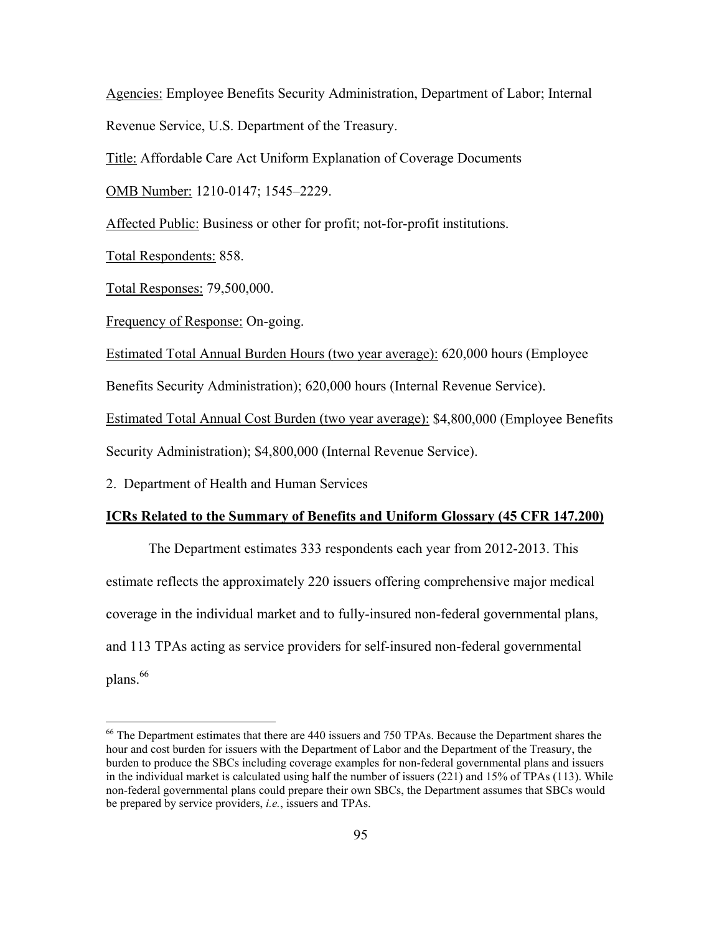Agencies: Employee Benefits Security Administration, Department of Labor; Internal Revenue Service, U.S. Department of the Treasury.

Title: Affordable Care Act Uniform Explanation of Coverage Documents

OMB Number: 1210-0147; 1545–2229.

Affected Public: Business or other for profit; not-for-profit institutions.

Total Respondents: 858.

 $\overline{a}$ 

Total Responses: 79,500,000.

Frequency of Response: On-going.

Estimated Total Annual Burden Hours (two year average): 620,000 hours (Employee

Benefits Security Administration); 620,000 hours (Internal Revenue Service).

Estimated Total Annual Cost Burden (two year average): \$4,800,000 (Employee Benefits

Security Administration); \$4,800,000 (Internal Revenue Service).

2. Department of Health and Human Services

#### **ICRs Related to the Summary of Benefits and Uniform Glossary (45 CFR 147.200)**

The Department estimates 333 respondents each year from 2012-2013. This estimate reflects the approximately 220 issuers offering comprehensive major medical coverage in the individual market and to fully-insured non-federal governmental plans, and 113 TPAs acting as service providers for self-insured non-federal governmental plans.<sup>66</sup>

<sup>&</sup>lt;sup>66</sup> The Department estimates that there are 440 issuers and 750 TPAs. Because the Department shares the hour and cost burden for issuers with the Department of Labor and the Department of the Treasury, the burden to produce the SBCs including coverage examples for non-federal governmental plans and issuers in the individual market is calculated using half the number of issuers (221) and 15% of TPAs (113). While non-federal governmental plans could prepare their own SBCs, the Department assumes that SBCs would be prepared by service providers, *i.e.*, issuers and TPAs.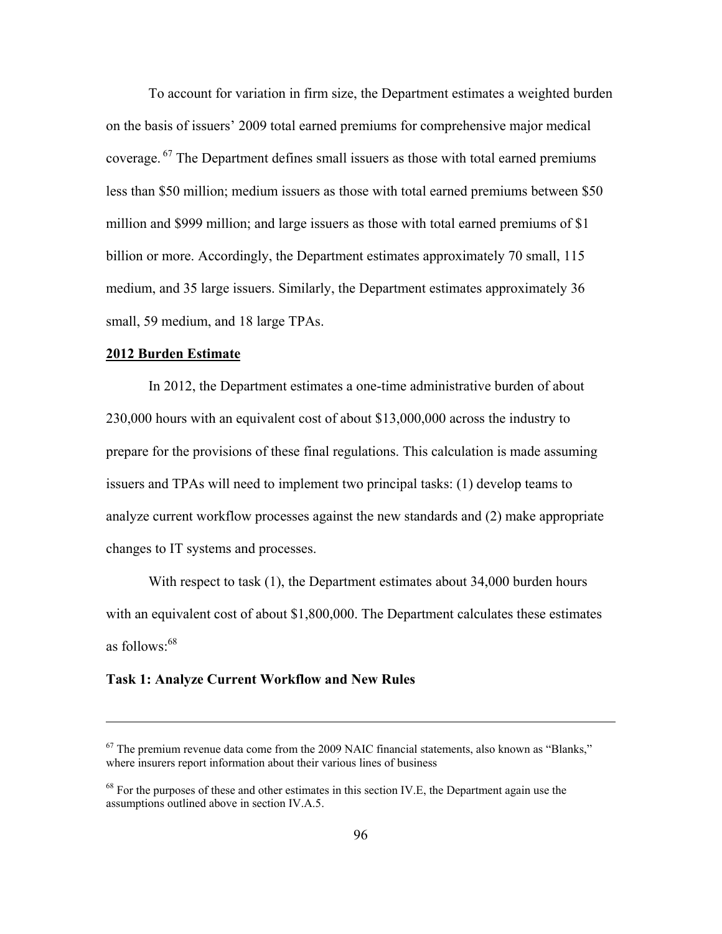To account for variation in firm size, the Department estimates a weighted burden on the basis of issuers' 2009 total earned premiums for comprehensive major medical coverage.  $67$  The Department defines small issuers as those with total earned premiums less than \$50 million; medium issuers as those with total earned premiums between \$50 million and \$999 million; and large issuers as those with total earned premiums of \$1 billion or more. Accordingly, the Department estimates approximately 70 small, 115 medium, and 35 large issuers. Similarly, the Department estimates approximately 36 small, 59 medium, and 18 large TPAs.

### **2012 Burden Estimate**

 $\overline{a}$ 

In 2012, the Department estimates a one-time administrative burden of about 230,000 hours with an equivalent cost of about \$13,000,000 across the industry to prepare for the provisions of these final regulations. This calculation is made assuming issuers and TPAs will need to implement two principal tasks: (1) develop teams to analyze current workflow processes against the new standards and (2) make appropriate changes to IT systems and processes.

With respect to task (1), the Department estimates about 34,000 burden hours with an equivalent cost of about \$1,800,000. The Department calculates these estimates as follows: $68$ 

#### **Task 1: Analyze Current Workflow and New Rules**

 $67$  The premium revenue data come from the 2009 NAIC financial statements, also known as "Blanks," where insurers report information about their various lines of business

 $68$  For the purposes of these and other estimates in this section IV.E, the Department again use the assumptions outlined above in section IV.A.5.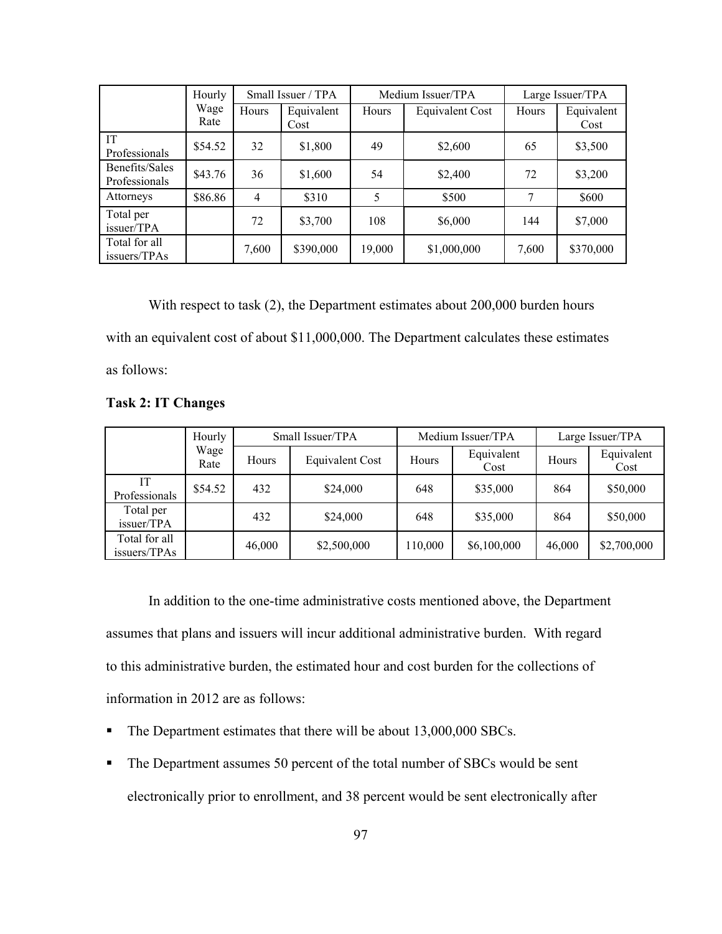|                                 | Hourly       |       | Small Issuer / TPA |        | Medium Issuer/TPA |       | Large Issuer/TPA   |  |
|---------------------------------|--------------|-------|--------------------|--------|-------------------|-------|--------------------|--|
|                                 | Wage<br>Rate | Hours | Equivalent<br>Cost | Hours  | Equivalent Cost   | Hours | Equivalent<br>Cost |  |
| IT<br>Professionals             | \$54.52      | 32    | \$1,800            | 49     | \$2,600           | 65    | \$3,500            |  |
| Benefits/Sales<br>Professionals | \$43.76      | 36    | \$1,600            | 54     | \$2,400           | 72    | \$3,200            |  |
| Attorneys                       | \$86.86      | 4     | \$310              | 5      | \$500             | 7     | \$600              |  |
| Total per<br>issuer/TPA         |              | 72    | \$3,700            | 108    | \$6,000           | 144   | \$7,000            |  |
| Total for all<br>issuers/TPAs   |              | 7,600 | \$390,000          | 19,000 | \$1,000,000       | 7,600 | \$370,000          |  |

With respect to task (2), the Department estimates about 200,000 burden hours with an equivalent cost of about \$11,000,000. The Department calculates these estimates as follows:

## **Task 2: IT Changes**

|                               | Hourly       |        | Small Issuer/TPA       | Medium Issuer/TPA |                    | Large Issuer/TPA |                    |
|-------------------------------|--------------|--------|------------------------|-------------------|--------------------|------------------|--------------------|
|                               | Wage<br>Rate | Hours  | <b>Equivalent Cost</b> | Hours             | Equivalent<br>Cost | Hours            | Equivalent<br>Cost |
| IТ<br>Professionals           | \$54.52      | 432    | \$24,000               | 648               | \$35,000           | 864              | \$50,000           |
| Total per<br>issuer/TPA       |              | 432    | \$24,000               | 648               | \$35,000           | 864              | \$50,000           |
| Total for all<br>issuers/TPAs |              | 46,000 | \$2,500,000            | 10,000            | \$6,100,000        | 46,000           | \$2,700,000        |

 In addition to the one-time administrative costs mentioned above, the Department assumes that plans and issuers will incur additional administrative burden. With regard to this administrative burden, the estimated hour and cost burden for the collections of information in 2012 are as follows:

- The Department estimates that there will be about 13,000,000 SBCs.
- The Department assumes 50 percent of the total number of SBCs would be sent electronically prior to enrollment, and 38 percent would be sent electronically after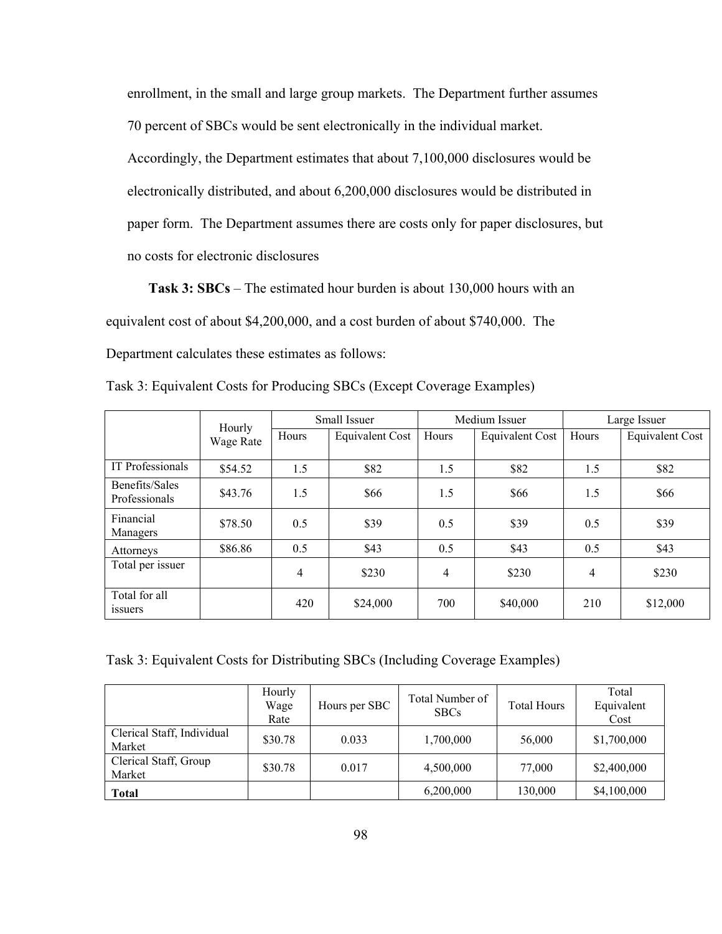enrollment, in the small and large group markets. The Department further assumes 70 percent of SBCs would be sent electronically in the individual market.

Accordingly, the Department estimates that about 7,100,000 disclosures would be electronically distributed, and about 6,200,000 disclosures would be distributed in paper form. The Department assumes there are costs only for paper disclosures, but no costs for electronic disclosures

**Task 3: SBCs** – The estimated hour burden is about 130,000 hours with an equivalent cost of about \$4,200,000, and a cost burden of about \$740,000. The Department calculates these estimates as follows:

|                                 | Hourly    | Small Issuer |                 | Medium Issuer |                 | Large Issuer |                 |
|---------------------------------|-----------|--------------|-----------------|---------------|-----------------|--------------|-----------------|
|                                 | Wage Rate | Hours        | Equivalent Cost | Hours         | Equivalent Cost | Hours        | Equivalent Cost |
| IT Professionals                | \$54.52   | 1.5          | \$82            | 1.5           | \$82            | 1.5          | \$82            |
| Benefits/Sales<br>Professionals | \$43.76   | 1.5          | \$66            | 1.5           | \$66            | 1.5          | \$66            |
| Financial<br>Managers           | \$78.50   | 0.5          | \$39            | 0.5           | \$39            | 0.5          | \$39            |
| Attorneys                       | \$86.86   | 0.5          | \$43            | 0.5           | \$43            | 0.5          | \$43            |
| Total per issuer                |           | 4            | \$230           | 4             | \$230           | 4            | \$230           |
| Total for all<br><i>ssuers</i>  |           | 420          | \$24,000        | 700           | \$40,000        | 210          | \$12,000        |

Task 3: Equivalent Costs for Producing SBCs (Except Coverage Examples)

Task 3: Equivalent Costs for Distributing SBCs (Including Coverage Examples)

|                                      | Hourly<br>Wage<br>Rate | Hours per SBC | Total Number of<br><b>SBCs</b> | <b>Total Hours</b> | Total<br>Equivalent<br>Cost |
|--------------------------------------|------------------------|---------------|--------------------------------|--------------------|-----------------------------|
| Clerical Staff, Individual<br>Market | \$30.78                | 0.033         | 1,700,000                      | 56,000             | \$1,700,000                 |
| Clerical Staff, Group<br>Market      | \$30.78                | 0.017         | 4,500,000                      | 77,000             | \$2,400,000                 |
| <b>Total</b>                         |                        |               | 6,200,000                      | 130,000            | \$4,100,000                 |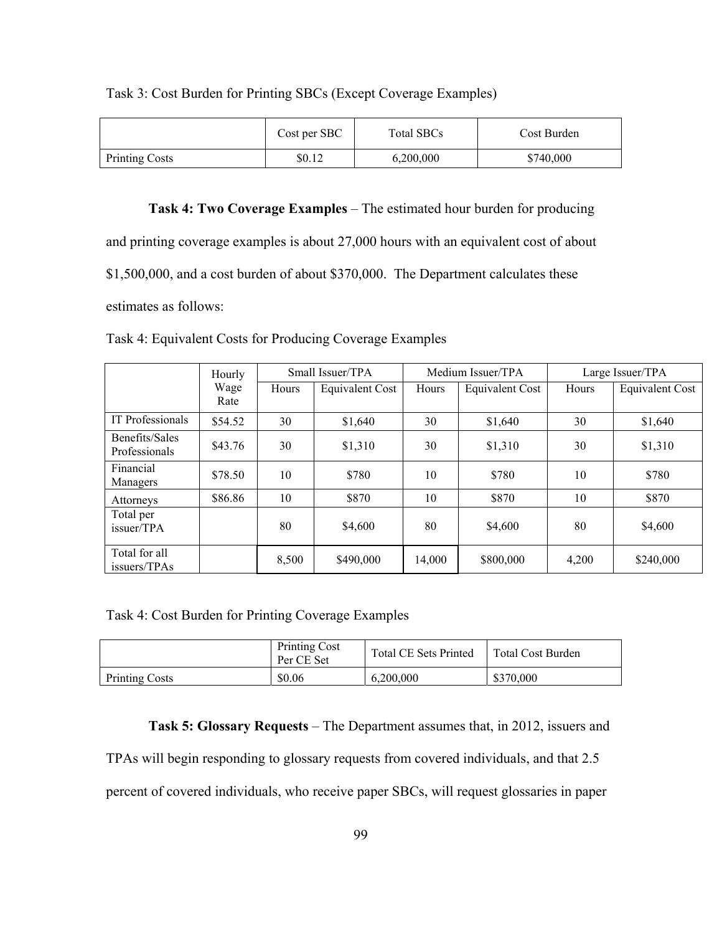|                       | Cost per SBC | Total SBCs | Cost Burden |
|-----------------------|--------------|------------|-------------|
| <b>Printing Costs</b> | \$0.12       | 6,200,000  | \$740,000   |

## Task 3: Cost Burden for Printing SBCs (Except Coverage Examples)

## **Task 4: Two Coverage Examples** – The estimated hour burden for producing

and printing coverage examples is about 27,000 hours with an equivalent cost of about \$1,500,000, and a cost burden of about \$370,000. The Department calculates these estimates as follows:

|                                 | Hourly       |       | Small Issuer/TPA |        | Medium Issuer/TPA | Large Issuer/TPA |                        |
|---------------------------------|--------------|-------|------------------|--------|-------------------|------------------|------------------------|
|                                 | Wage<br>Rate | Hours | Equivalent Cost  | Hours  | Equivalent Cost   | Hours            | <b>Equivalent Cost</b> |
| IT Professionals                | \$54.52      | 30    | \$1,640          | 30     | \$1,640           | 30               | \$1,640                |
| Benefits/Sales<br>Professionals | \$43.76      | 30    | \$1,310          | 30     | \$1,310           | 30               | \$1,310                |
| Financial<br>Managers           | \$78.50      | 10    | \$780            | 10     | \$780             | 10               | \$780                  |
| Attorneys                       | \$86.86      | 10    | \$870            | 10     | \$870             | 10               | \$870                  |
| Total per<br>issuer/TPA         |              | 80    | \$4,600          | 80     | \$4,600           | 80               | \$4,600                |
| Total for all<br>issuers/TPAs   |              | 8,500 | \$490,000        | 14,000 | \$800,000         | 4,200            | \$240,000              |

Task 4: Equivalent Costs for Producing Coverage Examples

Task 4: Cost Burden for Printing Coverage Examples

|                       | <b>Printing Cost</b><br>Per CE Set | <b>Total CE Sets Printed</b> | <b>Total Cost Burden</b> |  |
|-----------------------|------------------------------------|------------------------------|--------------------------|--|
| <b>Printing Costs</b> | \$0.06                             | 6.200.000                    | \$370,000                |  |

**Task 5: Glossary Requests** – The Department assumes that, in 2012, issuers and

TPAs will begin responding to glossary requests from covered individuals, and that 2.5

percent of covered individuals, who receive paper SBCs, will request glossaries in paper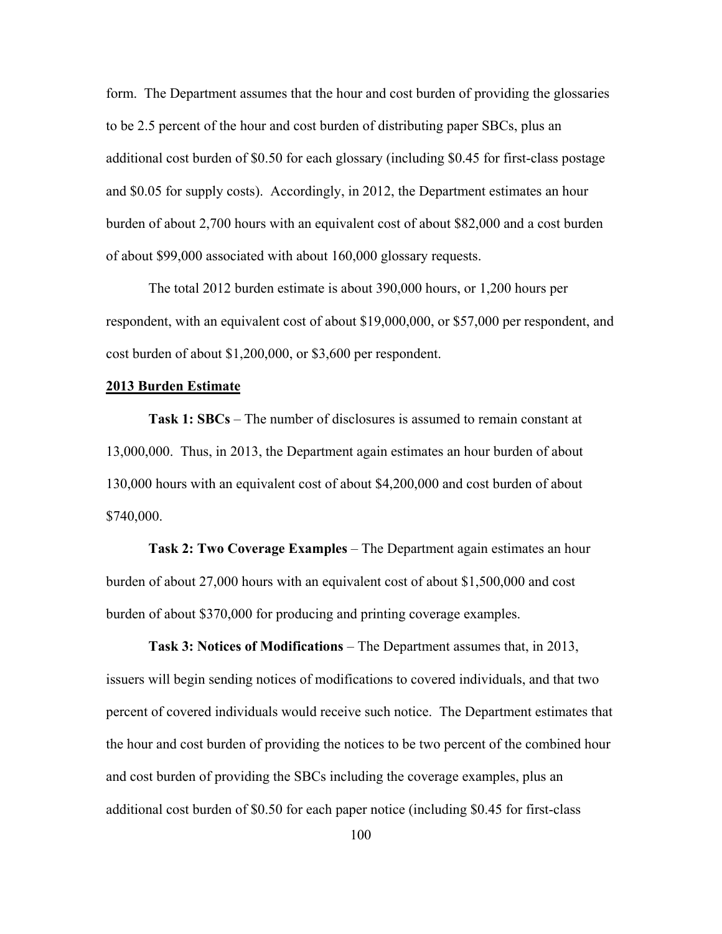form. The Department assumes that the hour and cost burden of providing the glossaries to be 2.5 percent of the hour and cost burden of distributing paper SBCs, plus an additional cost burden of \$0.50 for each glossary (including \$0.45 for first-class postage and \$0.05 for supply costs). Accordingly, in 2012, the Department estimates an hour burden of about 2,700 hours with an equivalent cost of about \$82,000 and a cost burden of about \$99,000 associated with about 160,000 glossary requests.

The total 2012 burden estimate is about 390,000 hours, or 1,200 hours per respondent, with an equivalent cost of about \$19,000,000, or \$57,000 per respondent, and cost burden of about \$1,200,000, or \$3,600 per respondent.

#### **2013 Burden Estimate**

**Task 1: SBCs** – The number of disclosures is assumed to remain constant at 13,000,000. Thus, in 2013, the Department again estimates an hour burden of about 130,000 hours with an equivalent cost of about \$4,200,000 and cost burden of about \$740,000.

**Task 2: Two Coverage Examples** – The Department again estimates an hour burden of about 27,000 hours with an equivalent cost of about \$1,500,000 and cost burden of about \$370,000 for producing and printing coverage examples.

**Task 3: Notices of Modifications** – The Department assumes that, in 2013, issuers will begin sending notices of modifications to covered individuals, and that two percent of covered individuals would receive such notice. The Department estimates that the hour and cost burden of providing the notices to be two percent of the combined hour and cost burden of providing the SBCs including the coverage examples, plus an additional cost burden of \$0.50 for each paper notice (including \$0.45 for first-class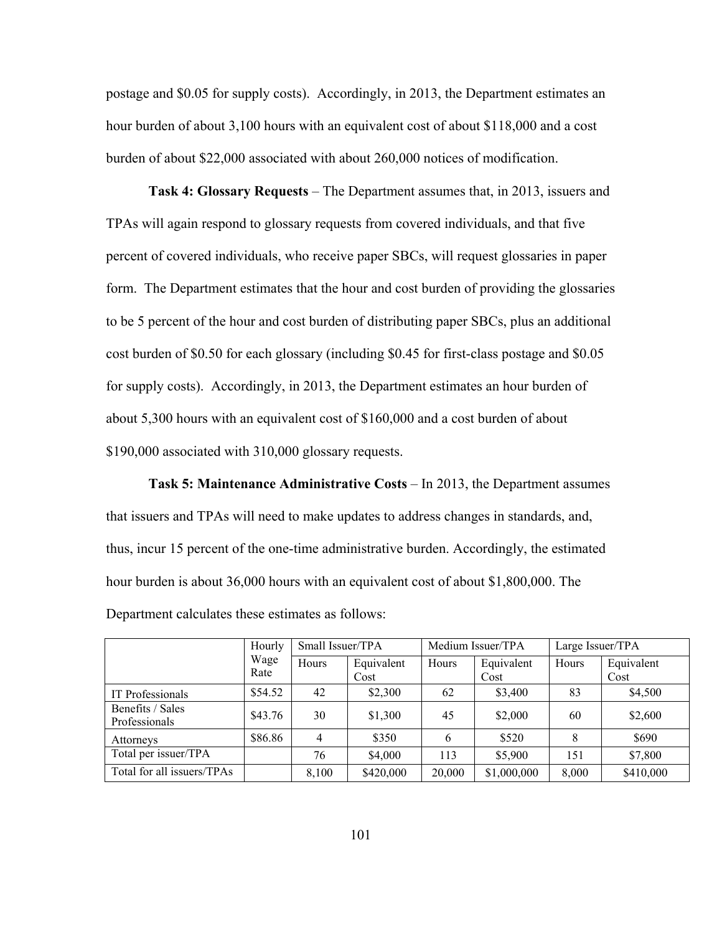postage and \$0.05 for supply costs). Accordingly, in 2013, the Department estimates an hour burden of about 3,100 hours with an equivalent cost of about \$118,000 and a cost burden of about \$22,000 associated with about 260,000 notices of modification.

**Task 4: Glossary Requests** – The Department assumes that, in 2013, issuers and TPAs will again respond to glossary requests from covered individuals, and that five percent of covered individuals, who receive paper SBCs, will request glossaries in paper form. The Department estimates that the hour and cost burden of providing the glossaries to be 5 percent of the hour and cost burden of distributing paper SBCs, plus an additional cost burden of \$0.50 for each glossary (including \$0.45 for first-class postage and \$0.05 for supply costs). Accordingly, in 2013, the Department estimates an hour burden of about 5,300 hours with an equivalent cost of \$160,000 and a cost burden of about \$190,000 associated with 310,000 glossary requests.

**Task 5: Maintenance Administrative Costs** – In 2013, the Department assumes that issuers and TPAs will need to make updates to address changes in standards, and, thus, incur 15 percent of the one-time administrative burden. Accordingly, the estimated hour burden is about 36,000 hours with an equivalent cost of about \$1,800,000. The Department calculates these estimates as follows:

|                                   | Hourly<br>Wage<br>Rate | Small Issuer/TPA |                    | Medium Issuer/TPA |                    | Large Issuer/TPA |                    |
|-----------------------------------|------------------------|------------------|--------------------|-------------------|--------------------|------------------|--------------------|
|                                   |                        | Hours            | Equivalent<br>Cost | Hours             | Equivalent<br>Cost | Hours            | Equivalent<br>Cost |
| IT Professionals                  | \$54.52                | 42               | \$2,300            | 62                | \$3,400            | 83               | \$4,500            |
| Benefits / Sales<br>Professionals | \$43.76                | 30               | \$1,300            | 45                | \$2,000            | 60               | \$2,600            |
| Attorneys                         | \$86.86                | 4                | \$350              | 6                 | \$520              | 8                | \$690              |
| Total per issuer/TPA              |                        | 76               | \$4,000            | 113               | \$5,900            | 151              | \$7,800            |
| Total for all issuers/TPAs        |                        | 8,100            | \$420,000          | 20,000            | \$1,000,000        | 8,000            | \$410,000          |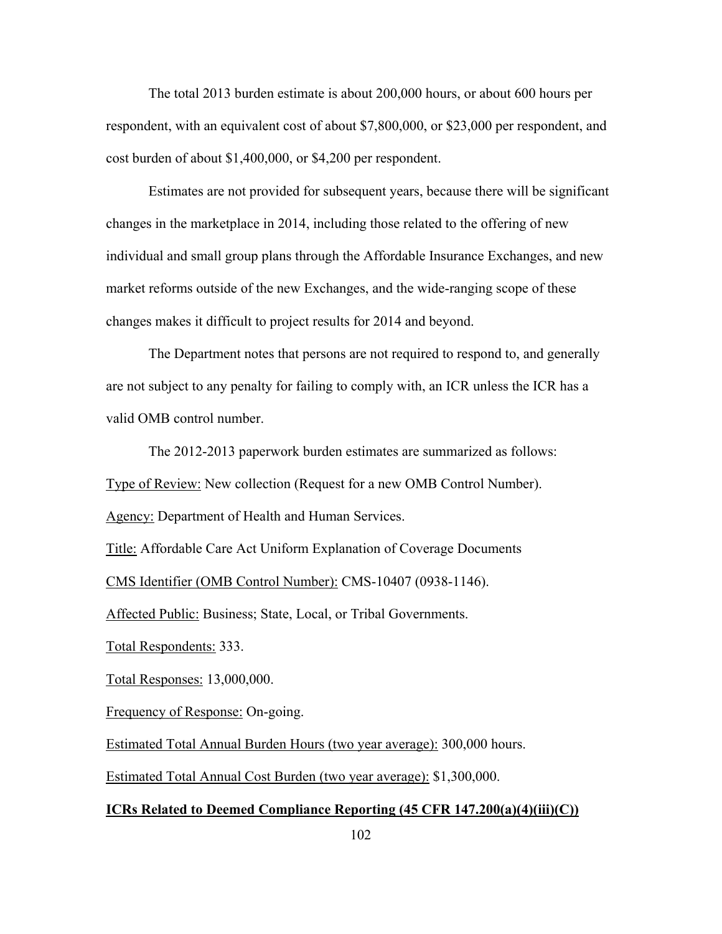The total 2013 burden estimate is about 200,000 hours, or about 600 hours per respondent, with an equivalent cost of about \$7,800,000, or \$23,000 per respondent, and cost burden of about \$1,400,000, or \$4,200 per respondent.

Estimates are not provided for subsequent years, because there will be significant changes in the marketplace in 2014, including those related to the offering of new individual and small group plans through the Affordable Insurance Exchanges, and new market reforms outside of the new Exchanges, and the wide-ranging scope of these changes makes it difficult to project results for 2014 and beyond.

The Department notes that persons are not required to respond to, and generally are not subject to any penalty for failing to comply with, an ICR unless the ICR has a valid OMB control number.

The 2012-2013 paperwork burden estimates are summarized as follows:

Type of Review: New collection (Request for a new OMB Control Number).

Agency: Department of Health and Human Services.

Title: Affordable Care Act Uniform Explanation of Coverage Documents

CMS Identifier (OMB Control Number): CMS-10407 (0938-1146).

Affected Public: Business; State, Local, or Tribal Governments.

Total Respondents: 333.

Total Responses: 13,000,000.

Frequency of Response: On-going.

Estimated Total Annual Burden Hours (two year average): 300,000 hours.

Estimated Total Annual Cost Burden (two year average): \$1,300,000.

## **ICRs Related to Deemed Compliance Reporting (45 CFR 147.200(a)(4)(iii)(C))**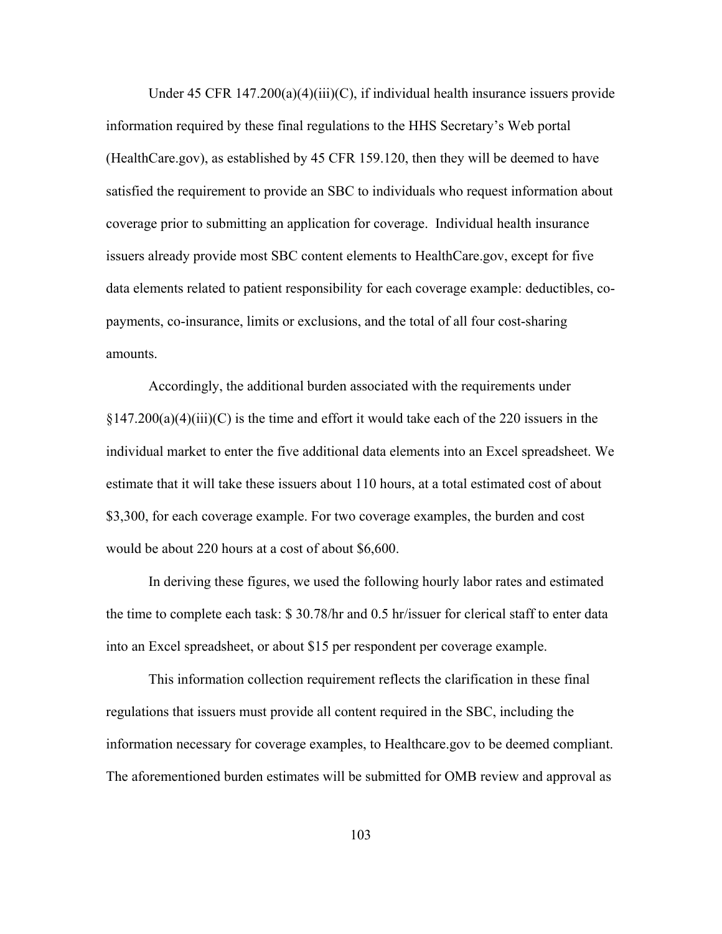Under 45 CFR 147.200(a)(4)(iii)(C), if individual health insurance issuers provide information required by these final regulations to the HHS Secretary's Web portal (HealthCare.gov), as established by 45 CFR 159.120, then they will be deemed to have satisfied the requirement to provide an SBC to individuals who request information about coverage prior to submitting an application for coverage. Individual health insurance issuers already provide most SBC content elements to HealthCare.gov, except for five data elements related to patient responsibility for each coverage example: deductibles, copayments, co-insurance, limits or exclusions, and the total of all four cost-sharing amounts.

Accordingly, the additional burden associated with the requirements under  $\S 147.200(a)(4)(iii)(C)$  is the time and effort it would take each of the 220 issuers in the individual market to enter the five additional data elements into an Excel spreadsheet. We estimate that it will take these issuers about 110 hours, at a total estimated cost of about \$3,300, for each coverage example. For two coverage examples, the burden and cost would be about 220 hours at a cost of about \$6,600.

In deriving these figures, we used the following hourly labor rates and estimated the time to complete each task: \$ 30.78/hr and 0.5 hr/issuer for clerical staff to enter data into an Excel spreadsheet, or about \$15 per respondent per coverage example.

This information collection requirement reflects the clarification in these final regulations that issuers must provide all content required in the SBC, including the information necessary for coverage examples, to Healthcare.gov to be deemed compliant. The aforementioned burden estimates will be submitted for OMB review and approval as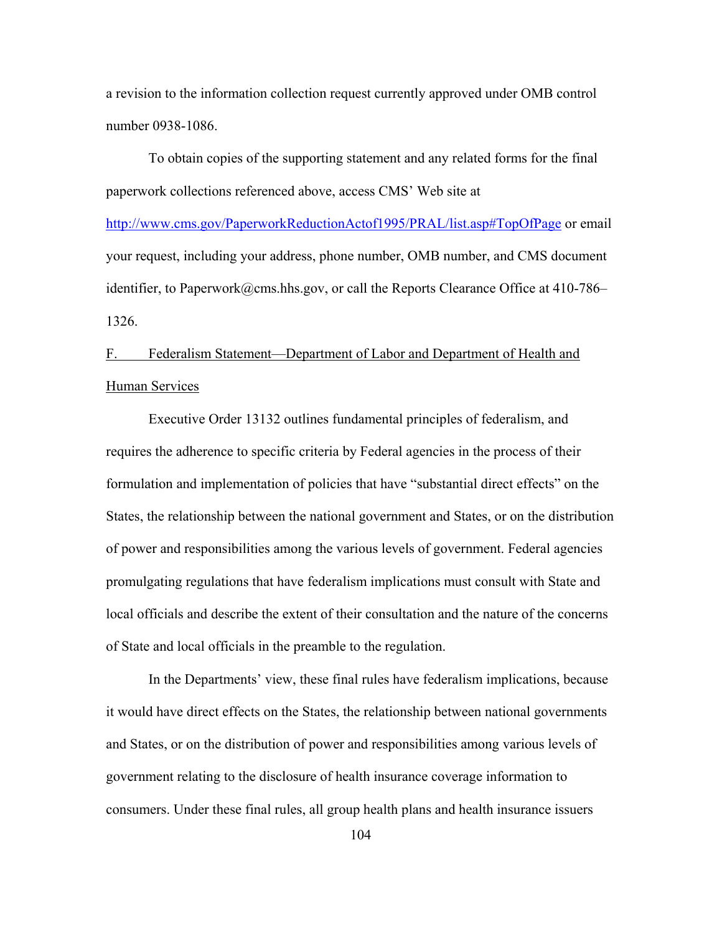a revision to the information collection request currently approved under OMB control number 0938-1086.

To obtain copies of the supporting statement and any related forms for the final paperwork collections referenced above, access CMS' Web site at

http://www.cms.gov/PaperworkReductionActof1995/PRAL/list.asp#TopOfPage or email your request, including your address, phone number, OMB number, and CMS document identifier, to Paperwork@cms.hhs.gov, or call the Reports Clearance Office at 410-786– 1326.

# F. Federalism Statement—Department of Labor and Department of Health and Human Services

Executive Order 13132 outlines fundamental principles of federalism, and requires the adherence to specific criteria by Federal agencies in the process of their formulation and implementation of policies that have "substantial direct effects" on the States, the relationship between the national government and States, or on the distribution of power and responsibilities among the various levels of government. Federal agencies promulgating regulations that have federalism implications must consult with State and local officials and describe the extent of their consultation and the nature of the concerns of State and local officials in the preamble to the regulation.

In the Departments' view, these final rules have federalism implications, because it would have direct effects on the States, the relationship between national governments and States, or on the distribution of power and responsibilities among various levels of government relating to the disclosure of health insurance coverage information to consumers. Under these final rules, all group health plans and health insurance issuers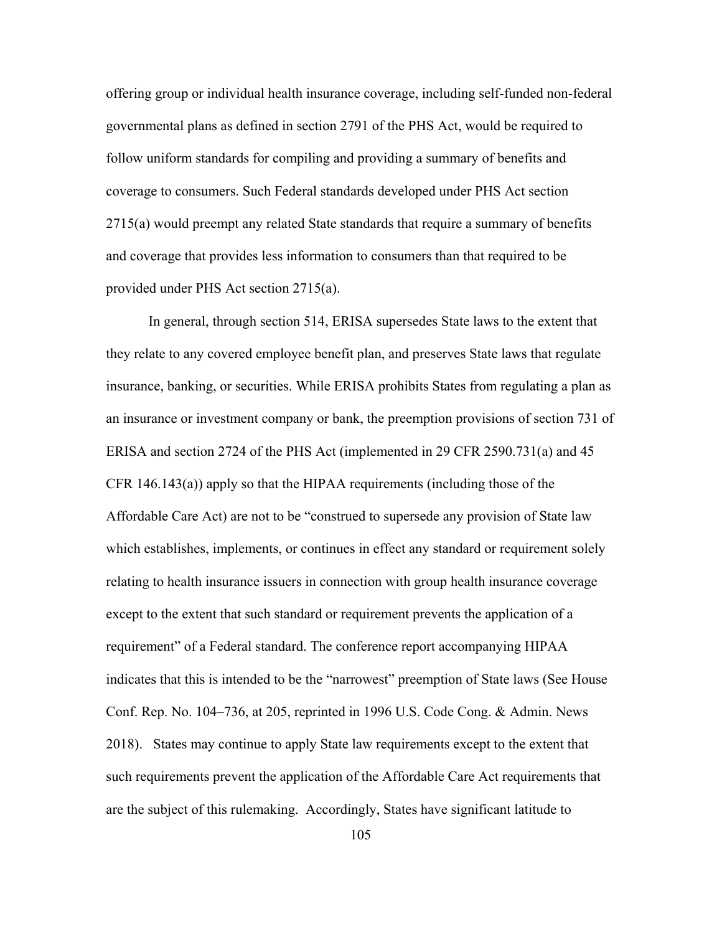offering group or individual health insurance coverage, including self-funded non-federal governmental plans as defined in section 2791 of the PHS Act, would be required to follow uniform standards for compiling and providing a summary of benefits and coverage to consumers. Such Federal standards developed under PHS Act section 2715(a) would preempt any related State standards that require a summary of benefits and coverage that provides less information to consumers than that required to be provided under PHS Act section 2715(a).

In general, through section 514, ERISA supersedes State laws to the extent that they relate to any covered employee benefit plan, and preserves State laws that regulate insurance, banking, or securities. While ERISA prohibits States from regulating a plan as an insurance or investment company or bank, the preemption provisions of section 731 of ERISA and section 2724 of the PHS Act (implemented in 29 CFR 2590.731(a) and 45 CFR 146.143(a)) apply so that the HIPAA requirements (including those of the Affordable Care Act) are not to be "construed to supersede any provision of State law which establishes, implements, or continues in effect any standard or requirement solely relating to health insurance issuers in connection with group health insurance coverage except to the extent that such standard or requirement prevents the application of a requirement" of a Federal standard. The conference report accompanying HIPAA indicates that this is intended to be the "narrowest" preemption of State laws (See House Conf. Rep. No. 104–736, at 205, reprinted in 1996 U.S. Code Cong. & Admin. News 2018). States may continue to apply State law requirements except to the extent that such requirements prevent the application of the Affordable Care Act requirements that are the subject of this rulemaking. Accordingly, States have significant latitude to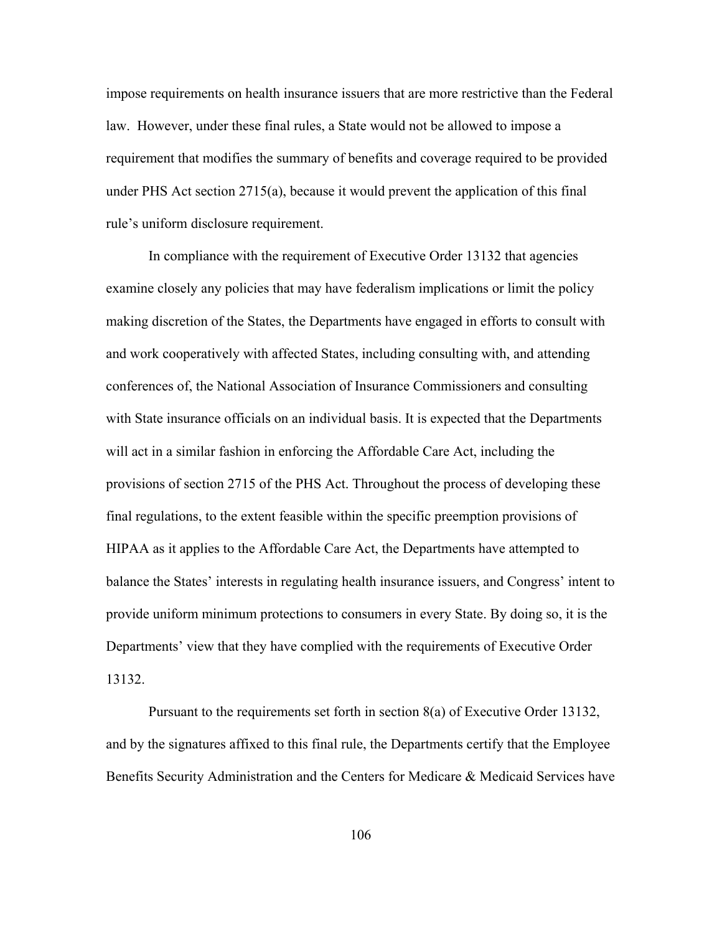impose requirements on health insurance issuers that are more restrictive than the Federal law. However, under these final rules, a State would not be allowed to impose a requirement that modifies the summary of benefits and coverage required to be provided under PHS Act section 2715(a), because it would prevent the application of this final rule's uniform disclosure requirement.

In compliance with the requirement of Executive Order 13132 that agencies examine closely any policies that may have federalism implications or limit the policy making discretion of the States, the Departments have engaged in efforts to consult with and work cooperatively with affected States, including consulting with, and attending conferences of, the National Association of Insurance Commissioners and consulting with State insurance officials on an individual basis. It is expected that the Departments will act in a similar fashion in enforcing the Affordable Care Act, including the provisions of section 2715 of the PHS Act. Throughout the process of developing these final regulations, to the extent feasible within the specific preemption provisions of HIPAA as it applies to the Affordable Care Act, the Departments have attempted to balance the States' interests in regulating health insurance issuers, and Congress' intent to provide uniform minimum protections to consumers in every State. By doing so, it is the Departments' view that they have complied with the requirements of Executive Order 13132.

Pursuant to the requirements set forth in section 8(a) of Executive Order 13132, and by the signatures affixed to this final rule, the Departments certify that the Employee Benefits Security Administration and the Centers for Medicare & Medicaid Services have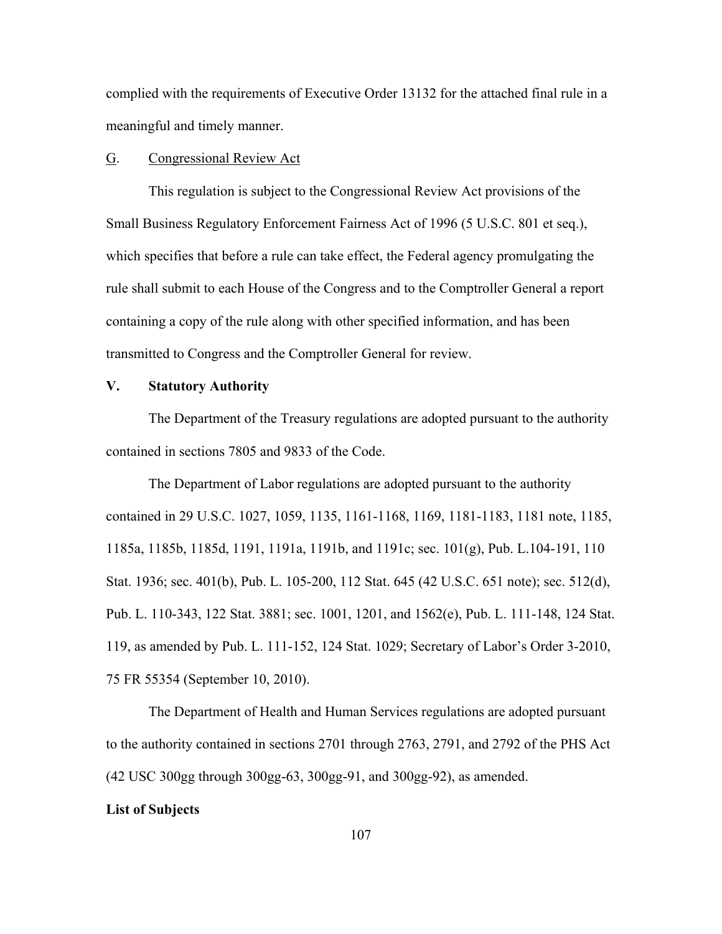complied with the requirements of Executive Order 13132 for the attached final rule in a meaningful and timely manner.

### G. Congressional Review Act

This regulation is subject to the Congressional Review Act provisions of the Small Business Regulatory Enforcement Fairness Act of 1996 (5 U.S.C. 801 et seq.), which specifies that before a rule can take effect, the Federal agency promulgating the rule shall submit to each House of the Congress and to the Comptroller General a report containing a copy of the rule along with other specified information, and has been transmitted to Congress and the Comptroller General for review.

## **V. Statutory Authority**

The Department of the Treasury regulations are adopted pursuant to the authority contained in sections 7805 and 9833 of the Code.

 The Department of Labor regulations are adopted pursuant to the authority contained in 29 U.S.C. 1027, 1059, 1135, 1161-1168, 1169, 1181-1183, 1181 note, 1185, 1185a, 1185b, 1185d, 1191, 1191a, 1191b, and 1191c; sec. 101(g), Pub. L.104-191, 110 Stat. 1936; sec. 401(b), Pub. L. 105-200, 112 Stat. 645 (42 U.S.C. 651 note); sec. 512(d), Pub. L. 110-343, 122 Stat. 3881; sec. 1001, 1201, and 1562(e), Pub. L. 111-148, 124 Stat. 119, as amended by Pub. L. 111-152, 124 Stat. 1029; Secretary of Labor's Order 3-2010, 75 FR 55354 (September 10, 2010).

The Department of Health and Human Services regulations are adopted pursuant to the authority contained in sections 2701 through 2763, 2791, and 2792 of the PHS Act (42 USC 300gg through 300gg-63, 300gg-91, and 300gg-92), as amended.

#### **List of Subjects**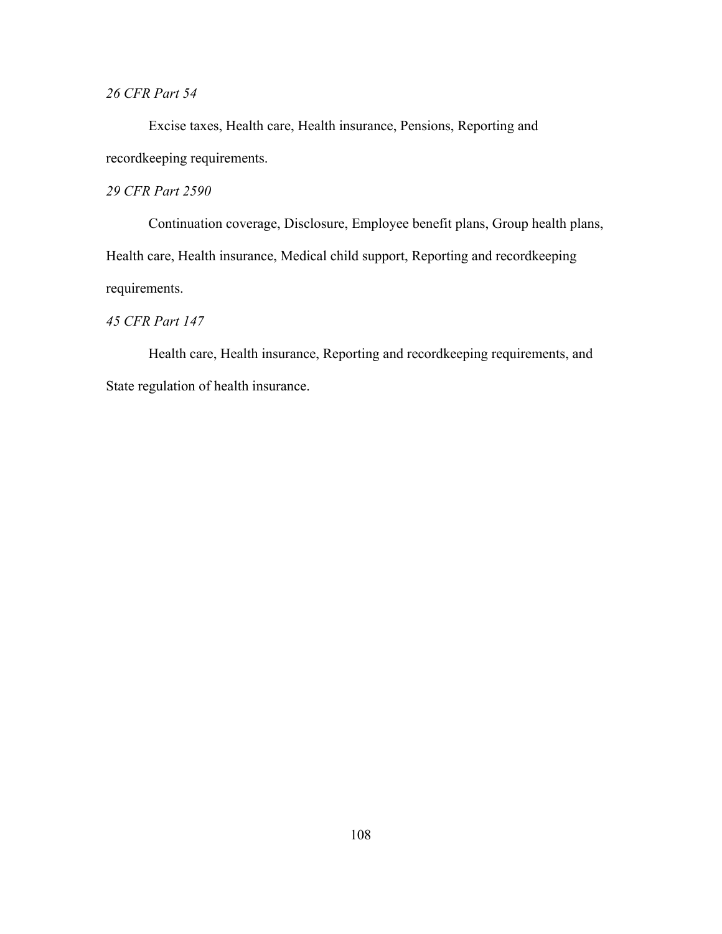## *26 CFR Part 54*

Excise taxes, Health care, Health insurance, Pensions, Reporting and recordkeeping requirements.

## *29 CFR Part 2590*

Continuation coverage, Disclosure, Employee benefit plans, Group health plans, Health care, Health insurance, Medical child support, Reporting and recordkeeping requirements.

## *45 CFR Part 147*

Health care, Health insurance, Reporting and recordkeeping requirements, and State regulation of health insurance.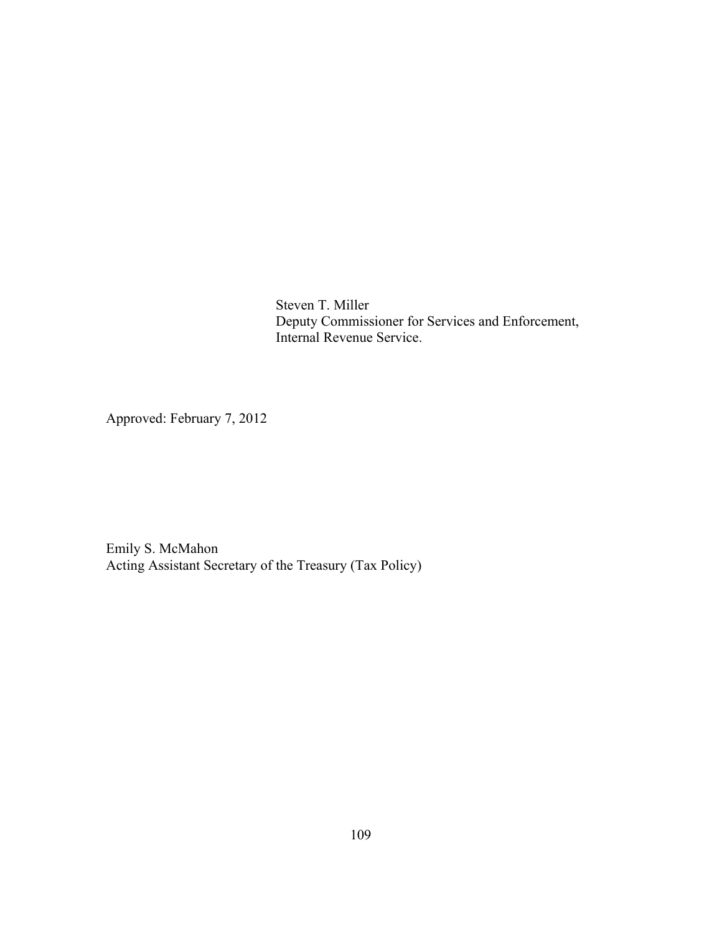Steven T. Miller Deputy Commissioner for Services and Enforcement, Internal Revenue Service.

Approved: February 7, 2012

Emily S. McMahon Acting Assistant Secretary of the Treasury (Tax Policy)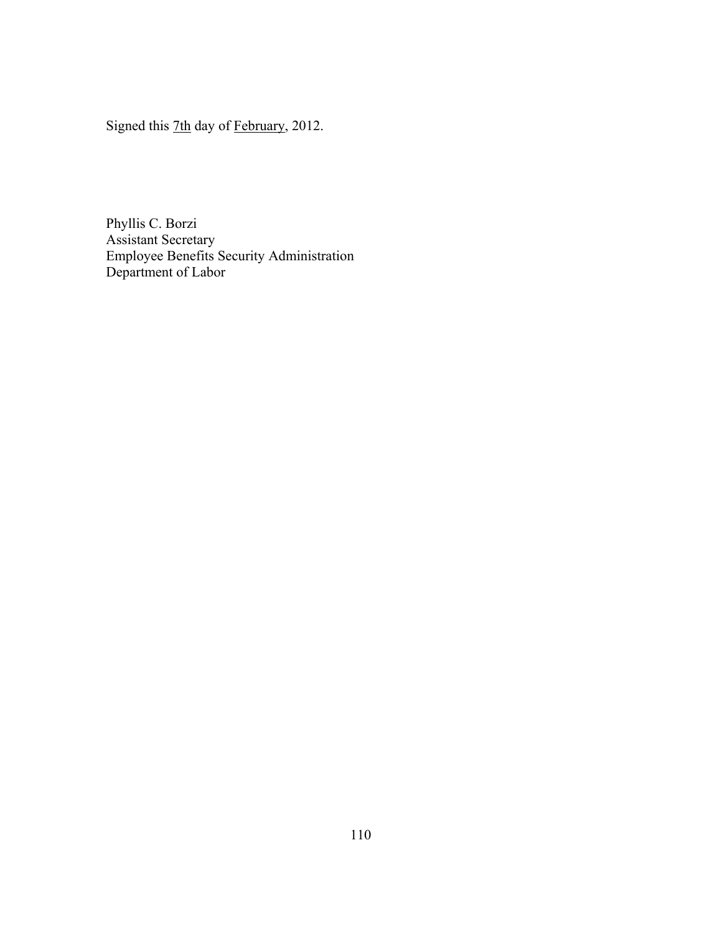Signed this 7th day of February, 2012.

Phyllis C. Borzi Assistant Secretary Employee Benefits Security Administration Department of Labor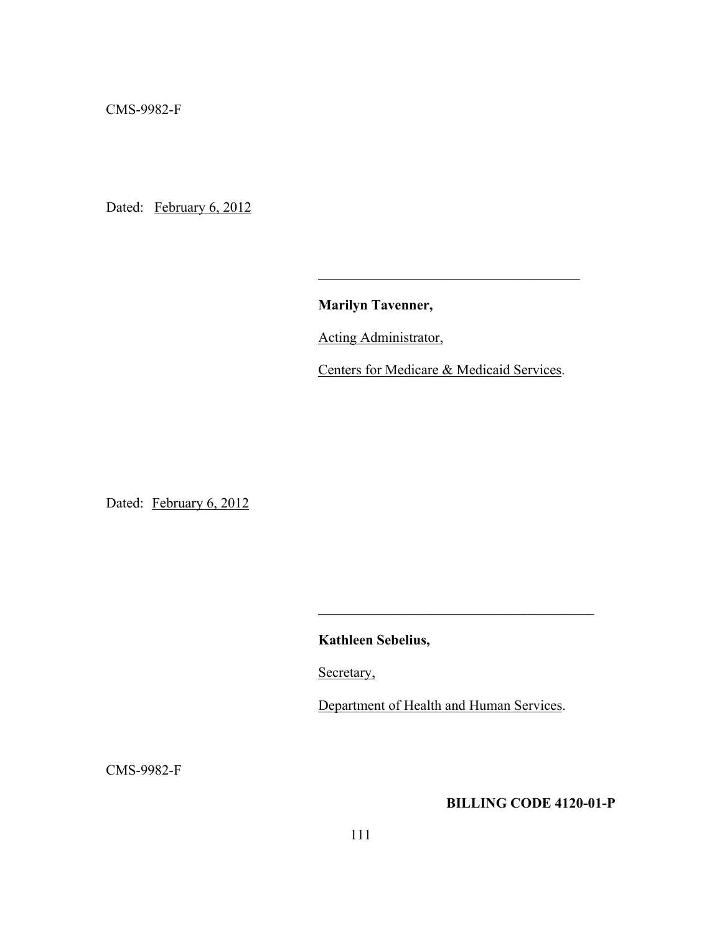CMS-9982-F

Dated: February 6, 2012

**Marilyn Tavenner,**

 $\mathcal{L}_\text{max}$  and  $\mathcal{L}_\text{max}$  and  $\mathcal{L}_\text{max}$  are the set of  $\mathcal{L}_\text{max}$  and  $\mathcal{L}_\text{max}$ 

Acting Administrator,

Centers for Medicare & Medicaid Services.

Dated: February 6, 2012

**Kathleen Sebelius,** 

Secretary,

Department of Health and Human Services.

**\_\_\_\_\_\_\_\_\_\_\_\_\_\_\_\_\_\_\_\_\_\_\_\_\_\_\_\_\_\_\_\_\_\_\_\_\_\_\_** 

CMS-9982-F

# **BILLING CODE 4120-01-P**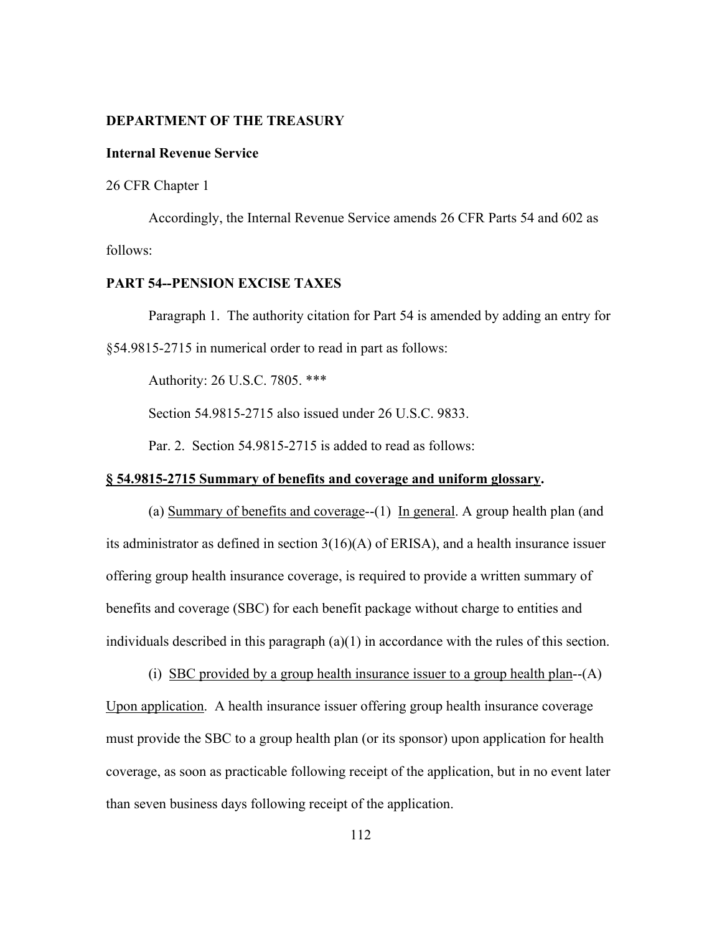#### **DEPARTMENT OF THE TREASURY**

#### **Internal Revenue Service**

26 CFR Chapter 1

 Accordingly, the Internal Revenue Service amends 26 CFR Parts 54 and 602 as follows:

# **PART 54--PENSION EXCISE TAXES**

Paragraph 1. The authority citation for Part 54 is amended by adding an entry for §54.9815-2715 in numerical order to read in part as follows:

Authority: 26 U.S.C. 7805. \*\*\*

Section 54.9815-2715 also issued under 26 U.S.C. 9833.

Par. 2. Section 54.9815-2715 is added to read as follows:

#### **§ 54.9815-2715 Summary of benefits and coverage and uniform glossary.**

(a) Summary of benefits and coverage--(1) In general. A group health plan (and its administrator as defined in section 3(16)(A) of ERISA), and a health insurance issuer offering group health insurance coverage, is required to provide a written summary of benefits and coverage (SBC) for each benefit package without charge to entities and individuals described in this paragraph (a)(1) in accordance with the rules of this section.

 (i) SBC provided by a group health insurance issuer to a group health plan--(A) Upon application. A health insurance issuer offering group health insurance coverage must provide the SBC to a group health plan (or its sponsor) upon application for health coverage, as soon as practicable following receipt of the application, but in no event later than seven business days following receipt of the application.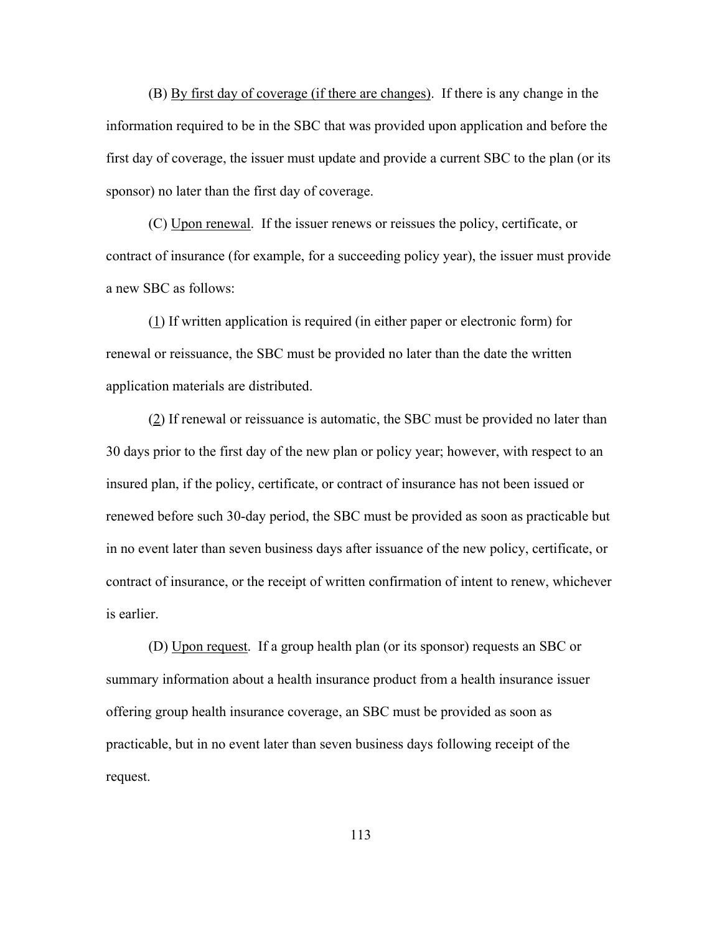(B) By first day of coverage (if there are changes). If there is any change in the information required to be in the SBC that was provided upon application and before the first day of coverage, the issuer must update and provide a current SBC to the plan (or its sponsor) no later than the first day of coverage.

(C) Upon renewal. If the issuer renews or reissues the policy, certificate, or contract of insurance (for example, for a succeeding policy year), the issuer must provide a new SBC as follows:

(1) If written application is required (in either paper or electronic form) for renewal or reissuance, the SBC must be provided no later than the date the written application materials are distributed.

(2) If renewal or reissuance is automatic, the SBC must be provided no later than 30 days prior to the first day of the new plan or policy year; however, with respect to an insured plan, if the policy, certificate, or contract of insurance has not been issued or renewed before such 30-day period, the SBC must be provided as soon as practicable but in no event later than seven business days after issuance of the new policy, certificate, or contract of insurance, or the receipt of written confirmation of intent to renew, whichever is earlier.

(D) Upon request. If a group health plan (or its sponsor) requests an SBC or summary information about a health insurance product from a health insurance issuer offering group health insurance coverage, an SBC must be provided as soon as practicable, but in no event later than seven business days following receipt of the request.

113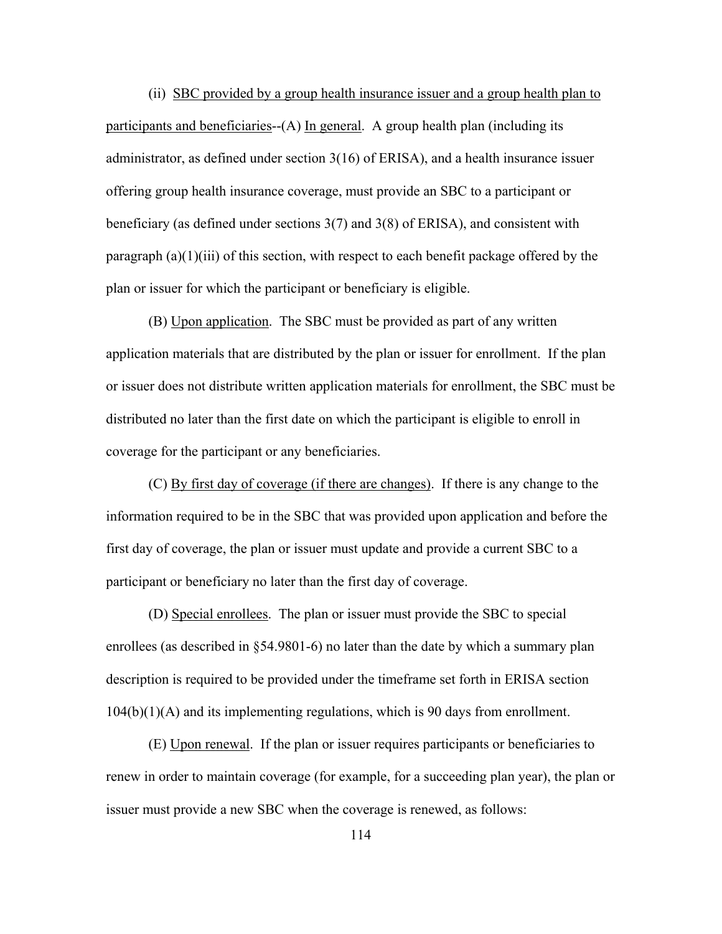(ii) SBC provided by a group health insurance issuer and a group health plan to participants and beneficiaries--(A) In general. A group health plan (including its administrator, as defined under section 3(16) of ERISA), and a health insurance issuer offering group health insurance coverage, must provide an SBC to a participant or beneficiary (as defined under sections 3(7) and 3(8) of ERISA), and consistent with paragraph (a)(1)(iii) of this section, with respect to each benefit package offered by the plan or issuer for which the participant or beneficiary is eligible.

 (B) Upon application. The SBC must be provided as part of any written application materials that are distributed by the plan or issuer for enrollment. If the plan or issuer does not distribute written application materials for enrollment, the SBC must be distributed no later than the first date on which the participant is eligible to enroll in coverage for the participant or any beneficiaries.

 (C) By first day of coverage (if there are changes). If there is any change to the information required to be in the SBC that was provided upon application and before the first day of coverage, the plan or issuer must update and provide a current SBC to a participant or beneficiary no later than the first day of coverage.

 (D) Special enrollees. The plan or issuer must provide the SBC to special enrollees (as described in §54.9801-6) no later than the date by which a summary plan description is required to be provided under the timeframe set forth in ERISA section 104(b)(1)(A) and its implementing regulations, which is 90 days from enrollment.

 (E) Upon renewal. If the plan or issuer requires participants or beneficiaries to renew in order to maintain coverage (for example, for a succeeding plan year), the plan or issuer must provide a new SBC when the coverage is renewed, as follows: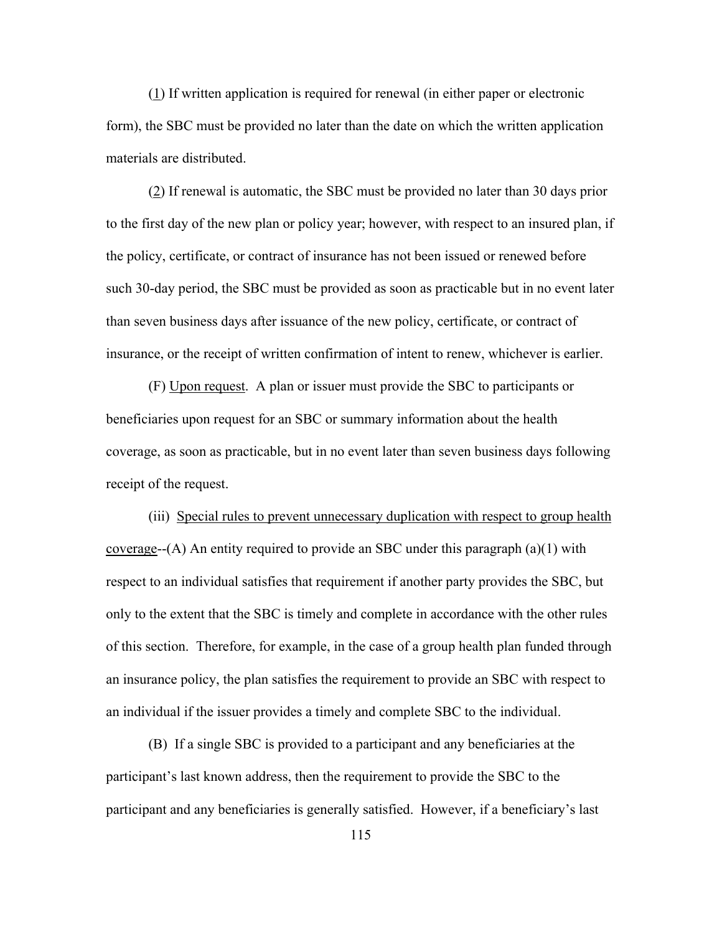(1) If written application is required for renewal (in either paper or electronic form), the SBC must be provided no later than the date on which the written application materials are distributed.

 (2) If renewal is automatic, the SBC must be provided no later than 30 days prior to the first day of the new plan or policy year; however, with respect to an insured plan, if the policy, certificate, or contract of insurance has not been issued or renewed before such 30-day period, the SBC must be provided as soon as practicable but in no event later than seven business days after issuance of the new policy, certificate, or contract of insurance, or the receipt of written confirmation of intent to renew, whichever is earlier.

 (F) Upon request. A plan or issuer must provide the SBC to participants or beneficiaries upon request for an SBC or summary information about the health coverage, as soon as practicable, but in no event later than seven business days following receipt of the request.

 (iii) Special rules to prevent unnecessary duplication with respect to group health coverage--(A) An entity required to provide an SBC under this paragraph (a)(1) with respect to an individual satisfies that requirement if another party provides the SBC, but only to the extent that the SBC is timely and complete in accordance with the other rules of this section. Therefore, for example, in the case of a group health plan funded through an insurance policy, the plan satisfies the requirement to provide an SBC with respect to an individual if the issuer provides a timely and complete SBC to the individual.

 (B) If a single SBC is provided to a participant and any beneficiaries at the participant's last known address, then the requirement to provide the SBC to the participant and any beneficiaries is generally satisfied. However, if a beneficiary's last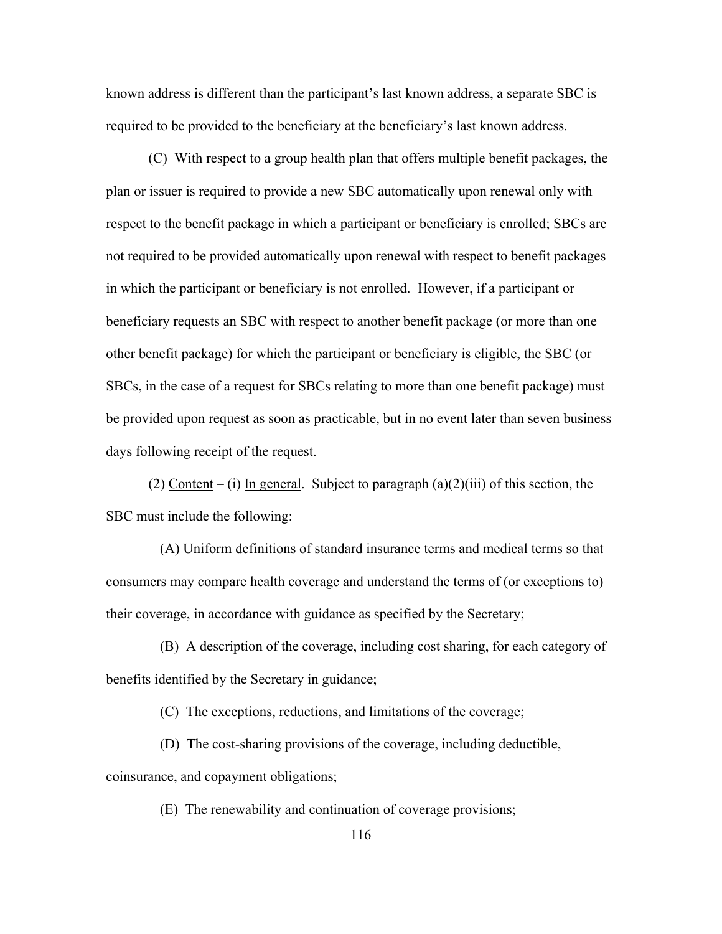known address is different than the participant's last known address, a separate SBC is required to be provided to the beneficiary at the beneficiary's last known address.

 (C) With respect to a group health plan that offers multiple benefit packages, the plan or issuer is required to provide a new SBC automatically upon renewal only with respect to the benefit package in which a participant or beneficiary is enrolled; SBCs are not required to be provided automatically upon renewal with respect to benefit packages in which the participant or beneficiary is not enrolled. However, if a participant or beneficiary requests an SBC with respect to another benefit package (or more than one other benefit package) for which the participant or beneficiary is eligible, the SBC (or SBCs, in the case of a request for SBCs relating to more than one benefit package) must be provided upon request as soon as practicable, but in no event later than seven business days following receipt of the request.

(2) Content – (i) In general. Subject to paragraph  $(a)(2)(iii)$  of this section, the SBC must include the following:

 (A) Uniform definitions of standard insurance terms and medical terms so that consumers may compare health coverage and understand the terms of (or exceptions to) their coverage, in accordance with guidance as specified by the Secretary;

 (B) A description of the coverage, including cost sharing, for each category of benefits identified by the Secretary in guidance;

(C) The exceptions, reductions, and limitations of the coverage;

 (D) The cost-sharing provisions of the coverage, including deductible, coinsurance, and copayment obligations;

(E) The renewability and continuation of coverage provisions;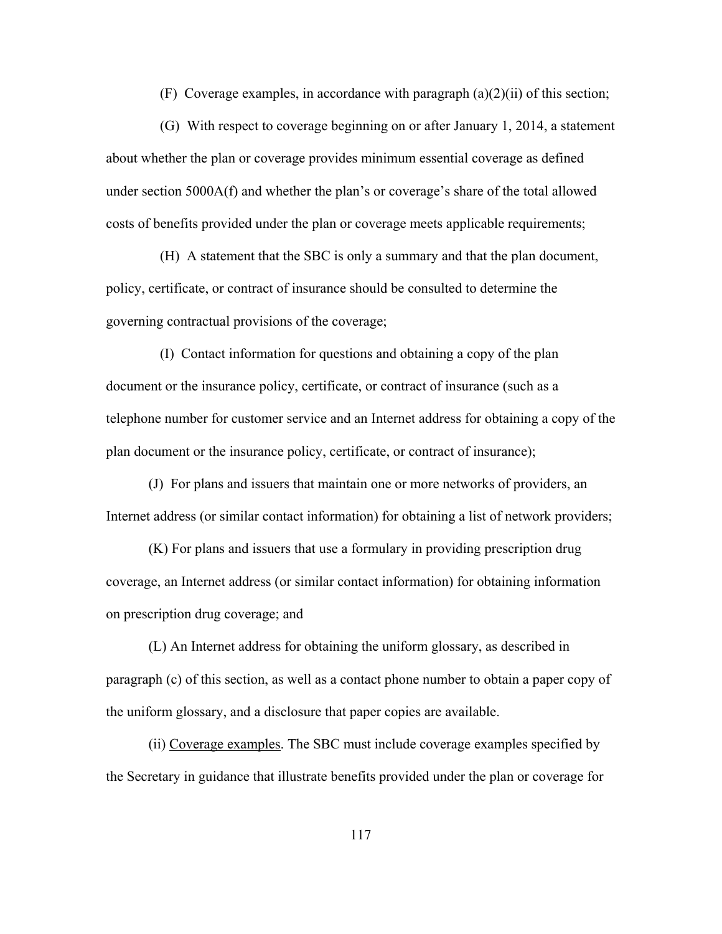(F) Coverage examples, in accordance with paragraph  $(a)(2)(ii)$  of this section;

 (G) With respect to coverage beginning on or after January 1, 2014, a statement about whether the plan or coverage provides minimum essential coverage as defined under section 5000A(f) and whether the plan's or coverage's share of the total allowed costs of benefits provided under the plan or coverage meets applicable requirements;

 (H) A statement that the SBC is only a summary and that the plan document, policy, certificate, or contract of insurance should be consulted to determine the governing contractual provisions of the coverage;

 (I) Contact information for questions and obtaining a copy of the plan document or the insurance policy, certificate, or contract of insurance (such as a telephone number for customer service and an Internet address for obtaining a copy of the plan document or the insurance policy, certificate, or contract of insurance);

(J) For plans and issuers that maintain one or more networks of providers, an Internet address (or similar contact information) for obtaining a list of network providers;

(K) For plans and issuers that use a formulary in providing prescription drug coverage, an Internet address (or similar contact information) for obtaining information on prescription drug coverage; and

(L) An Internet address for obtaining the uniform glossary, as described in paragraph (c) of this section, as well as a contact phone number to obtain a paper copy of the uniform glossary, and a disclosure that paper copies are available.

(ii) Coverage examples. The SBC must include coverage examples specified by the Secretary in guidance that illustrate benefits provided under the plan or coverage for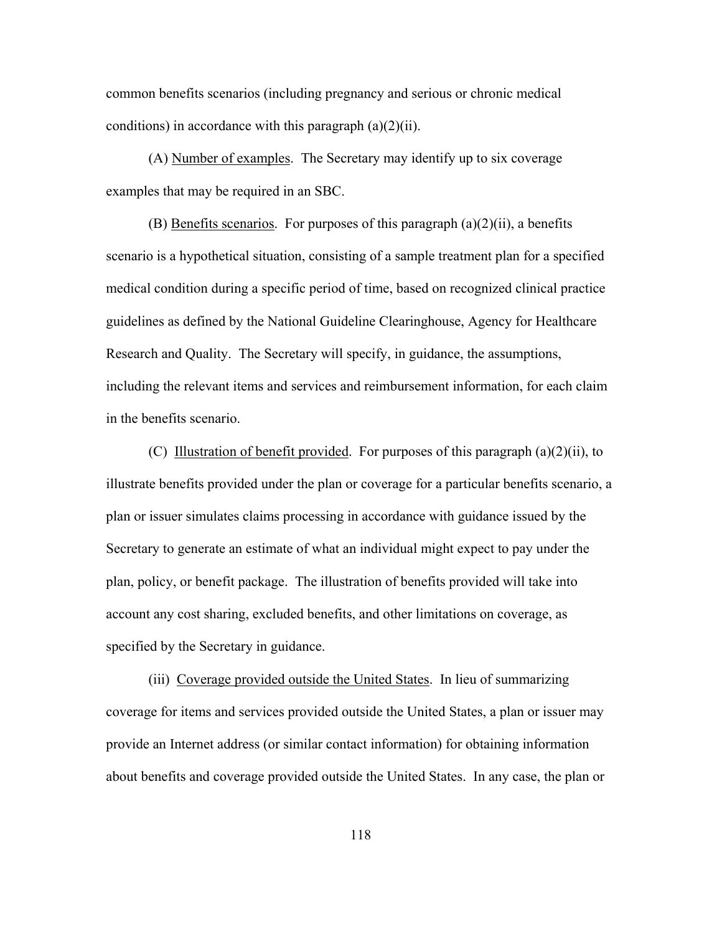common benefits scenarios (including pregnancy and serious or chronic medical conditions) in accordance with this paragraph  $(a)(2)(ii)$ .

(A) Number of examples. The Secretary may identify up to six coverage examples that may be required in an SBC.

(B) Benefits scenarios. For purposes of this paragraph  $(a)(2)(ii)$ , a benefits scenario is a hypothetical situation, consisting of a sample treatment plan for a specified medical condition during a specific period of time, based on recognized clinical practice guidelines as defined by the National Guideline Clearinghouse, Agency for Healthcare Research and Quality. The Secretary will specify, in guidance, the assumptions, including the relevant items and services and reimbursement information, for each claim in the benefits scenario.

(C) Illustration of benefit provided. For purposes of this paragraph  $(a)(2)(ii)$ , to illustrate benefits provided under the plan or coverage for a particular benefits scenario, a plan or issuer simulates claims processing in accordance with guidance issued by the Secretary to generate an estimate of what an individual might expect to pay under the plan, policy, or benefit package. The illustration of benefits provided will take into account any cost sharing, excluded benefits, and other limitations on coverage, as specified by the Secretary in guidance.

(iii) Coverage provided outside the United States. In lieu of summarizing coverage for items and services provided outside the United States, a plan or issuer may provide an Internet address (or similar contact information) for obtaining information about benefits and coverage provided outside the United States. In any case, the plan or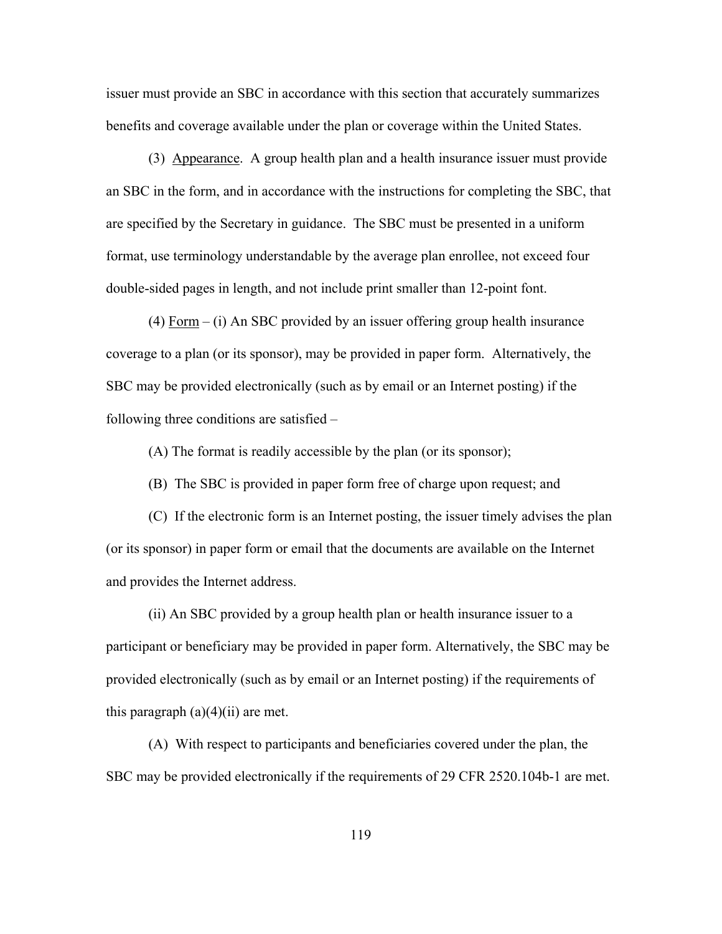issuer must provide an SBC in accordance with this section that accurately summarizes benefits and coverage available under the plan or coverage within the United States.

 (3) Appearance. A group health plan and a health insurance issuer must provide an SBC in the form, and in accordance with the instructions for completing the SBC, that are specified by the Secretary in guidance. The SBC must be presented in a uniform format, use terminology understandable by the average plan enrollee, not exceed four double-sided pages in length, and not include print smaller than 12-point font.

(4) Form – (i) An SBC provided by an issuer offering group health insurance coverage to a plan (or its sponsor), may be provided in paper form. Alternatively, the SBC may be provided electronically (such as by email or an Internet posting) if the following three conditions are satisfied –

(A) The format is readily accessible by the plan (or its sponsor);

(B) The SBC is provided in paper form free of charge upon request; and

(C) If the electronic form is an Internet posting, the issuer timely advises the plan (or its sponsor) in paper form or email that the documents are available on the Internet and provides the Internet address.

(ii) An SBC provided by a group health plan or health insurance issuer to a participant or beneficiary may be provided in paper form. Alternatively, the SBC may be provided electronically (such as by email or an Internet posting) if the requirements of this paragraph  $(a)(4)(ii)$  are met.

(A) With respect to participants and beneficiaries covered under the plan, the SBC may be provided electronically if the requirements of 29 CFR 2520.104b-1 are met.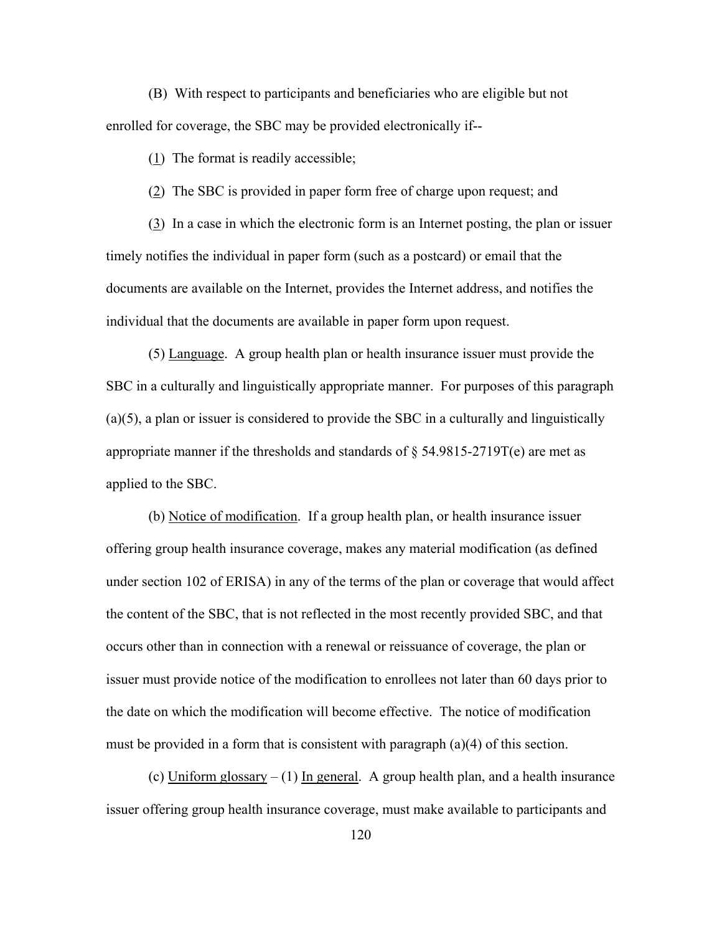(B) With respect to participants and beneficiaries who are eligible but not enrolled for coverage, the SBC may be provided electronically if--

(1) The format is readily accessible;

(2) The SBC is provided in paper form free of charge upon request; and

(3) In a case in which the electronic form is an Internet posting, the plan or issuer timely notifies the individual in paper form (such as a postcard) or email that the documents are available on the Internet, provides the Internet address, and notifies the individual that the documents are available in paper form upon request.

(5) Language. A group health plan or health insurance issuer must provide the SBC in a culturally and linguistically appropriate manner. For purposes of this paragraph (a)(5), a plan or issuer is considered to provide the SBC in a culturally and linguistically appropriate manner if the thresholds and standards of  $\S$  54.9815-2719T(e) are met as applied to the SBC.

(b) Notice of modification. If a group health plan, or health insurance issuer offering group health insurance coverage, makes any material modification (as defined under section 102 of ERISA) in any of the terms of the plan or coverage that would affect the content of the SBC, that is not reflected in the most recently provided SBC, and that occurs other than in connection with a renewal or reissuance of coverage, the plan or issuer must provide notice of the modification to enrollees not later than 60 days prior to the date on which the modification will become effective. The notice of modification must be provided in a form that is consistent with paragraph (a)(4) of this section.

(c) Uniform glossary – (1) In general. A group health plan, and a health insurance issuer offering group health insurance coverage, must make available to participants and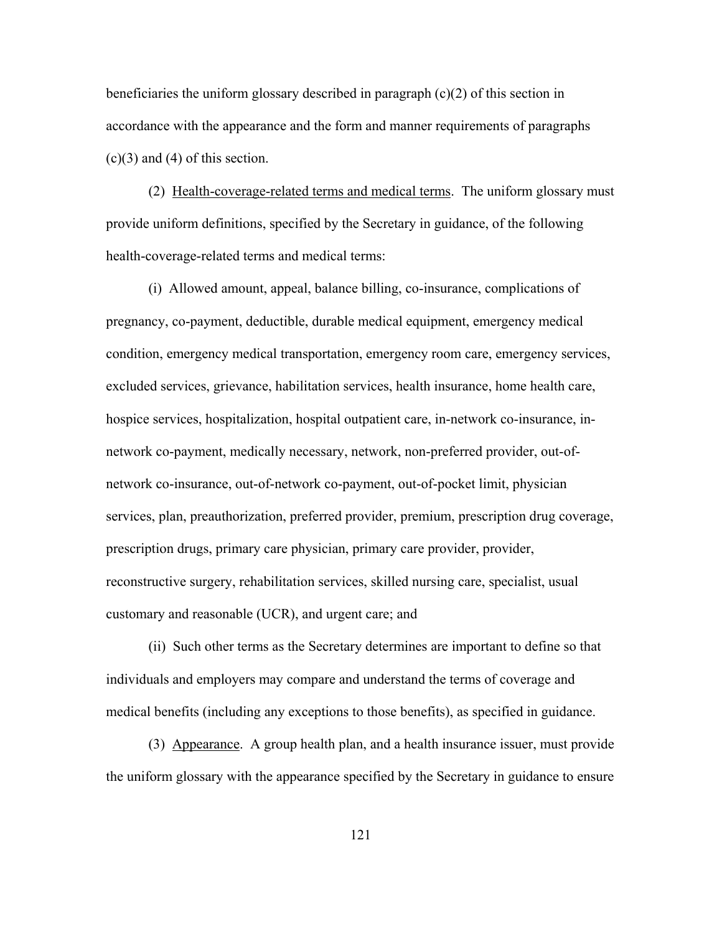beneficiaries the uniform glossary described in paragraph (c)(2) of this section in accordance with the appearance and the form and manner requirements of paragraphs  $(c)(3)$  and  $(4)$  of this section.

 (2) Health-coverage-related terms and medical terms. The uniform glossary must provide uniform definitions, specified by the Secretary in guidance, of the following health-coverage-related terms and medical terms:

 (i) Allowed amount, appeal, balance billing, co-insurance, complications of pregnancy, co-payment, deductible, durable medical equipment, emergency medical condition, emergency medical transportation, emergency room care, emergency services, excluded services, grievance, habilitation services, health insurance, home health care, hospice services, hospitalization, hospital outpatient care, in-network co-insurance, innetwork co-payment, medically necessary, network, non-preferred provider, out-ofnetwork co-insurance, out-of-network co-payment, out-of-pocket limit, physician services, plan, preauthorization, preferred provider, premium, prescription drug coverage, prescription drugs, primary care physician, primary care provider, provider, reconstructive surgery, rehabilitation services, skilled nursing care, specialist, usual customary and reasonable (UCR), and urgent care; and

 (ii) Such other terms as the Secretary determines are important to define so that individuals and employers may compare and understand the terms of coverage and medical benefits (including any exceptions to those benefits), as specified in guidance.

 (3) Appearance. A group health plan, and a health insurance issuer, must provide the uniform glossary with the appearance specified by the Secretary in guidance to ensure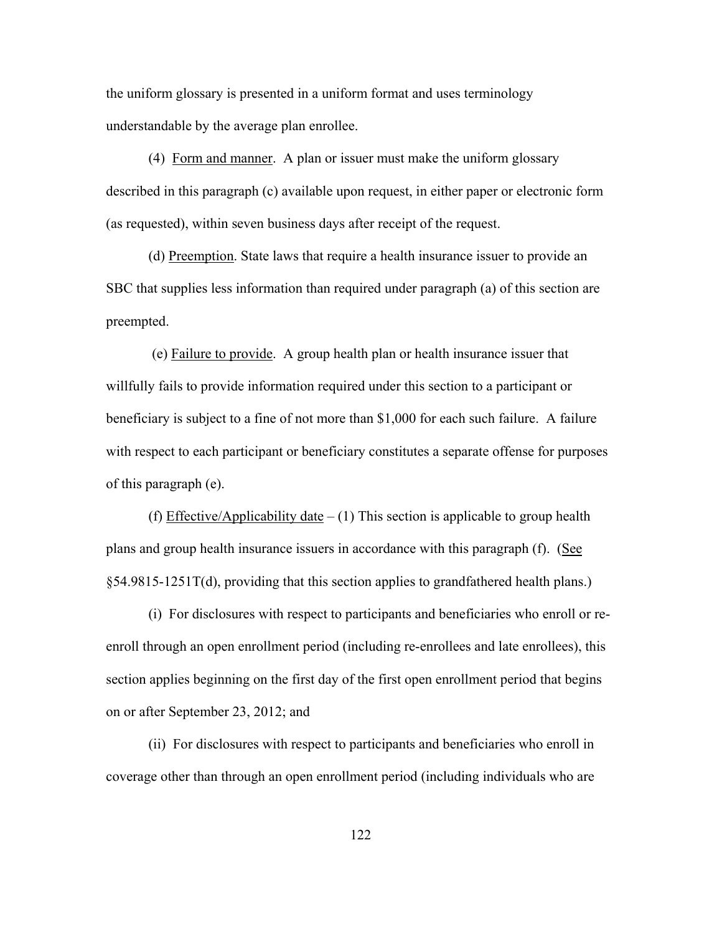the uniform glossary is presented in a uniform format and uses terminology understandable by the average plan enrollee.

 (4) Form and manner. A plan or issuer must make the uniform glossary described in this paragraph (c) available upon request, in either paper or electronic form (as requested), within seven business days after receipt of the request.

(d) Preemption. State laws that require a health insurance issuer to provide an SBC that supplies less information than required under paragraph (a) of this section are preempted.

 (e) Failure to provide. A group health plan or health insurance issuer that willfully fails to provide information required under this section to a participant or beneficiary is subject to a fine of not more than \$1,000 for each such failure. A failure with respect to each participant or beneficiary constitutes a separate offense for purposes of this paragraph (e).

(f) Effective/Applicability date  $- (1)$  This section is applicable to group health plans and group health insurance issuers in accordance with this paragraph (f). (See §54.9815-1251T(d), providing that this section applies to grandfathered health plans.)

(i) For disclosures with respect to participants and beneficiaries who enroll or reenroll through an open enrollment period (including re-enrollees and late enrollees), this section applies beginning on the first day of the first open enrollment period that begins on or after September 23, 2012; and

(ii) For disclosures with respect to participants and beneficiaries who enroll in coverage other than through an open enrollment period (including individuals who are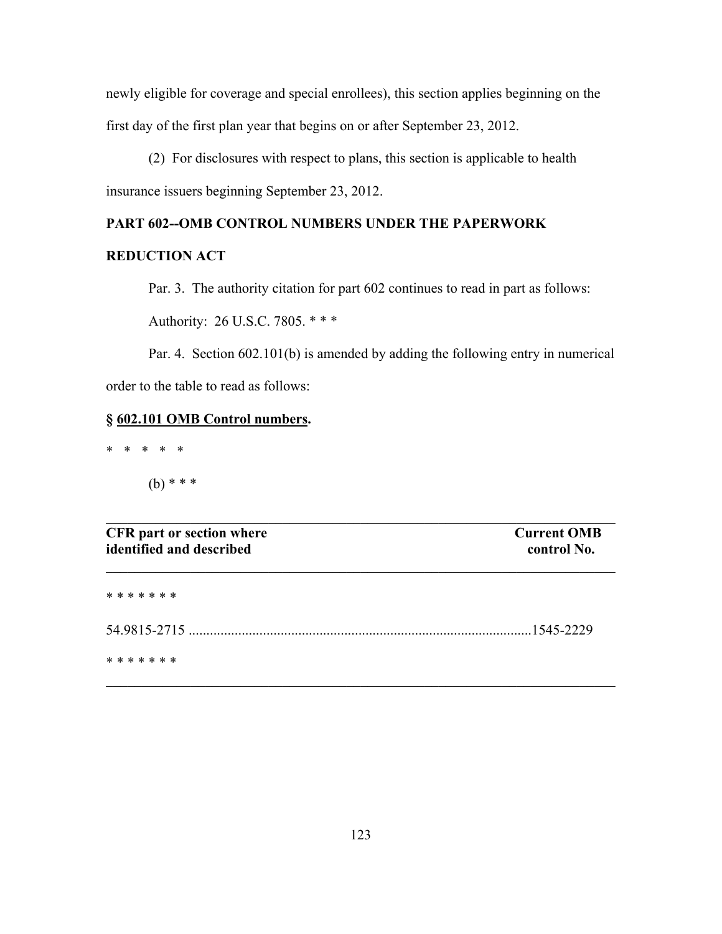newly eligible for coverage and special enrollees), this section applies beginning on the first day of the first plan year that begins on or after September 23, 2012.

(2) For disclosures with respect to plans, this section is applicable to health insurance issuers beginning September 23, 2012.

# **PART 602--OMB CONTROL NUMBERS UNDER THE PAPERWORK**

# **REDUCTION ACT**

Par. 3. The authority citation for part 602 continues to read in part as follows:

Authority: 26 U.S.C. 7805. \* \* \*

Par. 4. Section 602.101(b) is amended by adding the following entry in numerical order to the table to read as follows:

# **§ 602.101 OMB Control numbers.**

\* \* \* \* \*

(b) \* \* \*

| <b>CFR</b> part or section where<br>identified and described | <b>Current OMB</b><br>control No. |
|--------------------------------------------------------------|-----------------------------------|
| * * * * * * *                                                |                                   |
|                                                              | 1545-2229                         |
| * * * * * * *                                                |                                   |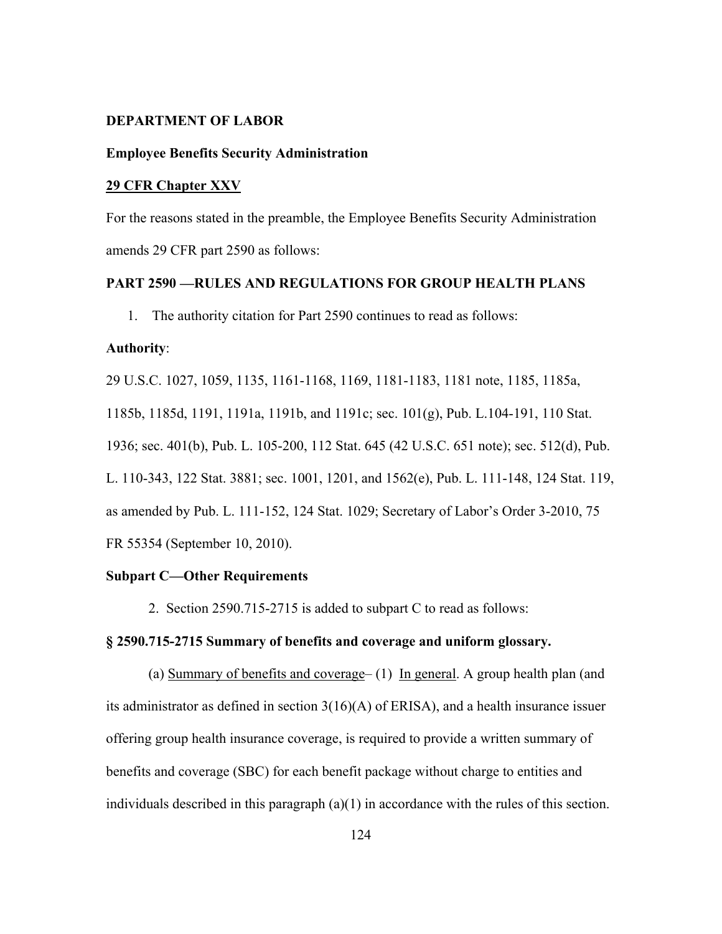#### **DEPARTMENT OF LABOR**

### **Employee Benefits Security Administration**

#### **29 CFR Chapter XXV**

For the reasons stated in the preamble, the Employee Benefits Security Administration amends 29 CFR part 2590 as follows:

#### **PART 2590 —RULES AND REGULATIONS FOR GROUP HEALTH PLANS**

1. The authority citation for Part 2590 continues to read as follows:

#### **Authority**:

29 U.S.C. 1027, 1059, 1135, 1161-1168, 1169, 1181-1183, 1181 note, 1185, 1185a, 1185b, 1185d, 1191, 1191a, 1191b, and 1191c; sec. 101(g), Pub. L.104-191, 110 Stat. 1936; sec. 401(b), Pub. L. 105-200, 112 Stat. 645 (42 U.S.C. 651 note); sec. 512(d), Pub. L. 110-343, 122 Stat. 3881; sec. 1001, 1201, and 1562(e), Pub. L. 111-148, 124 Stat. 119, as amended by Pub. L. 111-152, 124 Stat. 1029; Secretary of Labor's Order 3-2010, 75 FR 55354 (September 10, 2010).

# **Subpart C—Other Requirements**

2. Section 2590.715-2715 is added to subpart C to read as follows:

## **§ 2590.715-2715 Summary of benefits and coverage and uniform glossary.**

(a) Summary of benefits and coverage–  $(1)$  In general. A group health plan (and its administrator as defined in section  $3(16)(A)$  of ERISA), and a health insurance issuer offering group health insurance coverage, is required to provide a written summary of benefits and coverage (SBC) for each benefit package without charge to entities and individuals described in this paragraph (a)(1) in accordance with the rules of this section.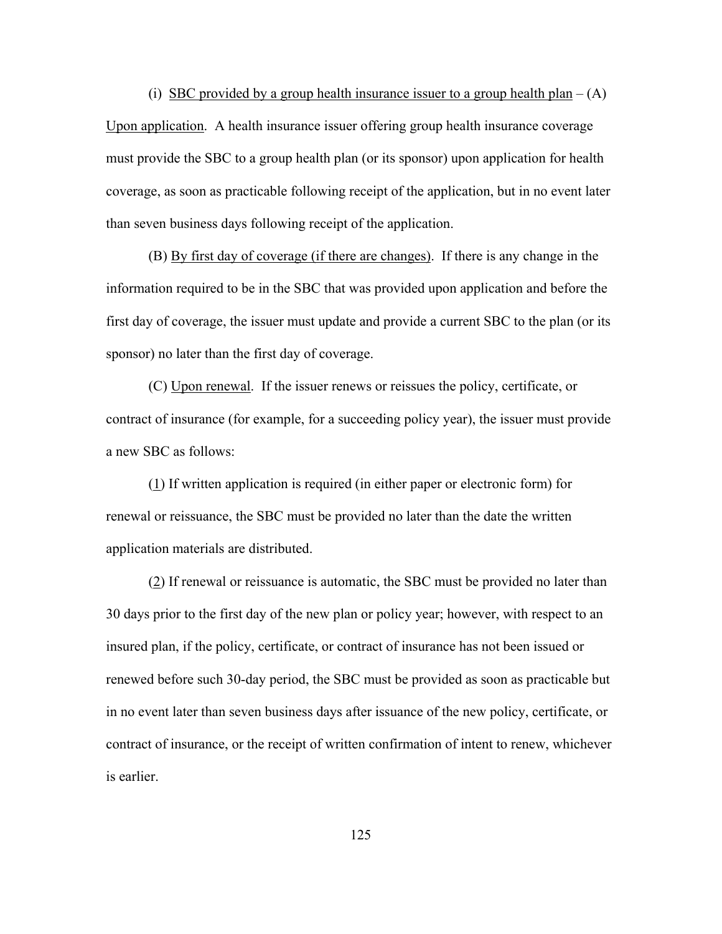(i) SBC provided by a group health insurance issuer to a group health plan –  $(A)$ Upon application. A health insurance issuer offering group health insurance coverage must provide the SBC to a group health plan (or its sponsor) upon application for health coverage, as soon as practicable following receipt of the application, but in no event later than seven business days following receipt of the application.

 (B) By first day of coverage (if there are changes). If there is any change in the information required to be in the SBC that was provided upon application and before the first day of coverage, the issuer must update and provide a current SBC to the plan (or its sponsor) no later than the first day of coverage.

(C) Upon renewal. If the issuer renews or reissues the policy, certificate, or contract of insurance (for example, for a succeeding policy year), the issuer must provide a new SBC as follows:

(1) If written application is required (in either paper or electronic form) for renewal or reissuance, the SBC must be provided no later than the date the written application materials are distributed.

(2) If renewal or reissuance is automatic, the SBC must be provided no later than 30 days prior to the first day of the new plan or policy year; however, with respect to an insured plan, if the policy, certificate, or contract of insurance has not been issued or renewed before such 30-day period, the SBC must be provided as soon as practicable but in no event later than seven business days after issuance of the new policy, certificate, or contract of insurance, or the receipt of written confirmation of intent to renew, whichever is earlier.

125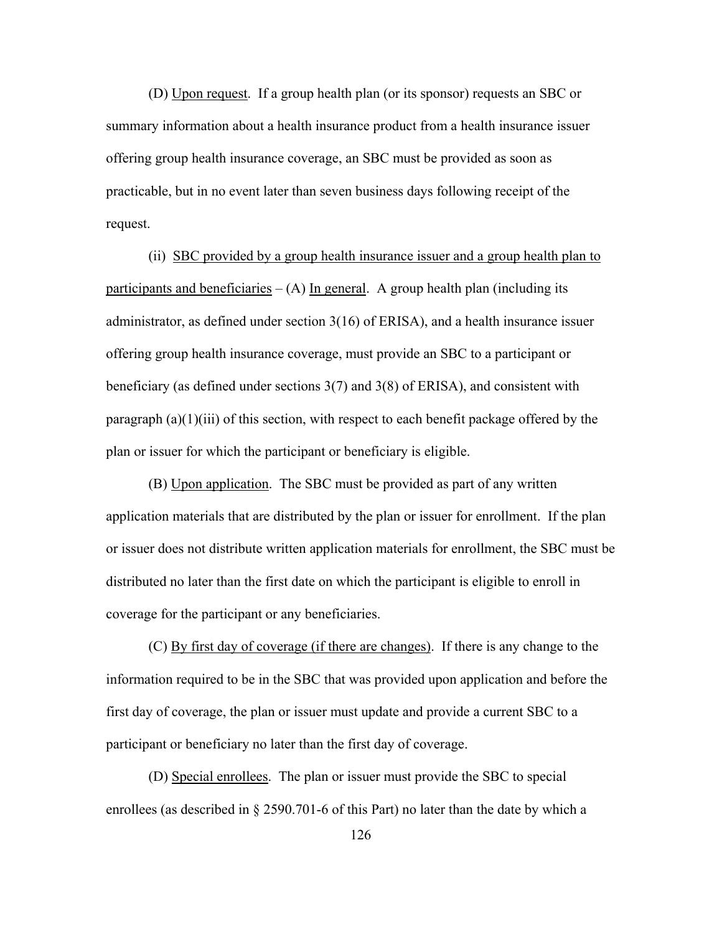(D) Upon request. If a group health plan (or its sponsor) requests an SBC or summary information about a health insurance product from a health insurance issuer offering group health insurance coverage, an SBC must be provided as soon as practicable, but in no event later than seven business days following receipt of the request.

 (ii) SBC provided by a group health insurance issuer and a group health plan to participants and beneficiaries  $- (A)$  In general. A group health plan (including its administrator, as defined under section 3(16) of ERISA), and a health insurance issuer offering group health insurance coverage, must provide an SBC to a participant or beneficiary (as defined under sections 3(7) and 3(8) of ERISA), and consistent with paragraph (a)(1)(iii) of this section, with respect to each benefit package offered by the plan or issuer for which the participant or beneficiary is eligible.

 (B) Upon application. The SBC must be provided as part of any written application materials that are distributed by the plan or issuer for enrollment. If the plan or issuer does not distribute written application materials for enrollment, the SBC must be distributed no later than the first date on which the participant is eligible to enroll in coverage for the participant or any beneficiaries.

 (C) By first day of coverage (if there are changes). If there is any change to the information required to be in the SBC that was provided upon application and before the first day of coverage, the plan or issuer must update and provide a current SBC to a participant or beneficiary no later than the first day of coverage.

 (D) Special enrollees. The plan or issuer must provide the SBC to special enrollees (as described in § 2590.701-6 of this Part) no later than the date by which a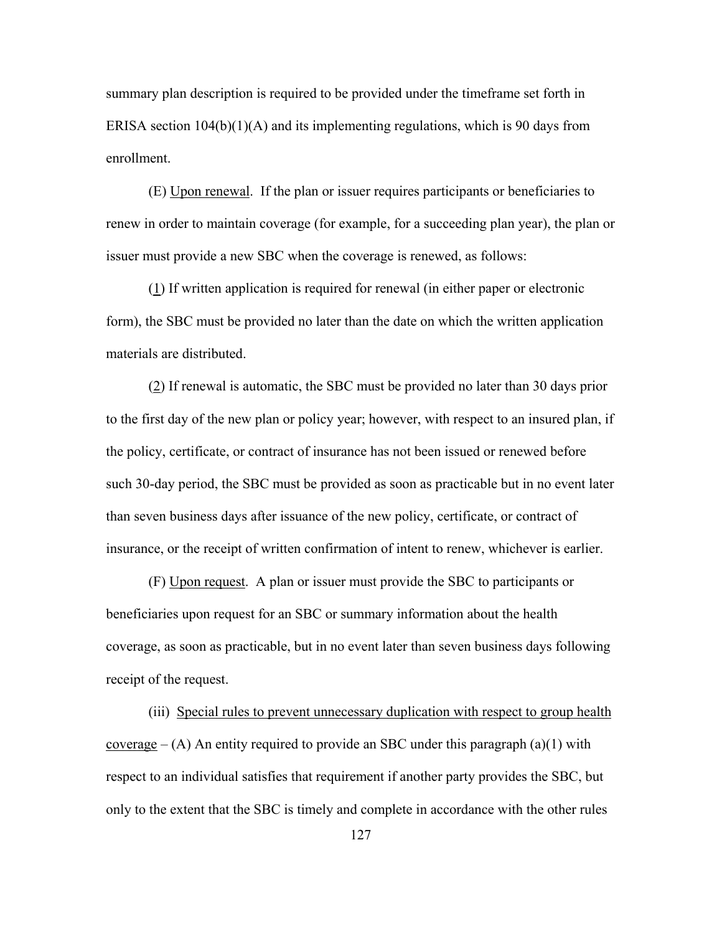summary plan description is required to be provided under the timeframe set forth in ERISA section  $104(b)(1)(A)$  and its implementing regulations, which is 90 days from enrollment.

 (E) Upon renewal. If the plan or issuer requires participants or beneficiaries to renew in order to maintain coverage (for example, for a succeeding plan year), the plan or issuer must provide a new SBC when the coverage is renewed, as follows:

 (1) If written application is required for renewal (in either paper or electronic form), the SBC must be provided no later than the date on which the written application materials are distributed.

 (2) If renewal is automatic, the SBC must be provided no later than 30 days prior to the first day of the new plan or policy year; however, with respect to an insured plan, if the policy, certificate, or contract of insurance has not been issued or renewed before such 30-day period, the SBC must be provided as soon as practicable but in no event later than seven business days after issuance of the new policy, certificate, or contract of insurance, or the receipt of written confirmation of intent to renew, whichever is earlier.

 (F) Upon request. A plan or issuer must provide the SBC to participants or beneficiaries upon request for an SBC or summary information about the health coverage, as soon as practicable, but in no event later than seven business days following receipt of the request.

 (iii) Special rules to prevent unnecessary duplication with respect to group health coverage  $-$  (A) An entity required to provide an SBC under this paragraph (a)(1) with respect to an individual satisfies that requirement if another party provides the SBC, but only to the extent that the SBC is timely and complete in accordance with the other rules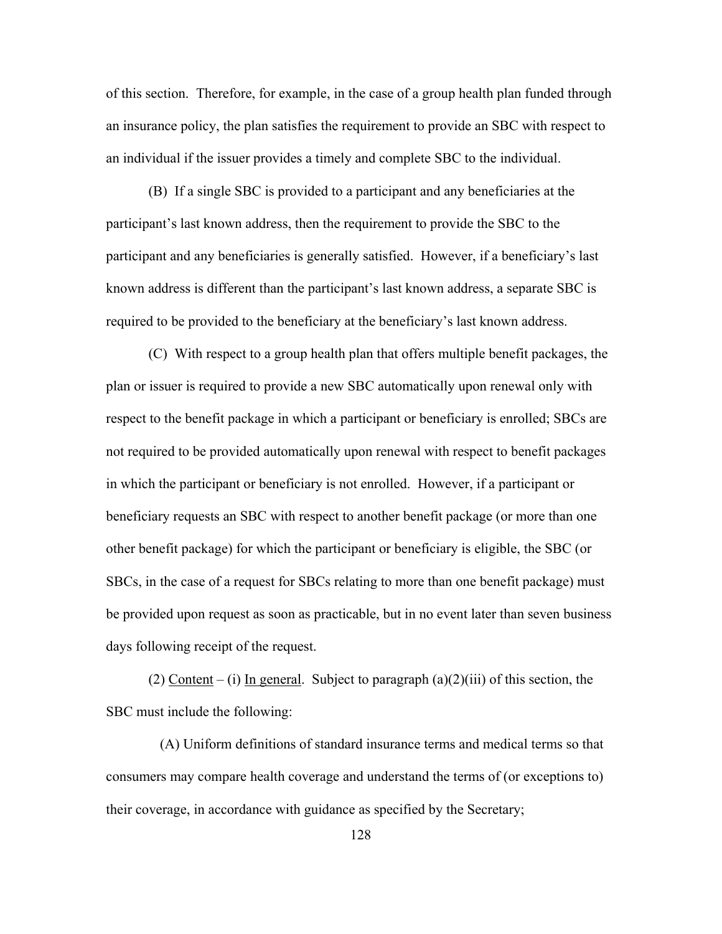of this section. Therefore, for example, in the case of a group health plan funded through an insurance policy, the plan satisfies the requirement to provide an SBC with respect to an individual if the issuer provides a timely and complete SBC to the individual.

 (B) If a single SBC is provided to a participant and any beneficiaries at the participant's last known address, then the requirement to provide the SBC to the participant and any beneficiaries is generally satisfied. However, if a beneficiary's last known address is different than the participant's last known address, a separate SBC is required to be provided to the beneficiary at the beneficiary's last known address.

 (C) With respect to a group health plan that offers multiple benefit packages, the plan or issuer is required to provide a new SBC automatically upon renewal only with respect to the benefit package in which a participant or beneficiary is enrolled; SBCs are not required to be provided automatically upon renewal with respect to benefit packages in which the participant or beneficiary is not enrolled. However, if a participant or beneficiary requests an SBC with respect to another benefit package (or more than one other benefit package) for which the participant or beneficiary is eligible, the SBC (or SBCs, in the case of a request for SBCs relating to more than one benefit package) must be provided upon request as soon as practicable, but in no event later than seven business days following receipt of the request.

(2) Content – (i) In general. Subject to paragraph  $(a)(2)(iii)$  of this section, the SBC must include the following:

 (A) Uniform definitions of standard insurance terms and medical terms so that consumers may compare health coverage and understand the terms of (or exceptions to) their coverage, in accordance with guidance as specified by the Secretary;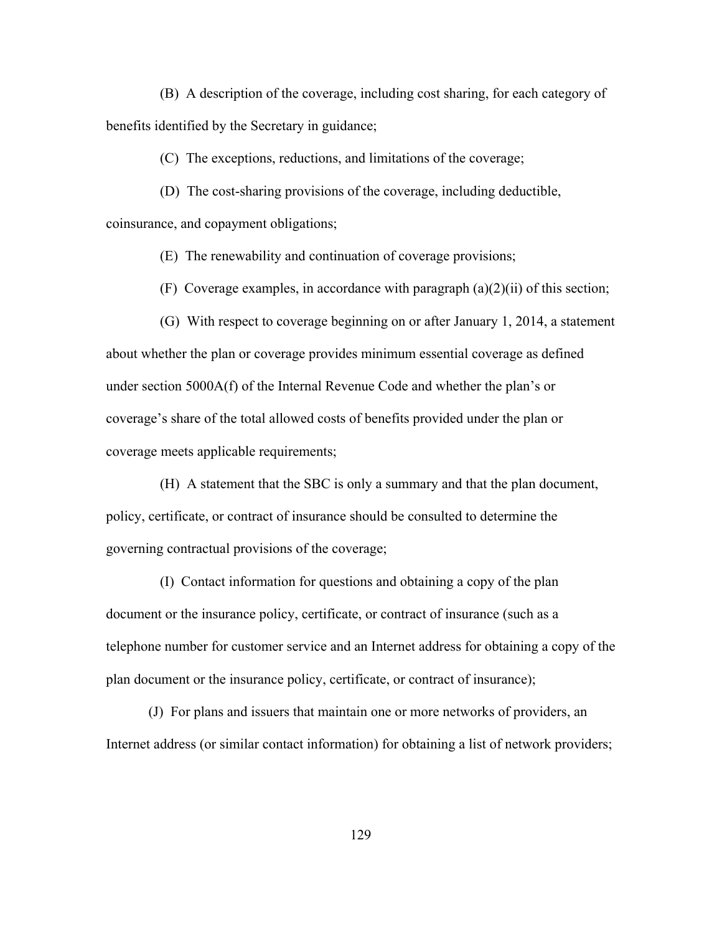(B) A description of the coverage, including cost sharing, for each category of benefits identified by the Secretary in guidance;

(C) The exceptions, reductions, and limitations of the coverage;

(D) The cost-sharing provisions of the coverage, including deductible,

coinsurance, and copayment obligations;

(E) The renewability and continuation of coverage provisions;

(F) Coverage examples, in accordance with paragraph  $(a)(2)(ii)$  of this section;

 (G) With respect to coverage beginning on or after January 1, 2014, a statement about whether the plan or coverage provides minimum essential coverage as defined under section 5000A(f) of the Internal Revenue Code and whether the plan's or coverage's share of the total allowed costs of benefits provided under the plan or coverage meets applicable requirements;

 (H) A statement that the SBC is only a summary and that the plan document, policy, certificate, or contract of insurance should be consulted to determine the governing contractual provisions of the coverage;

 (I) Contact information for questions and obtaining a copy of the plan document or the insurance policy, certificate, or contract of insurance (such as a telephone number for customer service and an Internet address for obtaining a copy of the plan document or the insurance policy, certificate, or contract of insurance);

(J) For plans and issuers that maintain one or more networks of providers, an Internet address (or similar contact information) for obtaining a list of network providers;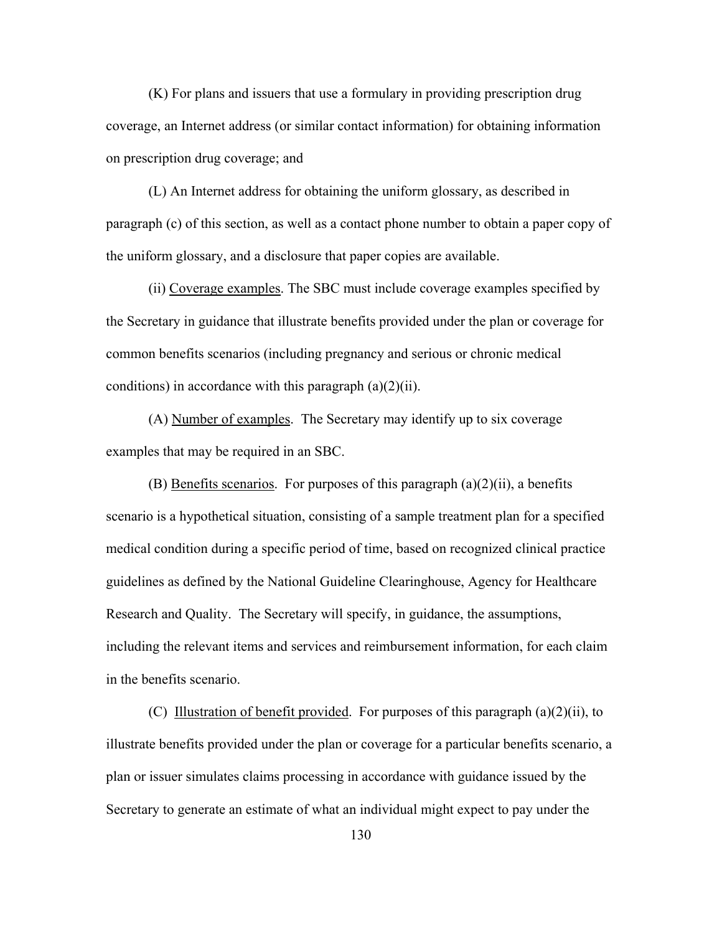(K) For plans and issuers that use a formulary in providing prescription drug coverage, an Internet address (or similar contact information) for obtaining information on prescription drug coverage; and

(L) An Internet address for obtaining the uniform glossary, as described in paragraph (c) of this section, as well as a contact phone number to obtain a paper copy of the uniform glossary, and a disclosure that paper copies are available.

(ii) Coverage examples. The SBC must include coverage examples specified by the Secretary in guidance that illustrate benefits provided under the plan or coverage for common benefits scenarios (including pregnancy and serious or chronic medical conditions) in accordance with this paragraph  $(a)(2)(ii)$ .

(A) Number of examples. The Secretary may identify up to six coverage examples that may be required in an SBC.

(B) Benefits scenarios. For purposes of this paragraph  $(a)(2)(ii)$ , a benefits scenario is a hypothetical situation, consisting of a sample treatment plan for a specified medical condition during a specific period of time, based on recognized clinical practice guidelines as defined by the National Guideline Clearinghouse, Agency for Healthcare Research and Quality. The Secretary will specify, in guidance, the assumptions, including the relevant items and services and reimbursement information, for each claim in the benefits scenario.

(C) Illustration of benefit provided. For purposes of this paragraph (a)(2)(ii), to illustrate benefits provided under the plan or coverage for a particular benefits scenario, a plan or issuer simulates claims processing in accordance with guidance issued by the Secretary to generate an estimate of what an individual might expect to pay under the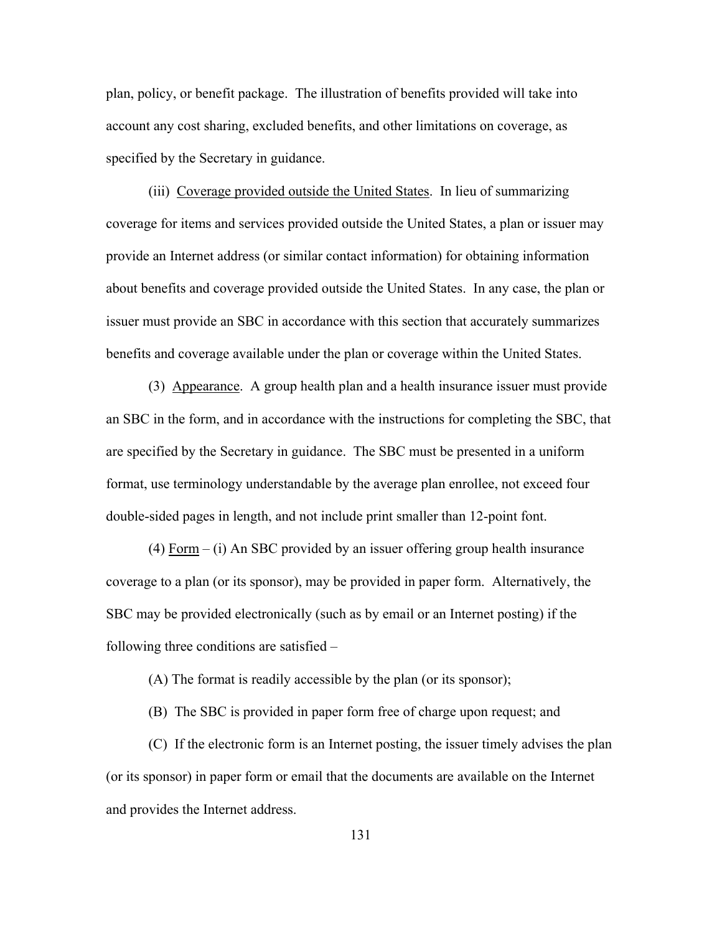plan, policy, or benefit package. The illustration of benefits provided will take into account any cost sharing, excluded benefits, and other limitations on coverage, as specified by the Secretary in guidance.

(iii) Coverage provided outside the United States. In lieu of summarizing coverage for items and services provided outside the United States, a plan or issuer may provide an Internet address (or similar contact information) for obtaining information about benefits and coverage provided outside the United States. In any case, the plan or issuer must provide an SBC in accordance with this section that accurately summarizes benefits and coverage available under the plan or coverage within the United States.

 (3) Appearance. A group health plan and a health insurance issuer must provide an SBC in the form, and in accordance with the instructions for completing the SBC, that are specified by the Secretary in guidance. The SBC must be presented in a uniform format, use terminology understandable by the average plan enrollee, not exceed four double-sided pages in length, and not include print smaller than 12-point font.

(4) Form – (i) An SBC provided by an issuer offering group health insurance coverage to a plan (or its sponsor), may be provided in paper form. Alternatively, the SBC may be provided electronically (such as by email or an Internet posting) if the following three conditions are satisfied –

(A) The format is readily accessible by the plan (or its sponsor);

(B) The SBC is provided in paper form free of charge upon request; and

(C) If the electronic form is an Internet posting, the issuer timely advises the plan (or its sponsor) in paper form or email that the documents are available on the Internet and provides the Internet address.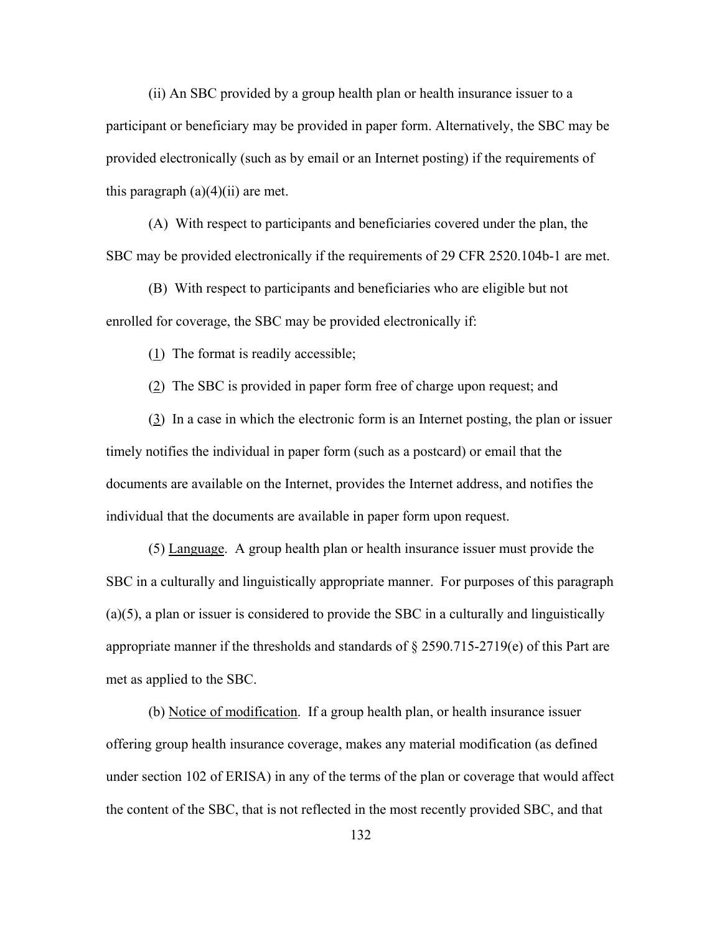(ii) An SBC provided by a group health plan or health insurance issuer to a participant or beneficiary may be provided in paper form. Alternatively, the SBC may be provided electronically (such as by email or an Internet posting) if the requirements of this paragraph  $(a)(4)(ii)$  are met.

(A) With respect to participants and beneficiaries covered under the plan, the SBC may be provided electronically if the requirements of 29 CFR 2520.104b-1 are met.

(B) With respect to participants and beneficiaries who are eligible but not enrolled for coverage, the SBC may be provided electronically if:

(1) The format is readily accessible;

(2) The SBC is provided in paper form free of charge upon request; and

(3) In a case in which the electronic form is an Internet posting, the plan or issuer timely notifies the individual in paper form (such as a postcard) or email that the documents are available on the Internet, provides the Internet address, and notifies the individual that the documents are available in paper form upon request.

 (5) Language. A group health plan or health insurance issuer must provide the SBC in a culturally and linguistically appropriate manner. For purposes of this paragraph (a)(5), a plan or issuer is considered to provide the SBC in a culturally and linguistically appropriate manner if the thresholds and standards of § 2590.715-2719(e) of this Part are met as applied to the SBC.

(b) Notice of modification. If a group health plan, or health insurance issuer offering group health insurance coverage, makes any material modification (as defined under section 102 of ERISA) in any of the terms of the plan or coverage that would affect the content of the SBC, that is not reflected in the most recently provided SBC, and that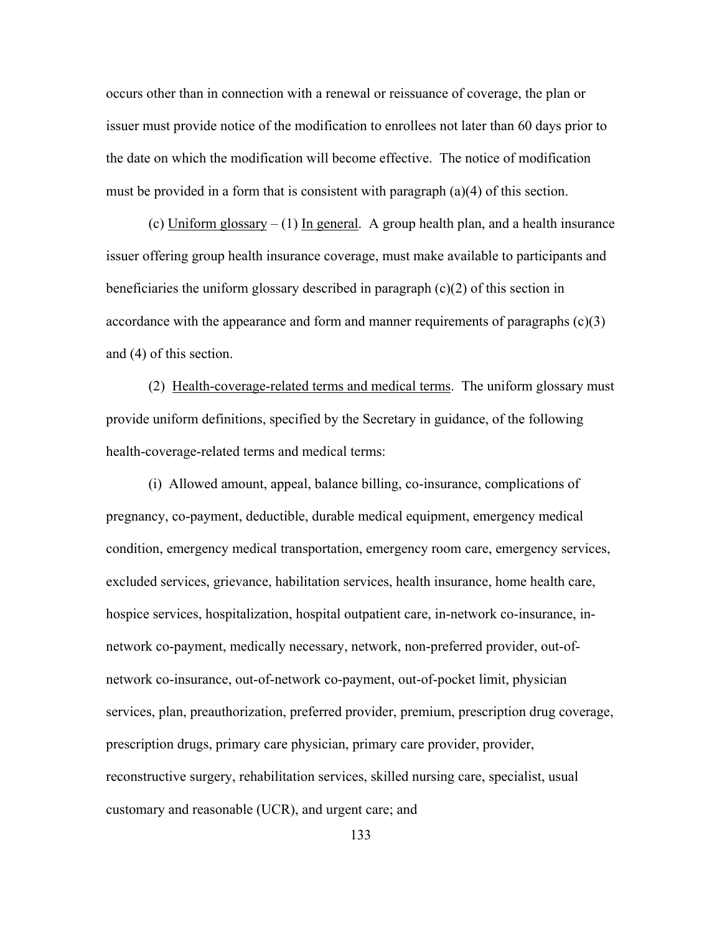occurs other than in connection with a renewal or reissuance of coverage, the plan or issuer must provide notice of the modification to enrollees not later than 60 days prior to the date on which the modification will become effective. The notice of modification must be provided in a form that is consistent with paragraph (a)(4) of this section.

(c) Uniform glossary  $- (1)$  In general. A group health plan, and a health insurance issuer offering group health insurance coverage, must make available to participants and beneficiaries the uniform glossary described in paragraph (c)(2) of this section in accordance with the appearance and form and manner requirements of paragraphs (c)(3) and (4) of this section.

 (2) Health-coverage-related terms and medical terms. The uniform glossary must provide uniform definitions, specified by the Secretary in guidance, of the following health-coverage-related terms and medical terms:

 (i) Allowed amount, appeal, balance billing, co-insurance, complications of pregnancy, co-payment, deductible, durable medical equipment, emergency medical condition, emergency medical transportation, emergency room care, emergency services, excluded services, grievance, habilitation services, health insurance, home health care, hospice services, hospitalization, hospital outpatient care, in-network co-insurance, innetwork co-payment, medically necessary, network, non-preferred provider, out-ofnetwork co-insurance, out-of-network co-payment, out-of-pocket limit, physician services, plan, preauthorization, preferred provider, premium, prescription drug coverage, prescription drugs, primary care physician, primary care provider, provider, reconstructive surgery, rehabilitation services, skilled nursing care, specialist, usual customary and reasonable (UCR), and urgent care; and

133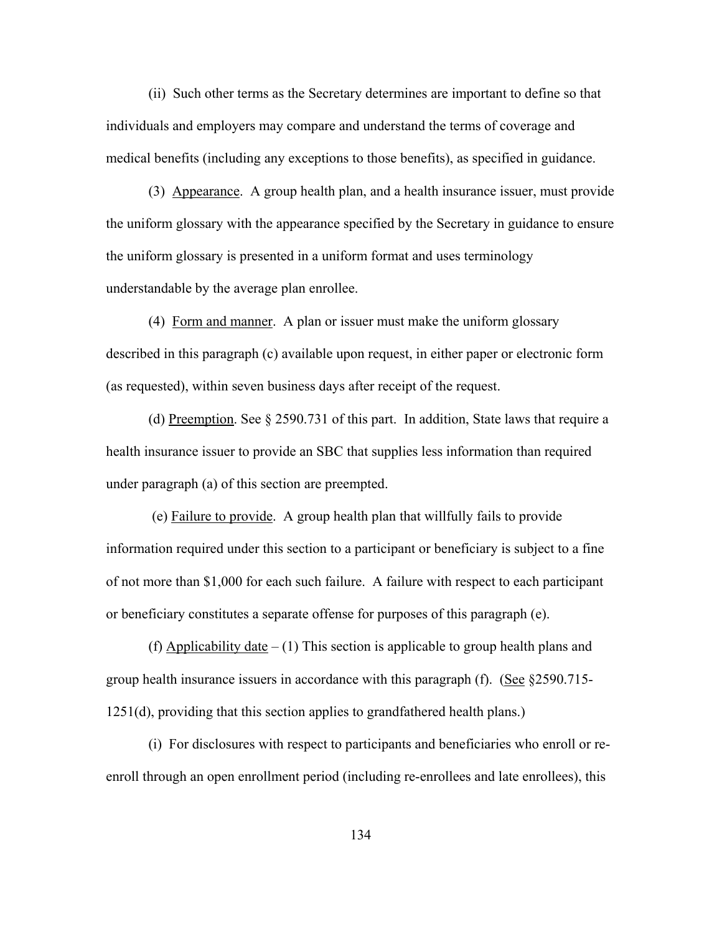(ii) Such other terms as the Secretary determines are important to define so that individuals and employers may compare and understand the terms of coverage and medical benefits (including any exceptions to those benefits), as specified in guidance.

 (3) Appearance. A group health plan, and a health insurance issuer, must provide the uniform glossary with the appearance specified by the Secretary in guidance to ensure the uniform glossary is presented in a uniform format and uses terminology understandable by the average plan enrollee.

 (4) Form and manner. A plan or issuer must make the uniform glossary described in this paragraph (c) available upon request, in either paper or electronic form (as requested), within seven business days after receipt of the request.

(d) Preemption. See § 2590.731 of this part. In addition, State laws that require a health insurance issuer to provide an SBC that supplies less information than required under paragraph (a) of this section are preempted.

 (e) Failure to provide. A group health plan that willfully fails to provide information required under this section to a participant or beneficiary is subject to a fine of not more than \$1,000 for each such failure. A failure with respect to each participant or beneficiary constitutes a separate offense for purposes of this paragraph (e).

(f) Applicability date  $- (1)$  This section is applicable to group health plans and group health insurance issuers in accordance with this paragraph  $(f)$ . (See §2590.715-1251(d), providing that this section applies to grandfathered health plans.)

(i) For disclosures with respect to participants and beneficiaries who enroll or reenroll through an open enrollment period (including re-enrollees and late enrollees), this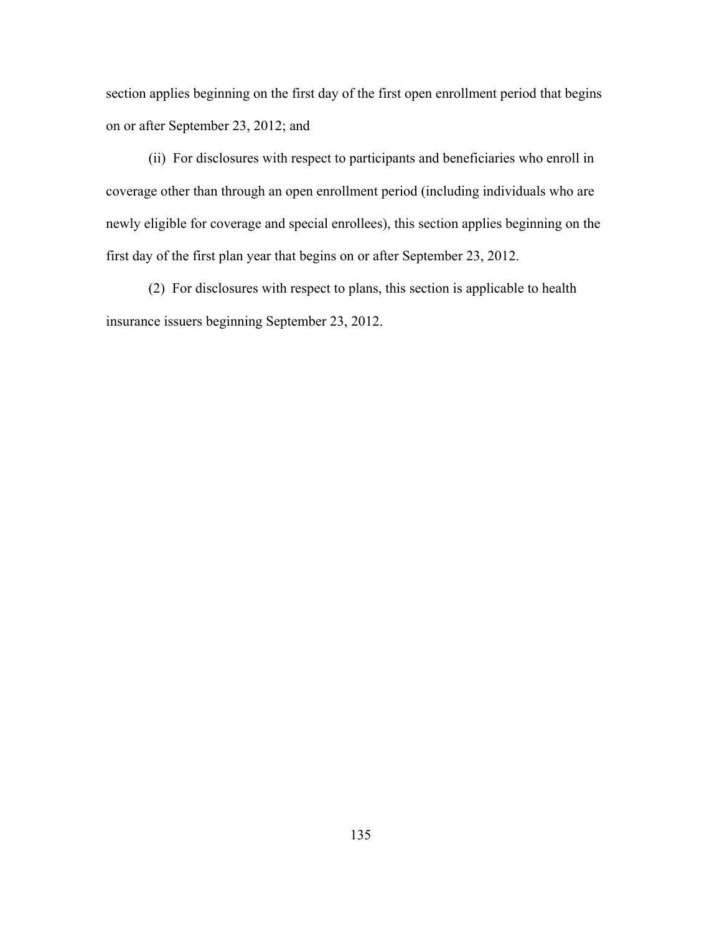section applies beginning on the first day of the first open enrollment period that begins on or after September 23, 2012; and

(ii) For disclosures with respect to participants and beneficiaries who enroll in coverage other than through an open enrollment period (including individuals who are newly eligible for coverage and special enrollees), this section applies beginning on the first day of the first plan year that begins on or after September 23, 2012.

(2) For disclosures with respect to plans, this section is applicable to health insurance issuers beginning September 23, 2012.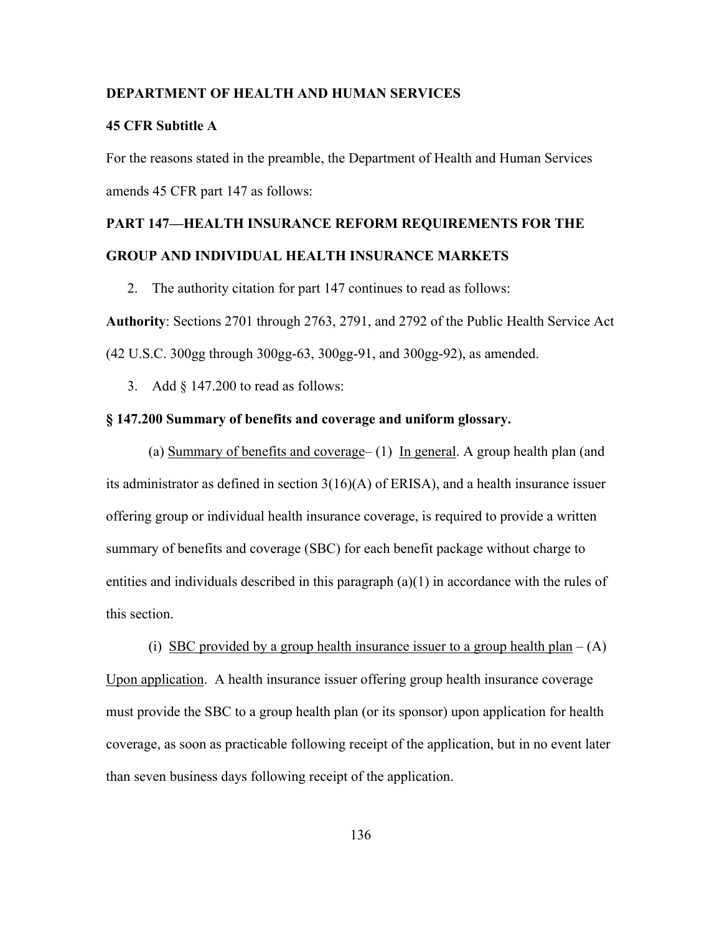### **DEPARTMENT OF HEALTH AND HUMAN SERVICES**

#### **45 CFR Subtitle A**

For the reasons stated in the preamble, the Department of Health and Human Services amends 45 CFR part 147 as follows:

# **PART 147—HEALTH INSURANCE REFORM REQUIREMENTS FOR THE GROUP AND INDIVIDUAL HEALTH INSURANCE MARKETS**

2. The authority citation for part 147 continues to read as follows:

**Authority**: Sections 2701 through 2763, 2791, and 2792 of the Public Health Service Act (42 U.S.C. 300gg through 300gg-63, 300gg-91, and 300gg-92), as amended.

3. Add § 147.200 to read as follows:

# **§ 147.200 Summary of benefits and coverage and uniform glossary.**

(a) Summary of benefits and coverage– (1) In general. A group health plan (and its administrator as defined in section 3(16)(A) of ERISA), and a health insurance issuer offering group or individual health insurance coverage, is required to provide a written summary of benefits and coverage (SBC) for each benefit package without charge to entities and individuals described in this paragraph  $(a)(1)$  in accordance with the rules of this section.

(i) SBC provided by a group health insurance issuer to a group health plan  $- (A)$ Upon application. A health insurance issuer offering group health insurance coverage must provide the SBC to a group health plan (or its sponsor) upon application for health coverage, as soon as practicable following receipt of the application, but in no event later than seven business days following receipt of the application.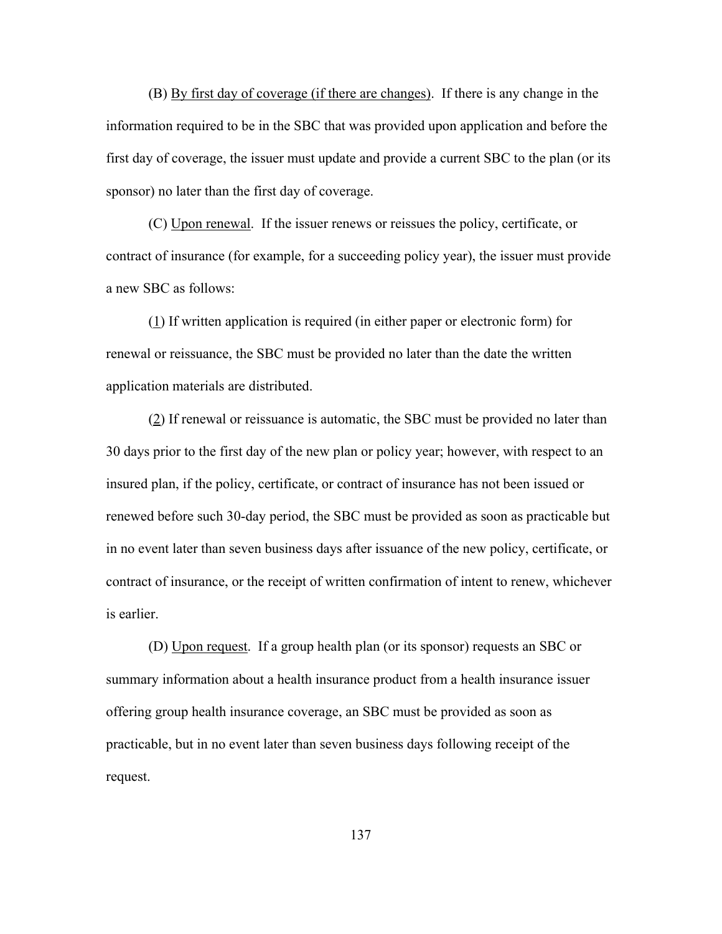(B) By first day of coverage (if there are changes). If there is any change in the information required to be in the SBC that was provided upon application and before the first day of coverage, the issuer must update and provide a current SBC to the plan (or its sponsor) no later than the first day of coverage.

(C) Upon renewal. If the issuer renews or reissues the policy, certificate, or contract of insurance (for example, for a succeeding policy year), the issuer must provide a new SBC as follows:

(1) If written application is required (in either paper or electronic form) for renewal or reissuance, the SBC must be provided no later than the date the written application materials are distributed.

(2) If renewal or reissuance is automatic, the SBC must be provided no later than 30 days prior to the first day of the new plan or policy year; however, with respect to an insured plan, if the policy, certificate, or contract of insurance has not been issued or renewed before such 30-day period, the SBC must be provided as soon as practicable but in no event later than seven business days after issuance of the new policy, certificate, or contract of insurance, or the receipt of written confirmation of intent to renew, whichever is earlier.

(D) Upon request. If a group health plan (or its sponsor) requests an SBC or summary information about a health insurance product from a health insurance issuer offering group health insurance coverage, an SBC must be provided as soon as practicable, but in no event later than seven business days following receipt of the request.

137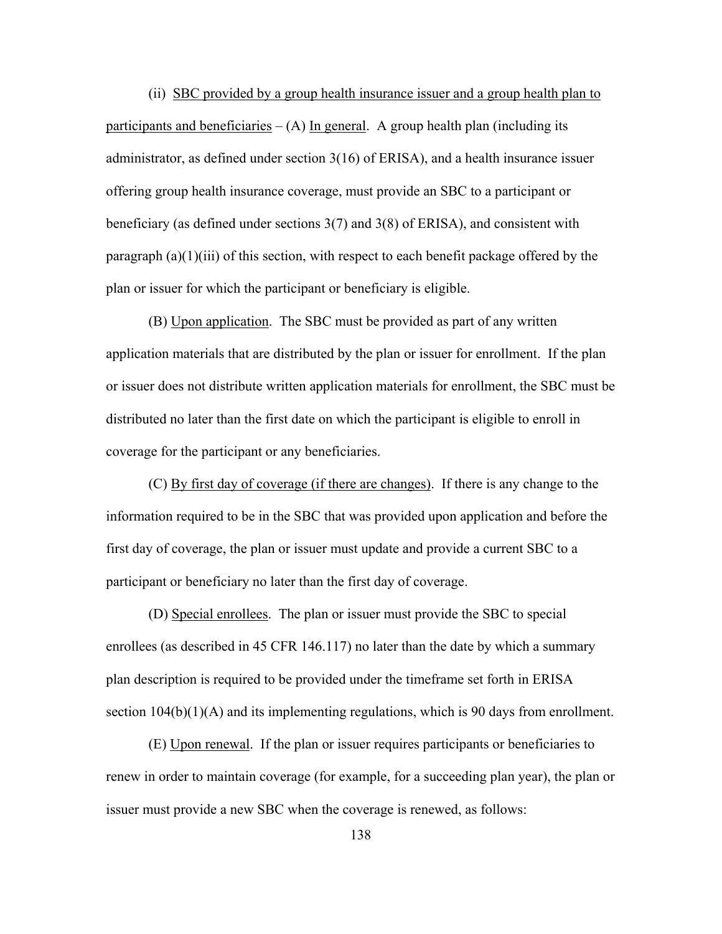(ii) SBC provided by a group health insurance issuer and a group health plan to participants and beneficiaries  $-(A)$  In general. A group health plan (including its administrator, as defined under section 3(16) of ERISA), and a health insurance issuer offering group health insurance coverage, must provide an SBC to a participant or beneficiary (as defined under sections 3(7) and 3(8) of ERISA), and consistent with paragraph (a)(1)(iii) of this section, with respect to each benefit package offered by the plan or issuer for which the participant or beneficiary is eligible.

 (B) Upon application. The SBC must be provided as part of any written application materials that are distributed by the plan or issuer for enrollment. If the plan or issuer does not distribute written application materials for enrollment, the SBC must be distributed no later than the first date on which the participant is eligible to enroll in coverage for the participant or any beneficiaries.

 (C) By first day of coverage (if there are changes). If there is any change to the information required to be in the SBC that was provided upon application and before the first day of coverage, the plan or issuer must update and provide a current SBC to a participant or beneficiary no later than the first day of coverage.

 (D) Special enrollees. The plan or issuer must provide the SBC to special enrollees (as described in 45 CFR 146.117) no later than the date by which a summary plan description is required to be provided under the timeframe set forth in ERISA section  $104(b)(1)(A)$  and its implementing regulations, which is 90 days from enrollment.

 (E) Upon renewal. If the plan or issuer requires participants or beneficiaries to renew in order to maintain coverage (for example, for a succeeding plan year), the plan or issuer must provide a new SBC when the coverage is renewed, as follows: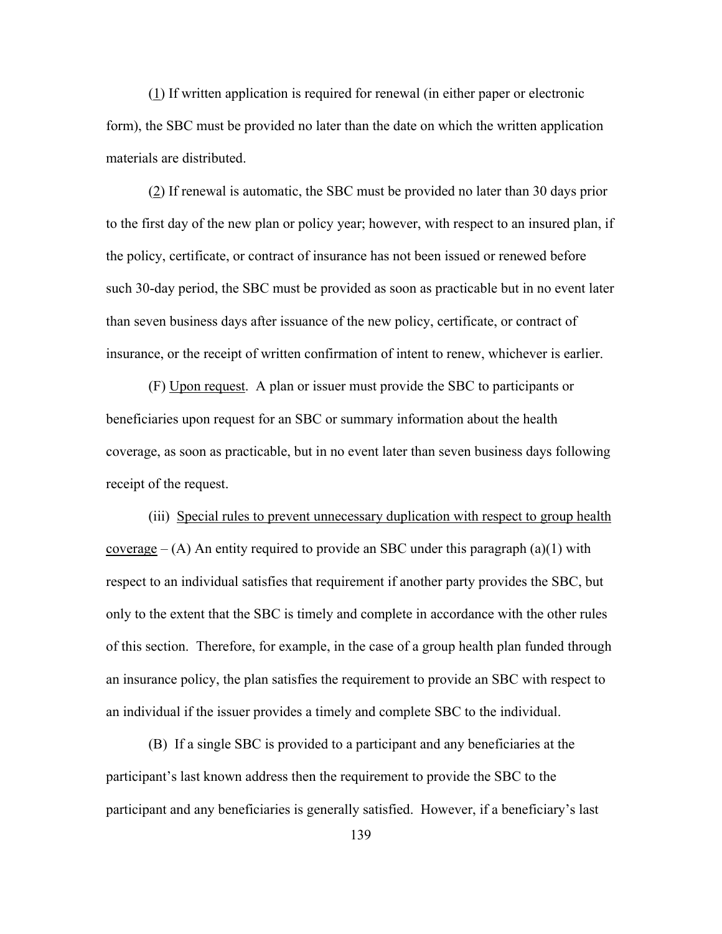(1) If written application is required for renewal (in either paper or electronic form), the SBC must be provided no later than the date on which the written application materials are distributed.

 (2) If renewal is automatic, the SBC must be provided no later than 30 days prior to the first day of the new plan or policy year; however, with respect to an insured plan, if the policy, certificate, or contract of insurance has not been issued or renewed before such 30-day period, the SBC must be provided as soon as practicable but in no event later than seven business days after issuance of the new policy, certificate, or contract of insurance, or the receipt of written confirmation of intent to renew, whichever is earlier.

 (F) Upon request. A plan or issuer must provide the SBC to participants or beneficiaries upon request for an SBC or summary information about the health coverage, as soon as practicable, but in no event later than seven business days following receipt of the request.

 (iii) Special rules to prevent unnecessary duplication with respect to group health coverage  $- (A)$  An entity required to provide an SBC under this paragraph (a)(1) with respect to an individual satisfies that requirement if another party provides the SBC, but only to the extent that the SBC is timely and complete in accordance with the other rules of this section. Therefore, for example, in the case of a group health plan funded through an insurance policy, the plan satisfies the requirement to provide an SBC with respect to an individual if the issuer provides a timely and complete SBC to the individual.

 (B) If a single SBC is provided to a participant and any beneficiaries at the participant's last known address then the requirement to provide the SBC to the participant and any beneficiaries is generally satisfied. However, if a beneficiary's last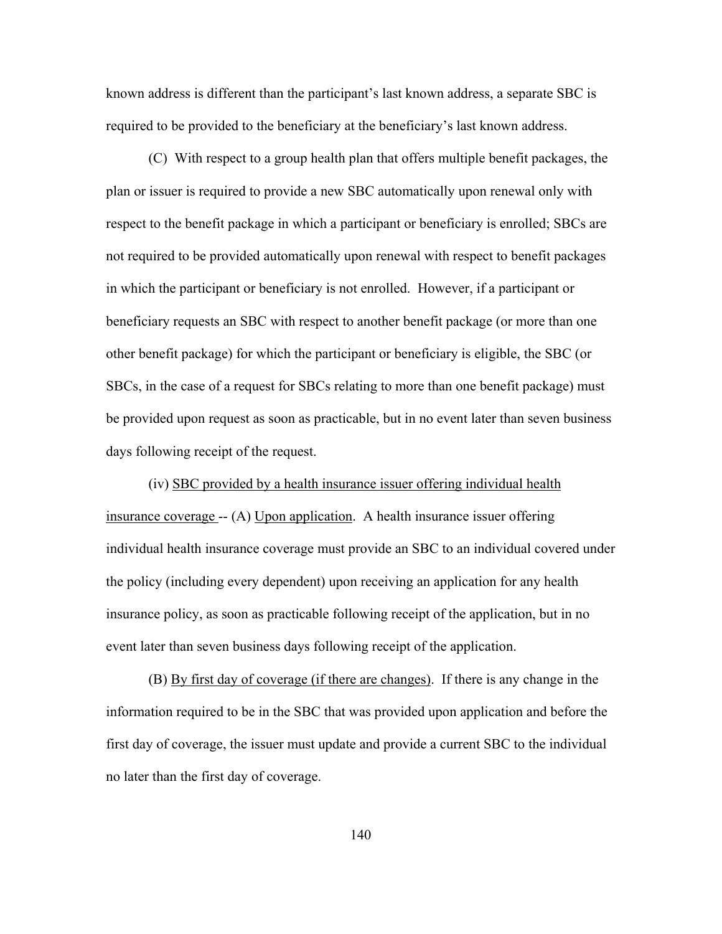known address is different than the participant's last known address, a separate SBC is required to be provided to the beneficiary at the beneficiary's last known address.

 (C) With respect to a group health plan that offers multiple benefit packages, the plan or issuer is required to provide a new SBC automatically upon renewal only with respect to the benefit package in which a participant or beneficiary is enrolled; SBCs are not required to be provided automatically upon renewal with respect to benefit packages in which the participant or beneficiary is not enrolled. However, if a participant or beneficiary requests an SBC with respect to another benefit package (or more than one other benefit package) for which the participant or beneficiary is eligible, the SBC (or SBCs, in the case of a request for SBCs relating to more than one benefit package) must be provided upon request as soon as practicable, but in no event later than seven business days following receipt of the request.

 (iv) SBC provided by a health insurance issuer offering individual health insurance coverage -- (A) Upon application. A health insurance issuer offering individual health insurance coverage must provide an SBC to an individual covered under the policy (including every dependent) upon receiving an application for any health insurance policy, as soon as practicable following receipt of the application, but in no event later than seven business days following receipt of the application.

 (B) By first day of coverage (if there are changes). If there is any change in the information required to be in the SBC that was provided upon application and before the first day of coverage, the issuer must update and provide a current SBC to the individual no later than the first day of coverage.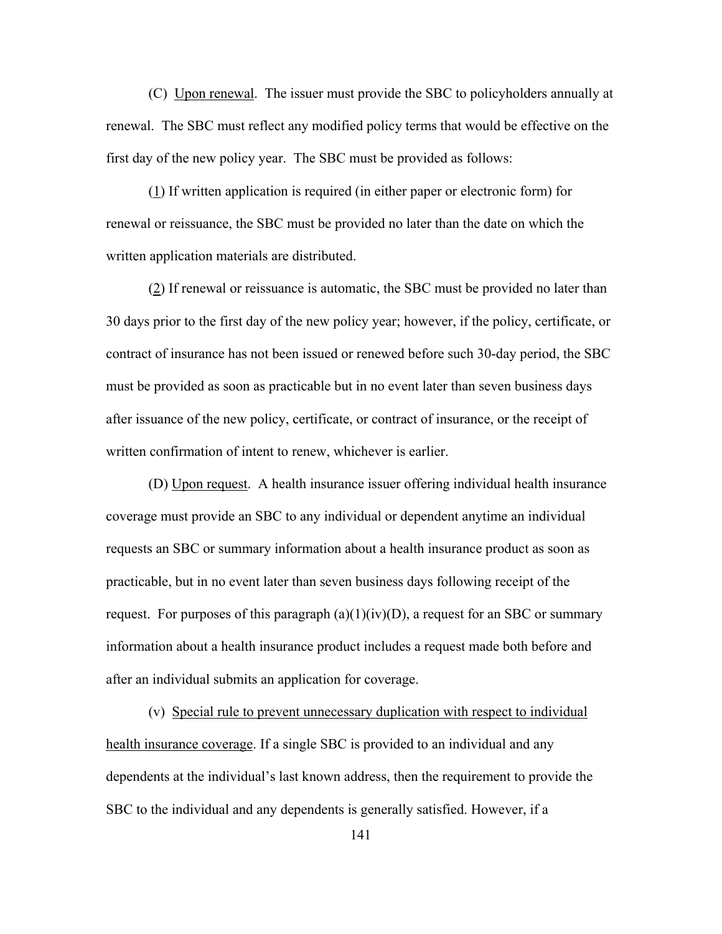(C) Upon renewal. The issuer must provide the SBC to policyholders annually at renewal. The SBC must reflect any modified policy terms that would be effective on the first day of the new policy year. The SBC must be provided as follows:

(1) If written application is required (in either paper or electronic form) for renewal or reissuance, the SBC must be provided no later than the date on which the written application materials are distributed.

(2) If renewal or reissuance is automatic, the SBC must be provided no later than 30 days prior to the first day of the new policy year; however, if the policy, certificate, or contract of insurance has not been issued or renewed before such 30-day period, the SBC must be provided as soon as practicable but in no event later than seven business days after issuance of the new policy, certificate, or contract of insurance, or the receipt of written confirmation of intent to renew, whichever is earlier.

(D) Upon request. A health insurance issuer offering individual health insurance coverage must provide an SBC to any individual or dependent anytime an individual requests an SBC or summary information about a health insurance product as soon as practicable, but in no event later than seven business days following receipt of the request. For purposes of this paragraph  $(a)(1)(iv)(D)$ , a request for an SBC or summary information about a health insurance product includes a request made both before and after an individual submits an application for coverage.

 (v) Special rule to prevent unnecessary duplication with respect to individual health insurance coverage. If a single SBC is provided to an individual and any dependents at the individual's last known address, then the requirement to provide the SBC to the individual and any dependents is generally satisfied. However, if a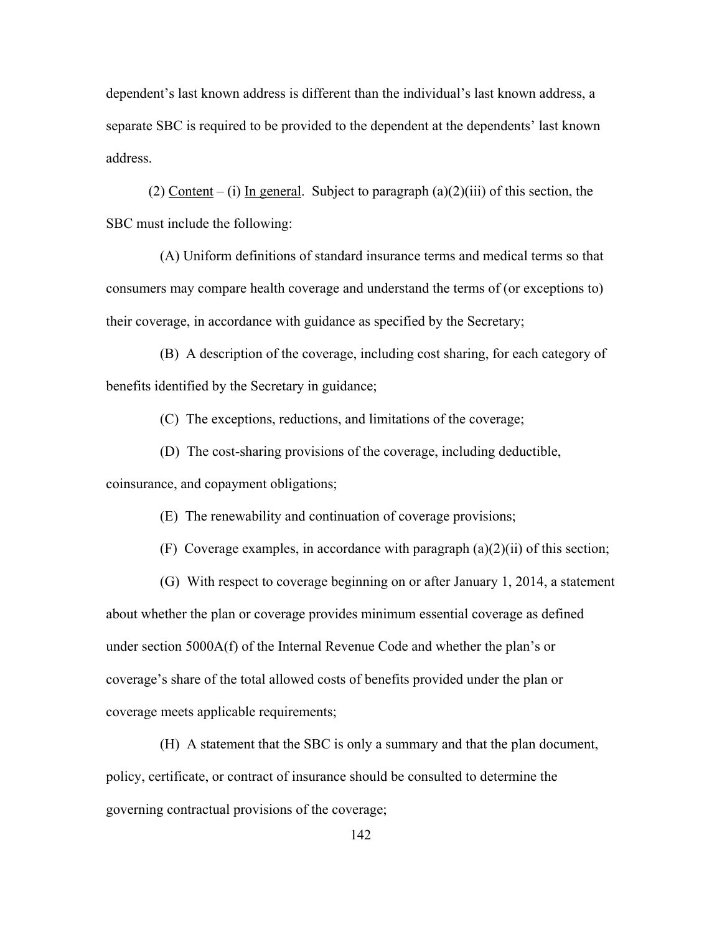dependent's last known address is different than the individual's last known address, a separate SBC is required to be provided to the dependent at the dependents' last known address.

(2) Content – (i) In general. Subject to paragraph  $(a)(2)(iii)$  of this section, the SBC must include the following:

 (A) Uniform definitions of standard insurance terms and medical terms so that consumers may compare health coverage and understand the terms of (or exceptions to) their coverage, in accordance with guidance as specified by the Secretary;

 (B) A description of the coverage, including cost sharing, for each category of benefits identified by the Secretary in guidance;

(C) The exceptions, reductions, and limitations of the coverage;

(D) The cost-sharing provisions of the coverage, including deductible,

coinsurance, and copayment obligations;

(E) The renewability and continuation of coverage provisions;

(F) Coverage examples, in accordance with paragraph (a)(2)(ii) of this section;

 (G) With respect to coverage beginning on or after January 1, 2014, a statement about whether the plan or coverage provides minimum essential coverage as defined under section 5000A(f) of the Internal Revenue Code and whether the plan's or coverage's share of the total allowed costs of benefits provided under the plan or coverage meets applicable requirements;

 (H) A statement that the SBC is only a summary and that the plan document, policy, certificate, or contract of insurance should be consulted to determine the governing contractual provisions of the coverage;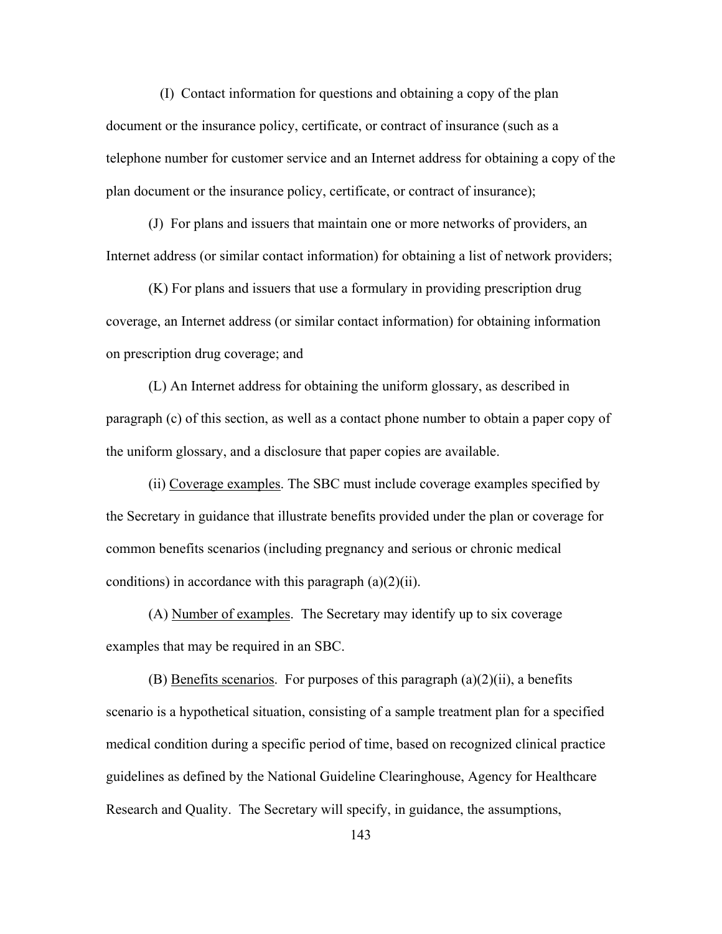(I) Contact information for questions and obtaining a copy of the plan document or the insurance policy, certificate, or contract of insurance (such as a telephone number for customer service and an Internet address for obtaining a copy of the plan document or the insurance policy, certificate, or contract of insurance);

(J) For plans and issuers that maintain one or more networks of providers, an Internet address (or similar contact information) for obtaining a list of network providers;

(K) For plans and issuers that use a formulary in providing prescription drug coverage, an Internet address (or similar contact information) for obtaining information on prescription drug coverage; and

(L) An Internet address for obtaining the uniform glossary, as described in paragraph (c) of this section, as well as a contact phone number to obtain a paper copy of the uniform glossary, and a disclosure that paper copies are available.

(ii) Coverage examples. The SBC must include coverage examples specified by the Secretary in guidance that illustrate benefits provided under the plan or coverage for common benefits scenarios (including pregnancy and serious or chronic medical conditions) in accordance with this paragraph  $(a)(2)(ii)$ .

(A) Number of examples. The Secretary may identify up to six coverage examples that may be required in an SBC.

(B) Benefits scenarios. For purposes of this paragraph  $(a)(2)(ii)$ , a benefits scenario is a hypothetical situation, consisting of a sample treatment plan for a specified medical condition during a specific period of time, based on recognized clinical practice guidelines as defined by the National Guideline Clearinghouse, Agency for Healthcare Research and Quality. The Secretary will specify, in guidance, the assumptions,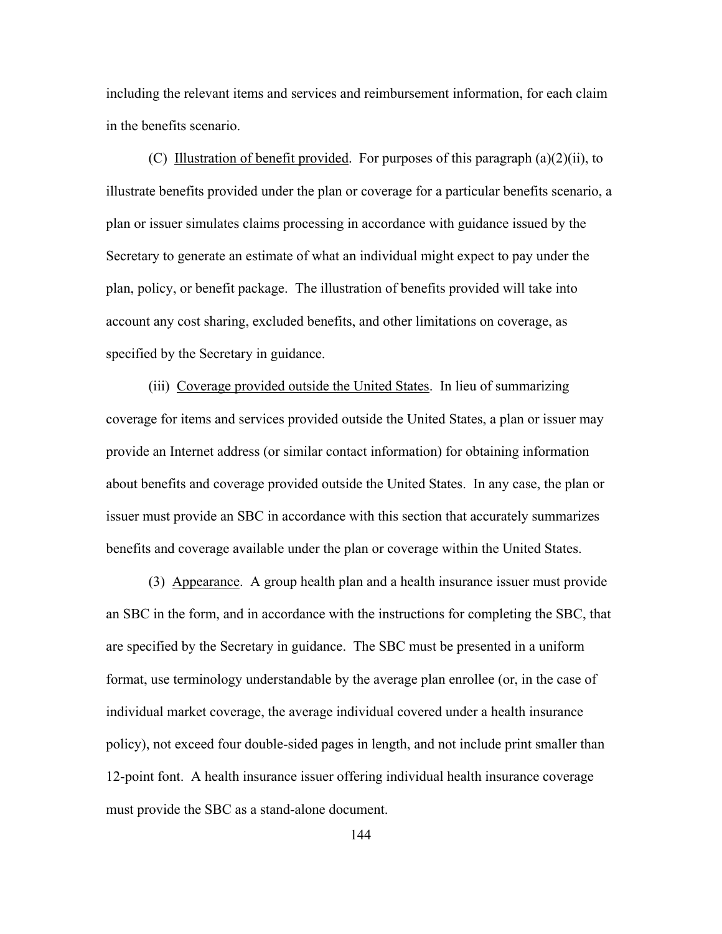including the relevant items and services and reimbursement information, for each claim in the benefits scenario.

(C) Illustration of benefit provided. For purposes of this paragraph (a)(2)(ii), to illustrate benefits provided under the plan or coverage for a particular benefits scenario, a plan or issuer simulates claims processing in accordance with guidance issued by the Secretary to generate an estimate of what an individual might expect to pay under the plan, policy, or benefit package. The illustration of benefits provided will take into account any cost sharing, excluded benefits, and other limitations on coverage, as specified by the Secretary in guidance.

(iii) Coverage provided outside the United States. In lieu of summarizing coverage for items and services provided outside the United States, a plan or issuer may provide an Internet address (or similar contact information) for obtaining information about benefits and coverage provided outside the United States. In any case, the plan or issuer must provide an SBC in accordance with this section that accurately summarizes benefits and coverage available under the plan or coverage within the United States.

 (3) Appearance. A group health plan and a health insurance issuer must provide an SBC in the form, and in accordance with the instructions for completing the SBC, that are specified by the Secretary in guidance. The SBC must be presented in a uniform format, use terminology understandable by the average plan enrollee (or, in the case of individual market coverage, the average individual covered under a health insurance policy), not exceed four double-sided pages in length, and not include print smaller than 12-point font. A health insurance issuer offering individual health insurance coverage must provide the SBC as a stand-alone document.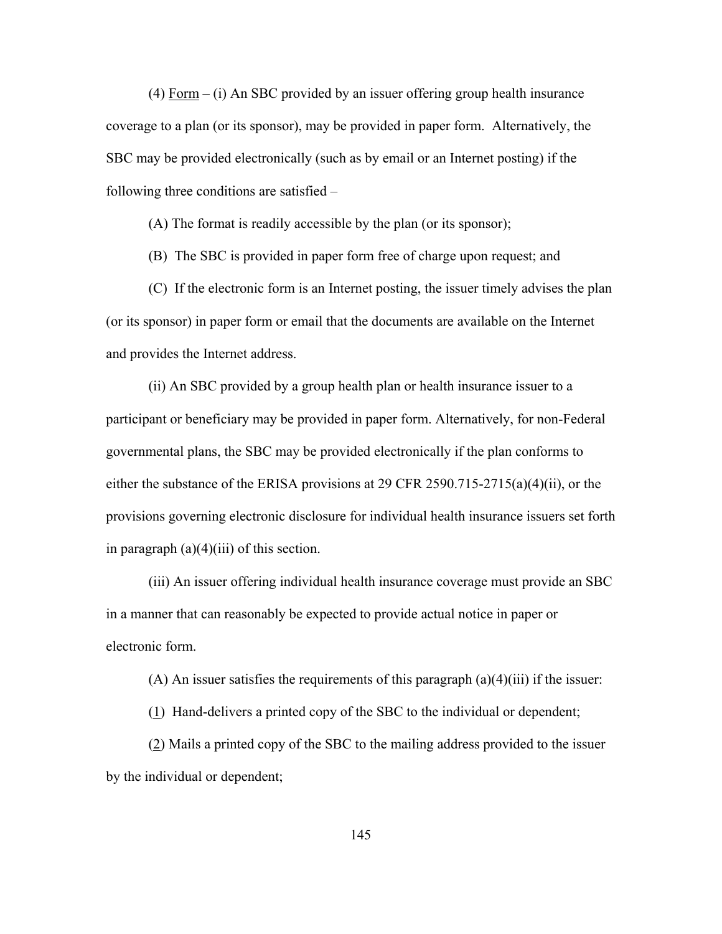(4) Form – (i) An SBC provided by an issuer offering group health insurance coverage to a plan (or its sponsor), may be provided in paper form. Alternatively, the SBC may be provided electronically (such as by email or an Internet posting) if the following three conditions are satisfied –

(A) The format is readily accessible by the plan (or its sponsor);

(B) The SBC is provided in paper form free of charge upon request; and

(C) If the electronic form is an Internet posting, the issuer timely advises the plan (or its sponsor) in paper form or email that the documents are available on the Internet and provides the Internet address.

(ii) An SBC provided by a group health plan or health insurance issuer to a participant or beneficiary may be provided in paper form. Alternatively, for non-Federal governmental plans, the SBC may be provided electronically if the plan conforms to either the substance of the ERISA provisions at 29 CFR 2590.715-2715(a)(4)(ii), or the provisions governing electronic disclosure for individual health insurance issuers set forth in paragraph  $(a)(4)(iii)$  of this section.

(iii) An issuer offering individual health insurance coverage must provide an SBC in a manner that can reasonably be expected to provide actual notice in paper or electronic form.

(A) An issuer satisfies the requirements of this paragraph  $(a)(4)(iii)$  if the issuer:

(1) Hand-delivers a printed copy of the SBC to the individual or dependent;

(2) Mails a printed copy of the SBC to the mailing address provided to the issuer by the individual or dependent;

145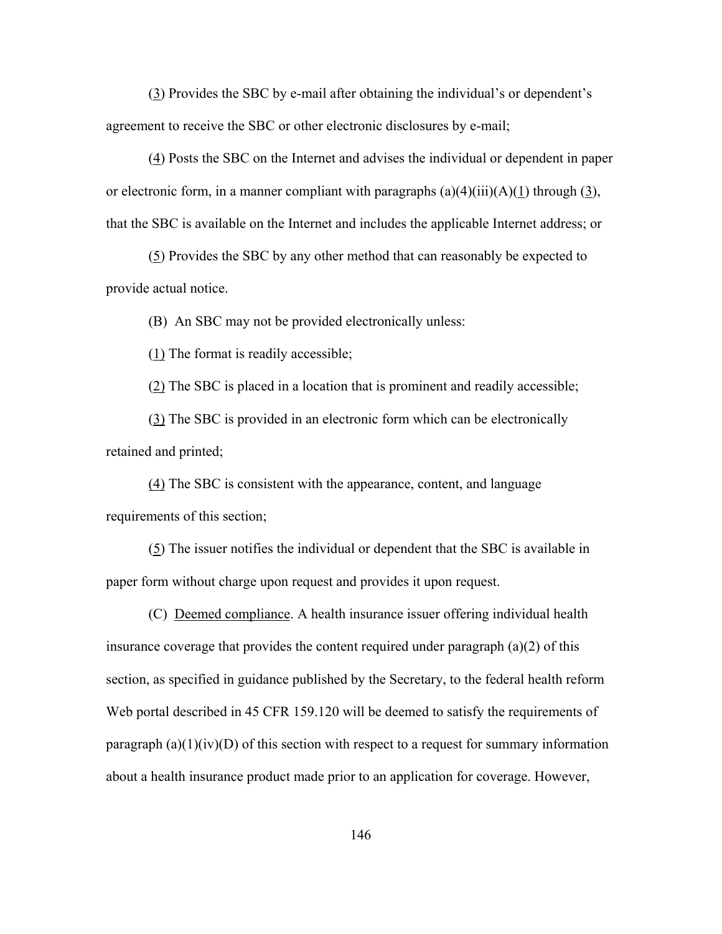(3) Provides the SBC by e-mail after obtaining the individual's or dependent's agreement to receive the SBC or other electronic disclosures by e-mail;

(4) Posts the SBC on the Internet and advises the individual or dependent in paper or electronic form, in a manner compliant with paragraphs  $(a)(4)(iii)(A)(1)$  through  $(3)$ , that the SBC is available on the Internet and includes the applicable Internet address; or

(5) Provides the SBC by any other method that can reasonably be expected to provide actual notice.

(B) An SBC may not be provided electronically unless:

(1) The format is readily accessible;

(2) The SBC is placed in a location that is prominent and readily accessible;

(3) The SBC is provided in an electronic form which can be electronically retained and printed;

(4) The SBC is consistent with the appearance, content, and language requirements of this section;

(5) The issuer notifies the individual or dependent that the SBC is available in paper form without charge upon request and provides it upon request.

 (C) Deemed compliance. A health insurance issuer offering individual health insurance coverage that provides the content required under paragraph  $(a)(2)$  of this section, as specified in guidance published by the Secretary, to the federal health reform Web portal described in 45 CFR 159.120 will be deemed to satisfy the requirements of paragraph  $(a)(1)(iv)(D)$  of this section with respect to a request for summary information about a health insurance product made prior to an application for coverage. However,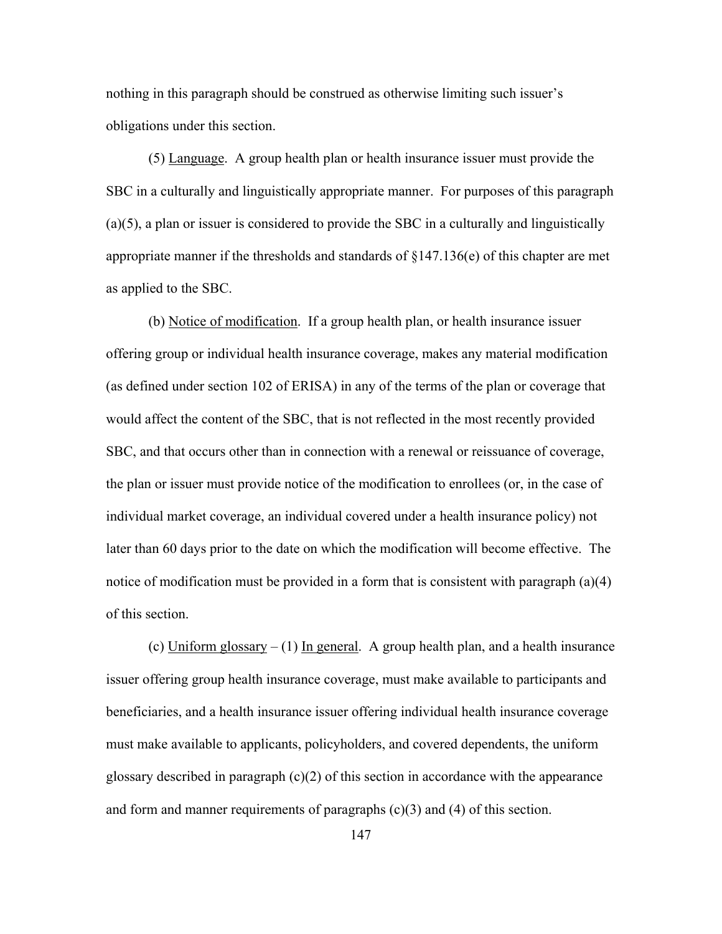nothing in this paragraph should be construed as otherwise limiting such issuer's obligations under this section.

(5) Language. A group health plan or health insurance issuer must provide the SBC in a culturally and linguistically appropriate manner. For purposes of this paragraph (a)(5), a plan or issuer is considered to provide the SBC in a culturally and linguistically appropriate manner if the thresholds and standards of §147.136(e) of this chapter are met as applied to the SBC.

(b) Notice of modification. If a group health plan, or health insurance issuer offering group or individual health insurance coverage, makes any material modification (as defined under section 102 of ERISA) in any of the terms of the plan or coverage that would affect the content of the SBC, that is not reflected in the most recently provided SBC, and that occurs other than in connection with a renewal or reissuance of coverage, the plan or issuer must provide notice of the modification to enrollees (or, in the case of individual market coverage, an individual covered under a health insurance policy) not later than 60 days prior to the date on which the modification will become effective. The notice of modification must be provided in a form that is consistent with paragraph (a)(4) of this section.

(c) Uniform glossary  $- (1)$  In general. A group health plan, and a health insurance issuer offering group health insurance coverage, must make available to participants and beneficiaries, and a health insurance issuer offering individual health insurance coverage must make available to applicants, policyholders, and covered dependents, the uniform glossary described in paragraph  $(c)(2)$  of this section in accordance with the appearance and form and manner requirements of paragraphs  $(c)(3)$  and  $(4)$  of this section.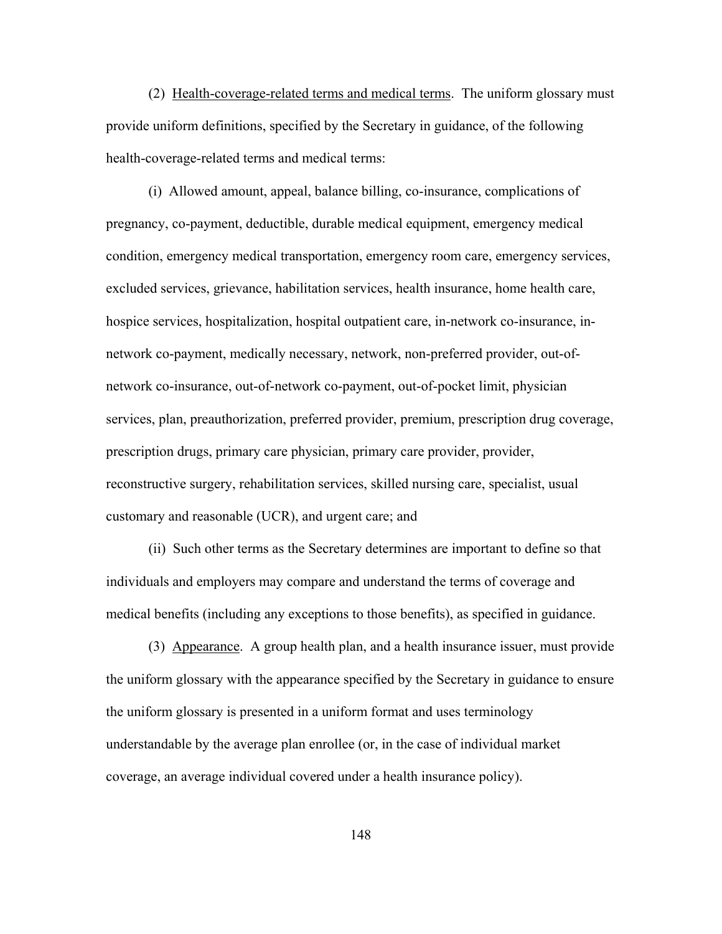(2) Health-coverage-related terms and medical terms. The uniform glossary must provide uniform definitions, specified by the Secretary in guidance, of the following health-coverage-related terms and medical terms:

 (i) Allowed amount, appeal, balance billing, co-insurance, complications of pregnancy, co-payment, deductible, durable medical equipment, emergency medical condition, emergency medical transportation, emergency room care, emergency services, excluded services, grievance, habilitation services, health insurance, home health care, hospice services, hospitalization, hospital outpatient care, in-network co-insurance, innetwork co-payment, medically necessary, network, non-preferred provider, out-ofnetwork co-insurance, out-of-network co-payment, out-of-pocket limit, physician services, plan, preauthorization, preferred provider, premium, prescription drug coverage, prescription drugs, primary care physician, primary care provider, provider, reconstructive surgery, rehabilitation services, skilled nursing care, specialist, usual customary and reasonable (UCR), and urgent care; and

 (ii) Such other terms as the Secretary determines are important to define so that individuals and employers may compare and understand the terms of coverage and medical benefits (including any exceptions to those benefits), as specified in guidance.

 (3) Appearance. A group health plan, and a health insurance issuer, must provide the uniform glossary with the appearance specified by the Secretary in guidance to ensure the uniform glossary is presented in a uniform format and uses terminology understandable by the average plan enrollee (or, in the case of individual market coverage, an average individual covered under a health insurance policy).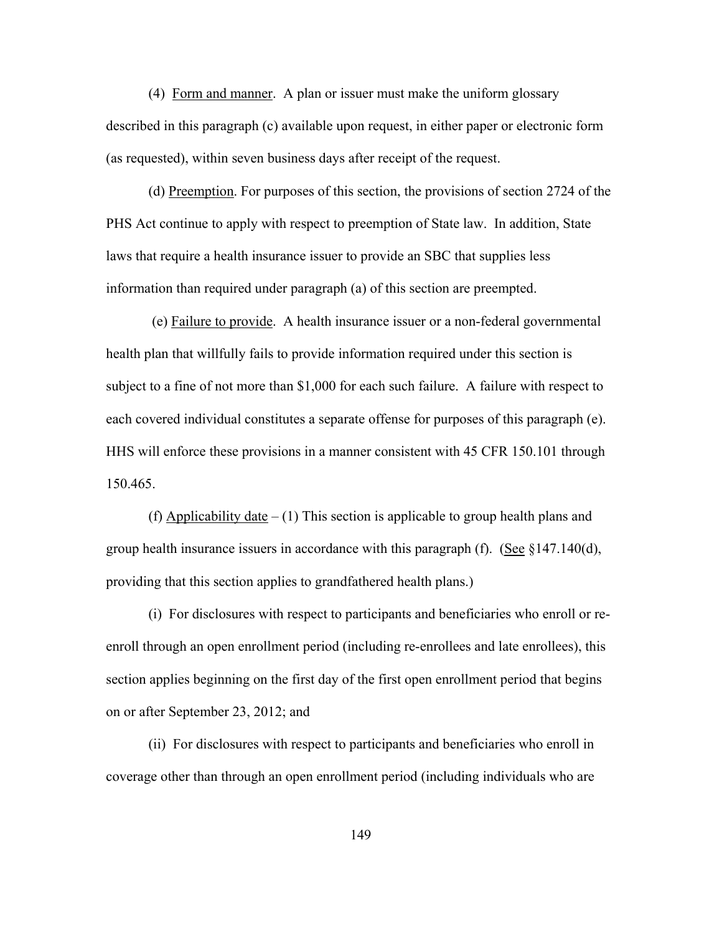(4) Form and manner. A plan or issuer must make the uniform glossary described in this paragraph (c) available upon request, in either paper or electronic form (as requested), within seven business days after receipt of the request.

(d) Preemption. For purposes of this section, the provisions of section 2724 of the PHS Act continue to apply with respect to preemption of State law. In addition, State laws that require a health insurance issuer to provide an SBC that supplies less information than required under paragraph (a) of this section are preempted.

 (e) Failure to provide. A health insurance issuer or a non-federal governmental health plan that willfully fails to provide information required under this section is subject to a fine of not more than \$1,000 for each such failure. A failure with respect to each covered individual constitutes a separate offense for purposes of this paragraph (e). HHS will enforce these provisions in a manner consistent with 45 CFR 150.101 through 150.465.

(f) Applicability date  $- (1)$  This section is applicable to group health plans and group health insurance issuers in accordance with this paragraph (f). (See  $\S 147.140(d)$ , providing that this section applies to grandfathered health plans.)

(i) For disclosures with respect to participants and beneficiaries who enroll or reenroll through an open enrollment period (including re-enrollees and late enrollees), this section applies beginning on the first day of the first open enrollment period that begins on or after September 23, 2012; and

(ii) For disclosures with respect to participants and beneficiaries who enroll in coverage other than through an open enrollment period (including individuals who are